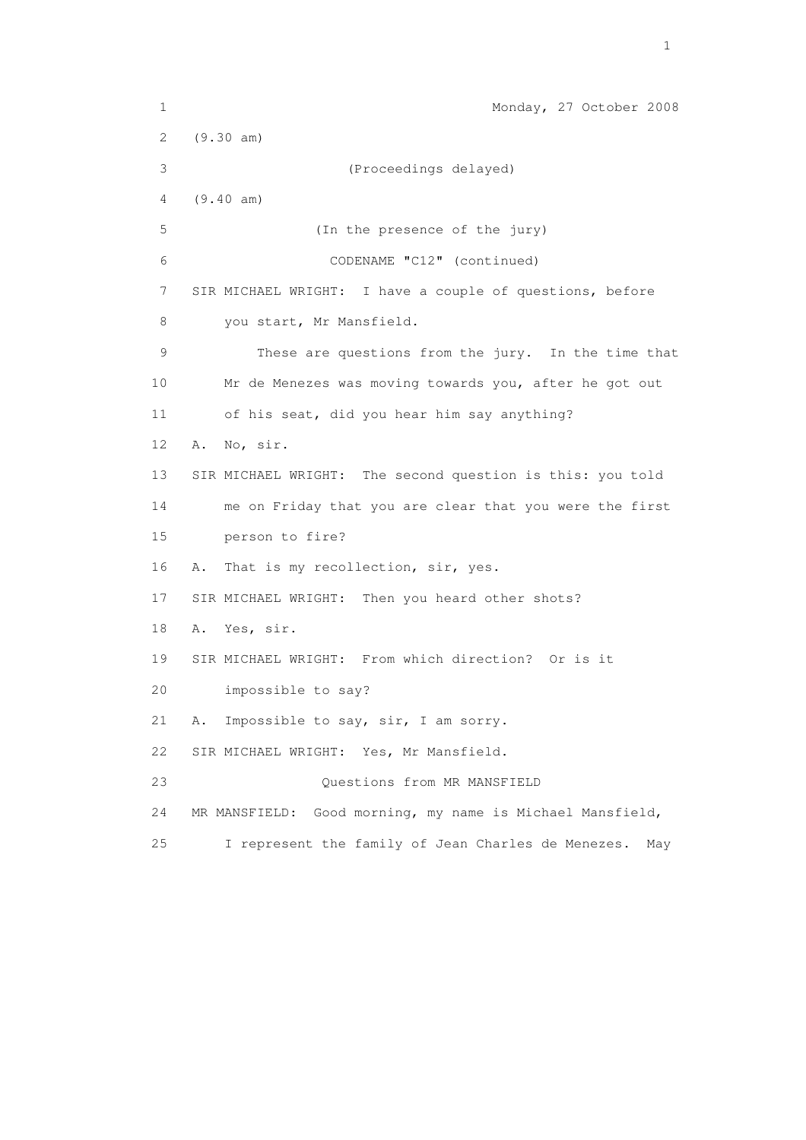1 Monday, 27 October 2008 2 (9.30 am) 3 (Proceedings delayed) 4 (9.40 am) 5 (In the presence of the jury) 6 CODENAME "C12" (continued) 7 SIR MICHAEL WRIGHT: I have a couple of questions, before 8 you start, Mr Mansfield. 9 These are questions from the jury. In the time that 10 Mr de Menezes was moving towards you, after he got out 11 of his seat, did you hear him say anything? 12 A. No, sir. 13 SIR MICHAEL WRIGHT: The second question is this: you told 14 me on Friday that you are clear that you were the first 15 person to fire? 16 A. That is my recollection, sir, yes. 17 SIR MICHAEL WRIGHT: Then you heard other shots? 18 A. Yes, sir. 19 SIR MICHAEL WRIGHT: From which direction? Or is it 20 impossible to say? 21 A. Impossible to say, sir, I am sorry. 22 SIR MICHAEL WRIGHT: Yes, Mr Mansfield. 23 Questions from MR MANSFIELD 24 MR MANSFIELD: Good morning, my name is Michael Mansfield, 25 I represent the family of Jean Charles de Menezes. May

the contract of the contract of the contract of the contract of the contract of the contract of the contract of the contract of the contract of the contract of the contract of the contract of the contract of the contract o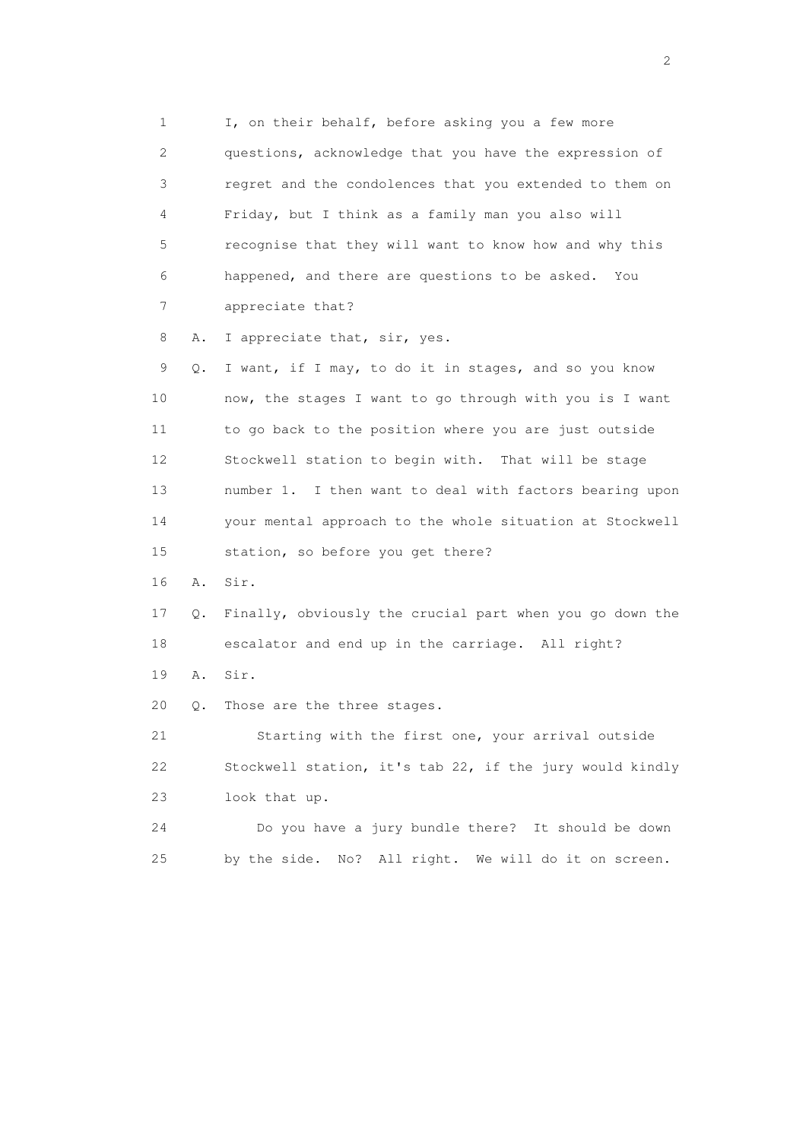1 I, on their behalf, before asking you a few more 2 questions, acknowledge that you have the expression of 3 regret and the condolences that you extended to them on 4 Friday, but I think as a family man you also will 5 recognise that they will want to know how and why this 6 happened, and there are questions to be asked. You 7 appreciate that?

8 A. I appreciate that, sir, yes.

 9 Q. I want, if I may, to do it in stages, and so you know 10 now, the stages I want to go through with you is I want 11 to go back to the position where you are just outside 12 Stockwell station to begin with. That will be stage 13 number 1. I then want to deal with factors bearing upon 14 your mental approach to the whole situation at Stockwell 15 station, so before you get there?

16 A. Sir.

 17 Q. Finally, obviously the crucial part when you go down the 18 escalator and end up in the carriage. All right?

19 A. Sir.

20 Q. Those are the three stages.

 21 Starting with the first one, your arrival outside 22 Stockwell station, it's tab 22, if the jury would kindly 23 look that up.

 24 Do you have a jury bundle there? It should be down 25 by the side. No? All right. We will do it on screen.

 $\overline{2}$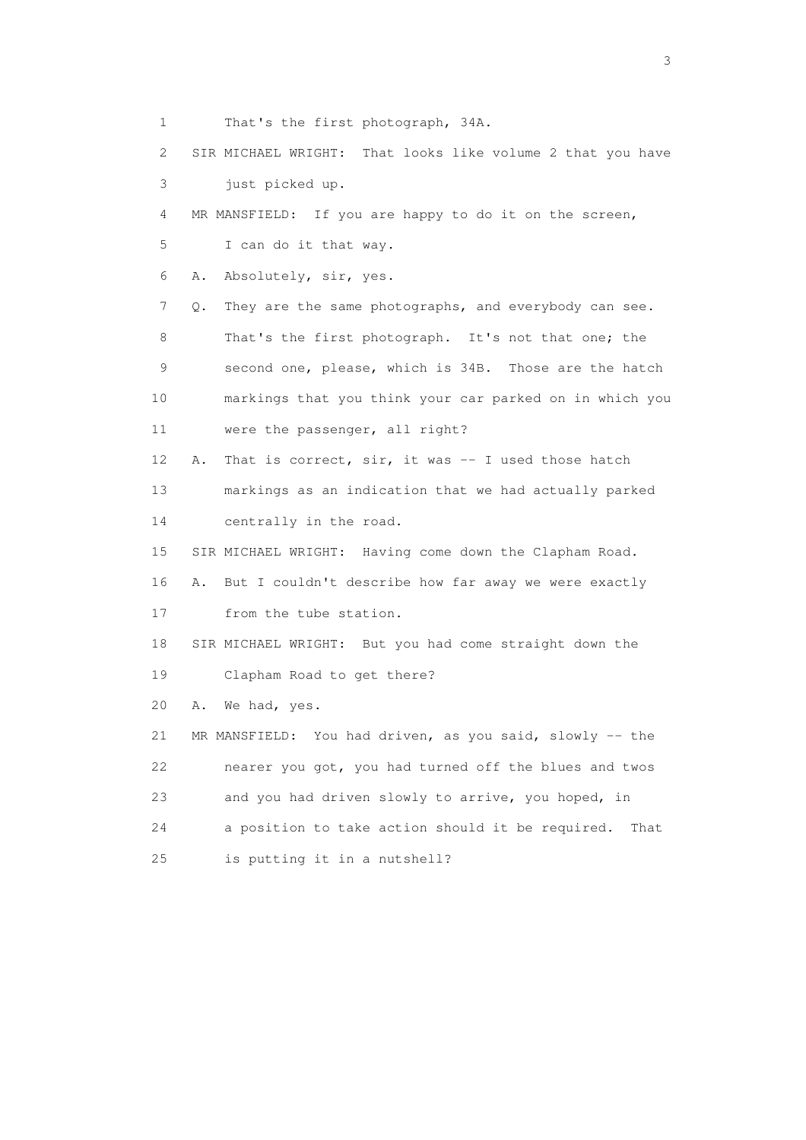1 That's the first photograph, 34A. 2 SIR MICHAEL WRIGHT: That looks like volume 2 that you have 3 just picked up. 4 MR MANSFIELD: If you are happy to do it on the screen, 5 I can do it that way. 6 A. Absolutely, sir, yes. 7 Q. They are the same photographs, and everybody can see. 8 That's the first photograph. It's not that one; the 9 second one, please, which is 34B. Those are the hatch 10 markings that you think your car parked on in which you 11 were the passenger, all right? 12 A. That is correct, sir, it was -- I used those hatch 13 markings as an indication that we had actually parked 14 centrally in the road. 15 SIR MICHAEL WRIGHT: Having come down the Clapham Road. 16 A. But I couldn't describe how far away we were exactly 17 from the tube station. 18 SIR MICHAEL WRIGHT: But you had come straight down the 19 Clapham Road to get there? 20 A. We had, yes. 21 MR MANSFIELD: You had driven, as you said, slowly -- the 22 nearer you got, you had turned off the blues and twos 23 and you had driven slowly to arrive, you hoped, in 24 a position to take action should it be required. That 25 is putting it in a nutshell?

 $\sim$  3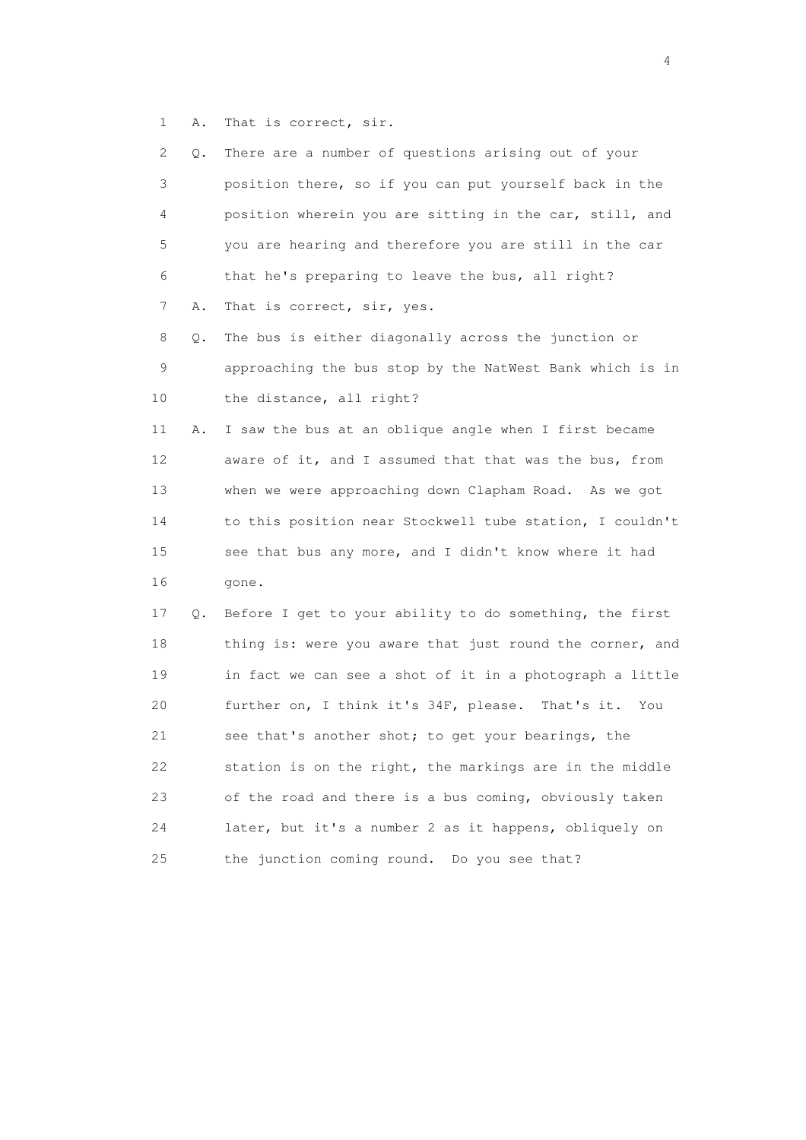1 A. That is correct, sir.

| 2  | Q. | There are a number of questions arising out of your      |
|----|----|----------------------------------------------------------|
| 3  |    | position there, so if you can put yourself back in the   |
| 4  |    | position wherein you are sitting in the car, still, and  |
| 5  |    | you are hearing and therefore you are still in the car   |
| 6  |    | that he's preparing to leave the bus, all right?         |
| 7  | Α. | That is correct, sir, yes.                               |
| 8  | Q. | The bus is either diagonally across the junction or      |
| 9  |    | approaching the bus stop by the NatWest Bank which is in |
| 10 |    | the distance, all right?                                 |
| 11 | Α. | I saw the bus at an oblique angle when I first became    |
| 12 |    | aware of it, and I assumed that that was the bus, from   |
| 13 |    | when we were approaching down Clapham Road. As we got    |
| 14 |    | to this position near Stockwell tube station, I couldn't |
| 15 |    | see that bus any more, and I didn't know where it had    |
| 16 |    | gone.                                                    |
| 17 | Q. | Before I get to your ability to do something, the first  |
| 18 |    | thing is: were you aware that just round the corner, and |
| 19 |    | in fact we can see a shot of it in a photograph a little |
| 20 |    | further on, I think it's 34F, please. That's it. You     |
| 21 |    | see that's another shot; to get your bearings, the       |
| 22 |    | station is on the right, the markings are in the middle  |
| 23 |    | of the road and there is a bus coming, obviously taken   |
| 24 |    | later, but it's a number 2 as it happens, obliquely on   |
| 25 |    | the junction coming round. Do you see that?              |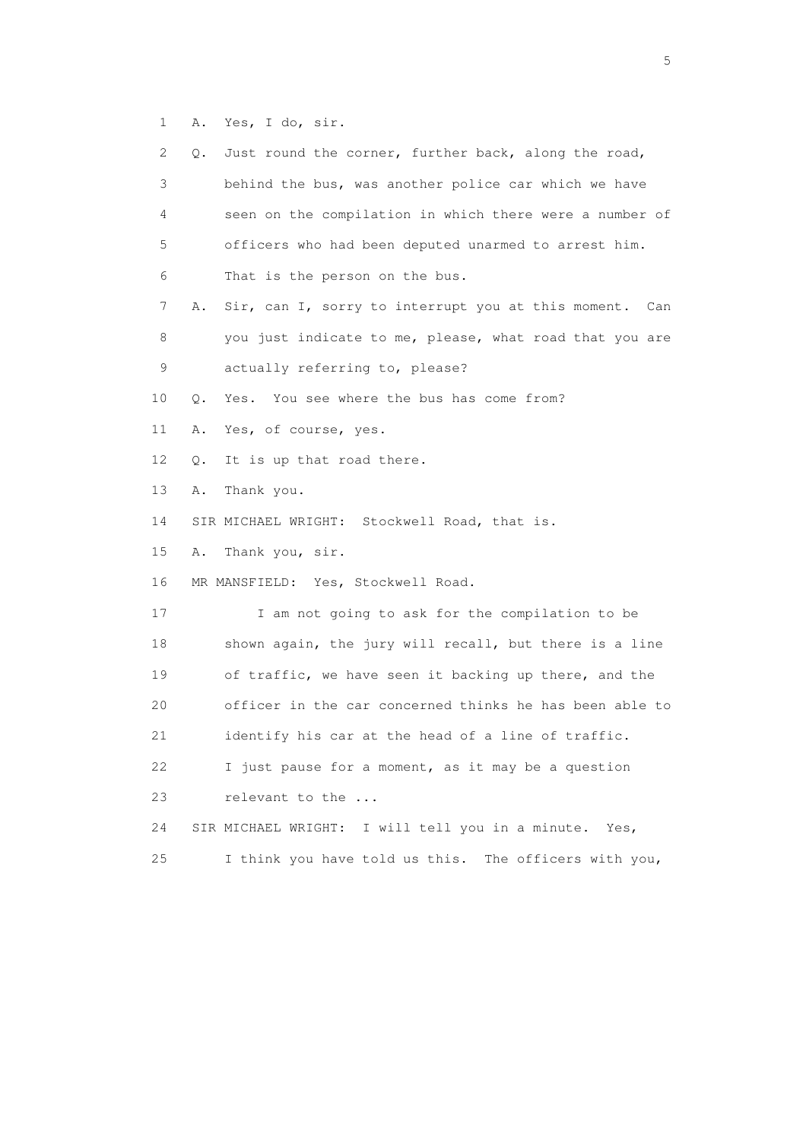1 A. Yes, I do, sir.

| 2  | Just round the corner, further back, along the road,<br>Q.   |
|----|--------------------------------------------------------------|
| 3  | behind the bus, was another police car which we have         |
| 4  | seen on the compilation in which there were a number of      |
| 5  | officers who had been deputed unarmed to arrest him.         |
| 6  | That is the person on the bus.                               |
| 7  | Sir, can I, sorry to interrupt you at this moment. Can<br>Α. |
| 8  | you just indicate to me, please, what road that you are      |
| 9  | actually referring to, please?                               |
| 10 | Yes. You see where the bus has come from?<br>Q.              |
| 11 | Α.<br>Yes, of course, yes.                                   |
| 12 | It is up that road there.<br>Q.                              |
| 13 | Thank you.<br>Α.                                             |
| 14 | SIR MICHAEL WRIGHT: Stockwell Road, that is.                 |
| 15 | Thank you, sir.<br>Α.                                        |
| 16 | MR MANSFIELD: Yes, Stockwell Road.                           |
| 17 | I am not going to ask for the compilation to be              |
| 18 | shown again, the jury will recall, but there is a line       |
| 19 | of traffic, we have seen it backing up there, and the        |
| 20 | officer in the car concerned thinks he has been able to      |
| 21 | identify his car at the head of a line of traffic.           |
| 22 | I just pause for a moment, as it may be a question           |
| 23 | relevant to the                                              |
| 24 | I will tell you in a minute.<br>SIR MICHAEL WRIGHT:<br>Yes,  |
| 25 | I think you have told us this. The officers with you,        |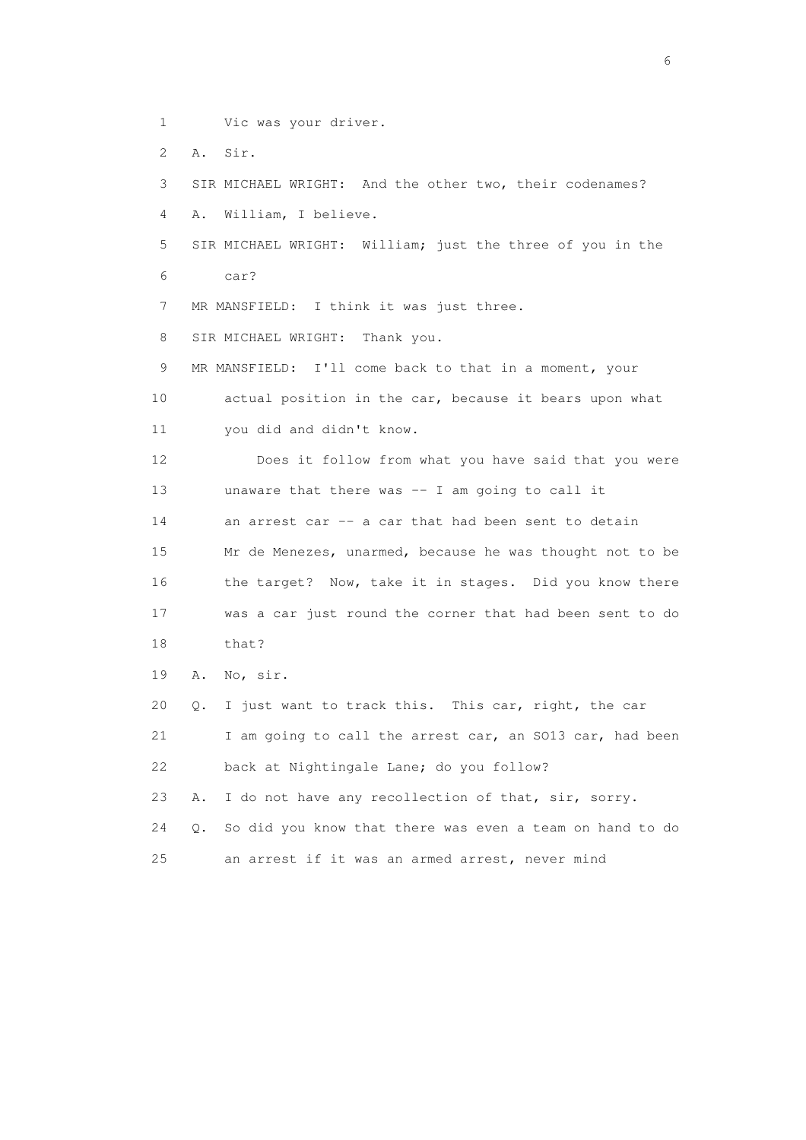- 1 Vic was your driver.
- 2 A. Sir.

3 SIR MICHAEL WRIGHT: And the other two, their codenames?

4 A. William, I believe.

 5 SIR MICHAEL WRIGHT: William; just the three of you in the 6 car?

7 MR MANSFIELD: I think it was just three.

8 SIR MICHAEL WRIGHT: Thank you.

9 MR MANSFIELD: I'll come back to that in a moment, your 10 actual position in the car, because it bears upon what 11 you did and didn't know.

 12 Does it follow from what you have said that you were 13 unaware that there was -- I am going to call it 14 an arrest car -- a car that had been sent to detain 15 Mr de Menezes, unarmed, because he was thought not to be 16 the target? Now, take it in stages. Did you know there 17 was a car just round the corner that had been sent to do 18 that?

19 A. No, sir.

20 Q. I just want to track this. This car, right, the car

 21 I am going to call the arrest car, an SO13 car, had been 22 back at Nightingale Lane; do you follow?

23 A. I do not have any recollection of that, sir, sorry.

 24 Q. So did you know that there was even a team on hand to do 25 an arrest if it was an armed arrest, never mind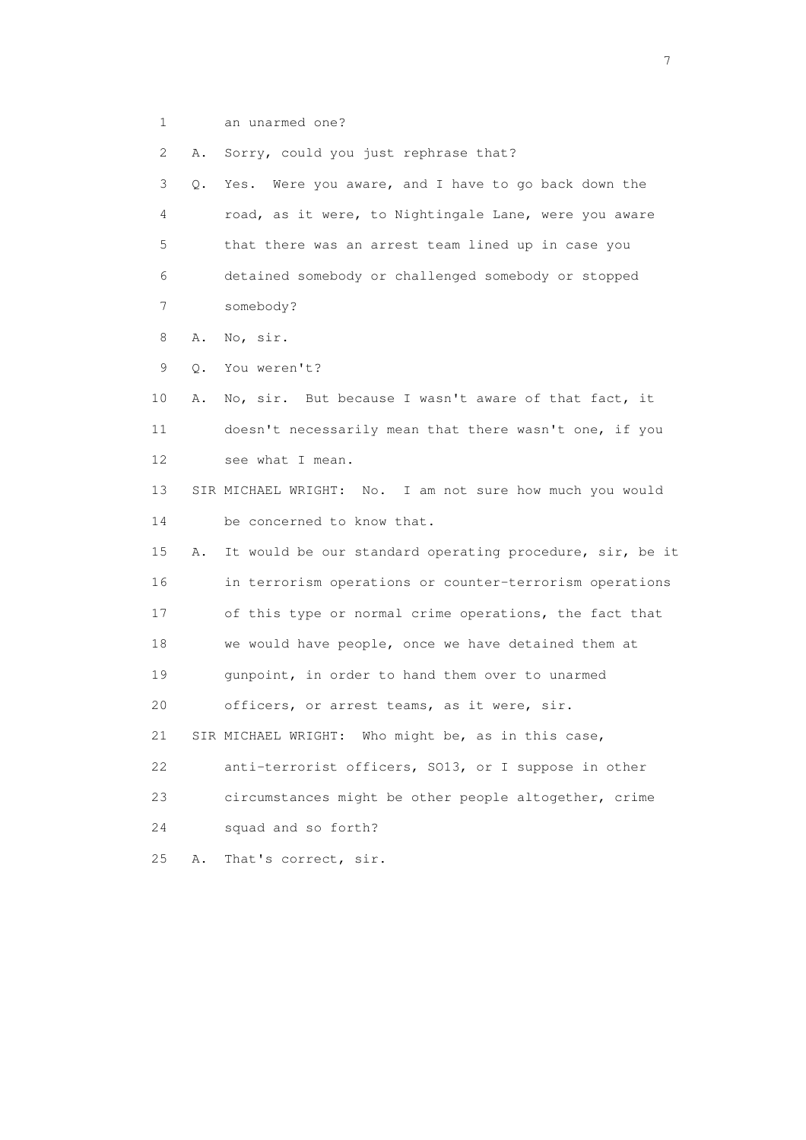1 an unarmed one?

2 A. Sorry, could you just rephrase that?

 3 Q. Yes. Were you aware, and I have to go back down the 4 road, as it were, to Nightingale Lane, were you aware 5 that there was an arrest team lined up in case you 6 detained somebody or challenged somebody or stopped 7 somebody?

8 A. No, sir.

9 Q. You weren't?

 10 A. No, sir. But because I wasn't aware of that fact, it 11 doesn't necessarily mean that there wasn't one, if you 12 see what I mean.

 13 SIR MICHAEL WRIGHT: No. I am not sure how much you would 14 be concerned to know that.

 15 A. It would be our standard operating procedure, sir, be it 16 in terrorism operations or counter-terrorism operations 17 of this type or normal crime operations, the fact that 18 we would have people, once we have detained them at 19 gunpoint, in order to hand them over to unarmed 20 officers, or arrest teams, as it were, sir. 21 SIR MICHAEL WRIGHT: Who might be, as in this case, 22 anti-terrorist officers, SO13, or I suppose in other 23 circumstances might be other people altogether, crime 24 squad and so forth?

25 A. That's correct, sir.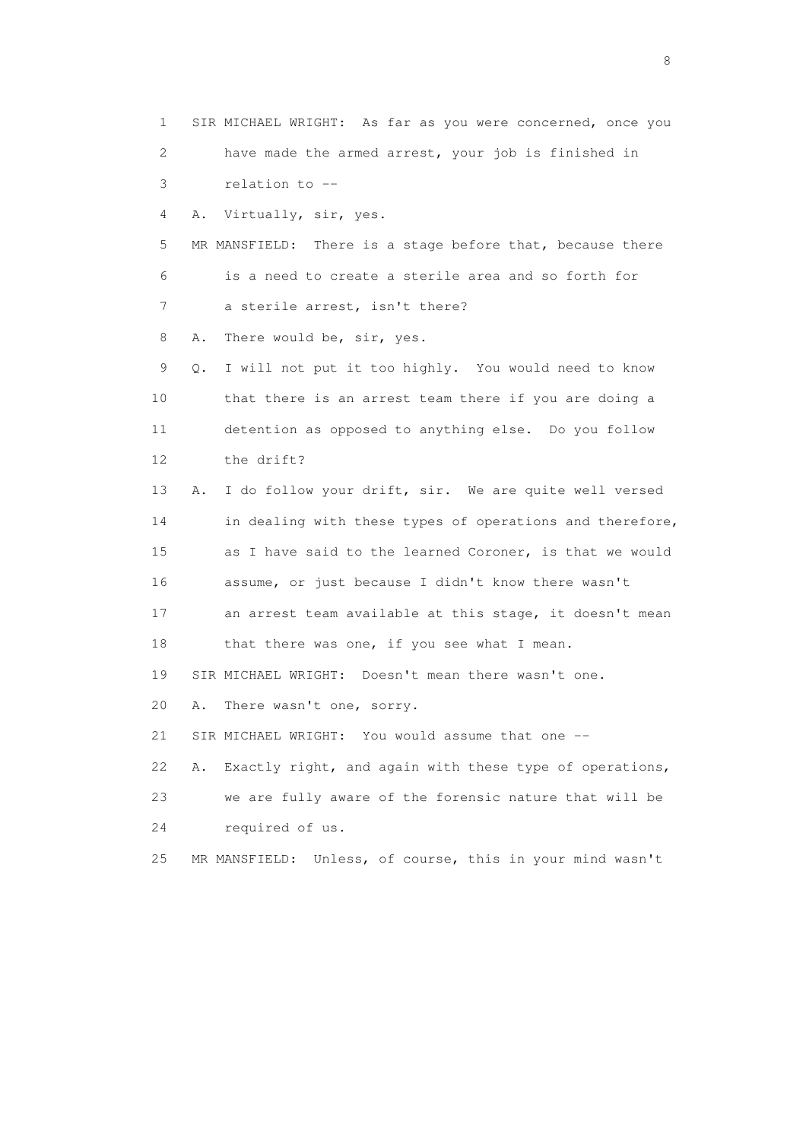1 SIR MICHAEL WRIGHT: As far as you were concerned, once you 2 have made the armed arrest, your job is finished in 3 relation to --

4 A. Virtually, sir, yes.

 5 MR MANSFIELD: There is a stage before that, because there 6 is a need to create a sterile area and so forth for 7 a sterile arrest, isn't there?

8 A. There would be, sir, yes.

 9 Q. I will not put it too highly. You would need to know 10 that there is an arrest team there if you are doing a 11 detention as opposed to anything else. Do you follow 12 the drift?

 13 A. I do follow your drift, sir. We are quite well versed 14 in dealing with these types of operations and therefore, 15 as I have said to the learned Coroner, is that we would 16 assume, or just because I didn't know there wasn't 17 an arrest team available at this stage, it doesn't mean 18 that there was one, if you see what I mean. 19 SIR MICHAEL WRIGHT: Doesn't mean there wasn't one.

20 A. There wasn't one, sorry.

21 SIR MICHAEL WRIGHT: You would assume that one --

22 A. Exactly right, and again with these type of operations,

 23 we are fully aware of the forensic nature that will be 24 required of us.

25 MR MANSFIELD: Unless, of course, this in your mind wasn't

en de la construction de la construction de la construction de la construction de la construction de la constr<br>En 1980, en 1980, en 1980, en 1980, en 1980, en 1980, en 1980, en 1980, en 1980, en 1980, en 1980, en 1980, en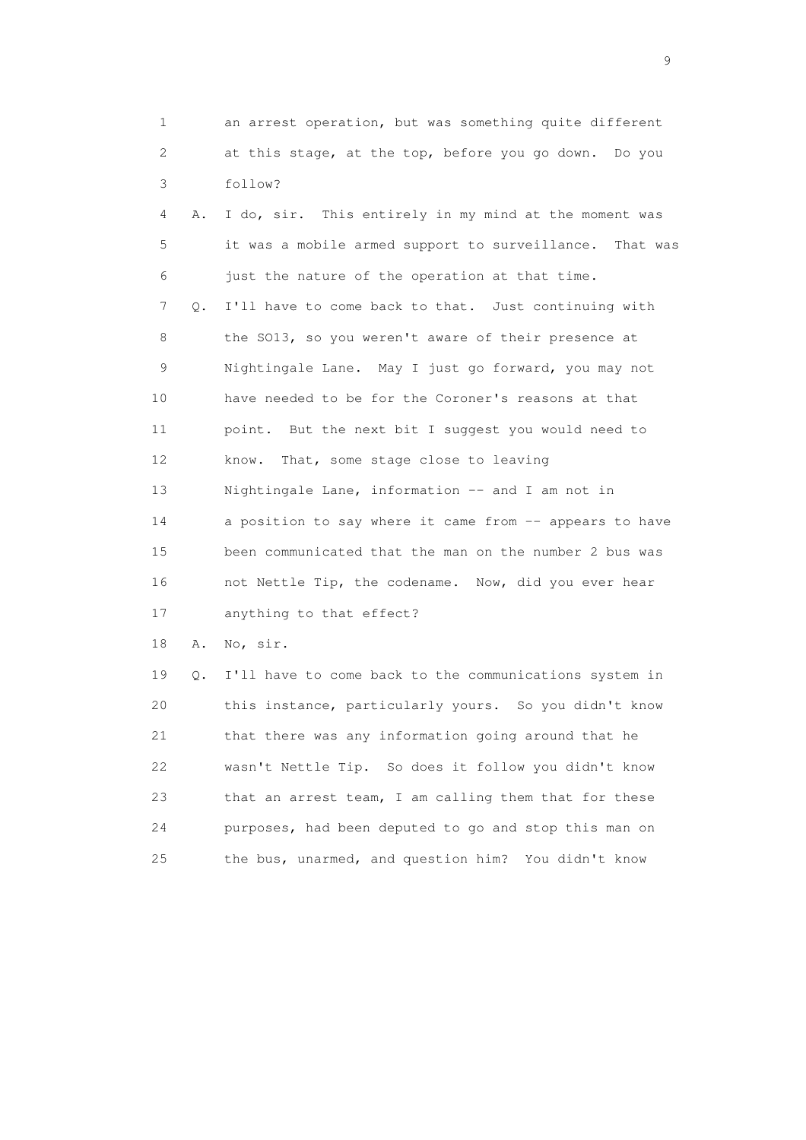1 an arrest operation, but was something quite different 2 at this stage, at the top, before you go down. Do you 3 follow?

 4 A. I do, sir. This entirely in my mind at the moment was 5 it was a mobile armed support to surveillance. That was 6 just the nature of the operation at that time. 7 Q. I'll have to come back to that. Just continuing with 8 the SO13, so you weren't aware of their presence at 9 Nightingale Lane. May I just go forward, you may not 10 have needed to be for the Coroner's reasons at that 11 point. But the next bit I suggest you would need to 12 know. That, some stage close to leaving 13 Nightingale Lane, information -- and I am not in 14 a position to say where it came from -- appears to have 15 been communicated that the man on the number 2 bus was 16 not Nettle Tip, the codename. Now, did you ever hear 17 anything to that effect?

18 A. No, sir.

 19 Q. I'll have to come back to the communications system in 20 this instance, particularly yours. So you didn't know 21 that there was any information going around that he 22 wasn't Nettle Tip. So does it follow you didn't know 23 that an arrest team, I am calling them that for these 24 purposes, had been deputed to go and stop this man on 25 the bus, unarmed, and question him? You didn't know

en de la construction de la construction de la construction de la construction de la construction de la constr<br>1911 : la construction de la construction de la construction de la construction de la construction de la const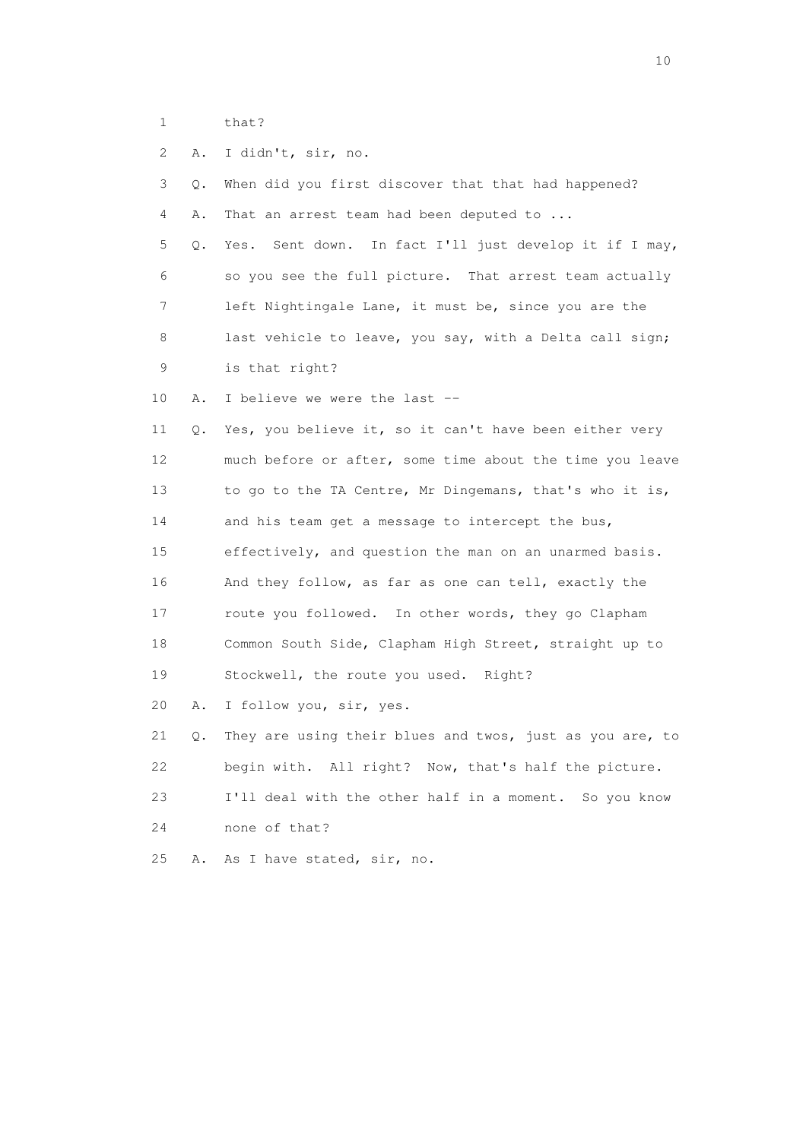1 that?

 2 A. I didn't, sir, no. 3 Q. When did you first discover that that had happened? 4 A. That an arrest team had been deputed to ... 5 Q. Yes. Sent down. In fact I'll just develop it if I may, 6 so you see the full picture. That arrest team actually 7 left Nightingale Lane, it must be, since you are the 8 last vehicle to leave, you say, with a Delta call sign; 9 is that right? 10 A. I believe we were the last -- 11 Q. Yes, you believe it, so it can't have been either very 12 much before or after, some time about the time you leave 13 to go to the TA Centre, Mr Dingemans, that's who it is, 14 and his team get a message to intercept the bus, 15 effectively, and question the man on an unarmed basis. 16 And they follow, as far as one can tell, exactly the 17 route you followed. In other words, they go Clapham 18 Common South Side, Clapham High Street, straight up to 19 Stockwell, the route you used. Right? 20 A. I follow you, sir, yes. 21 Q. They are using their blues and twos, just as you are, to 22 begin with. All right? Now, that's half the picture. 23 I'll deal with the other half in a moment. So you know 24 none of that?

25 A. As I have stated, sir, no.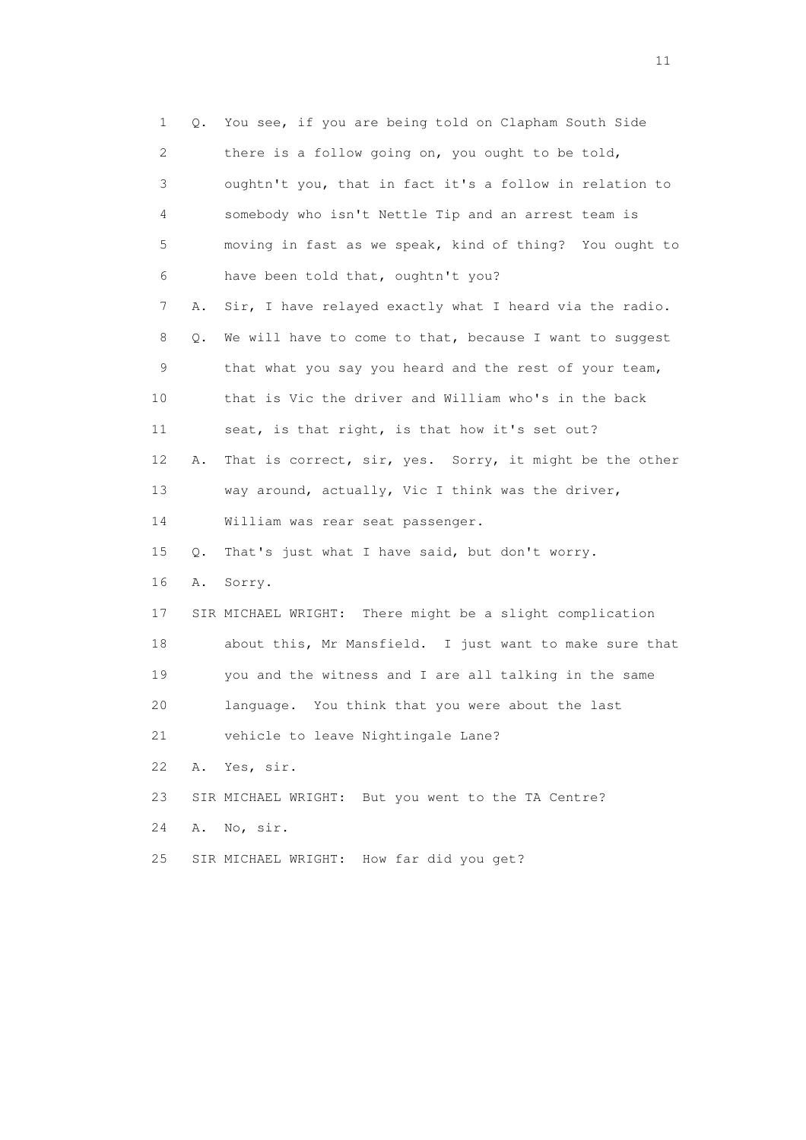1 Q. You see, if you are being told on Clapham South Side 2 there is a follow going on, you ought to be told, 3 oughtn't you, that in fact it's a follow in relation to 4 somebody who isn't Nettle Tip and an arrest team is 5 moving in fast as we speak, kind of thing? You ought to 6 have been told that, oughtn't you? 7 A. Sir, I have relayed exactly what I heard via the radio. 8 Q. We will have to come to that, because I want to suggest 9 that what you say you heard and the rest of your team, 10 that is Vic the driver and William who's in the back 11 seat, is that right, is that how it's set out? 12 A. That is correct, sir, yes. Sorry, it might be the other 13 way around, actually, Vic I think was the driver, 14 William was rear seat passenger. 15 Q. That's just what I have said, but don't worry. 16 A. Sorry. 17 SIR MICHAEL WRIGHT: There might be a slight complication 18 about this, Mr Mansfield. I just want to make sure that 19 you and the witness and I are all talking in the same 20 language. You think that you were about the last 21 vehicle to leave Nightingale Lane? 22 A. Yes, sir. 23 SIR MICHAEL WRIGHT: But you went to the TA Centre? 24 A. No, sir. 25 SIR MICHAEL WRIGHT: How far did you get?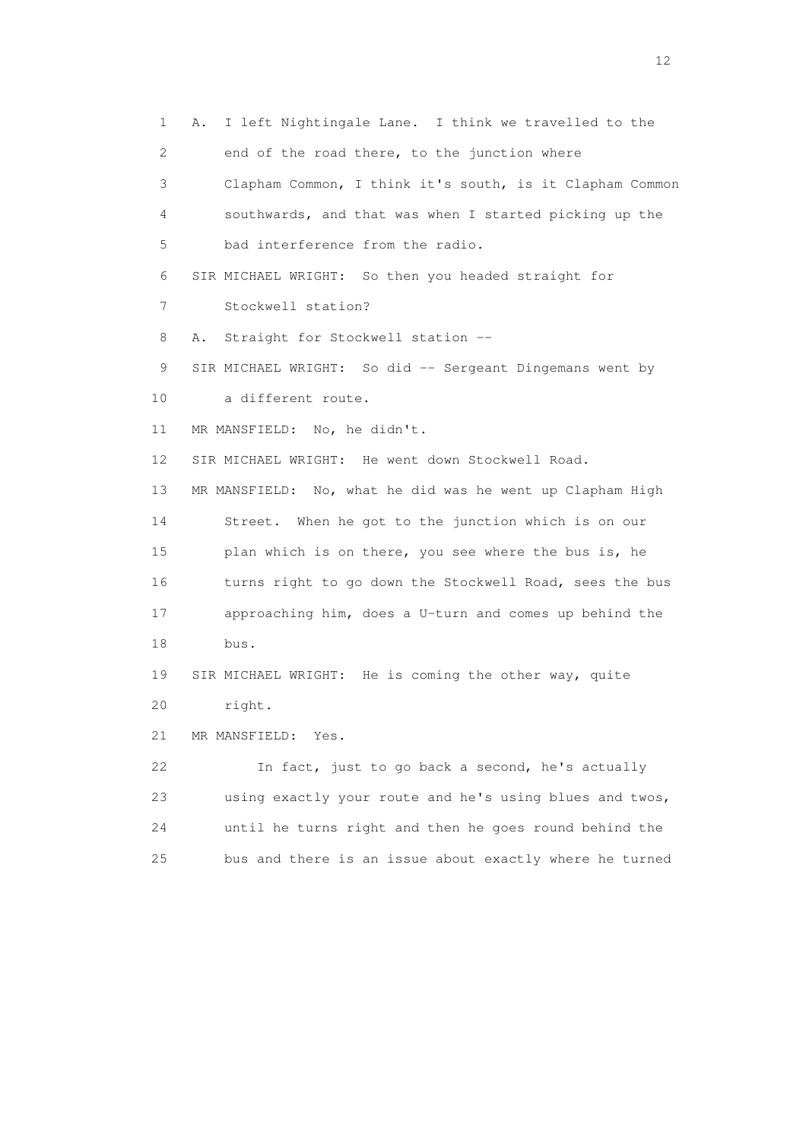1 A. I left Nightingale Lane. I think we travelled to the 2 end of the road there, to the junction where 3 Clapham Common, I think it's south, is it Clapham Common 4 southwards, and that was when I started picking up the 5 bad interference from the radio. 6 SIR MICHAEL WRIGHT: So then you headed straight for 7 Stockwell station? 8 A. Straight for Stockwell station -- 9 SIR MICHAEL WRIGHT: So did -- Sergeant Dingemans went by 10 a different route. 11 MR MANSFIELD: No, he didn't. 12 SIR MICHAEL WRIGHT: He went down Stockwell Road. 13 MR MANSFIELD: No, what he did was he went up Clapham High 14 Street. When he got to the junction which is on our 15 plan which is on there, you see where the bus is, he 16 turns right to go down the Stockwell Road, sees the bus 17 approaching him, does a U-turn and comes up behind the 18 bus. 19 SIR MICHAEL WRIGHT: He is coming the other way, quite 20 right. 21 MR MANSFIELD: Yes. 22 In fact, just to go back a second, he's actually 23 using exactly your route and he's using blues and twos, 24 until he turns right and then he goes round behind the 25 bus and there is an issue about exactly where he turned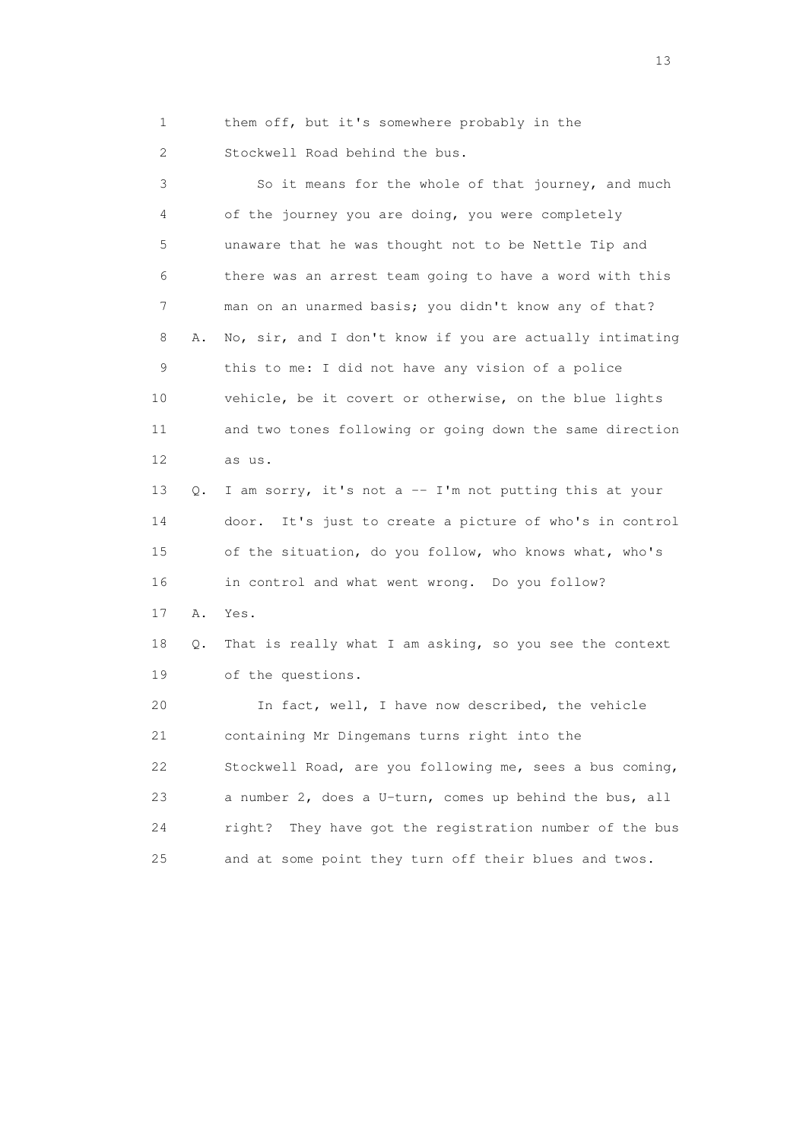1 them off, but it's somewhere probably in the

2 Stockwell Road behind the bus.

 3 So it means for the whole of that journey, and much 4 of the journey you are doing, you were completely 5 unaware that he was thought not to be Nettle Tip and 6 there was an arrest team going to have a word with this 7 man on an unarmed basis; you didn't know any of that? 8 A. No, sir, and I don't know if you are actually intimating 9 this to me: I did not have any vision of a police 10 vehicle, be it covert or otherwise, on the blue lights 11 and two tones following or going down the same direction 12 as us. 13 Q. I am sorry, it's not a -- I'm not putting this at your 14 door. It's just to create a picture of who's in control 15 of the situation, do you follow, who knows what, who's 16 in control and what went wrong. Do you follow? 17 A. Yes. 18 Q. That is really what I am asking, so you see the context 19 of the questions. 20 In fact, well, I have now described, the vehicle 21 containing Mr Dingemans turns right into the 22 Stockwell Road, are you following me, sees a bus coming, 23 a number 2, does a U-turn, comes up behind the bus, all 24 right? They have got the registration number of the bus 25 and at some point they turn off their blues and twos.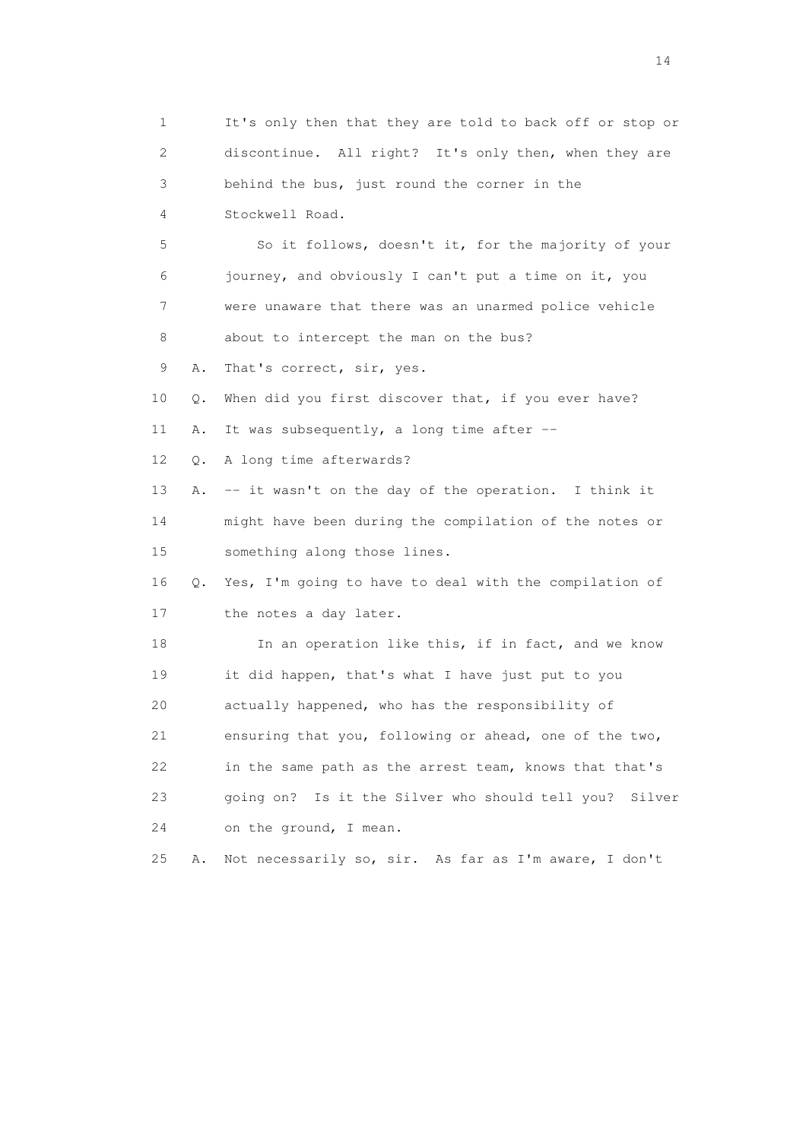1 It's only then that they are told to back off or stop or 2 discontinue. All right? It's only then, when they are 3 behind the bus, just round the corner in the 4 Stockwell Road. 5 So it follows, doesn't it, for the majority of your 6 journey, and obviously I can't put a time on it, you 7 were unaware that there was an unarmed police vehicle 8 about to intercept the man on the bus? 9 A. That's correct, sir, yes. 10 Q. When did you first discover that, if you ever have? 11 A. It was subsequently, a long time after -- 12 Q. A long time afterwards? 13 A. -- it wasn't on the day of the operation. I think it 14 might have been during the compilation of the notes or 15 something along those lines. 16 Q. Yes, I'm going to have to deal with the compilation of 17 the notes a day later. 18 In an operation like this, if in fact, and we know 19 it did happen, that's what I have just put to you 20 actually happened, who has the responsibility of 21 ensuring that you, following or ahead, one of the two, 22 in the same path as the arrest team, knows that that's 23 going on? Is it the Silver who should tell you? Silver 24 on the ground, I mean. 25 A. Not necessarily so, sir. As far as I'm aware, I don't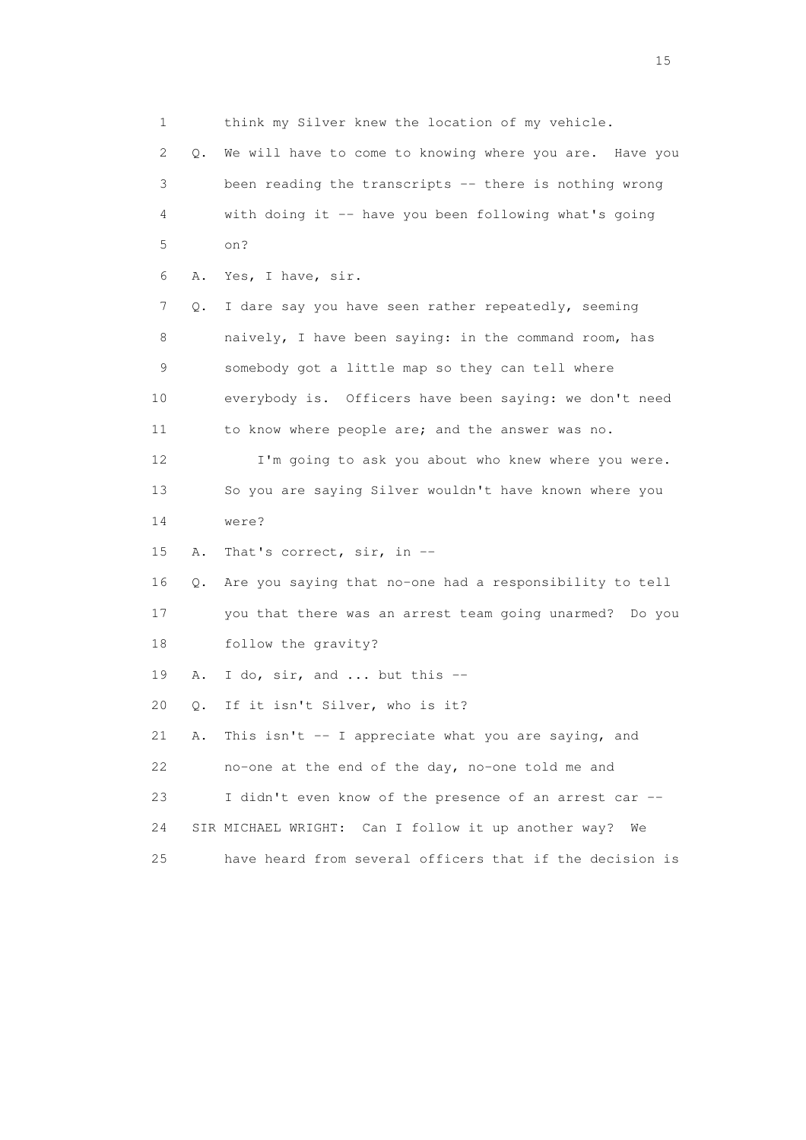1 think my Silver knew the location of my vehicle. 2 Q. We will have to come to knowing where you are. Have you 3 been reading the transcripts -- there is nothing wrong 4 with doing it -- have you been following what's going 5 on? 6 A. Yes, I have, sir. 7 Q. I dare say you have seen rather repeatedly, seeming 8 naively, I have been saying: in the command room, has 9 somebody got a little map so they can tell where 10 everybody is. Officers have been saying: we don't need 11 to know where people are; and the answer was no. 12 I'm going to ask you about who knew where you were. 13 So you are saying Silver wouldn't have known where you 14 were? 15 A. That's correct, sir, in -- 16 Q. Are you saying that no-one had a responsibility to tell 17 you that there was an arrest team going unarmed? Do you 18 follow the gravity? 19 A. I do, sir, and ... but this -- 20 Q. If it isn't Silver, who is it? 21 A. This isn't -- I appreciate what you are saying, and 22 no-one at the end of the day, no-one told me and 23 I didn't even know of the presence of an arrest car -- 24 SIR MICHAEL WRIGHT: Can I follow it up another way? We 25 have heard from several officers that if the decision is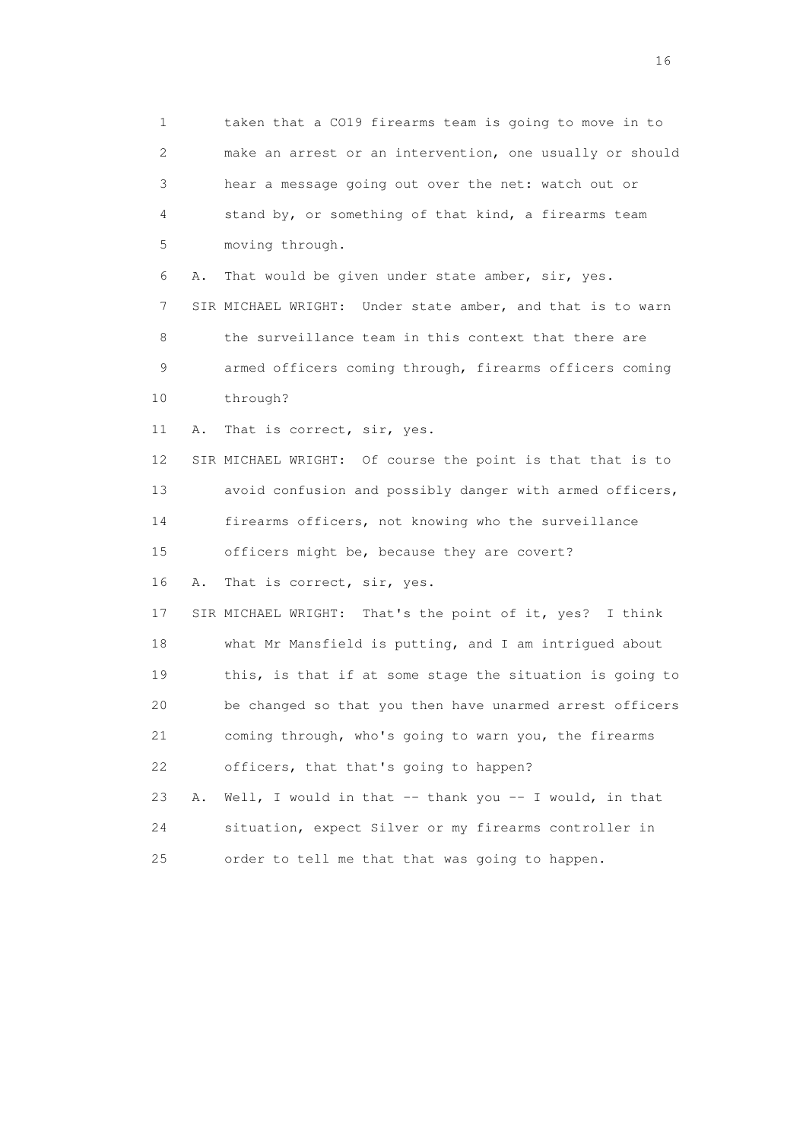1 taken that a CO19 firearms team is going to move in to 2 make an arrest or an intervention, one usually or should 3 hear a message going out over the net: watch out or 4 stand by, or something of that kind, a firearms team 5 moving through. 6 A. That would be given under state amber, sir, yes. 7 SIR MICHAEL WRIGHT: Under state amber, and that is to warn 8 the surveillance team in this context that there are 9 armed officers coming through, firearms officers coming 10 through? 11 A. That is correct, sir, yes. 12 SIR MICHAEL WRIGHT: Of course the point is that that is to 13 avoid confusion and possibly danger with armed officers, 14 firearms officers, not knowing who the surveillance 15 officers might be, because they are covert? 16 A. That is correct, sir, yes. 17 SIR MICHAEL WRIGHT: That's the point of it, yes? I think 18 what Mr Mansfield is putting, and I am intrigued about 19 this, is that if at some stage the situation is going to 20 be changed so that you then have unarmed arrest officers 21 coming through, who's going to warn you, the firearms 22 officers, that that's going to happen? 23 A. Well, I would in that -- thank you -- I would, in that 24 situation, expect Silver or my firearms controller in 25 order to tell me that that was going to happen.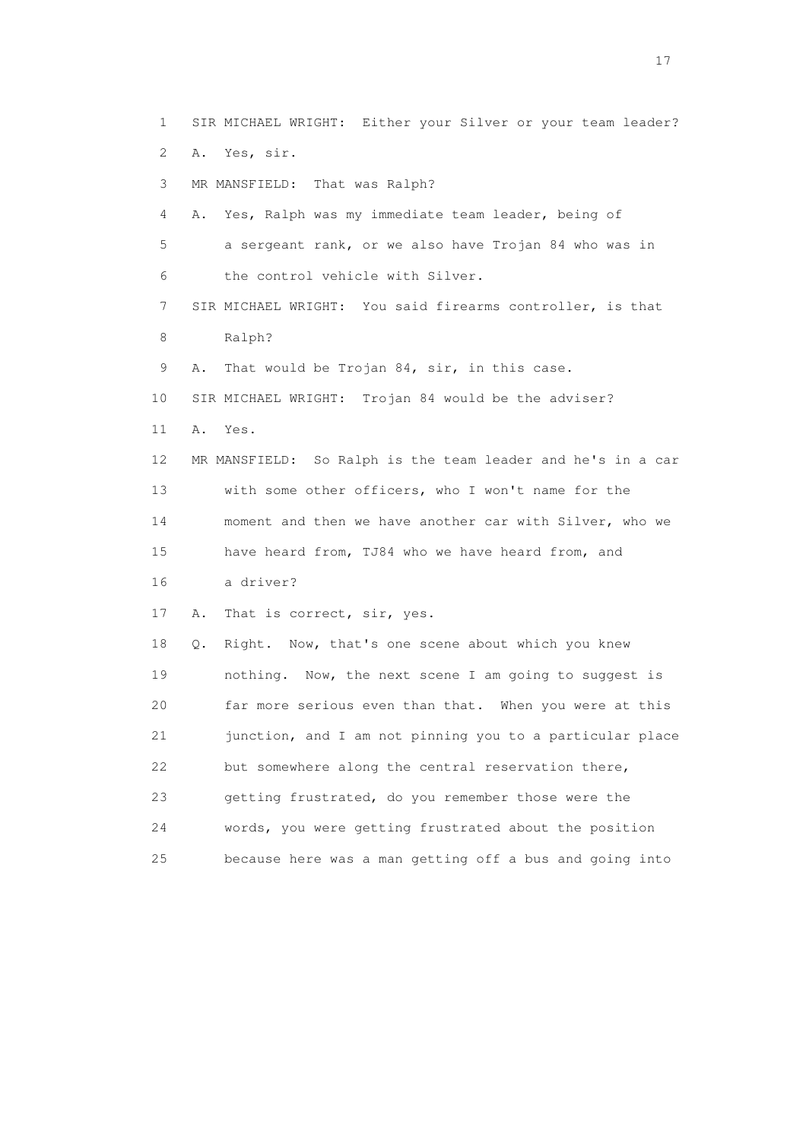1 SIR MICHAEL WRIGHT: Either your Silver or your team leader? 2 A. Yes, sir. 3 MR MANSFIELD: That was Ralph? 4 A. Yes, Ralph was my immediate team leader, being of 5 a sergeant rank, or we also have Trojan 84 who was in 6 the control vehicle with Silver. 7 SIR MICHAEL WRIGHT: You said firearms controller, is that 8 Ralph? 9 A. That would be Trojan 84, sir, in this case. 10 SIR MICHAEL WRIGHT: Trojan 84 would be the adviser? 11 A. Yes. 12 MR MANSFIELD: So Ralph is the team leader and he's in a car 13 with some other officers, who I won't name for the 14 moment and then we have another car with Silver, who we 15 have heard from, TJ84 who we have heard from, and 16 a driver? 17 A. That is correct, sir, yes. 18 Q. Right. Now, that's one scene about which you knew 19 nothing. Now, the next scene I am going to suggest is 20 far more serious even than that. When you were at this 21 junction, and I am not pinning you to a particular place 22 but somewhere along the central reservation there, 23 getting frustrated, do you remember those were the 24 words, you were getting frustrated about the position 25 because here was a man getting off a bus and going into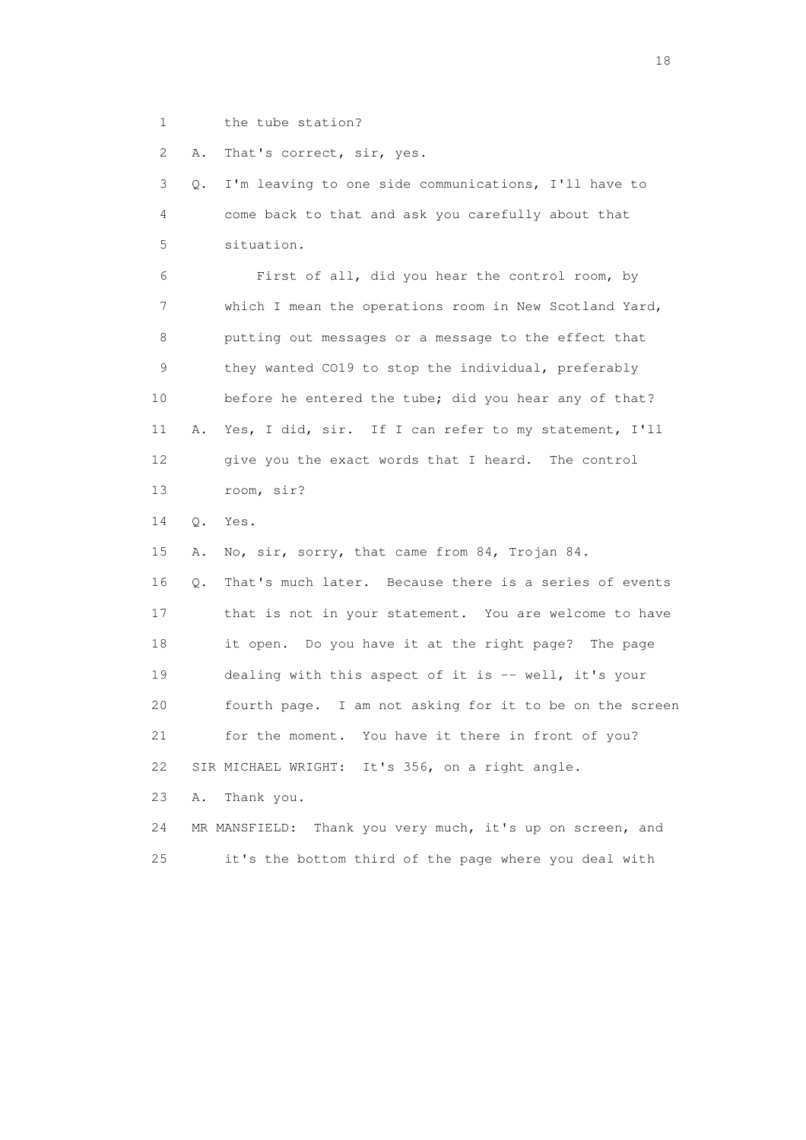1 the tube station?

2 A. That's correct, sir, yes.

 3 Q. I'm leaving to one side communications, I'll have to 4 come back to that and ask you carefully about that 5 situation.

 6 First of all, did you hear the control room, by 7 which I mean the operations room in New Scotland Yard, 8 putting out messages or a message to the effect that 9 they wanted CO19 to stop the individual, preferably 10 before he entered the tube; did you hear any of that? 11 A. Yes, I did, sir. If I can refer to my statement, I'll 12 give you the exact words that I heard. The control 13 room, sir?

14 Q. Yes.

 15 A. No, sir, sorry, that came from 84, Trojan 84. 16 Q. That's much later. Because there is a series of events 17 that is not in your statement. You are welcome to have 18 it open. Do you have it at the right page? The page 19 dealing with this aspect of it is -- well, it's your 20 fourth page. I am not asking for it to be on the screen 21 for the moment. You have it there in front of you? 22 SIR MICHAEL WRIGHT: It's 356, on a right angle.

23 A. Thank you.

24 MR MANSFIELD: Thank you very much, it's up on screen, and 25 it's the bottom third of the page where you deal with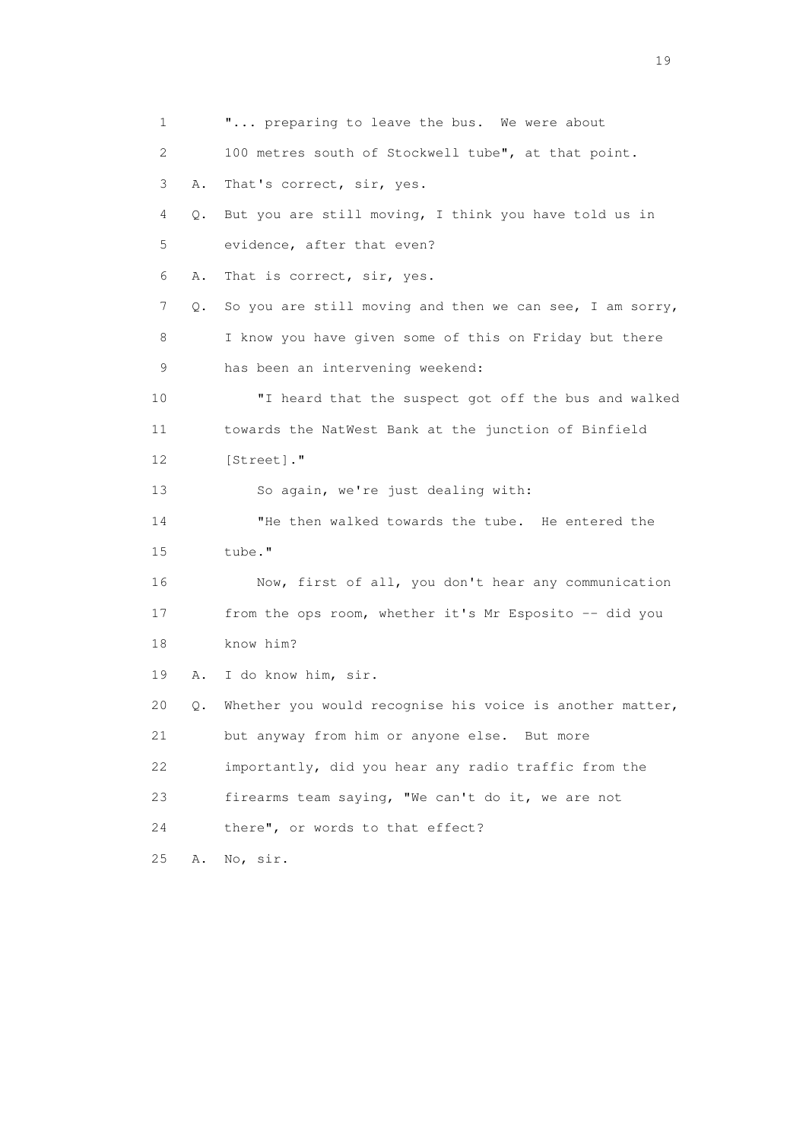1 **"...** preparing to leave the bus. We were about 2 100 metres south of Stockwell tube", at that point. 3 A. That's correct, sir, yes. 4 Q. But you are still moving, I think you have told us in 5 evidence, after that even? 6 A. That is correct, sir, yes. 7 Q. So you are still moving and then we can see, I am sorry, 8 I know you have given some of this on Friday but there 9 has been an intervening weekend: 10 "I heard that the suspect got off the bus and walked 11 towards the NatWest Bank at the junction of Binfield 12 [Street]." 13 So again, we're just dealing with: 14 "He then walked towards the tube. He entered the 15 tube." 16 Now, first of all, you don't hear any communication 17 from the ops room, whether it's Mr Esposito -- did you 18 know him? 19 A. I do know him, sir. 20 Q. Whether you would recognise his voice is another matter, 21 but anyway from him or anyone else. But more 22 importantly, did you hear any radio traffic from the 23 firearms team saying, "We can't do it, we are not 24 there", or words to that effect? 25 A. No, sir.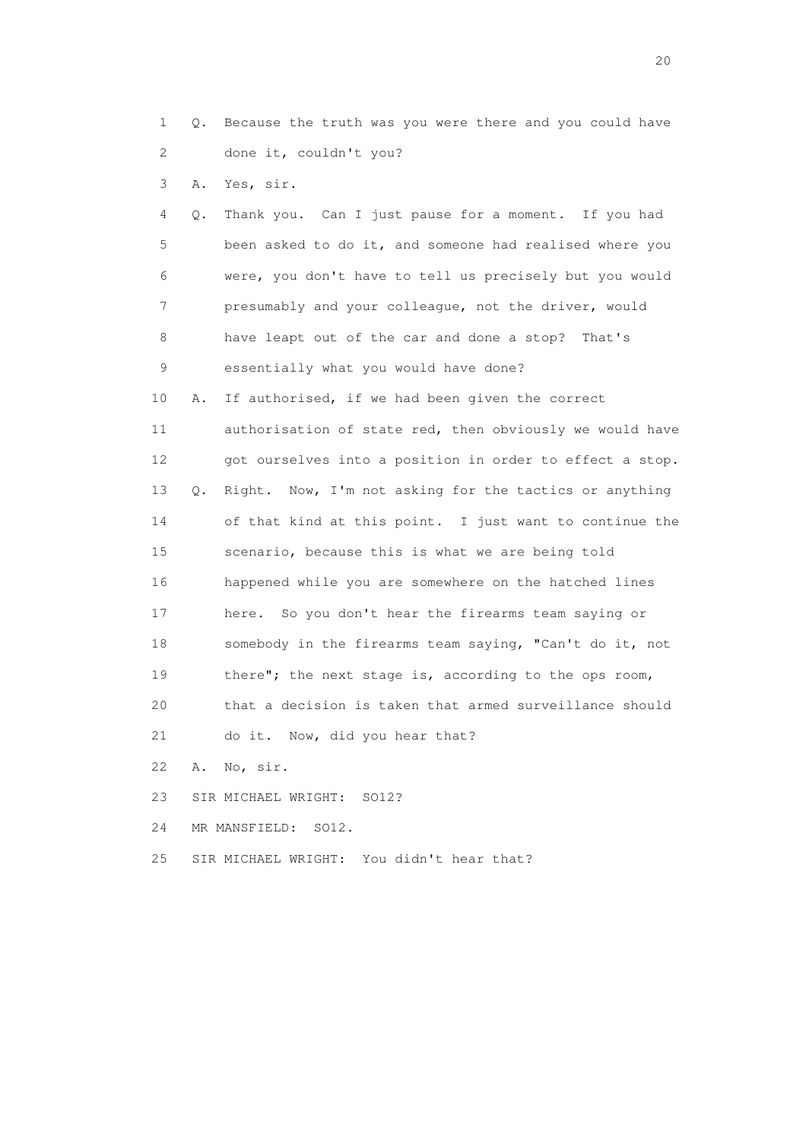- 1 Q. Because the truth was you were there and you could have 2 done it, couldn't you?
- 3 A. Yes, sir.

 4 Q. Thank you. Can I just pause for a moment. If you had 5 been asked to do it, and someone had realised where you 6 were, you don't have to tell us precisely but you would 7 presumably and your colleague, not the driver, would 8 have leapt out of the car and done a stop? That's 9 essentially what you would have done?

 10 A. If authorised, if we had been given the correct 11 authorisation of state red, then obviously we would have 12 got ourselves into a position in order to effect a stop. 13 Q. Right. Now, I'm not asking for the tactics or anything 14 of that kind at this point. I just want to continue the 15 scenario, because this is what we are being told 16 happened while you are somewhere on the hatched lines 17 here. So you don't hear the firearms team saying or 18 somebody in the firearms team saying, "Can't do it, not 19 there"; the next stage is, according to the ops room, 20 that a decision is taken that armed surveillance should 21 do it. Now, did you hear that?

- 22 A. No, sir.
- 23 SIR MICHAEL WRIGHT: SO12?
- 24 MR MANSFIELD: SO12.
- 25 SIR MICHAEL WRIGHT: You didn't hear that?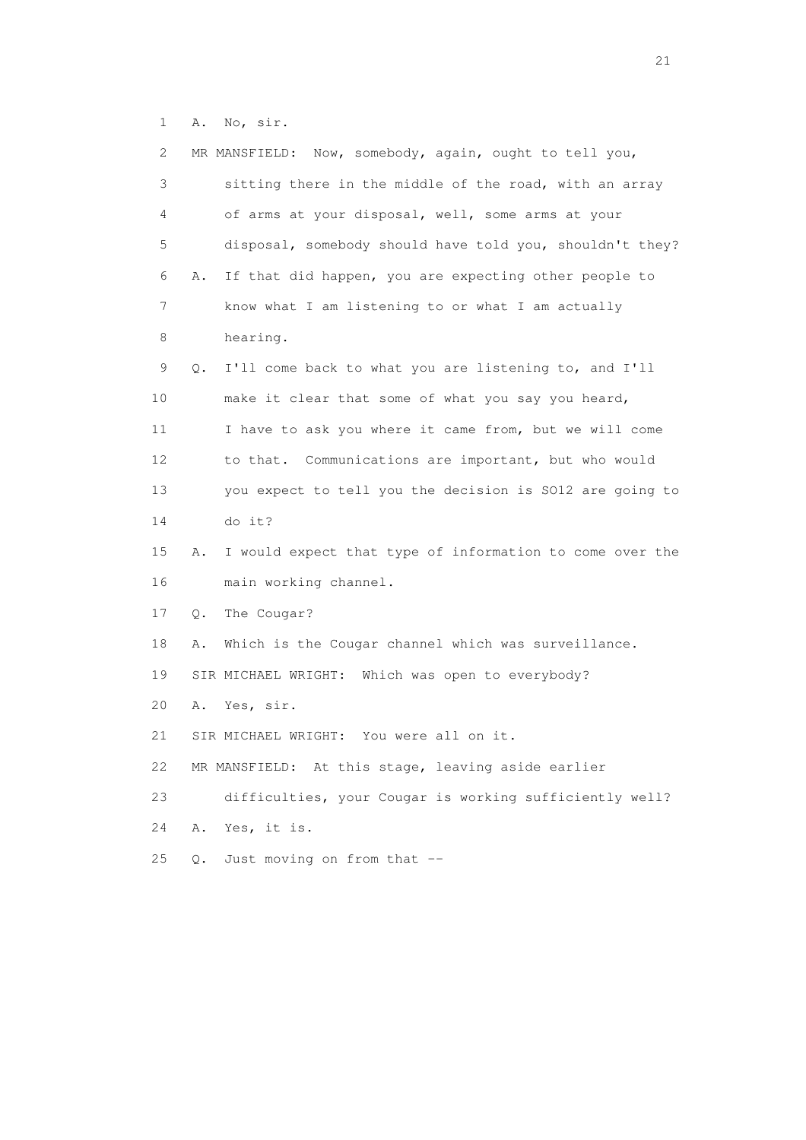1 A. No, sir.

| 2               | MR MANSFIELD: Now, somebody, again, ought to tell you,         |
|-----------------|----------------------------------------------------------------|
| 3               | sitting there in the middle of the road, with an array         |
| 4               | of arms at your disposal, well, some arms at your              |
| 5               | disposal, somebody should have told you, shouldn't they?       |
| 6               | If that did happen, you are expecting other people to<br>Α.    |
| $\overline{7}$  | know what I am listening to or what I am actually              |
| 8               | hearing.                                                       |
| 9               | I'll come back to what you are listening to, and I'll<br>Q.    |
| 10              | make it clear that some of what you say you heard,             |
| 11              | I have to ask you where it came from, but we will come         |
| 12 <sup>°</sup> | to that. Communications are important, but who would           |
| 13              | you expect to tell you the decision is SO12 are going to       |
| 14              | do it?                                                         |
| 15              | I would expect that type of information to come over the<br>Α. |
| 16              | main working channel.                                          |
| 17              | The Cougar?<br>Q.                                              |
| 18              | Which is the Cougar channel which was surveillance.<br>Α.      |
| 19              | SIR MICHAEL WRIGHT: Which was open to everybody?               |
| 20              | Yes, sir.<br>Α.                                                |
| 21              | SIR MICHAEL WRIGHT: You were all on it.                        |
| 22              | MR MANSFIELD: At this stage, leaving aside earlier             |
| 23              | difficulties, your Cougar is working sufficiently well?        |
| 24              | Yes, it is.<br>Α.                                              |
| 25              | Just moving on from that --<br>О.                              |
|                 |                                                                |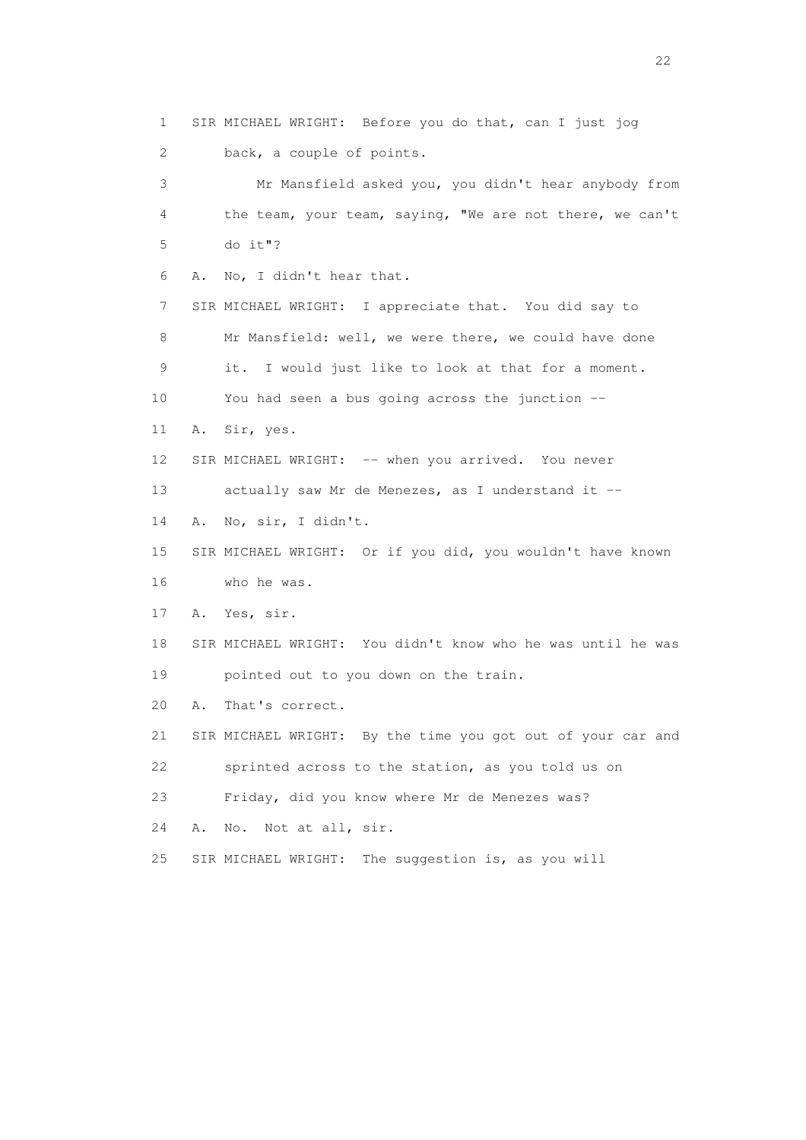1 SIR MICHAEL WRIGHT: Before you do that, can I just jog 2 back, a couple of points.

 3 Mr Mansfield asked you, you didn't hear anybody from 4 the team, your team, saying, "We are not there, we can't 5 do it"? 6 A. No, I didn't hear that. 7 SIR MICHAEL WRIGHT: I appreciate that. You did say to 8 Mr Mansfield: well, we were there, we could have done 9 it. I would just like to look at that for a moment. 10 You had seen a bus going across the junction -- 11 A. Sir, yes. 12 SIR MICHAEL WRIGHT: -- when you arrived. You never

13 actually saw Mr de Menezes, as I understand it --

14 A. No, sir, I didn't.

 15 SIR MICHAEL WRIGHT: Or if you did, you wouldn't have known 16 who he was.

17 A. Yes, sir.

 18 SIR MICHAEL WRIGHT: You didn't know who he was until he was 19 pointed out to you down on the train.

20 A. That's correct.

21 SIR MICHAEL WRIGHT: By the time you got out of your car and

22 sprinted across to the station, as you told us on

23 Friday, did you know where Mr de Menezes was?

24 A. No. Not at all, sir.

25 SIR MICHAEL WRIGHT: The suggestion is, as you will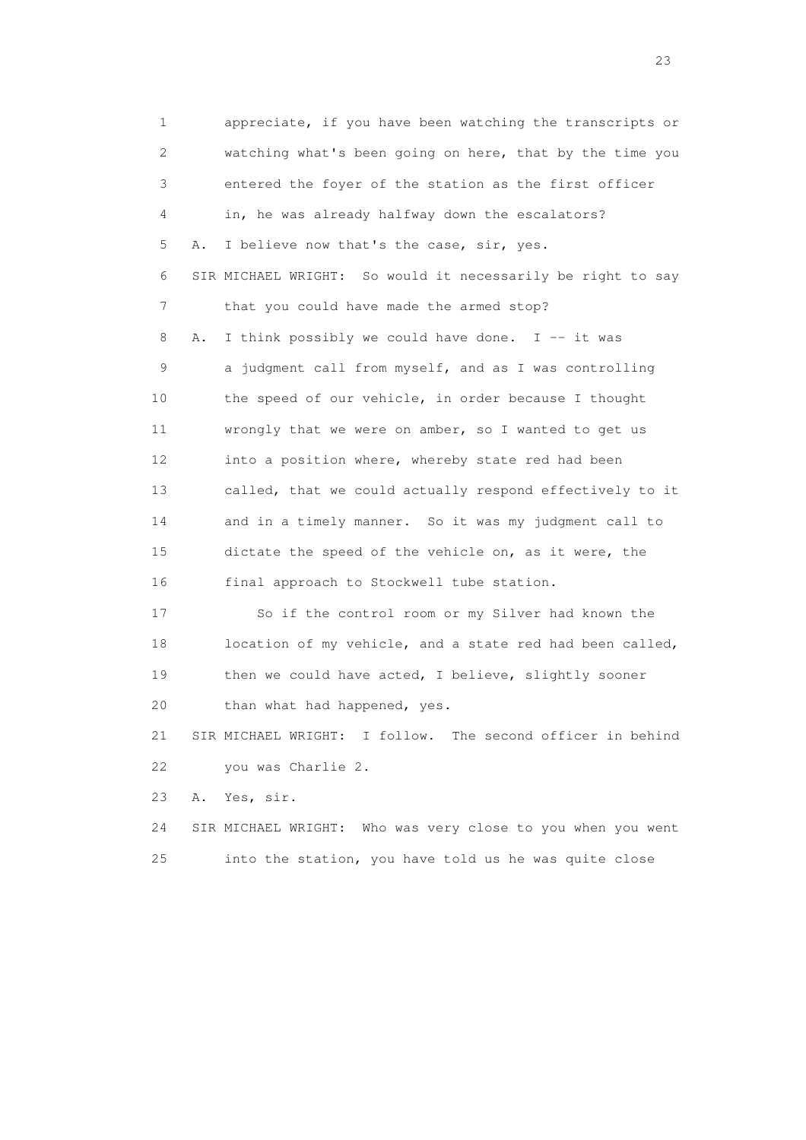1 appreciate, if you have been watching the transcripts or 2 watching what's been going on here, that by the time you 3 entered the foyer of the station as the first officer 4 in, he was already halfway down the escalators? 5 A. I believe now that's the case, sir, yes. 6 SIR MICHAEL WRIGHT: So would it necessarily be right to say 7 that you could have made the armed stop? 8 A. I think possibly we could have done. I  $-$  it was 9 a judgment call from myself, and as I was controlling 10 the speed of our vehicle, in order because I thought 11 wrongly that we were on amber, so I wanted to get us 12 into a position where, whereby state red had been 13 called, that we could actually respond effectively to it 14 and in a timely manner. So it was my judgment call to 15 dictate the speed of the vehicle on, as it were, the 16 final approach to Stockwell tube station. 17 So if the control room or my Silver had known the 18 location of my vehicle, and a state red had been called, 19 then we could have acted, I believe, slightly sooner 20 than what had happened, yes. 21 SIR MICHAEL WRIGHT: I follow. The second officer in behind 22 you was Charlie 2. 23 A. Yes, sir.

 24 SIR MICHAEL WRIGHT: Who was very close to you when you went 25 into the station, you have told us he was quite close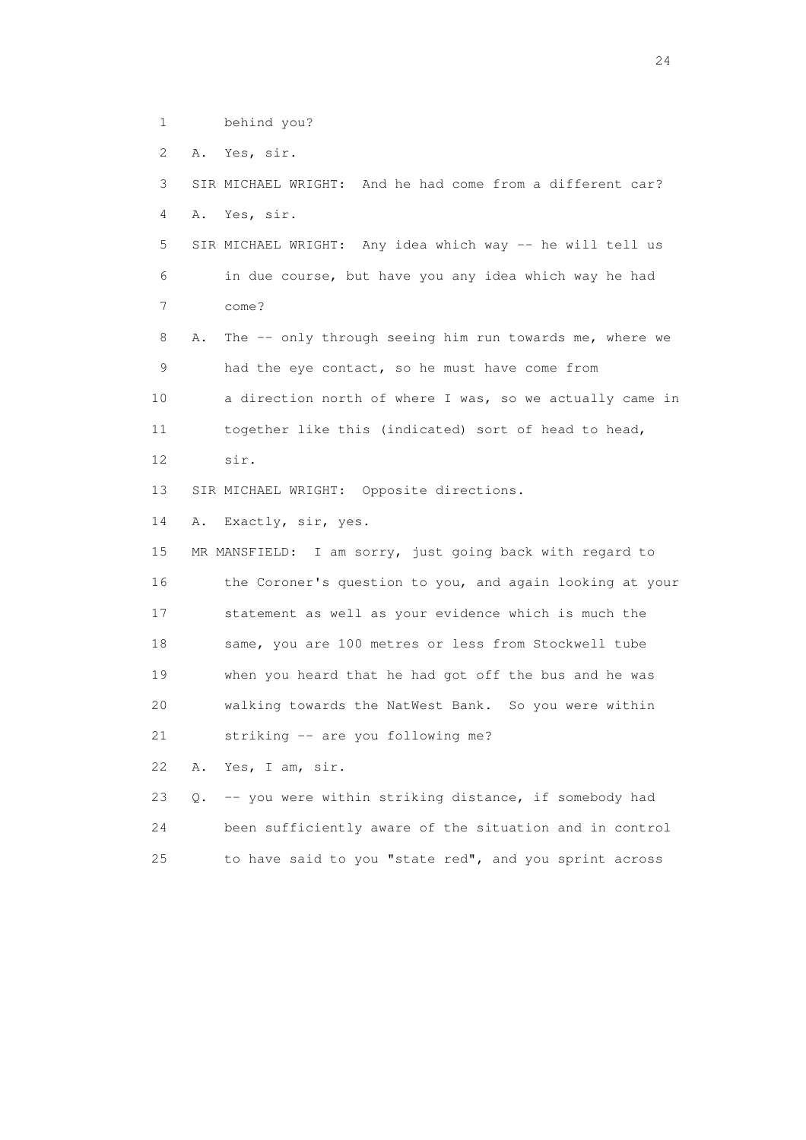1 behind you?

2 A. Yes, sir.

 3 SIR MICHAEL WRIGHT: And he had come from a different car? 4 A. Yes, sir. 5 SIR MICHAEL WRIGHT: Any idea which way -- he will tell us 6 in due course, but have you any idea which way he had 7 come? 8 A. The -- only through seeing him run towards me, where we 9 had the eye contact, so he must have come from 10 a direction north of where I was, so we actually came in 11 together like this (indicated) sort of head to head, 12 sir. 13 SIR MICHAEL WRIGHT: Opposite directions. 14 A. Exactly, sir, yes. 15 MR MANSFIELD: I am sorry, just going back with regard to 16 the Coroner's question to you, and again looking at your 17 statement as well as your evidence which is much the 18 same, you are 100 metres or less from Stockwell tube 19 when you heard that he had got off the bus and he was 20 walking towards the NatWest Bank. So you were within 21 striking -- are you following me? 22 A. Yes, I am, sir. 23 Q. -- you were within striking distance, if somebody had

 24 been sufficiently aware of the situation and in control 25 to have said to you "state red", and you sprint across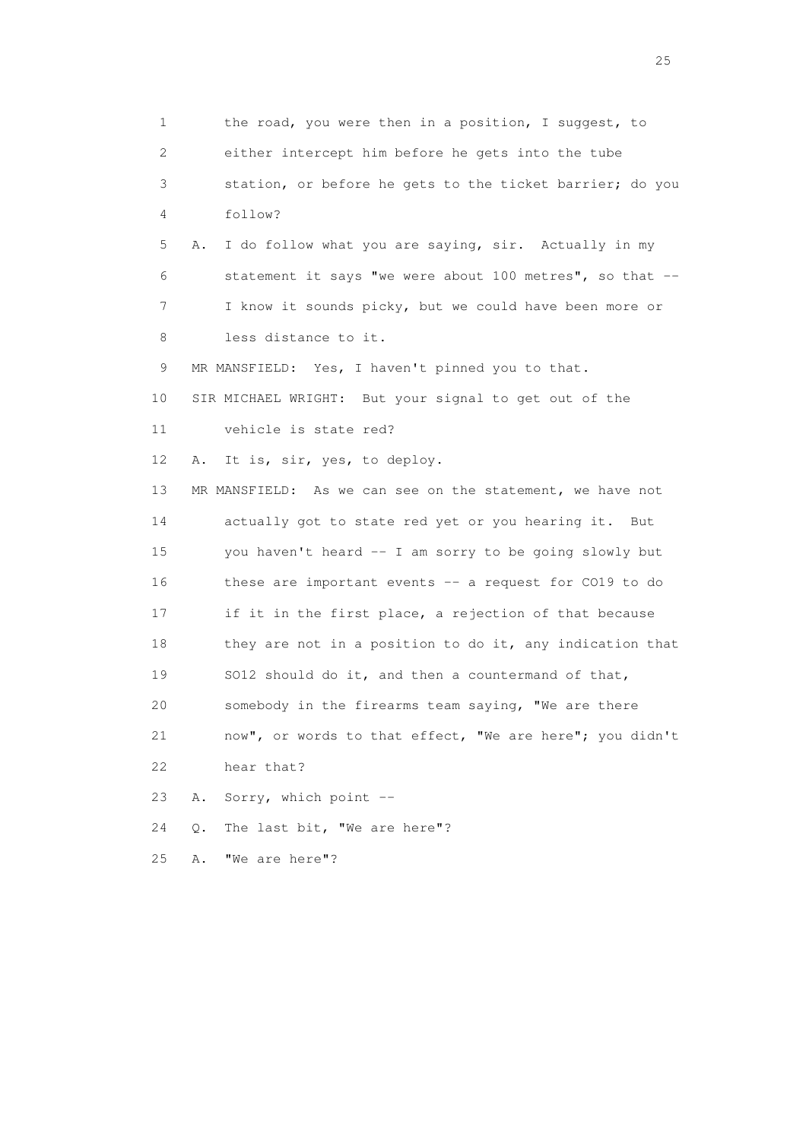1 the road, you were then in a position, I suggest, to 2 either intercept him before he gets into the tube 3 station, or before he gets to the ticket barrier; do you 4 follow? 5 A. I do follow what you are saying, sir. Actually in my 6 statement it says "we were about 100 metres", so that -- 7 I know it sounds picky, but we could have been more or 8 less distance to it. 9 MR MANSFIELD: Yes, I haven't pinned you to that. 10 SIR MICHAEL WRIGHT: But your signal to get out of the 11 vehicle is state red? 12 A. It is, sir, yes, to deploy. 13 MR MANSFIELD: As we can see on the statement, we have not 14 actually got to state red yet or you hearing it. But 15 you haven't heard -- I am sorry to be going slowly but 16 these are important events -- a request for CO19 to do 17 if it in the first place, a rejection of that because 18 they are not in a position to do it, any indication that 19 SO12 should do it, and then a countermand of that, 20 somebody in the firearms team saying, "We are there 21 now", or words to that effect, "We are here"; you didn't 22 hear that? 23 A. Sorry, which point -- 24 Q. The last bit, "We are here"? 25 A. "We are here"?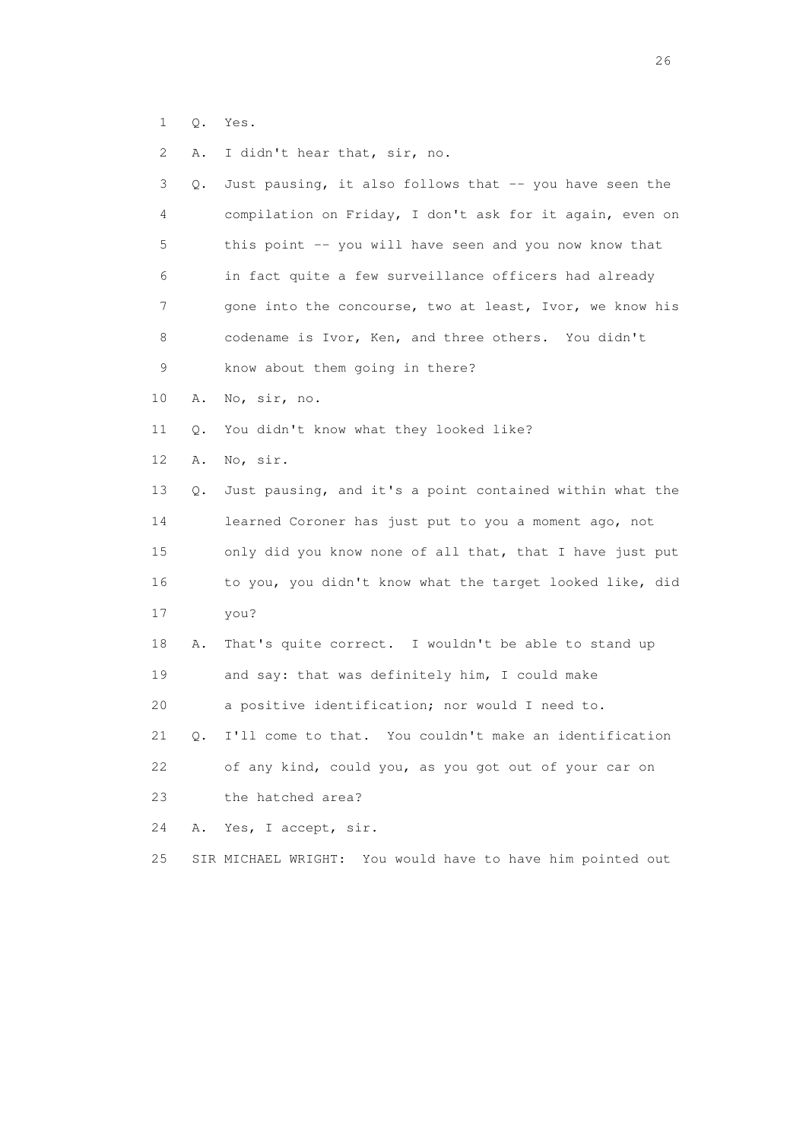- 1 Q. Yes.
- 2 A. I didn't hear that, sir, no.

| 3               | Q. | Just pausing, it also follows that -- you have seen the    |
|-----------------|----|------------------------------------------------------------|
| 4               |    | compilation on Friday, I don't ask for it again, even on   |
| 5               |    | this point -- you will have seen and you now know that     |
| 6               |    | in fact quite a few surveillance officers had already      |
| 7               |    | gone into the concourse, two at least, Ivor, we know his   |
| 8               |    | codename is Ivor, Ken, and three others. You didn't        |
| 9               |    | know about them going in there?                            |
| 10              | Α. | No, sir, no.                                               |
| 11              | Q. | You didn't know what they looked like?                     |
| 12 <sup>°</sup> | Α. | No, sir.                                                   |
| 13              | О. | Just pausing, and it's a point contained within what the   |
| 14              |    | learned Coroner has just put to you a moment ago, not      |
| 15              |    | only did you know none of all that, that I have just put   |
| 16              |    | to you, you didn't know what the target looked like, did   |
| 17              |    | you?                                                       |
| 18              | Α. | That's quite correct. I wouldn't be able to stand up       |
| 19              |    | and say: that was definitely him, I could make             |
|                 |    |                                                            |
| 20              |    | a positive identification; nor would I need to.            |
| 21              | О. | I'll come to that. You couldn't make an identification     |
| 22              |    | of any kind, could you, as you got out of your car on      |
| 23              |    | the hatched area?                                          |
| 24              | Α. | Yes, I accept, sir.                                        |
| 25              |    | SIR MICHAEL WRIGHT: You would have to have him pointed out |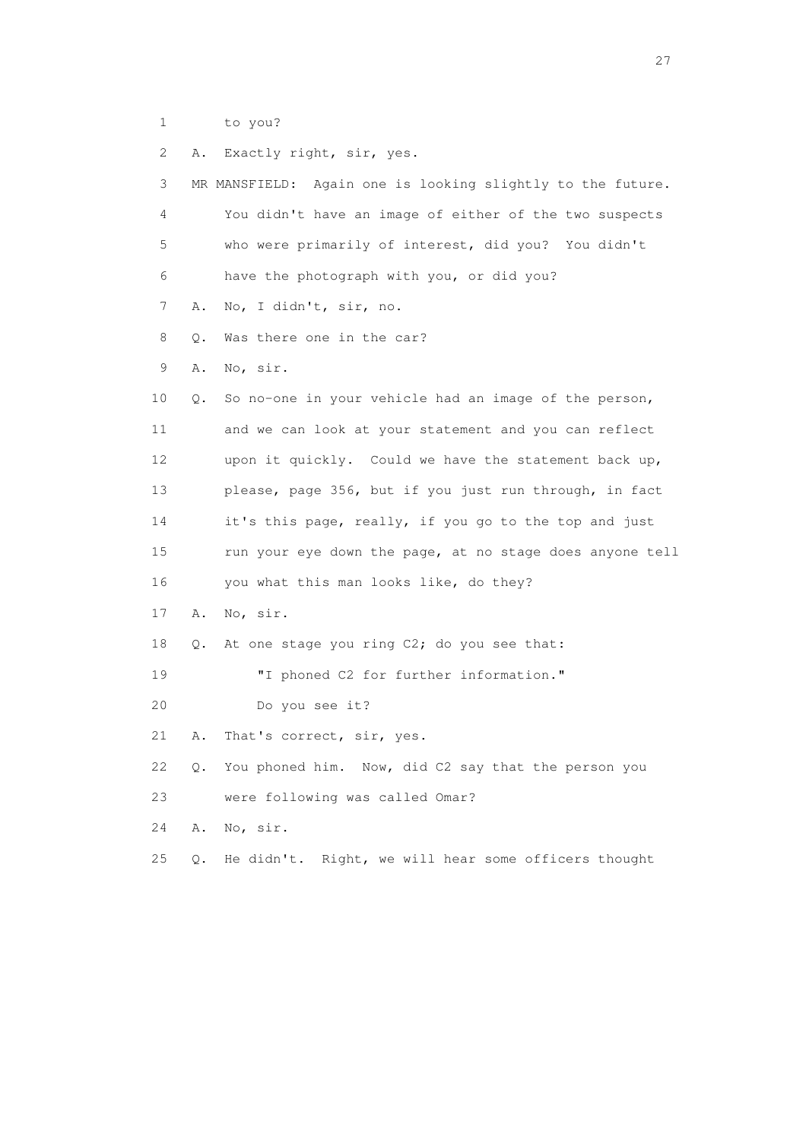| 1  |       | to you?                                                    |
|----|-------|------------------------------------------------------------|
| 2  | Α.    | Exactly right, sir, yes.                                   |
| 3  |       | MR MANSFIELD: Again one is looking slightly to the future. |
| 4  |       | You didn't have an image of either of the two suspects     |
| 5  |       | who were primarily of interest, did you? You didn't        |
| 6  |       | have the photograph with you, or did you?                  |
| 7  | Α.    | No, I didn't, sir, no.                                     |
| 8  | Q.    | Was there one in the car?                                  |
| 9  | Α.    | No, sir.                                                   |
| 10 | Q.    | So no-one in your vehicle had an image of the person,      |
| 11 |       | and we can look at your statement and you can reflect      |
| 12 |       | upon it quickly. Could we have the statement back up,      |
| 13 |       | please, page 356, but if you just run through, in fact     |
| 14 |       | it's this page, really, if you go to the top and just      |
| 15 |       | run your eye down the page, at no stage does anyone tell   |
| 16 |       | you what this man looks like, do they?                     |
| 17 | Α.    | No, sir.                                                   |
| 18 | Q.    | At one stage you ring C2; do you see that:                 |
| 19 |       | "I phoned C2 for further information."                     |
| 20 |       | Do you see it?                                             |
| 21 | Α.    | That's correct, sir, yes.                                  |
| 22 | Q.    | You phoned him. Now, did C2 say that the person you        |
| 23 |       | were following was called Omar?                            |
| 24 | Α.    | No, sir.                                                   |
| 25 | $Q$ . | He didn't. Right, we will hear some officers thought       |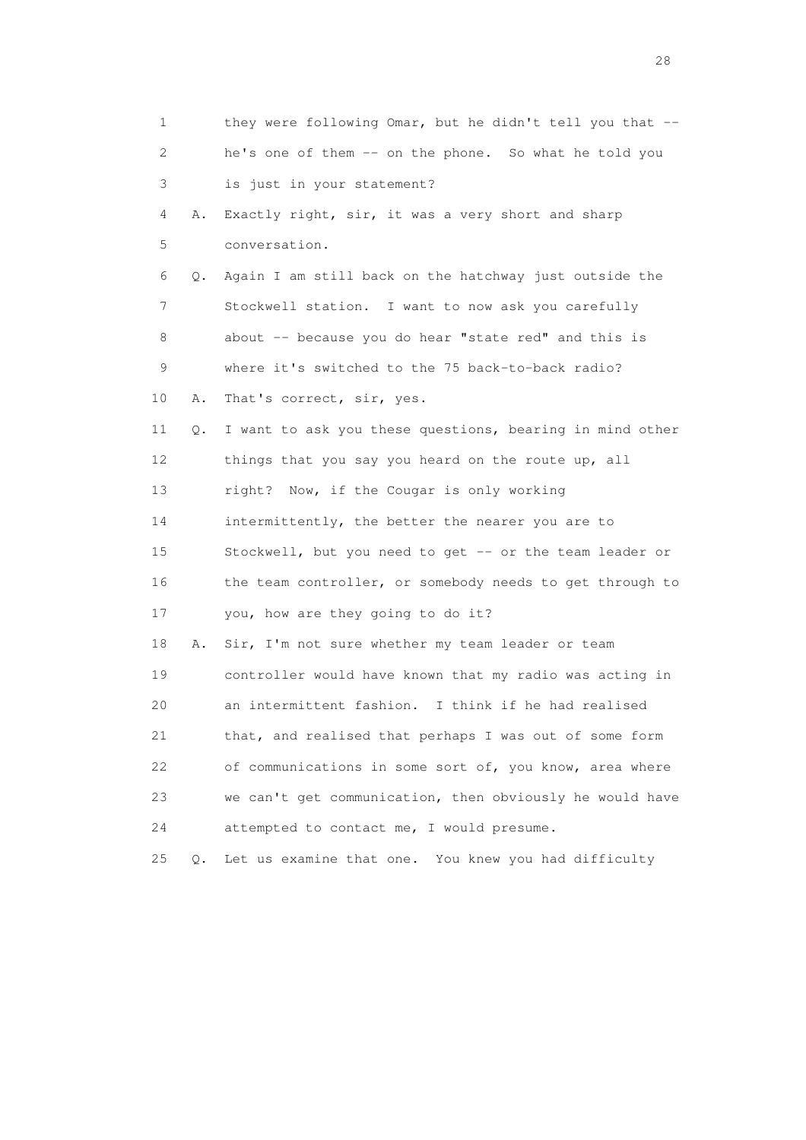| 1                         |    | they were following Omar, but he didn't tell you that -- |
|---------------------------|----|----------------------------------------------------------|
| $\mathbf{2}^{\mathsf{I}}$ |    | he's one of them -- on the phone. So what he told you    |
| 3                         |    | is just in your statement?                               |
| 4                         | Α. | Exactly right, sir, it was a very short and sharp        |
| 5                         |    | conversation.                                            |
| 6                         | Q. | Again I am still back on the hatchway just outside the   |
| 7                         |    | Stockwell station. I want to now ask you carefully       |
| 8                         |    | about -- because you do hear "state red" and this is     |
| 9                         |    | where it's switched to the 75 back-to-back radio?        |
| 10                        | Α. | That's correct, sir, yes.                                |
| 11                        | Q. | I want to ask you these questions, bearing in mind other |
| 12 <sup>°</sup>           |    | things that you say you heard on the route up, all       |
| 13                        |    | right? Now, if the Cougar is only working                |
| 14                        |    | intermittently, the better the nearer you are to         |
| 15                        |    | Stockwell, but you need to get -- or the team leader or  |
| 16                        |    | the team controller, or somebody needs to get through to |
| 17                        |    | you, how are they going to do it?                        |
| 18                        | Α. | Sir, I'm not sure whether my team leader or team         |
| 19                        |    | controller would have known that my radio was acting in  |
| 20                        |    | an intermittent fashion. I think if he had realised      |
| 21                        |    | that, and realised that perhaps I was out of some form   |
| 22                        |    | of communications in some sort of, you know, area where  |
| 23                        |    | we can't get communication, then obviously he would have |
| 24                        |    | attempted to contact me, I would presume.                |
| 25                        | Q. | Let us examine that one. You knew you had difficulty     |

28 and 28 and 28 and 28 and 28 and 28 and 28 and 28 and 28 and 28 and 28 and 28 and 28 and 28 and 28 and 28 and 28 and 28 and 28 and 28 and 28 and 28 and 28 and 28 and 28 and 28 and 28 and 28 and 28 and 28 and 28 and 28 an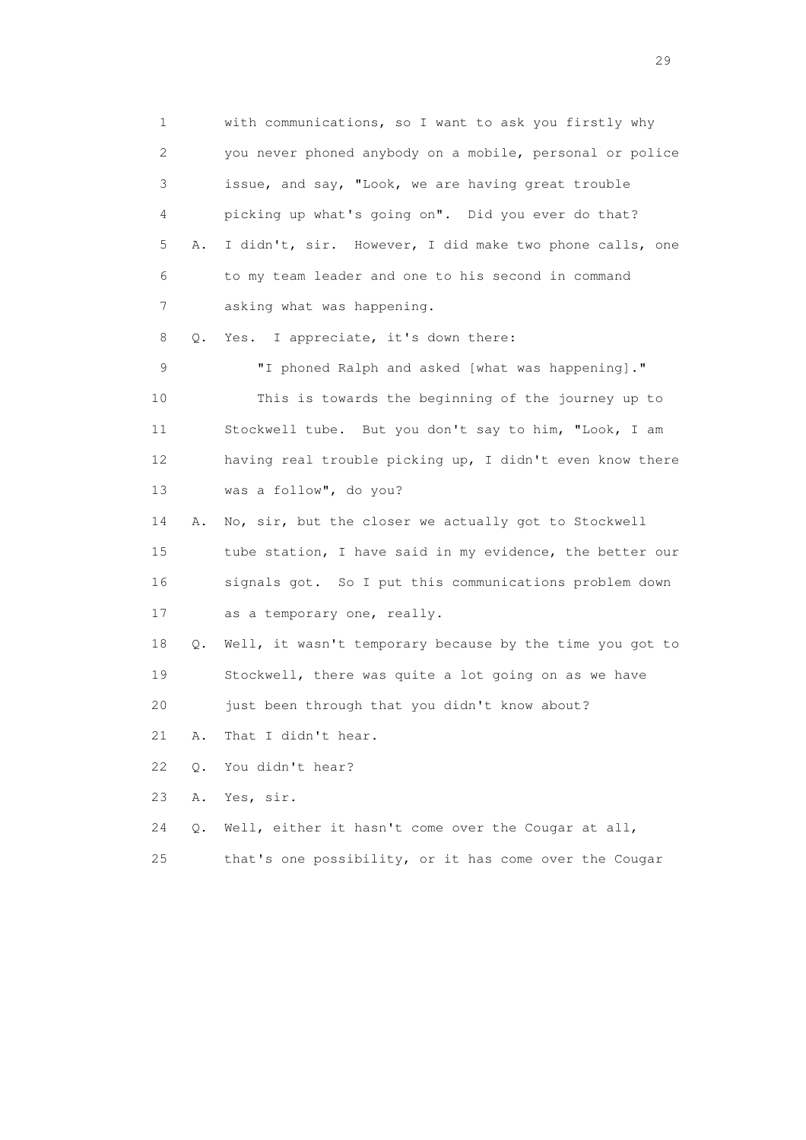1 with communications, so I want to ask you firstly why 2 you never phoned anybody on a mobile, personal or police 3 issue, and say, "Look, we are having great trouble 4 picking up what's going on". Did you ever do that? 5 A. I didn't, sir. However, I did make two phone calls, one 6 to my team leader and one to his second in command 7 asking what was happening. 8 Q. Yes. I appreciate, it's down there: 9 "I phoned Ralph and asked [what was happening]." 10 This is towards the beginning of the journey up to 11 Stockwell tube. But you don't say to him, "Look, I am 12 having real trouble picking up, I didn't even know there 13 was a follow", do you? 14 A. No, sir, but the closer we actually got to Stockwell 15 tube station, I have said in my evidence, the better our 16 signals got. So I put this communications problem down 17 as a temporary one, really. 18 Q. Well, it wasn't temporary because by the time you got to 19 Stockwell, there was quite a lot going on as we have 20 just been through that you didn't know about? 21 A. That I didn't hear. 22 Q. You didn't hear? 23 A. Yes, sir. 24 Q. Well, either it hasn't come over the Cougar at all, 25 that's one possibility, or it has come over the Cougar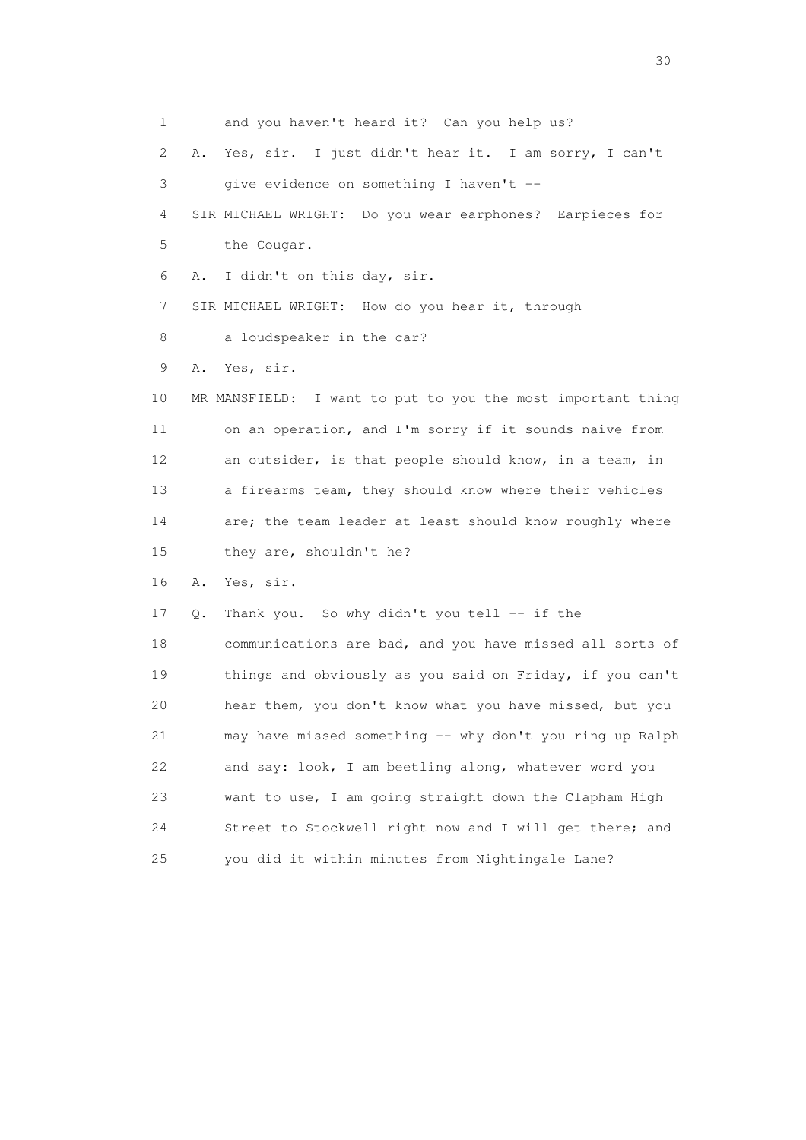1 and you haven't heard it? Can you help us? 2 A. Yes, sir. I just didn't hear it. I am sorry, I can't 3 give evidence on something I haven't -- 4 SIR MICHAEL WRIGHT: Do you wear earphones? Earpieces for 5 the Cougar. 6 A. I didn't on this day, sir. 7 SIR MICHAEL WRIGHT: How do you hear it, through 8 a loudspeaker in the car? 9 A. Yes, sir. 10 MR MANSFIELD: I want to put to you the most important thing 11 on an operation, and I'm sorry if it sounds naive from 12 an outsider, is that people should know, in a team, in 13 a firearms team, they should know where their vehicles 14 are; the team leader at least should know roughly where 15 they are, shouldn't he? 16 A. Yes, sir. 17 Q. Thank you. So why didn't you tell -- if the 18 communications are bad, and you have missed all sorts of 19 things and obviously as you said on Friday, if you can't 20 hear them, you don't know what you have missed, but you 21 may have missed something -- why don't you ring up Ralph 22 and say: look, I am beetling along, whatever word you 23 want to use, I am going straight down the Clapham High 24 Street to Stockwell right now and I will get there; and 25 you did it within minutes from Nightingale Lane?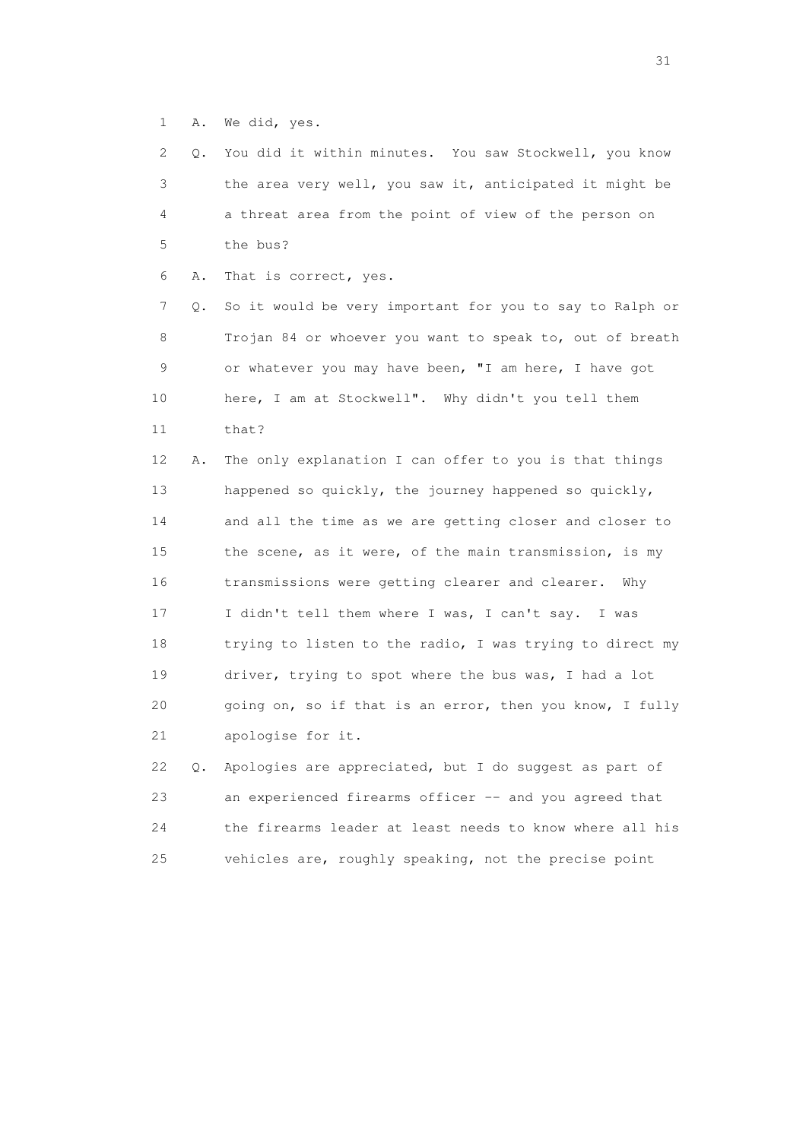1 A. We did, yes.

| $\mathbf{2}$ | О. | You did it within minutes. You saw Stockwell, you know   |
|--------------|----|----------------------------------------------------------|
| 3            |    | the area very well, you saw it, anticipated it might be  |
| 4            |    | a threat area from the point of view of the person on    |
| 5            |    | the bus?                                                 |
| 6            | Α. | That is correct, yes.                                    |
| 7            | Q. | So it would be very important for you to say to Ralph or |
| 8            |    | Trojan 84 or whoever you want to speak to, out of breath |
| 9            |    | or whatever you may have been, "I am here, I have got    |
| 10           |    | here, I am at Stockwell". Why didn't you tell them       |
| 11           |    | that?                                                    |
| 12           | Α. | The only explanation I can offer to you is that things   |
| 13           |    | happened so quickly, the journey happened so quickly,    |
| 14           |    | and all the time as we are getting closer and closer to  |
| 15           |    | the scene, as it were, of the main transmission, is my   |
| 16           |    | transmissions were getting clearer and clearer. Why      |
| 17           |    | I didn't tell them where I was, I can't say. I was       |
| 18           |    | trying to listen to the radio, I was trying to direct my |
| 19           |    | driver, trying to spot where the bus was, I had a lot    |
| 20           |    | going on, so if that is an error, then you know, I fully |
| 21           |    | apologise for it.                                        |
| 22           | Q. | Apologies are appreciated, but I do suggest as part of   |
| 23           |    | an experienced firearms officer -- and you agreed that   |

 23 an experienced firearms officer -- and you agreed that 24 the firearms leader at least needs to know where all his 25 vehicles are, roughly speaking, not the precise point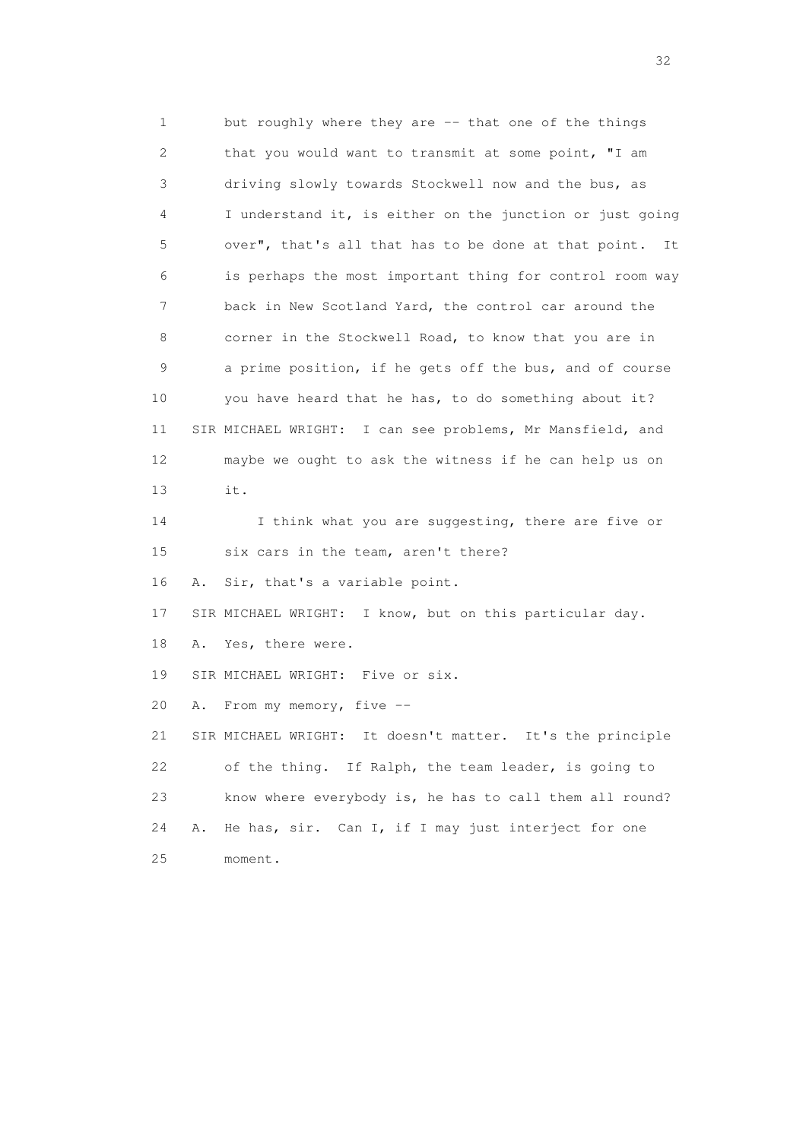1 but roughly where they are -- that one of the things 2 that you would want to transmit at some point, "I am 3 driving slowly towards Stockwell now and the bus, as 4 I understand it, is either on the junction or just going 5 over", that's all that has to be done at that point. It 6 is perhaps the most important thing for control room way 7 back in New Scotland Yard, the control car around the 8 corner in the Stockwell Road, to know that you are in 9 a prime position, if he gets off the bus, and of course 10 you have heard that he has, to do something about it? 11 SIR MICHAEL WRIGHT: I can see problems, Mr Mansfield, and 12 maybe we ought to ask the witness if he can help us on 13 it. 14 I think what you are suggesting, there are five or 15 six cars in the team, aren't there? 16 A. Sir, that's a variable point. 17 SIR MICHAEL WRIGHT: I know, but on this particular day. 18 A. Yes, there were. 19 SIR MICHAEL WRIGHT: Five or six. 20 A. From my memory, five -- 21 SIR MICHAEL WRIGHT: It doesn't matter. It's the principle 22 of the thing. If Ralph, the team leader, is going to 23 know where everybody is, he has to call them all round? 24 A. He has, sir. Can I, if I may just interject for one 25 moment.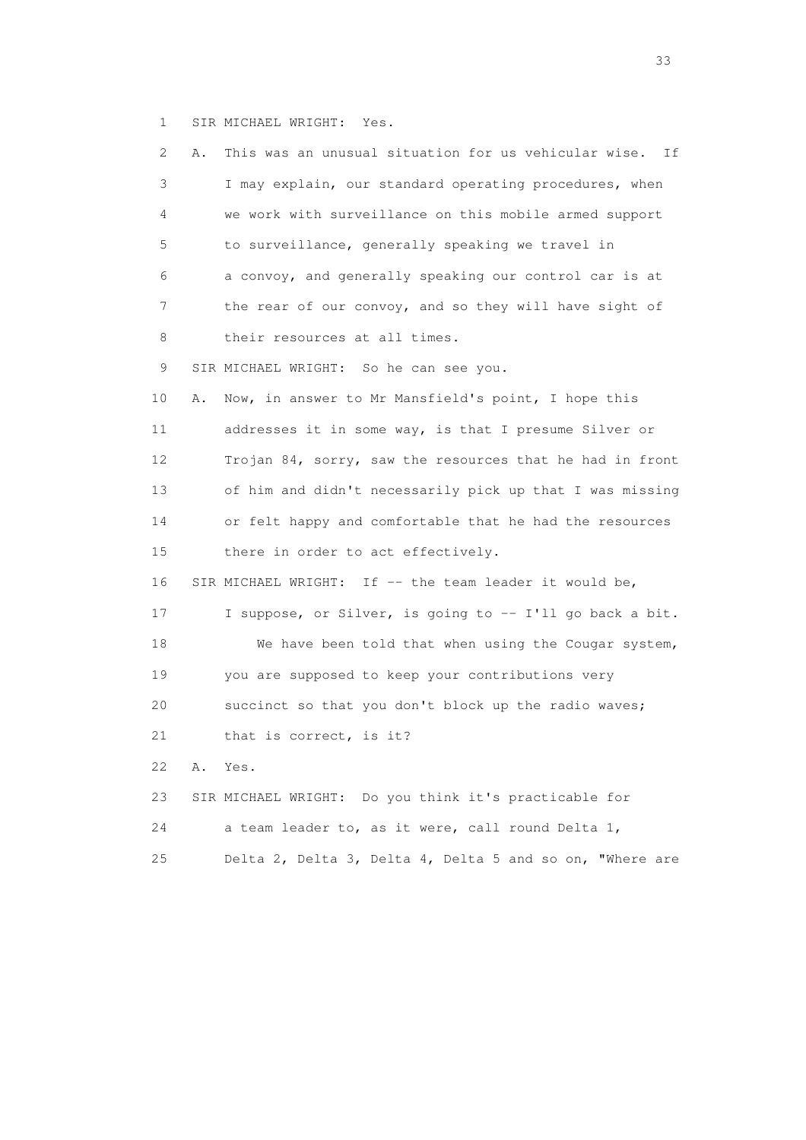1 SIR MICHAEL WRIGHT: Yes.

| 2               | Α. | This was an unusual situation for us vehicular wise.<br>Ιf |
|-----------------|----|------------------------------------------------------------|
| 3               |    | I may explain, our standard operating procedures, when     |
| 4               |    | we work with surveillance on this mobile armed support     |
| 5               |    | to surveillance, generally speaking we travel in           |
| 6               |    | a convoy, and generally speaking our control car is at     |
| 7               |    | the rear of our convoy, and so they will have sight of     |
| 8               |    | their resources at all times.                              |
| 9               |    | SIR MICHAEL WRIGHT: So he can see you.                     |
| 10              | Α. | Now, in answer to Mr Mansfield's point, I hope this        |
| 11              |    | addresses it in some way, is that I presume Silver or      |
| 12 <sup>°</sup> |    | Trojan 84, sorry, saw the resources that he had in front   |
| 13              |    | of him and didn't necessarily pick up that I was missing   |
| 14              |    | or felt happy and comfortable that he had the resources    |
| 15              |    | there in order to act effectively.                         |
| 16              |    | SIR MICHAEL WRIGHT: If $-$ the team leader it would be,    |
| 17              |    | I suppose, or Silver, is going to -- I'll go back a bit.   |
| 18              |    | We have been told that when using the Cougar system,       |
| 19              |    | you are supposed to keep your contributions very           |
| 20              |    | succinct so that you don't block up the radio waves;       |
| 21              |    | that is correct, is it?                                    |
| 22              | Α. | Yes.                                                       |
| 23              |    | SIR MICHAEL WRIGHT: Do you think it's practicable for      |
| 24              |    | a team leader to, as it were, call round Delta 1,          |
| 25              |    | Delta 2, Delta 3, Delta 4, Delta 5 and so on, "Where are   |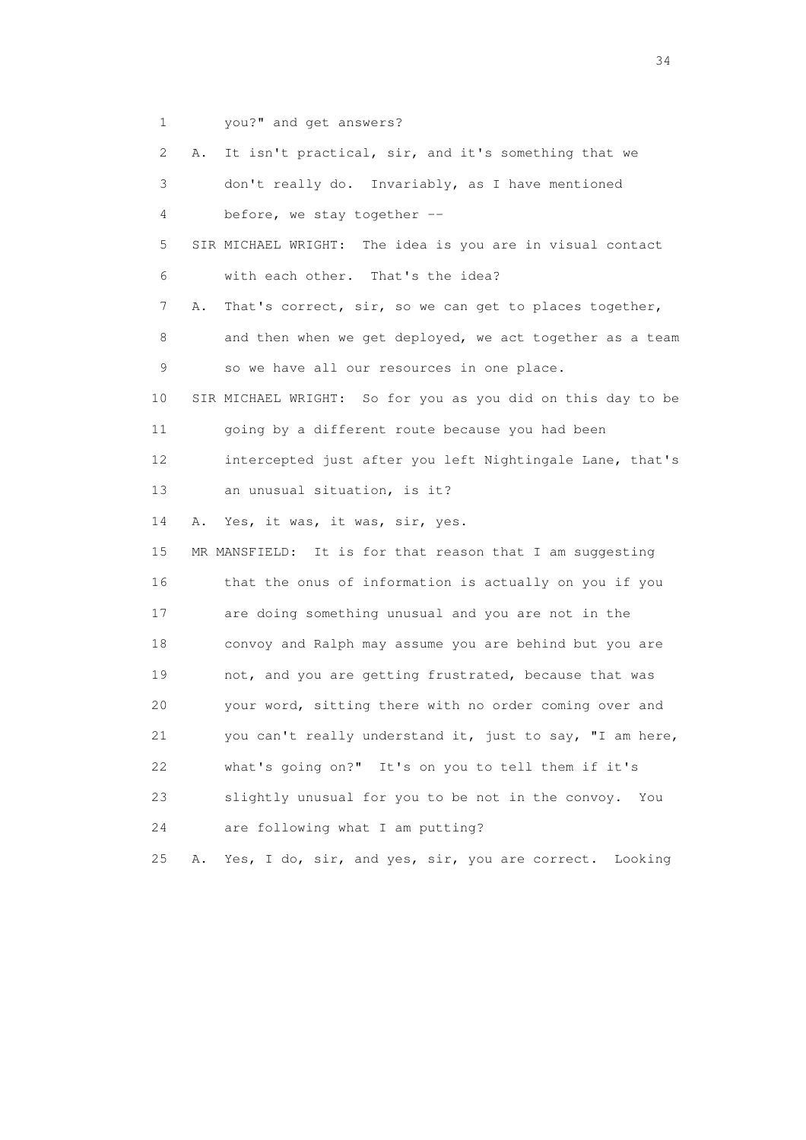1 you?" and get answers?

 2 A. It isn't practical, sir, and it's something that we 3 don't really do. Invariably, as I have mentioned 4 before, we stay together -- 5 SIR MICHAEL WRIGHT: The idea is you are in visual contact 6 with each other. That's the idea? 7 A. That's correct, sir, so we can get to places together, 8 and then when we get deployed, we act together as a team 9 so we have all our resources in one place. 10 SIR MICHAEL WRIGHT: So for you as you did on this day to be 11 going by a different route because you had been 12 intercepted just after you left Nightingale Lane, that's 13 an unusual situation, is it? 14 A. Yes, it was, it was, sir, yes. 15 MR MANSFIELD: It is for that reason that I am suggesting 16 that the onus of information is actually on you if you 17 are doing something unusual and you are not in the 18 convoy and Ralph may assume you are behind but you are 19 not, and you are getting frustrated, because that was 20 your word, sitting there with no order coming over and 21 you can't really understand it, just to say, "I am here, 22 what's going on?" It's on you to tell them if it's 23 slightly unusual for you to be not in the convoy. You 24 are following what I am putting? 25 A. Yes, I do, sir, and yes, sir, you are correct. Looking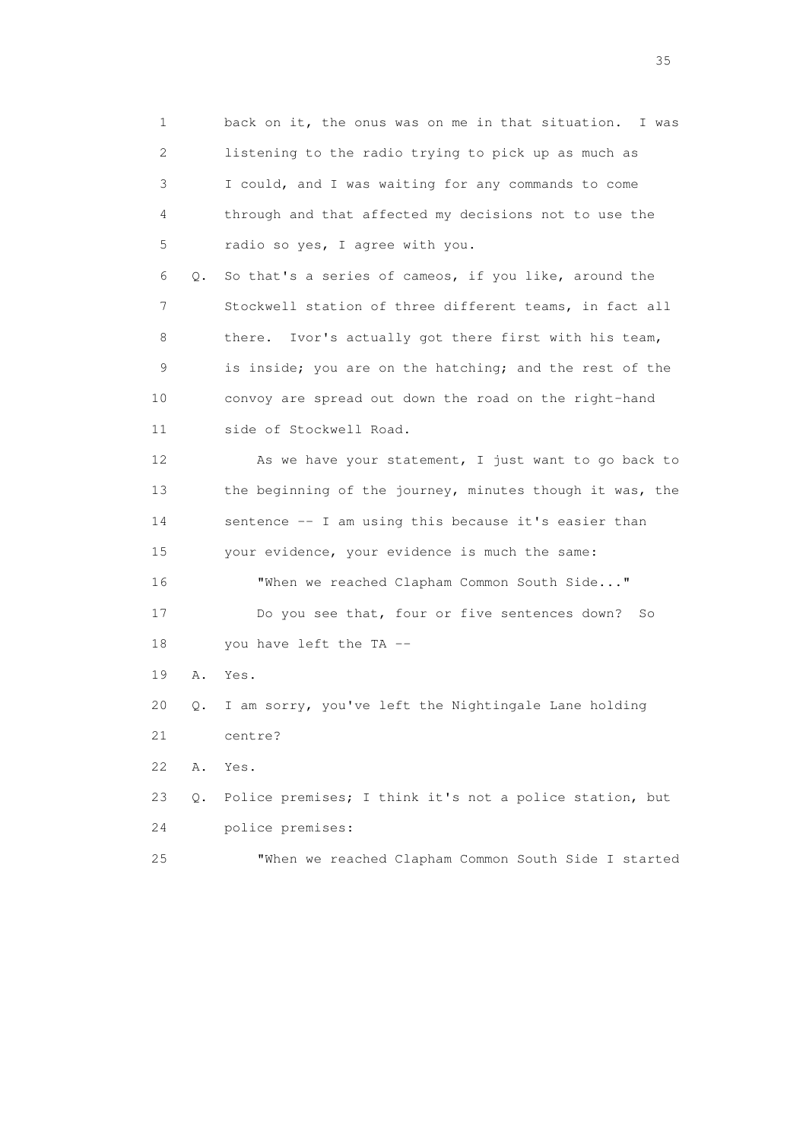| 1           |    | back on it, the onus was on me in that situation.<br>I was |
|-------------|----|------------------------------------------------------------|
| 2           |    | listening to the radio trying to pick up as much as        |
| 3           |    | I could, and I was waiting for any commands to come        |
| 4           |    | through and that affected my decisions not to use the      |
| 5           |    | radio so yes, I agree with you.                            |
| 6           | Q. | So that's a series of cameos, if you like, around the      |
| 7           |    | Stockwell station of three different teams, in fact all    |
| 8           |    | Ivor's actually got there first with his team,<br>there.   |
| $\mathsf 9$ |    | is inside; you are on the hatching; and the rest of the    |
| 10          |    | convoy are spread out down the road on the right-hand      |
| 11          |    | side of Stockwell Road.                                    |
| 12          |    | As we have your statement, I just want to go back to       |
| 13          |    | the beginning of the journey, minutes though it was, the   |
| 14          |    | sentence -- I am using this because it's easier than       |
| 15          |    | your evidence, your evidence is much the same:             |
| 16          |    | "When we reached Clapham Common South Side"                |
| 17          |    | Do you see that, four or five sentences down?<br>So        |
| 18          |    | you have left the TA --                                    |
| 19          | Α. | Yes.                                                       |
| 20          | Q. | I am sorry, you've left the Nightingale Lane holding       |
| 21          |    | centre?                                                    |
| 22          | Α. | Yes.                                                       |
| 23          | О. | Police premises; I think it's not a police station, but    |
| 24          |    | police premises:                                           |
| 25          |    | "When we reached Clapham Common South Side I started       |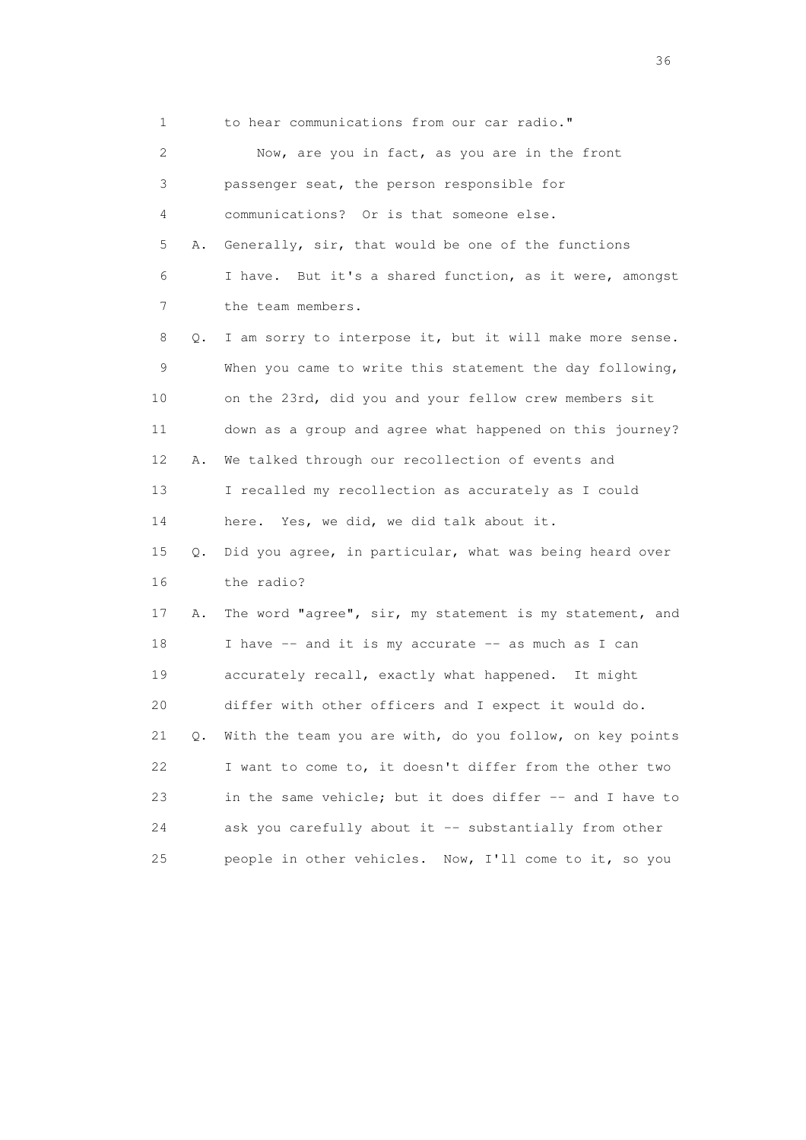1 to hear communications from our car radio." 2 Now, are you in fact, as you are in the front 3 passenger seat, the person responsible for 4 communications? Or is that someone else. 5 A. Generally, sir, that would be one of the functions 6 I have. But it's a shared function, as it were, amongst 7 the team members. 8 Q. I am sorry to interpose it, but it will make more sense. 9 When you came to write this statement the day following, 10 on the 23rd, did you and your fellow crew members sit 11 down as a group and agree what happened on this journey? 12 A. We talked through our recollection of events and 13 I recalled my recollection as accurately as I could 14 here. Yes, we did, we did talk about it. 15 Q. Did you agree, in particular, what was being heard over 16 the radio? 17 A. The word "agree", sir, my statement is my statement, and 18 I have -- and it is my accurate -- as much as I can 19 accurately recall, exactly what happened. It might 20 differ with other officers and I expect it would do. 21 Q. With the team you are with, do you follow, on key points 22 I want to come to, it doesn't differ from the other two 23 in the same vehicle; but it does differ -- and I have to 24 ask you carefully about it -- substantially from other 25 people in other vehicles. Now, I'll come to it, so you

 $36<sup>2</sup>$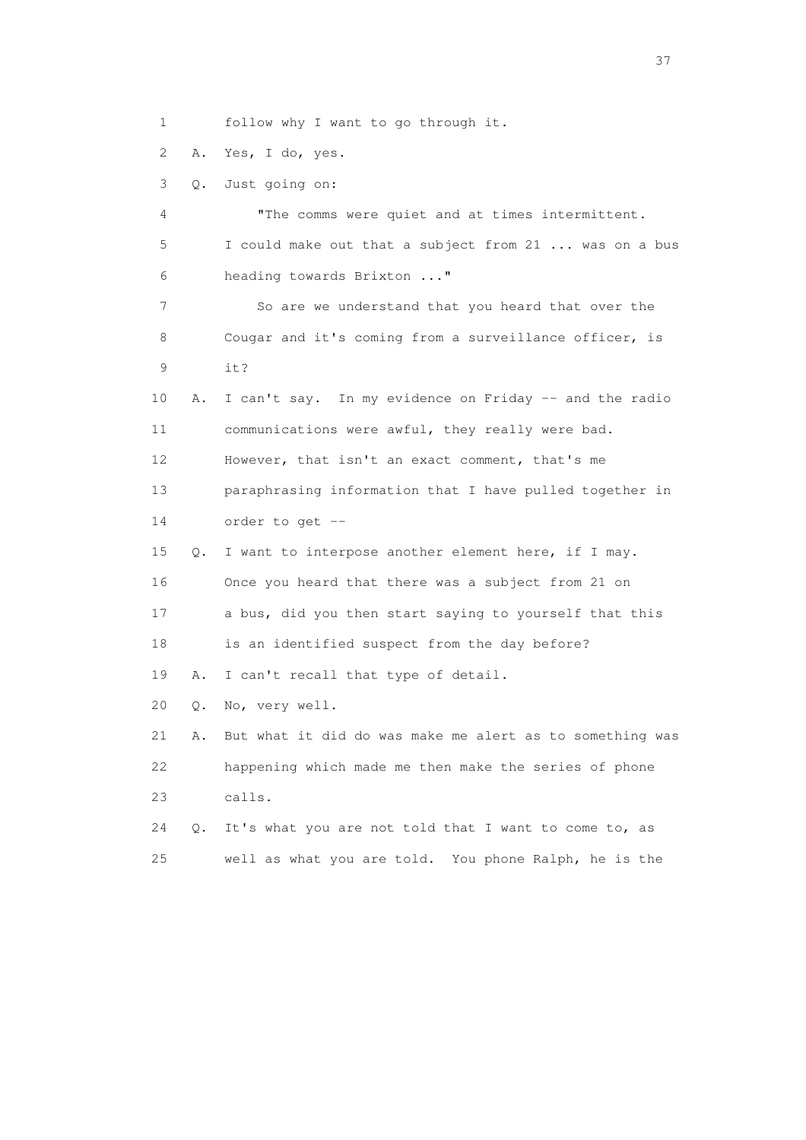1 follow why I want to go through it.

2 A. Yes, I do, yes.

3 Q. Just going on:

 4 "The comms were quiet and at times intermittent. 5 I could make out that a subject from 21 ... was on a bus 6 heading towards Brixton ..." 7 So are we understand that you heard that over the 8 Cougar and it's coming from a surveillance officer, is 9 it? 10 A. I can't say. In my evidence on Friday -- and the radio 11 communications were awful, they really were bad. 12 However, that isn't an exact comment, that's me 13 paraphrasing information that I have pulled together in 14 order to get -- 15 Q. I want to interpose another element here, if I may. 16 Once you heard that there was a subject from 21 on 17 a bus, did you then start saying to yourself that this 18 is an identified suspect from the day before? 19 A. I can't recall that type of detail. 20 Q. No, very well.

 21 A. But what it did do was make me alert as to something was 22 happening which made me then make the series of phone 23 calls.

 24 Q. It's what you are not told that I want to come to, as 25 well as what you are told. You phone Ralph, he is the

<u>37</u>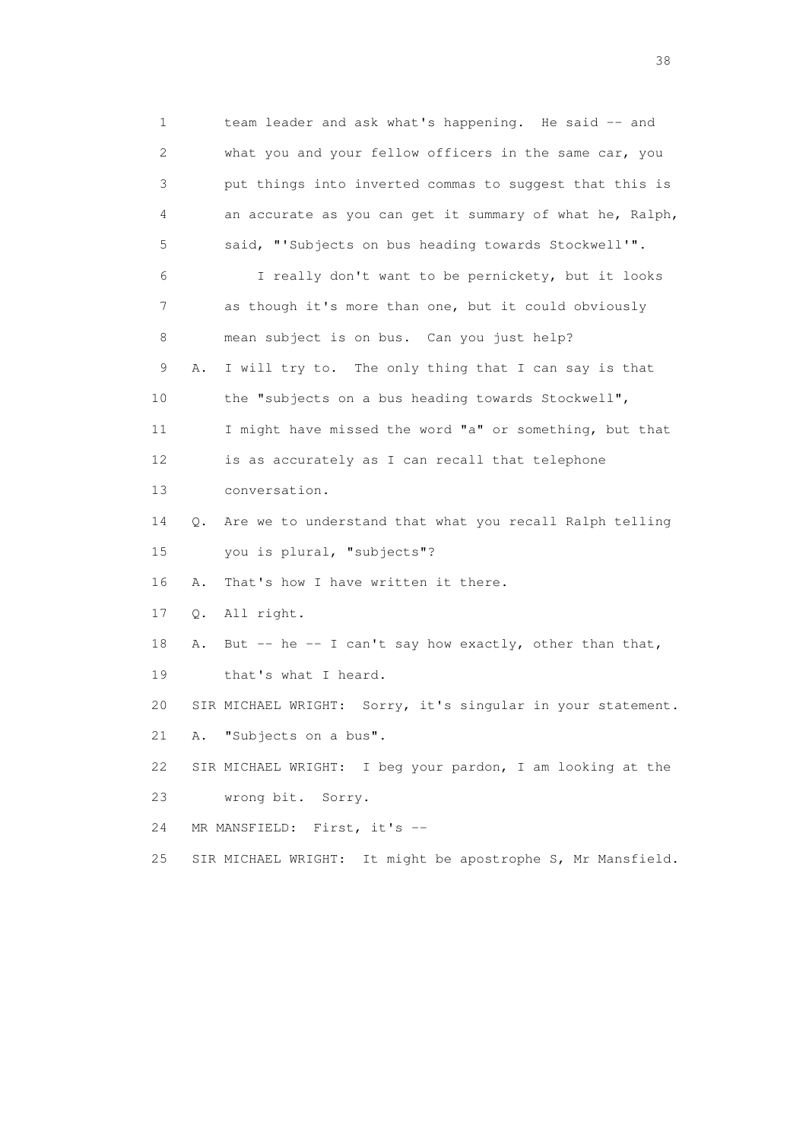1 team leader and ask what's happening. He said -- and 2 what you and your fellow officers in the same car, you 3 put things into inverted commas to suggest that this is 4 an accurate as you can get it summary of what he, Ralph, 5 said, "'Subjects on bus heading towards Stockwell'". 6 I really don't want to be pernickety, but it looks 7 as though it's more than one, but it could obviously 8 mean subject is on bus. Can you just help? 9 A. I will try to. The only thing that I can say is that 10 the "subjects on a bus heading towards Stockwell", 11 I might have missed the word "a" or something, but that 12 is as accurately as I can recall that telephone 13 conversation. 14 Q. Are we to understand that what you recall Ralph telling 15 you is plural, "subjects"? 16 A. That's how I have written it there. 17 Q. All right. 18 A. But -- he -- I can't say how exactly, other than that, 19 that's what I heard. 20 SIR MICHAEL WRIGHT: Sorry, it's singular in your statement. 21 A. "Subjects on a bus". 22 SIR MICHAEL WRIGHT: I beg your pardon, I am looking at the 23 wrong bit. Sorry. 24 MR MANSFIELD: First, it's -- 25 SIR MICHAEL WRIGHT: It might be apostrophe S, Mr Mansfield.

and the state of the state of the state of the state of the state of the state of the state of the state of the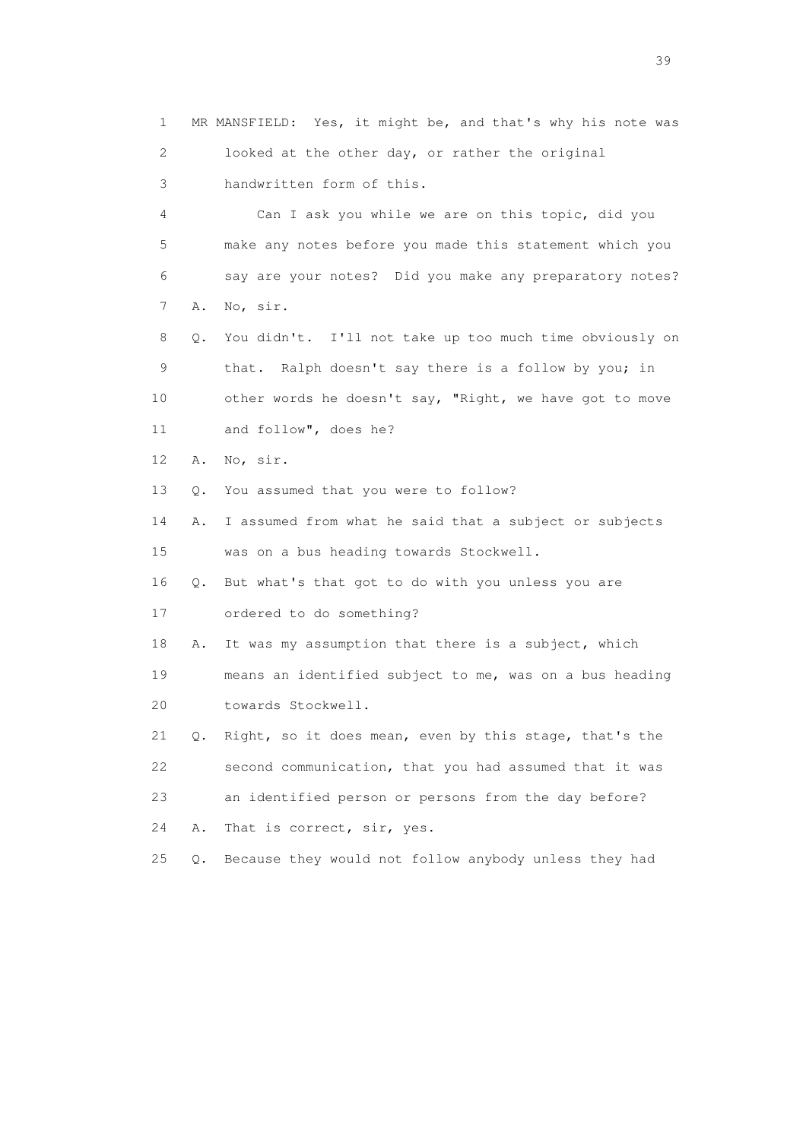1 MR MANSFIELD: Yes, it might be, and that's why his note was 2 looked at the other day, or rather the original 3 handwritten form of this. 4 Can I ask you while we are on this topic, did you 5 make any notes before you made this statement which you 6 say are your notes? Did you make any preparatory notes? 7 A. No, sir. 8 Q. You didn't. I'll not take up too much time obviously on 9 that. Ralph doesn't say there is a follow by you; in 10 other words he doesn't say, "Right, we have got to move 11 and follow", does he? 12 A. No, sir. 13 Q. You assumed that you were to follow? 14 A. I assumed from what he said that a subject or subjects 15 was on a bus heading towards Stockwell. 16 Q. But what's that got to do with you unless you are 17 ordered to do something? 18 A. It was my assumption that there is a subject, which 19 means an identified subject to me, was on a bus heading 20 towards Stockwell. 21 Q. Right, so it does mean, even by this stage, that's the 22 second communication, that you had assumed that it was 23 an identified person or persons from the day before? 24 A. That is correct, sir, yes. 25 Q. Because they would not follow anybody unless they had

 $39<sup>2</sup>$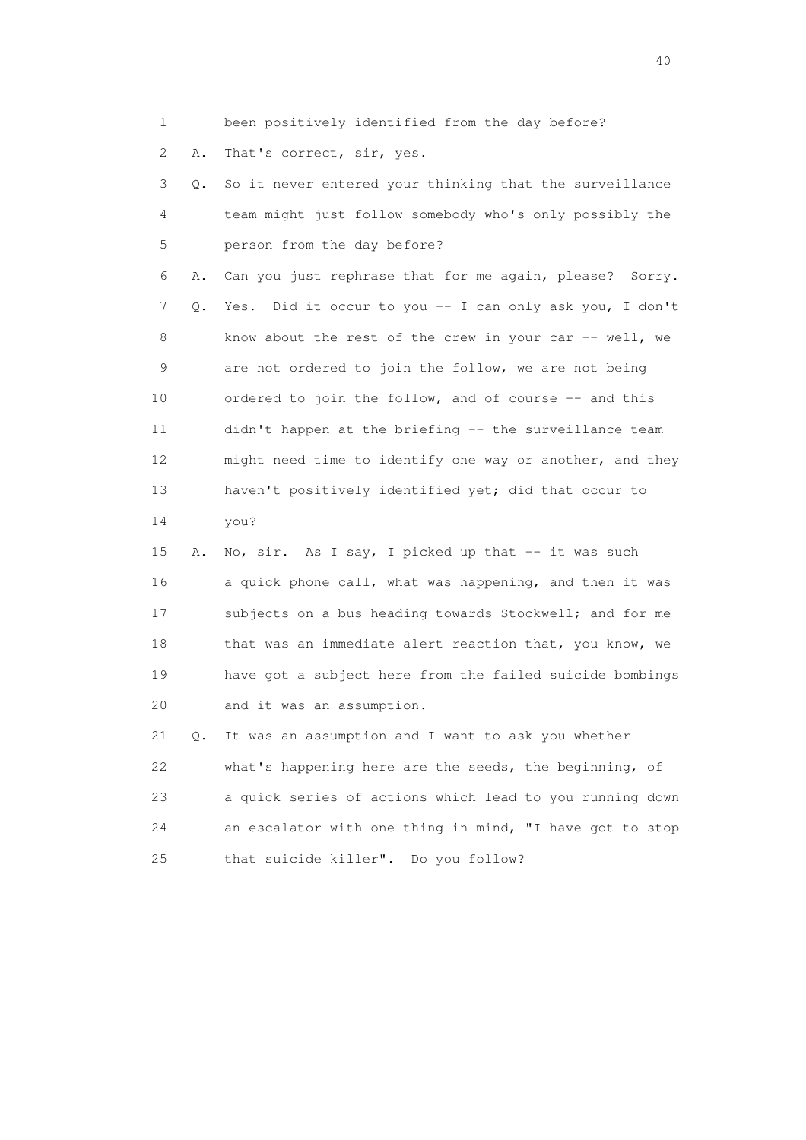1 been positively identified from the day before?

2 A. That's correct, sir, yes.

 3 Q. So it never entered your thinking that the surveillance 4 team might just follow somebody who's only possibly the 5 person from the day before?

 6 A. Can you just rephrase that for me again, please? Sorry. 7 Q. Yes. Did it occur to you -- I can only ask you, I don't 8 know about the rest of the crew in your car -- well, we 9 are not ordered to join the follow, we are not being 10 ordered to join the follow, and of course -- and this 11 didn't happen at the briefing -- the surveillance team 12 might need time to identify one way or another, and they 13 haven't positively identified yet; did that occur to 14 you?

15 A. No, sir. As I say, I picked up that -- it was such 16 a quick phone call, what was happening, and then it was 17 subjects on a bus heading towards Stockwell; and for me 18 that was an immediate alert reaction that, you know, we 19 have got a subject here from the failed suicide bombings 20 and it was an assumption.

 21 Q. It was an assumption and I want to ask you whether 22 what's happening here are the seeds, the beginning, of 23 a quick series of actions which lead to you running down 24 an escalator with one thing in mind, "I have got to stop 25 that suicide killer". Do you follow?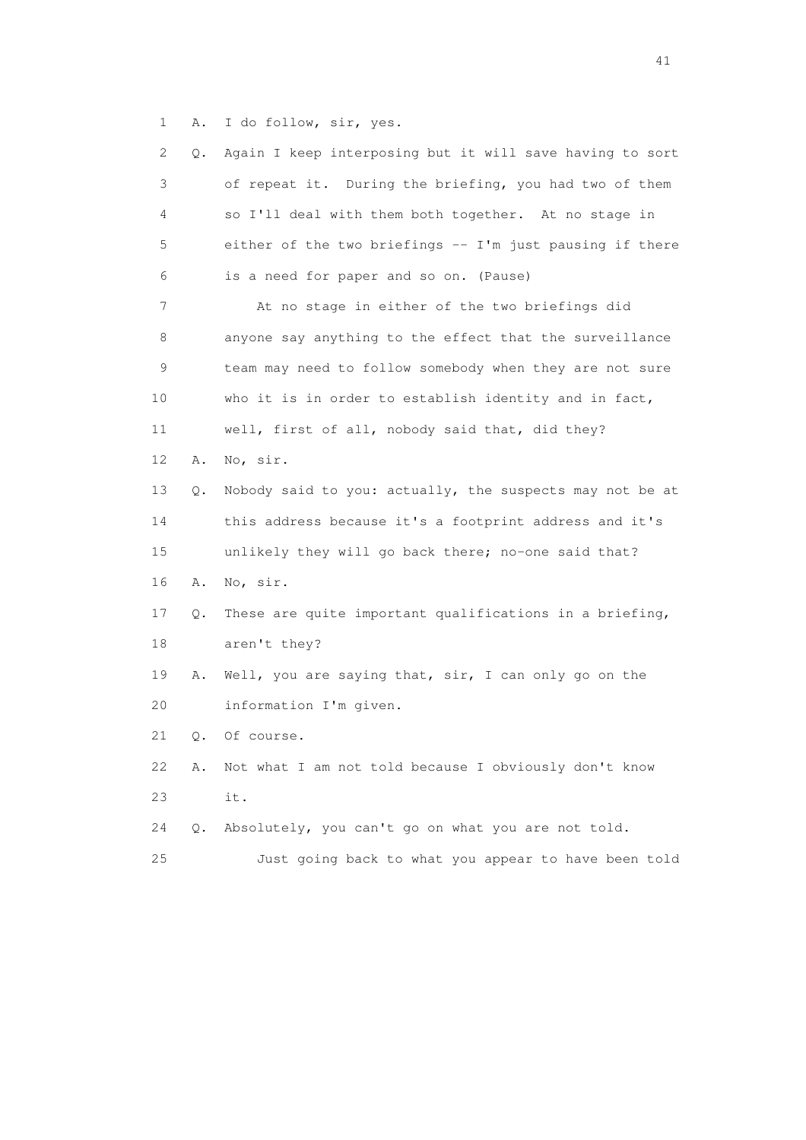1 A. I do follow, sir, yes.

|    | 2<br>О. | Again I keep interposing but it will save having to sort |
|----|---------|----------------------------------------------------------|
|    | 3       | of repeat it. During the briefing, you had two of them   |
|    | 4       | so I'll deal with them both together. At no stage in     |
|    | 5       | either of the two briefings -- I'm just pausing if there |
|    | 6       | is a need for paper and so on. (Pause)                   |
|    | 7       | At no stage in either of the two briefings did           |
|    | 8       | anyone say anything to the effect that the surveillance  |
|    | 9       | team may need to follow somebody when they are not sure  |
| 10 |         | who it is in order to establish identity and in fact,    |
| 11 |         | well, first of all, nobody said that, did they?          |
| 12 | Α.      | No, sir.                                                 |
| 13 | Q.      | Nobody said to you: actually, the suspects may not be at |
| 14 |         | this address because it's a footprint address and it's   |
| 15 |         | unlikely they will go back there; no-one said that?      |
| 16 | Α.      | No, sir.                                                 |
| 17 | Q.      | These are quite important qualifications in a briefing,  |
| 18 |         | aren't they?                                             |
| 19 | Α.      | Well, you are saying that, sir, I can only go on the     |
| 20 |         | information I'm given.                                   |
| 21 | Q.      | Of course.                                               |
| 22 | Α.      | Not what I am not told because I obviously don't know    |
| 23 |         | it.                                                      |
| 24 | Q.      | Absolutely, you can't go on what you are not told.       |
| 25 |         | Just going back to what you appear to have been told     |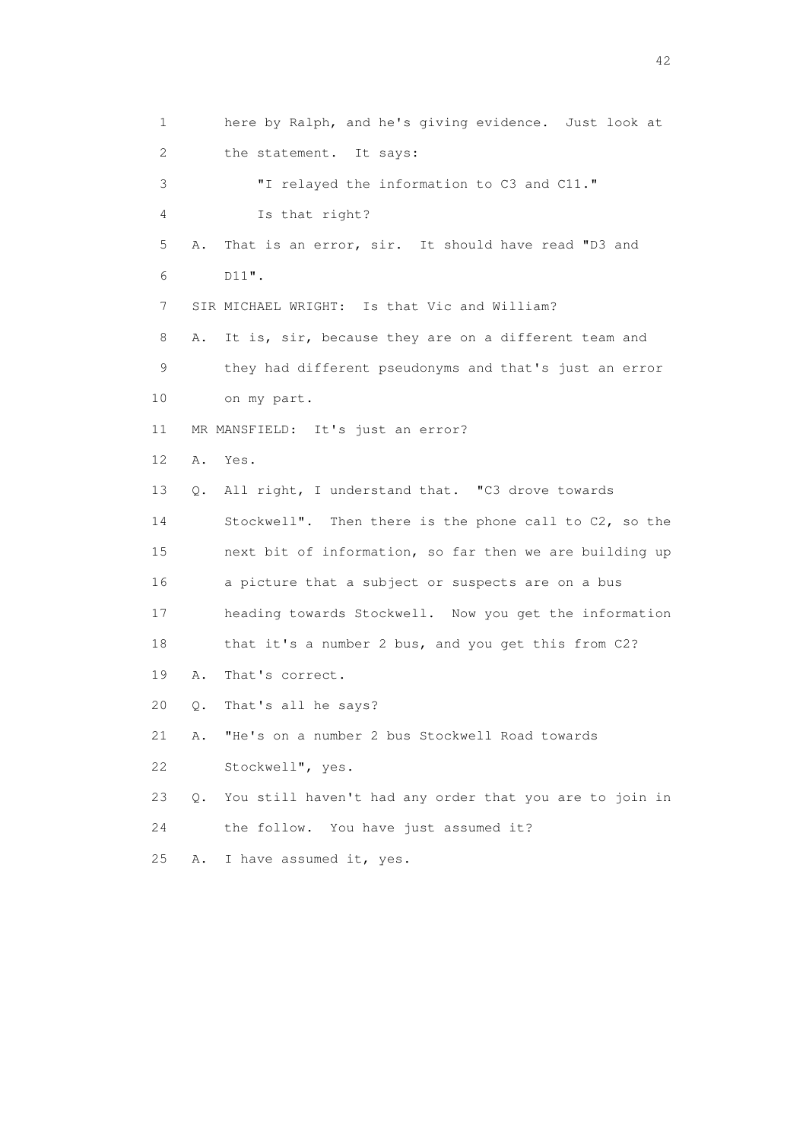1 here by Ralph, and he's giving evidence. Just look at 2 the statement. It says: 3 "I relayed the information to C3 and C11." 4 Is that right? 5 A. That is an error, sir. It should have read "D3 and 6 D11". 7 SIR MICHAEL WRIGHT: Is that Vic and William? 8 A. It is, sir, because they are on a different team and 9 they had different pseudonyms and that's just an error 10 on my part. 11 MR MANSFIELD: It's just an error? 12 A. Yes. 13 Q. All right, I understand that. "C3 drove towards 14 Stockwell". Then there is the phone call to C2, so the 15 next bit of information, so far then we are building up 16 a picture that a subject or suspects are on a bus 17 heading towards Stockwell. Now you get the information 18 that it's a number 2 bus, and you get this from C2? 19 A. That's correct. 20 Q. That's all he says? 21 A. "He's on a number 2 bus Stockwell Road towards 22 Stockwell", yes. 23 Q. You still haven't had any order that you are to join in 24 the follow. You have just assumed it? 25 A. I have assumed it, yes.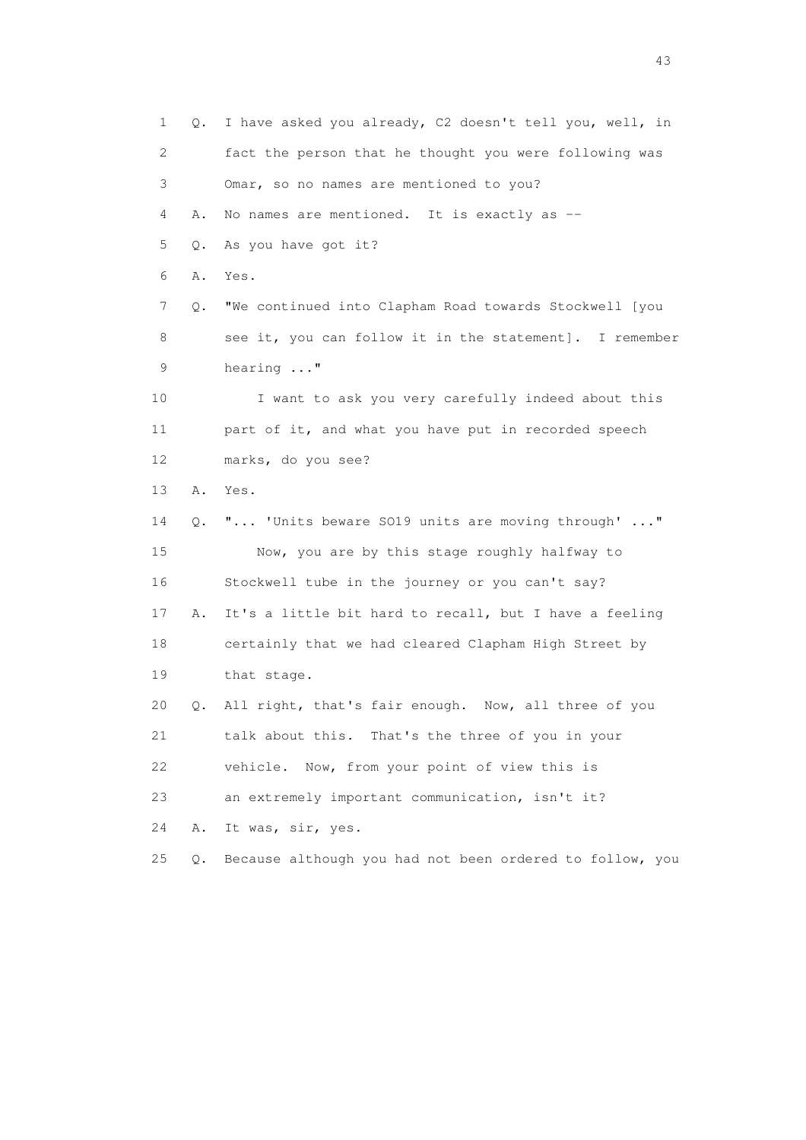1 Q. I have asked you already, C2 doesn't tell you, well, in 2 fact the person that he thought you were following was 3 Omar, so no names are mentioned to you? 4 A. No names are mentioned. It is exactly as -- 5 Q. As you have got it? 6 A. Yes. 7 Q. "We continued into Clapham Road towards Stockwell [you 8 see it, you can follow it in the statement]. I remember 9 hearing ..." 10 I want to ask you very carefully indeed about this 11 part of it, and what you have put in recorded speech 12 marks, do you see? 13 A. Yes. 14 Q. "... 'Units beware SO19 units are moving through' ..." 15 Now, you are by this stage roughly halfway to 16 Stockwell tube in the journey or you can't say? 17 A. It's a little bit hard to recall, but I have a feeling 18 certainly that we had cleared Clapham High Street by 19 that stage. 20 Q. All right, that's fair enough. Now, all three of you 21 talk about this. That's the three of you in your 22 vehicle. Now, from your point of view this is 23 an extremely important communication, isn't it? 24 A. It was, sir, yes. 25 Q. Because although you had not been ordered to follow, you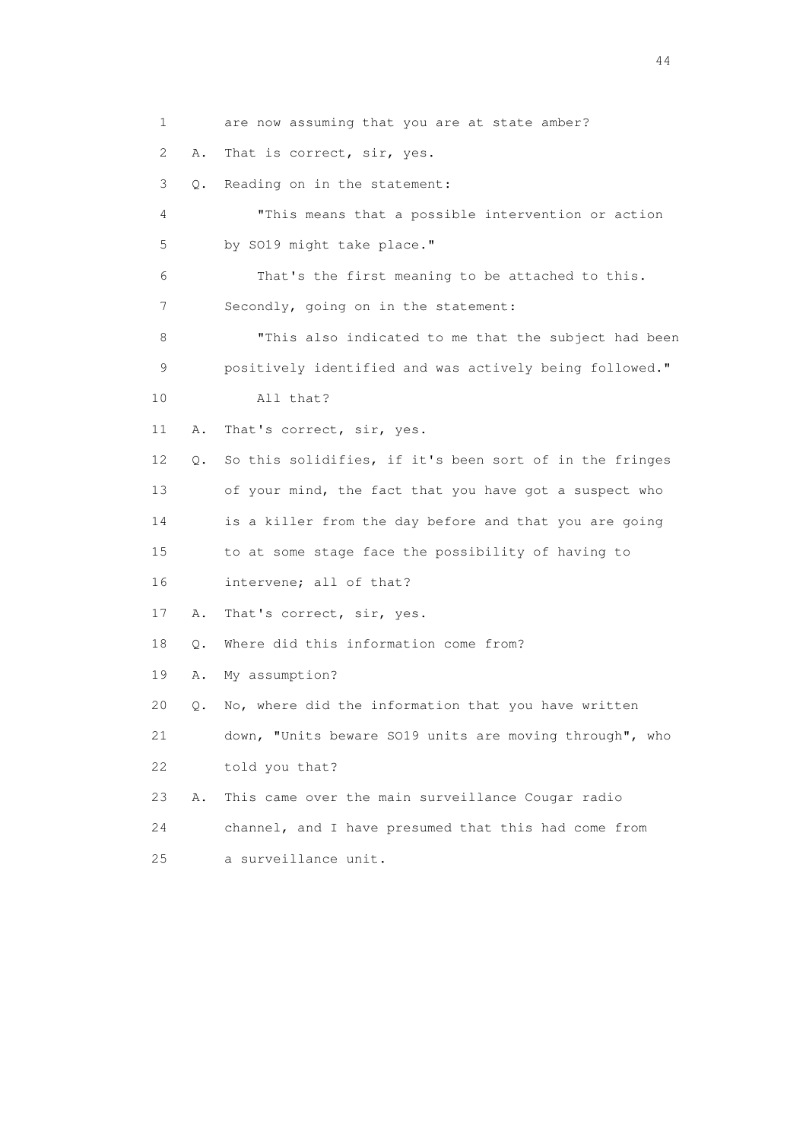1 are now assuming that you are at state amber? 2 A. That is correct, sir, yes. 3 Q. Reading on in the statement: 4 "This means that a possible intervention or action 5 by SO19 might take place." 6 That's the first meaning to be attached to this. 7 Secondly, going on in the statement: 8 "This also indicated to me that the subject had been 9 positively identified and was actively being followed." 10 All that? 11 A. That's correct, sir, yes. 12 Q. So this solidifies, if it's been sort of in the fringes 13 of your mind, the fact that you have got a suspect who 14 is a killer from the day before and that you are going 15 to at some stage face the possibility of having to 16 intervene; all of that? 17 A. That's correct, sir, yes. 18 Q. Where did this information come from? 19 A. My assumption? 20 Q. No, where did the information that you have written 21 down, "Units beware SO19 units are moving through", who 22 told you that? 23 A. This came over the main surveillance Cougar radio 24 channel, and I have presumed that this had come from 25 a surveillance unit.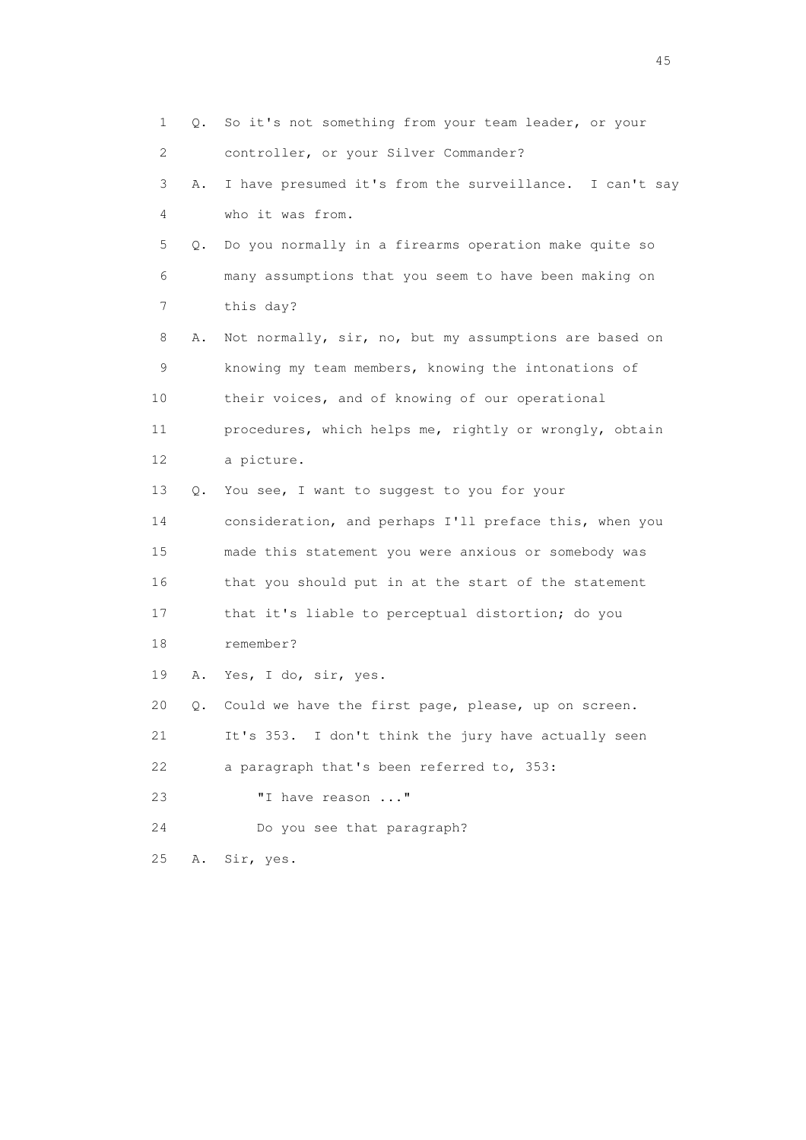1 Q. So it's not something from your team leader, or your 2 controller, or your Silver Commander? 3 A. I have presumed it's from the surveillance. I can't say 4 who it was from. 5 Q. Do you normally in a firearms operation make quite so 6 many assumptions that you seem to have been making on 7 this day? 8 A. Not normally, sir, no, but my assumptions are based on 9 knowing my team members, knowing the intonations of 10 their voices, and of knowing of our operational 11 procedures, which helps me, rightly or wrongly, obtain 12 a picture. 13 Q. You see, I want to suggest to you for your 14 consideration, and perhaps I'll preface this, when you 15 made this statement you were anxious or somebody was 16 that you should put in at the start of the statement 17 that it's liable to perceptual distortion; do you 18 remember? 19 A. Yes, I do, sir, yes. 20 Q. Could we have the first page, please, up on screen. 21 It's 353. I don't think the jury have actually seen 22 a paragraph that's been referred to, 353: 23 **"I have reason ..."**  24 Do you see that paragraph? 25 A. Sir, yes.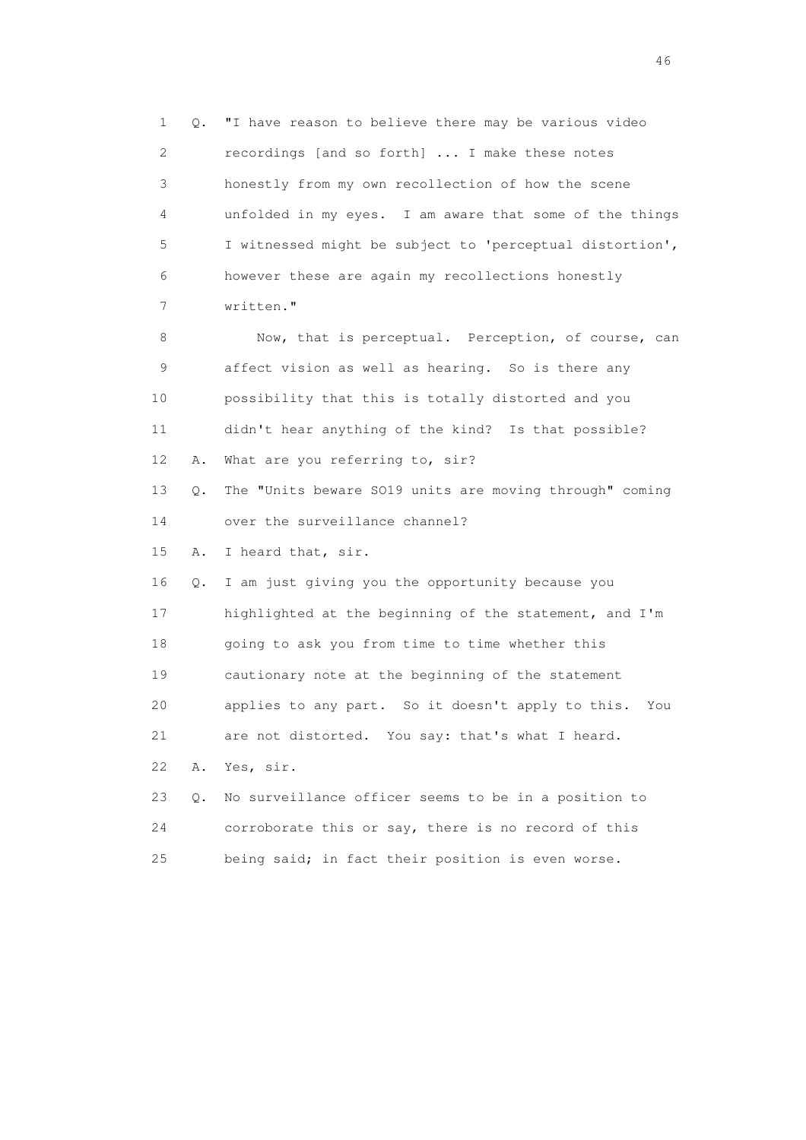1 Q. "I have reason to believe there may be various video 2 recordings [and so forth] ... I make these notes 3 honestly from my own recollection of how the scene 4 unfolded in my eyes. I am aware that some of the things 5 I witnessed might be subject to 'perceptual distortion', 6 however these are again my recollections honestly 7 written." 8 Now, that is perceptual. Perception, of course, can 9 affect vision as well as hearing. So is there any 10 possibility that this is totally distorted and you 11 didn't hear anything of the kind? Is that possible? 12 A. What are you referring to, sir? 13 Q. The "Units beware SO19 units are moving through" coming 14 over the surveillance channel? 15 A. I heard that, sir. 16 Q. I am just giving you the opportunity because you 17 highlighted at the beginning of the statement, and I'm 18 going to ask you from time to time whether this 19 cautionary note at the beginning of the statement 20 applies to any part. So it doesn't apply to this. You 21 are not distorted. You say: that's what I heard. 22 A. Yes, sir. 23 Q. No surveillance officer seems to be in a position to 24 corroborate this or say, there is no record of this 25 being said; in fact their position is even worse.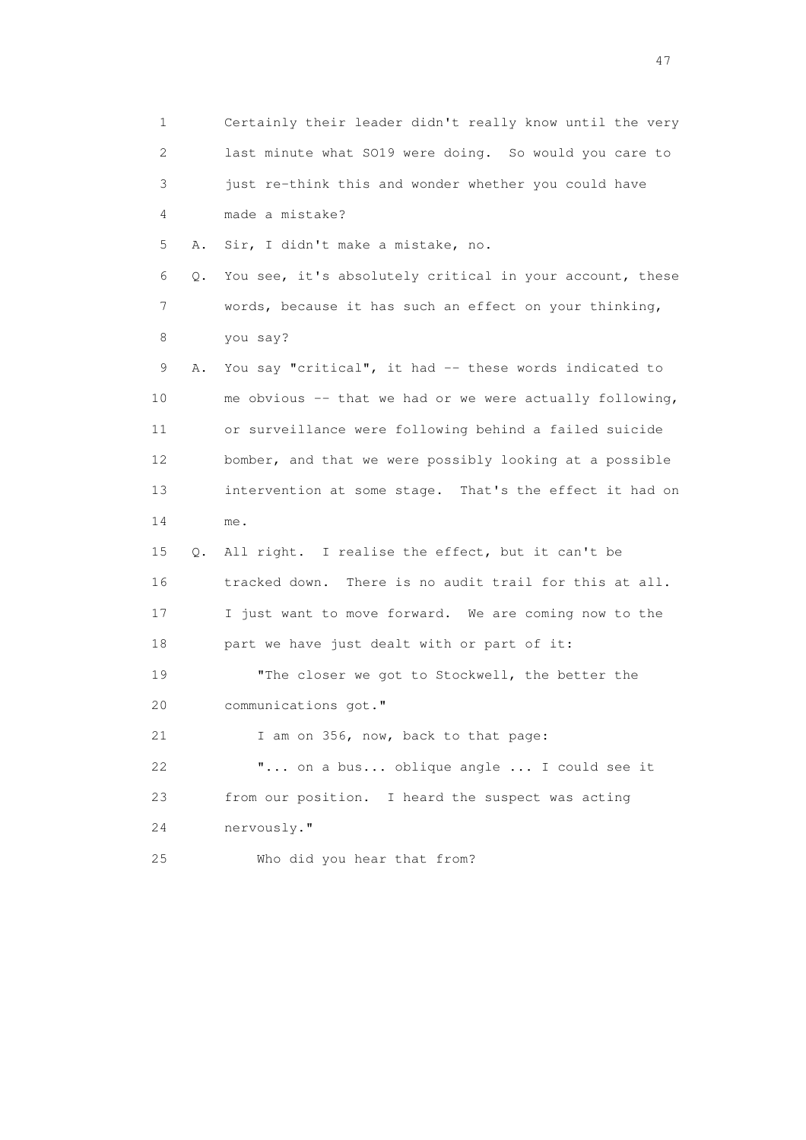1 Certainly their leader didn't really know until the very 2 last minute what SO19 were doing. So would you care to 3 just re-think this and wonder whether you could have 4 made a mistake? 5 A. Sir, I didn't make a mistake, no. 6 Q. You see, it's absolutely critical in your account, these 7 words, because it has such an effect on your thinking, 8 you say? 9 A. You say "critical", it had -- these words indicated to 10 me obvious -- that we had or we were actually following, 11 or surveillance were following behind a failed suicide 12 bomber, and that we were possibly looking at a possible 13 intervention at some stage. That's the effect it had on 14 me. 15 Q. All right. I realise the effect, but it can't be 16 tracked down. There is no audit trail for this at all. 17 I just want to move forward. We are coming now to the 18 part we have just dealt with or part of it: 19 "The closer we got to Stockwell, the better the 20 communications got." 21 I am on 356, now, back to that page: 22 "... on a bus... oblique angle ... I could see it 23 from our position. I heard the suspect was acting 24 nervously." 25 Who did you hear that from?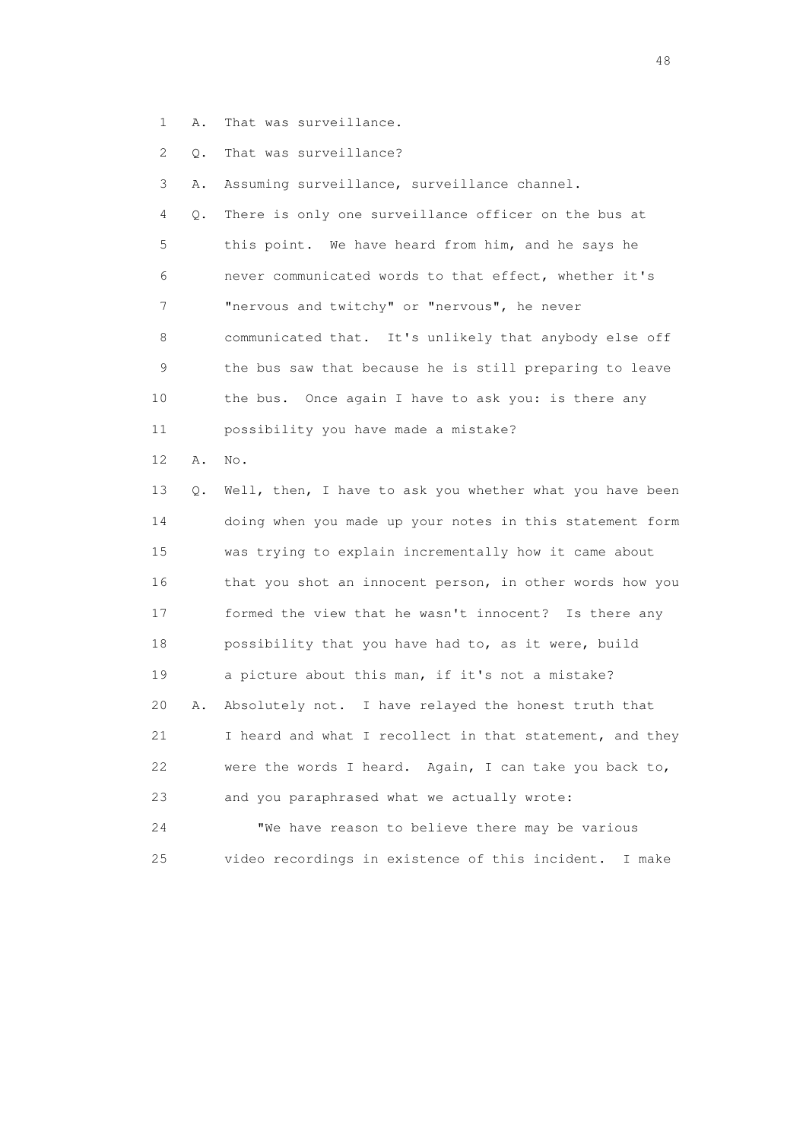- 1 A. That was surveillance.
- 2 Q. That was surveillance?

3 A. Assuming surveillance, surveillance channel.

 4 Q. There is only one surveillance officer on the bus at 5 this point. We have heard from him, and he says he 6 never communicated words to that effect, whether it's 7 "nervous and twitchy" or "nervous", he never 8 communicated that. It's unlikely that anybody else off 9 the bus saw that because he is still preparing to leave 10 the bus. Once again I have to ask you: is there any 11 possibility you have made a mistake?

12 A. No.

 13 Q. Well, then, I have to ask you whether what you have been 14 doing when you made up your notes in this statement form 15 was trying to explain incrementally how it came about 16 that you shot an innocent person, in other words how you 17 formed the view that he wasn't innocent? Is there any 18 possibility that you have had to, as it were, build 19 a picture about this man, if it's not a mistake? 20 A. Absolutely not. I have relayed the honest truth that 21 I heard and what I recollect in that statement, and they 22 were the words I heard. Again, I can take you back to, 23 and you paraphrased what we actually wrote: 24 "We have reason to believe there may be various

25 video recordings in existence of this incident. I make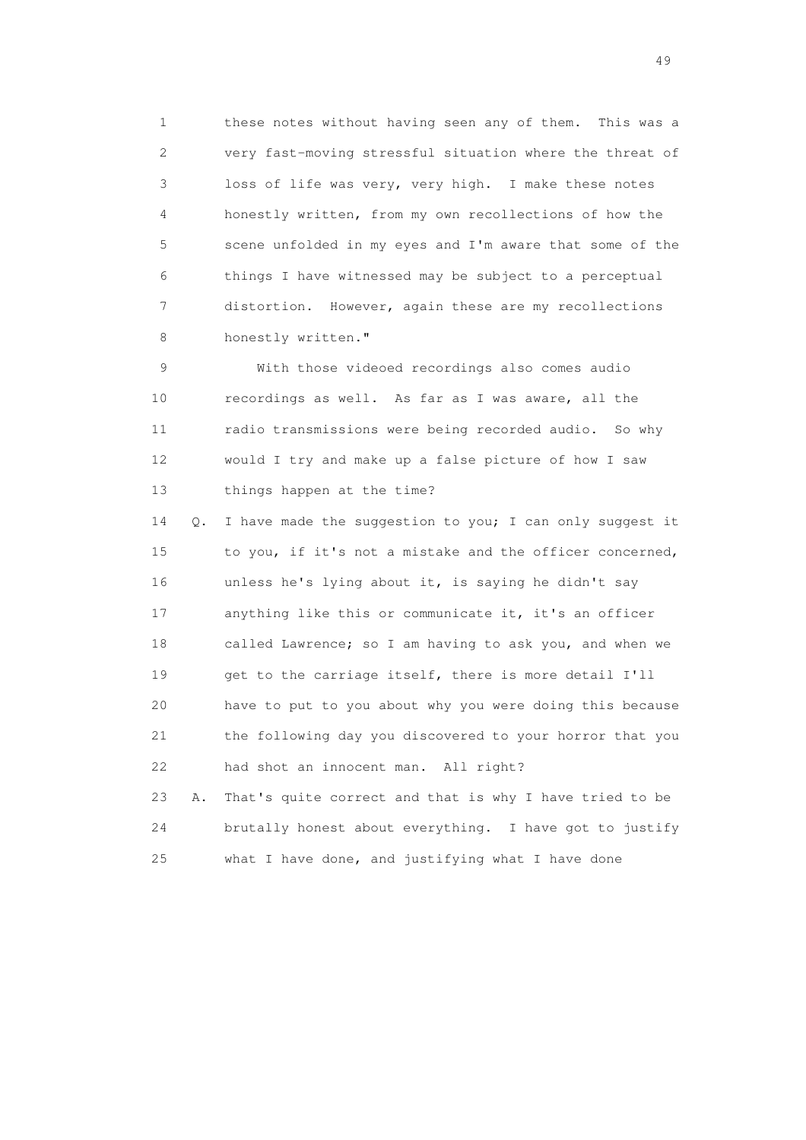1 these notes without having seen any of them. This was a 2 very fast-moving stressful situation where the threat of 3 loss of life was very, very high. I make these notes 4 honestly written, from my own recollections of how the 5 scene unfolded in my eyes and I'm aware that some of the 6 things I have witnessed may be subject to a perceptual 7 distortion. However, again these are my recollections 8 honestly written."

 9 With those videoed recordings also comes audio 10 recordings as well. As far as I was aware, all the 11 radio transmissions were being recorded audio. So why 12 would I try and make up a false picture of how I saw 13 things happen at the time?

 14 Q. I have made the suggestion to you; I can only suggest it 15 to you, if it's not a mistake and the officer concerned, 16 unless he's lying about it, is saying he didn't say 17 anything like this or communicate it, it's an officer 18 called Lawrence; so I am having to ask you, and when we 19 get to the carriage itself, there is more detail I'll 20 have to put to you about why you were doing this because 21 the following day you discovered to your horror that you 22 had shot an innocent man. All right?

 23 A. That's quite correct and that is why I have tried to be 24 brutally honest about everything. I have got to justify 25 what I have done, and justifying what I have done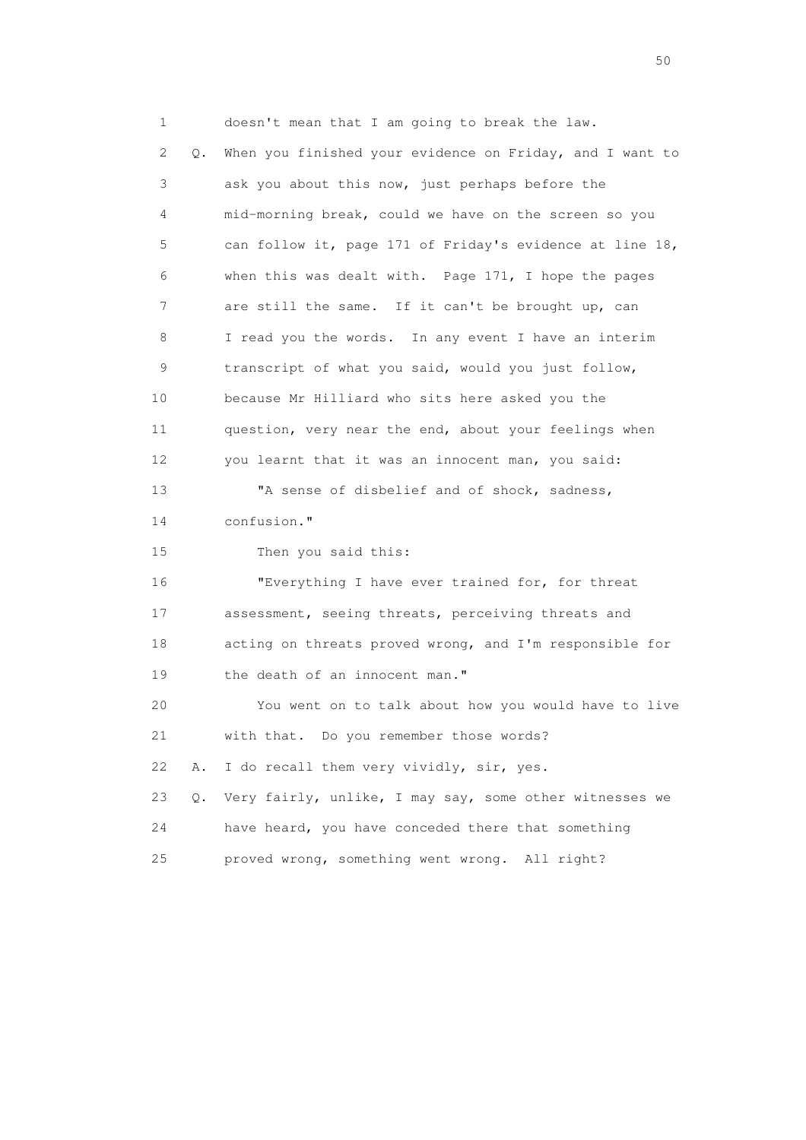1 doesn't mean that I am going to break the law. 2 Q. When you finished your evidence on Friday, and I want to 3 ask you about this now, just perhaps before the 4 mid-morning break, could we have on the screen so you 5 can follow it, page 171 of Friday's evidence at line 18, 6 when this was dealt with. Page 171, I hope the pages 7 are still the same. If it can't be brought up, can 8 I read you the words. In any event I have an interim 9 transcript of what you said, would you just follow, 10 because Mr Hilliard who sits here asked you the 11 question, very near the end, about your feelings when 12 you learnt that it was an innocent man, you said: 13 "A sense of disbelief and of shock, sadness, 14 confusion." 15 Then you said this: 16 "Everything I have ever trained for, for threat 17 assessment, seeing threats, perceiving threats and 18 acting on threats proved wrong, and I'm responsible for 19 the death of an innocent man." 20 You went on to talk about how you would have to live 21 with that. Do you remember those words? 22 A. I do recall them very vividly, sir, yes. 23 Q. Very fairly, unlike, I may say, some other witnesses we 24 have heard, you have conceded there that something 25 proved wrong, something went wrong. All right?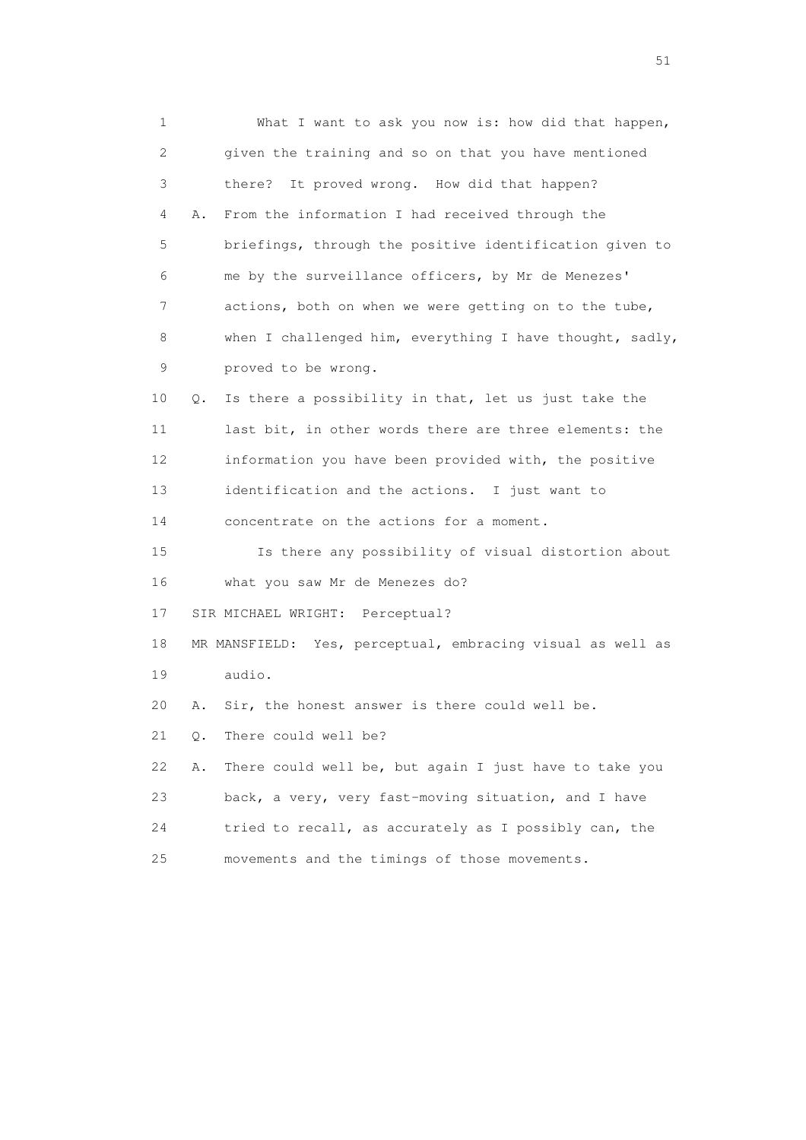1 What I want to ask you now is: how did that happen, 2 given the training and so on that you have mentioned 3 there? It proved wrong. How did that happen? 4 A. From the information I had received through the 5 briefings, through the positive identification given to 6 me by the surveillance officers, by Mr de Menezes' 7 actions, both on when we were getting on to the tube, 8 when I challenged him, everything I have thought, sadly, 9 proved to be wrong. 10 Q. Is there a possibility in that, let us just take the 11 last bit, in other words there are three elements: the 12 information you have been provided with, the positive 13 identification and the actions. I just want to 14 concentrate on the actions for a moment. 15 Is there any possibility of visual distortion about 16 what you saw Mr de Menezes do? 17 SIR MICHAEL WRIGHT: Perceptual? 18 MR MANSFIELD: Yes, perceptual, embracing visual as well as 19 audio. 20 A. Sir, the honest answer is there could well be. 21 Q. There could well be? 22 A. There could well be, but again I just have to take you 23 back, a very, very fast-moving situation, and I have 24 tried to recall, as accurately as I possibly can, the 25 movements and the timings of those movements.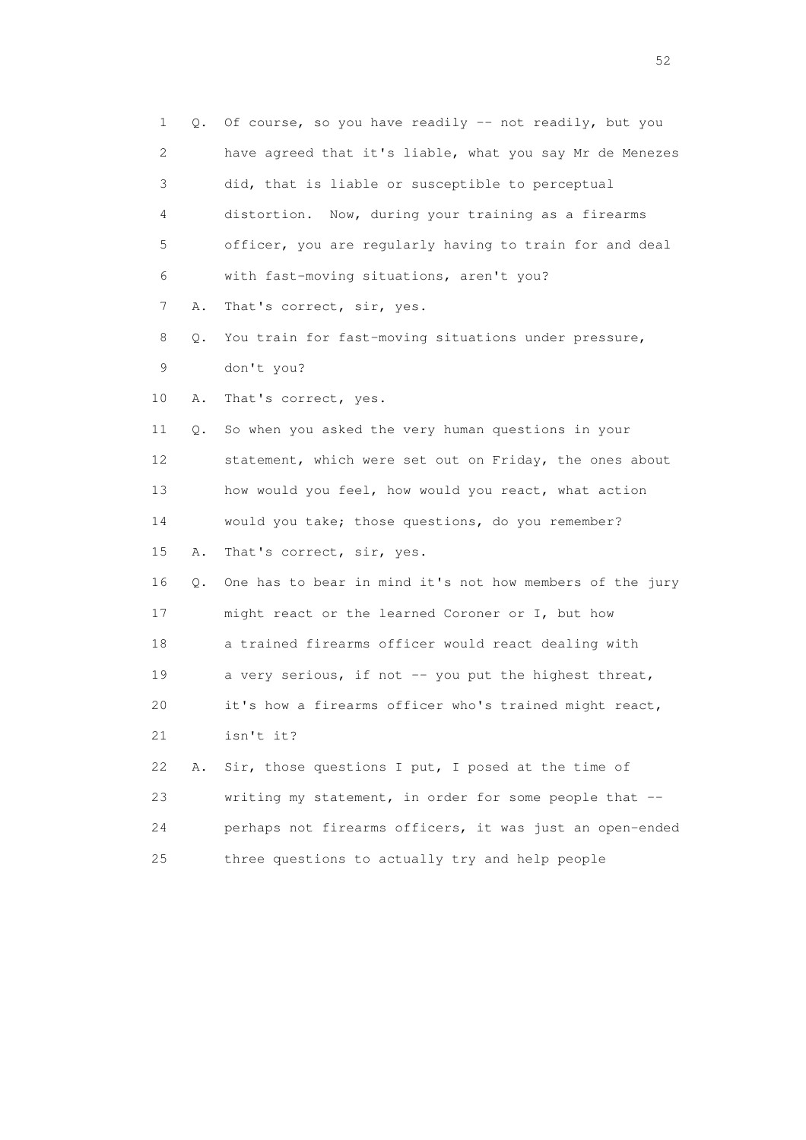| 1  | Q. | Of course, so you have readily -- not readily, but you   |
|----|----|----------------------------------------------------------|
| 2  |    | have agreed that it's liable, what you say Mr de Menezes |
| 3  |    | did, that is liable or susceptible to perceptual         |
| 4  |    | distortion. Now, during your training as a firearms      |
| 5  |    | officer, you are regularly having to train for and deal  |
| 6  |    | with fast-moving situations, aren't you?                 |
| 7  | Α. | That's correct, sir, yes.                                |
| 8  | Q. | You train for fast-moving situations under pressure,     |
| 9  |    | don't you?                                               |
| 10 | Α. | That's correct, yes.                                     |
| 11 | Q. | So when you asked the very human questions in your       |
| 12 |    | statement, which were set out on Friday, the ones about  |
| 13 |    | how would you feel, how would you react, what action     |
| 14 |    | would you take; those questions, do you remember?        |
| 15 | Α. | That's correct, sir, yes.                                |
| 16 | Q. | One has to bear in mind it's not how members of the jury |
| 17 |    | might react or the learned Coroner or I, but how         |
| 18 |    | a trained firearms officer would react dealing with      |
| 19 |    | a very serious, if not -- you put the highest threat,    |
| 20 |    | it's how a firearms officer who's trained might react,   |
| 21 |    | isn't it?                                                |
| 22 | Α. | Sir, those questions I put, I posed at the time of       |
| 23 |    | writing my statement, in order for some people that --   |
| 24 |    | perhaps not firearms officers, it was just an open-ended |
| 25 |    | three questions to actually try and help people          |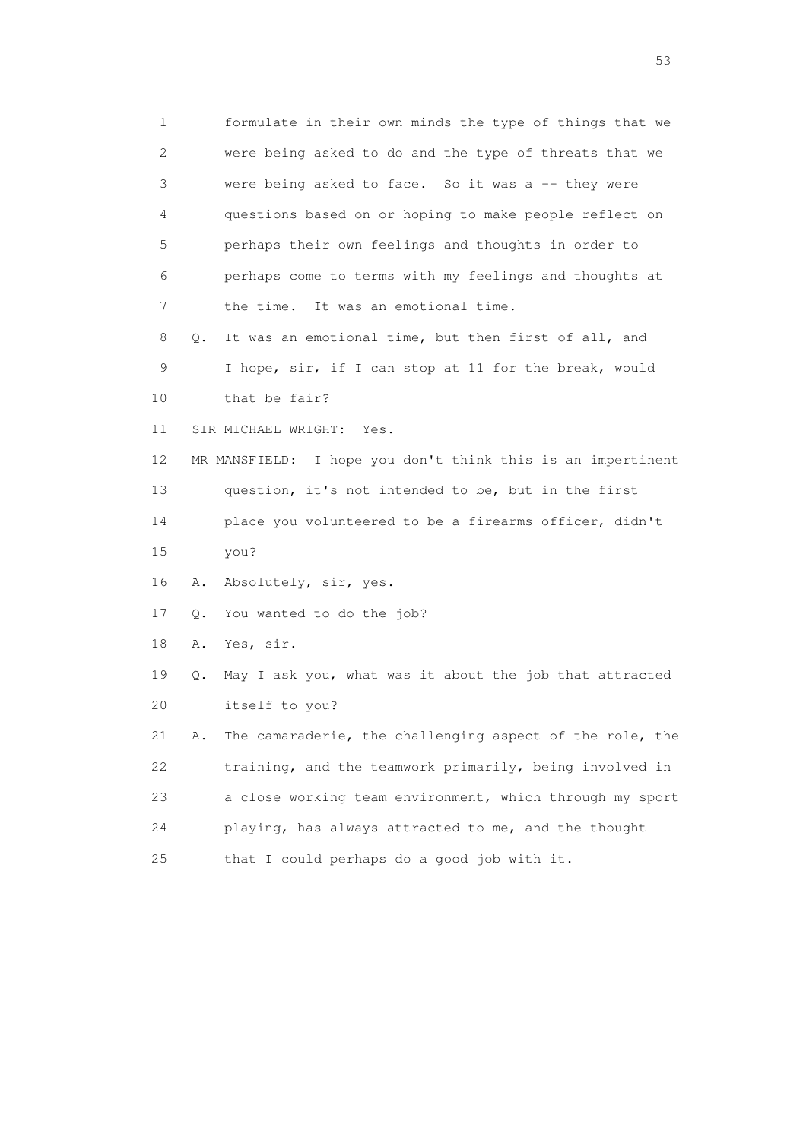1 formulate in their own minds the type of things that we 2 were being asked to do and the type of threats that we 3 were being asked to face. So it was a -- they were 4 questions based on or hoping to make people reflect on 5 perhaps their own feelings and thoughts in order to 6 perhaps come to terms with my feelings and thoughts at 7 the time. It was an emotional time. 8 Q. It was an emotional time, but then first of all, and 9 I hope, sir, if I can stop at 11 for the break, would 10 that be fair? 11 SIR MICHAEL WRIGHT: Yes. 12 MR MANSFIELD: I hope you don't think this is an impertinent 13 question, it's not intended to be, but in the first 14 place you volunteered to be a firearms officer, didn't 15 you? 16 A. Absolutely, sir, yes. 17 Q. You wanted to do the job? 18 A. Yes, sir. 19 Q. May I ask you, what was it about the job that attracted 20 itself to you? 21 A. The camaraderie, the challenging aspect of the role, the 22 training, and the teamwork primarily, being involved in 23 a close working team environment, which through my sport 24 playing, has always attracted to me, and the thought 25 that I could perhaps do a good job with it.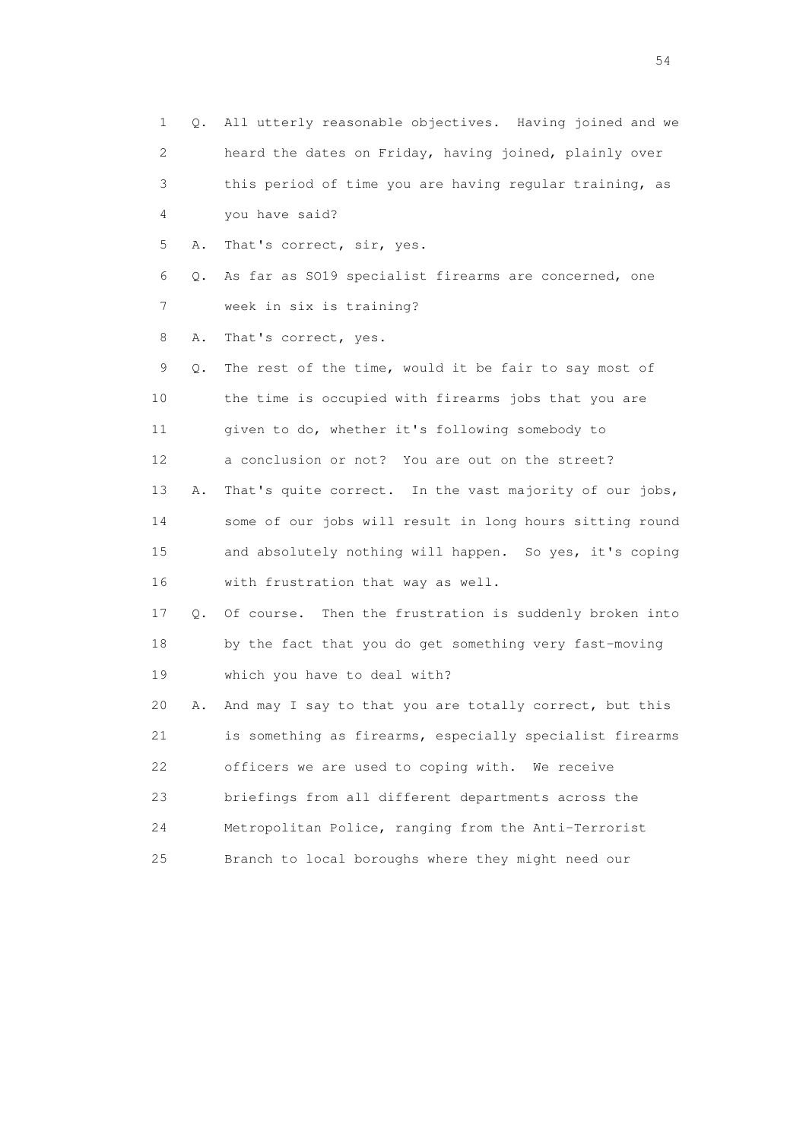1 Q. All utterly reasonable objectives. Having joined and we 2 heard the dates on Friday, having joined, plainly over 3 this period of time you are having regular training, as 4 you have said? 5 A. That's correct, sir, yes. 6 Q. As far as SO19 specialist firearms are concerned, one 7 week in six is training? 8 A. That's correct, yes. 9 Q. The rest of the time, would it be fair to say most of 10 the time is occupied with firearms jobs that you are 11 given to do, whether it's following somebody to 12 a conclusion or not? You are out on the street? 13 A. That's quite correct. In the vast majority of our jobs, 14 some of our jobs will result in long hours sitting round 15 and absolutely nothing will happen. So yes, it's coping 16 with frustration that way as well. 17 Q. Of course. Then the frustration is suddenly broken into 18 by the fact that you do get something very fast-moving 19 which you have to deal with? 20 A. And may I say to that you are totally correct, but this 21 is something as firearms, especially specialist firearms 22 officers we are used to coping with. We receive 23 briefings from all different departments across the 24 Metropolitan Police, ranging from the Anti-Terrorist 25 Branch to local boroughs where they might need our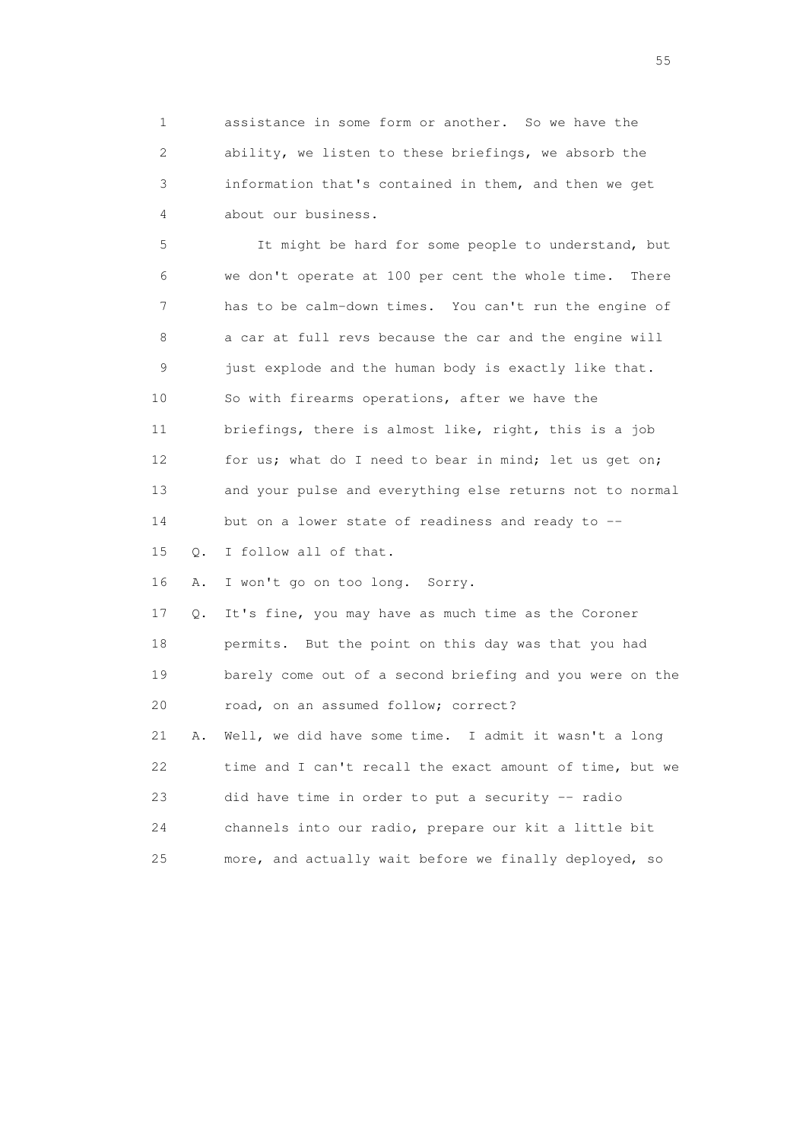1 assistance in some form or another. So we have the 2 ability, we listen to these briefings, we absorb the 3 information that's contained in them, and then we get 4 about our business.

 5 It might be hard for some people to understand, but 6 we don't operate at 100 per cent the whole time. There 7 has to be calm-down times. You can't run the engine of 8 a car at full revs because the car and the engine will 9 just explode and the human body is exactly like that. 10 So with firearms operations, after we have the 11 briefings, there is almost like, right, this is a job 12 for us; what do I need to bear in mind; let us get on; 13 and your pulse and everything else returns not to normal 14 but on a lower state of readiness and ready to -- 15 Q. I follow all of that. 16 A. I won't go on too long. Sorry. 17 Q. It's fine, you may have as much time as the Coroner 18 permits. But the point on this day was that you had 19 barely come out of a second briefing and you were on the 20 road, on an assumed follow; correct? 21 A. Well, we did have some time. I admit it wasn't a long 22 time and I can't recall the exact amount of time, but we 23 did have time in order to put a security -- radio 24 channels into our radio, prepare our kit a little bit

25 more, and actually wait before we finally deployed, so

the state of the state of the state of the state of the state of the state of the state of the state of the state of the state of the state of the state of the state of the state of the state of the state of the state of t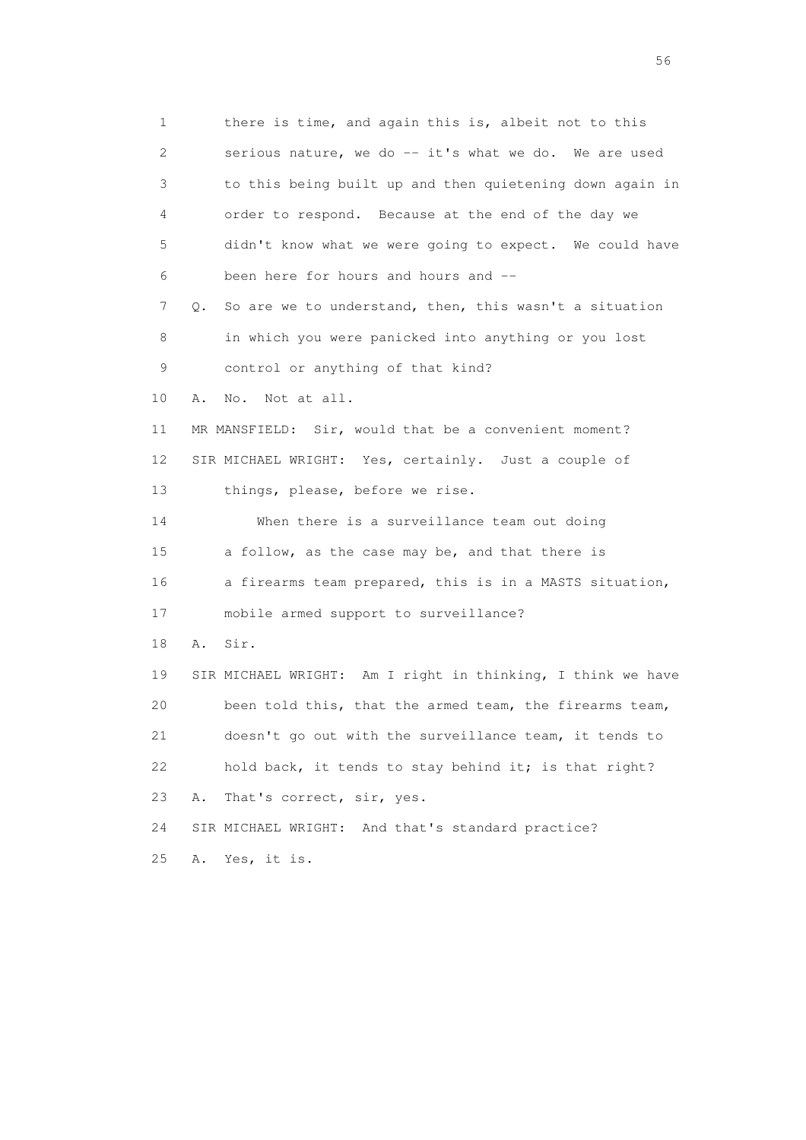1 there is time, and again this is, albeit not to this 2 serious nature, we do -- it's what we do. We are used 3 to this being built up and then quietening down again in 4 order to respond. Because at the end of the day we 5 didn't know what we were going to expect. We could have 6 been here for hours and hours and -- 7 Q. So are we to understand, then, this wasn't a situation 8 in which you were panicked into anything or you lost 9 control or anything of that kind? 10 A. No. Not at all. 11 MR MANSFIELD: Sir, would that be a convenient moment? 12 SIR MICHAEL WRIGHT: Yes, certainly. Just a couple of 13 things, please, before we rise. 14 When there is a surveillance team out doing 15 a follow, as the case may be, and that there is 16 a firearms team prepared, this is in a MASTS situation, 17 mobile armed support to surveillance? 18 A. Sir. 19 SIR MICHAEL WRIGHT: Am I right in thinking, I think we have 20 been told this, that the armed team, the firearms team, 21 doesn't go out with the surveillance team, it tends to 22 hold back, it tends to stay behind it; is that right? 23 A. That's correct, sir, yes. 24 SIR MICHAEL WRIGHT: And that's standard practice? 25 A. Yes, it is.

 $56<sup>o</sup>$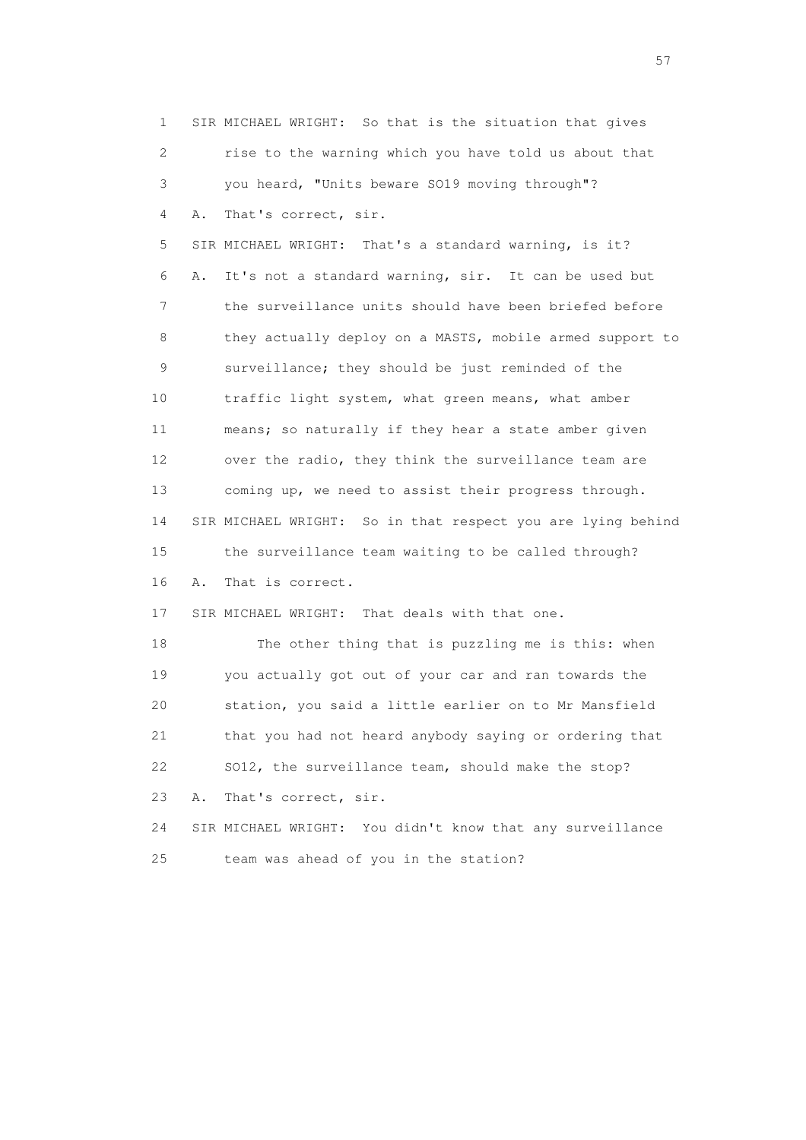1 SIR MICHAEL WRIGHT: So that is the situation that gives 2 rise to the warning which you have told us about that 3 you heard, "Units beware SO19 moving through"? 4 A. That's correct, sir. 5 SIR MICHAEL WRIGHT: That's a standard warning, is it? 6 A. It's not a standard warning, sir. It can be used but 7 the surveillance units should have been briefed before 8 they actually deploy on a MASTS, mobile armed support to 9 surveillance; they should be just reminded of the 10 traffic light system, what green means, what amber 11 means; so naturally if they hear a state amber given 12 over the radio, they think the surveillance team are 13 coming up, we need to assist their progress through. 14 SIR MICHAEL WRIGHT: So in that respect you are lying behind 15 the surveillance team waiting to be called through? 16 A. That is correct. 17 SIR MICHAEL WRIGHT: That deals with that one. 18 The other thing that is puzzling me is this: when 19 you actually got out of your car and ran towards the 20 station, you said a little earlier on to Mr Mansfield 21 that you had not heard anybody saying or ordering that 22 SO12, the surveillance team, should make the stop? 23 A. That's correct, sir. 24 SIR MICHAEL WRIGHT: You didn't know that any surveillance 25 team was ahead of you in the station?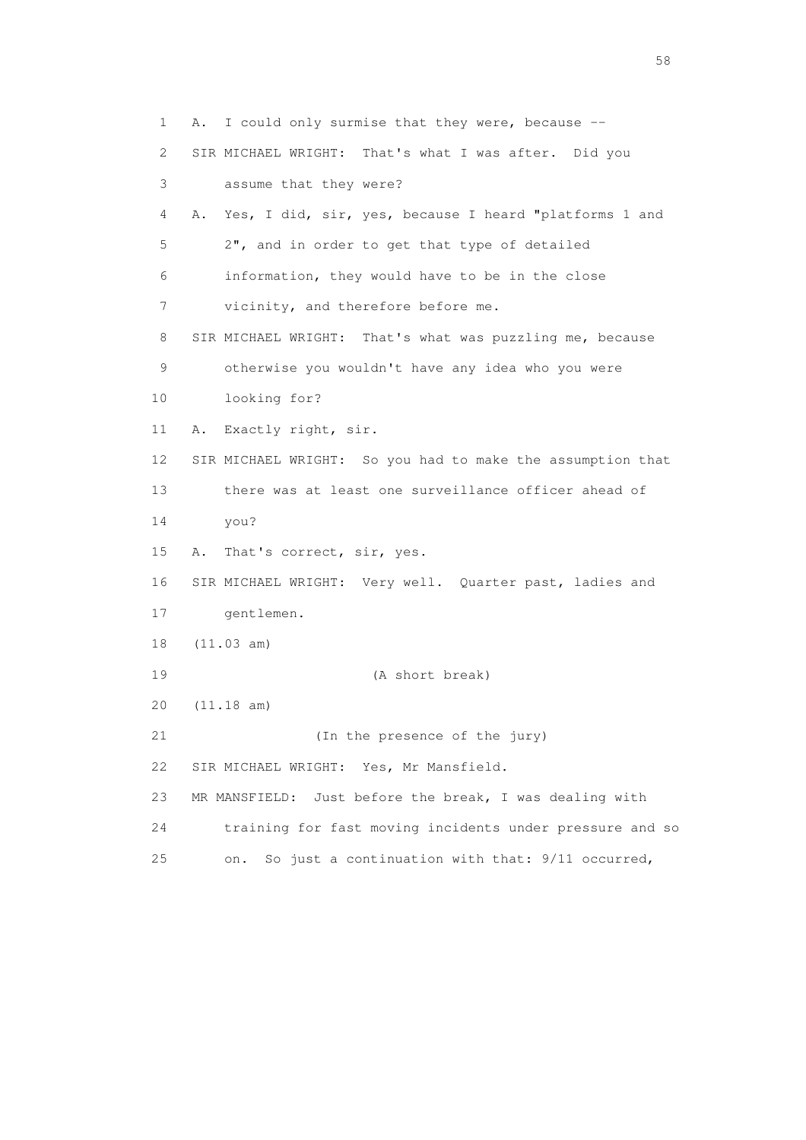1 A. I could only surmise that they were, because -- 2 SIR MICHAEL WRIGHT: That's what I was after. Did you 3 assume that they were? 4 A. Yes, I did, sir, yes, because I heard "platforms 1 and 5 2", and in order to get that type of detailed 6 information, they would have to be in the close 7 vicinity, and therefore before me. 8 SIR MICHAEL WRIGHT: That's what was puzzling me, because 9 otherwise you wouldn't have any idea who you were 10 looking for? 11 A. Exactly right, sir. 12 SIR MICHAEL WRIGHT: So you had to make the assumption that 13 there was at least one surveillance officer ahead of 14 you? 15 A. That's correct, sir, yes. 16 SIR MICHAEL WRIGHT: Very well. Quarter past, ladies and 17 gentlemen. 18 (11.03 am) 19 (A short break) 20 (11.18 am) 21 (In the presence of the jury) 22 SIR MICHAEL WRIGHT: Yes, Mr Mansfield. 23 MR MANSFIELD: Just before the break, I was dealing with 24 training for fast moving incidents under pressure and so 25 on. So just a continuation with that: 9/11 occurred,

the state of the state of the state of the state of the state of the state of the state of the state of the state of the state of the state of the state of the state of the state of the state of the state of the state of t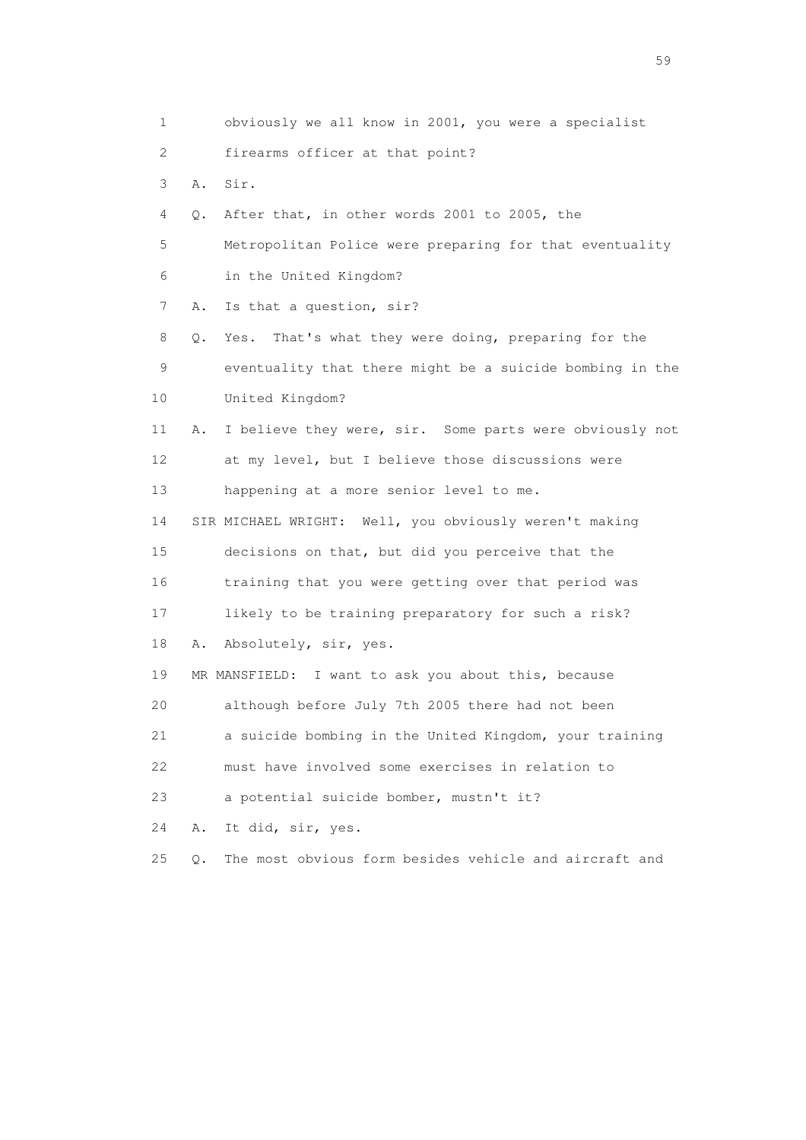1 obviously we all know in 2001, you were a specialist 2 firearms officer at that point? 3 A. Sir. 4 Q. After that, in other words 2001 to 2005, the 5 Metropolitan Police were preparing for that eventuality 6 in the United Kingdom? 7 A. Is that a question, sir? 8 Q. Yes. That's what they were doing, preparing for the 9 eventuality that there might be a suicide bombing in the 10 United Kingdom? 11 A. I believe they were, sir. Some parts were obviously not 12 at my level, but I believe those discussions were 13 happening at a more senior level to me. 14 SIR MICHAEL WRIGHT: Well, you obviously weren't making 15 decisions on that, but did you perceive that the 16 training that you were getting over that period was 17 likely to be training preparatory for such a risk? 18 A. Absolutely, sir, yes. 19 MR MANSFIELD: I want to ask you about this, because 20 although before July 7th 2005 there had not been 21 a suicide bombing in the United Kingdom, your training 22 must have involved some exercises in relation to 23 a potential suicide bomber, mustn't it? 24 A. It did, sir, yes. 25 Q. The most obvious form besides vehicle and aircraft and

the contract of the contract of the contract of the contract of the contract of the contract of the contract of the contract of the contract of the contract of the contract of the contract of the contract of the contract o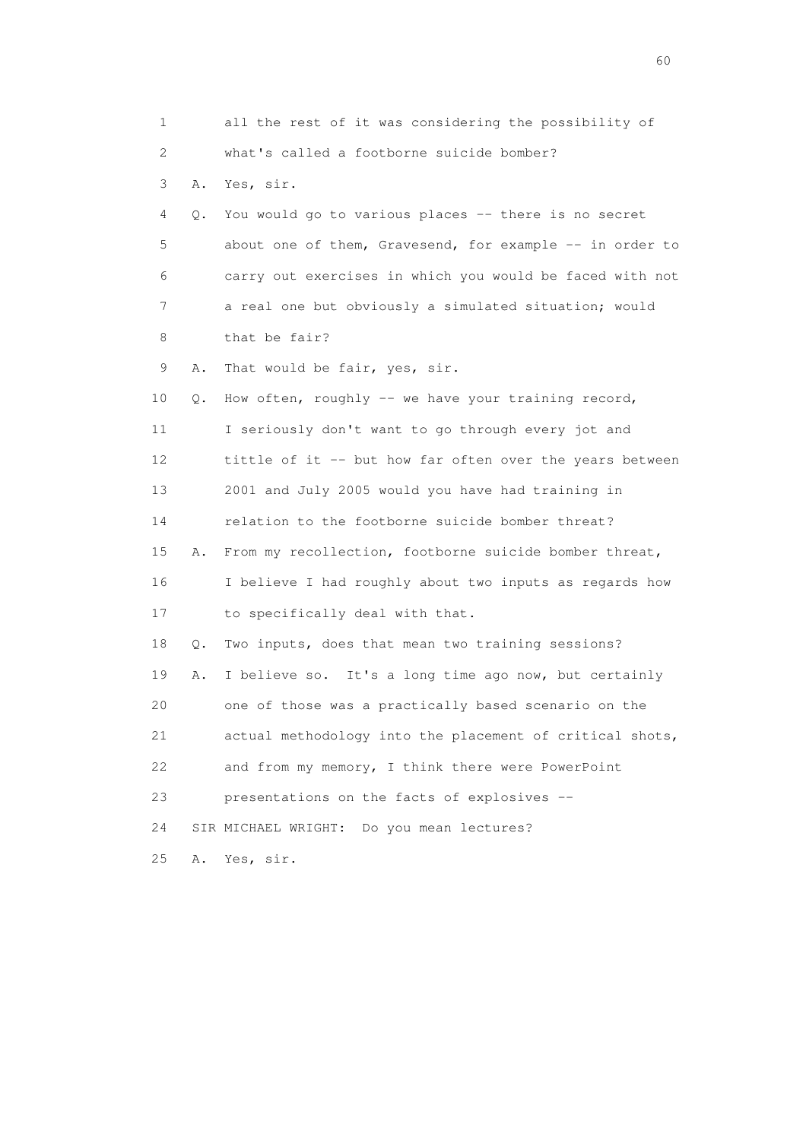1 all the rest of it was considering the possibility of 2 what's called a footborne suicide bomber? 3 A. Yes, sir. 4 Q. You would go to various places -- there is no secret 5 about one of them, Gravesend, for example -- in order to 6 carry out exercises in which you would be faced with not 7 a real one but obviously a simulated situation; would 8 that be fair? 9 A. That would be fair, yes, sir. 10 Q. How often, roughly -- we have your training record, 11 I seriously don't want to go through every jot and 12 tittle of it -- but how far often over the years between 13 2001 and July 2005 would you have had training in 14 relation to the footborne suicide bomber threat? 15 A. From my recollection, footborne suicide bomber threat, 16 I believe I had roughly about two inputs as regards how 17 to specifically deal with that. 18 Q. Two inputs, does that mean two training sessions? 19 A. I believe so. It's a long time ago now, but certainly 20 one of those was a practically based scenario on the 21 actual methodology into the placement of critical shots, 22 and from my memory, I think there were PowerPoint 23 presentations on the facts of explosives -- 24 SIR MICHAEL WRIGHT: Do you mean lectures? 25 A. Yes, sir.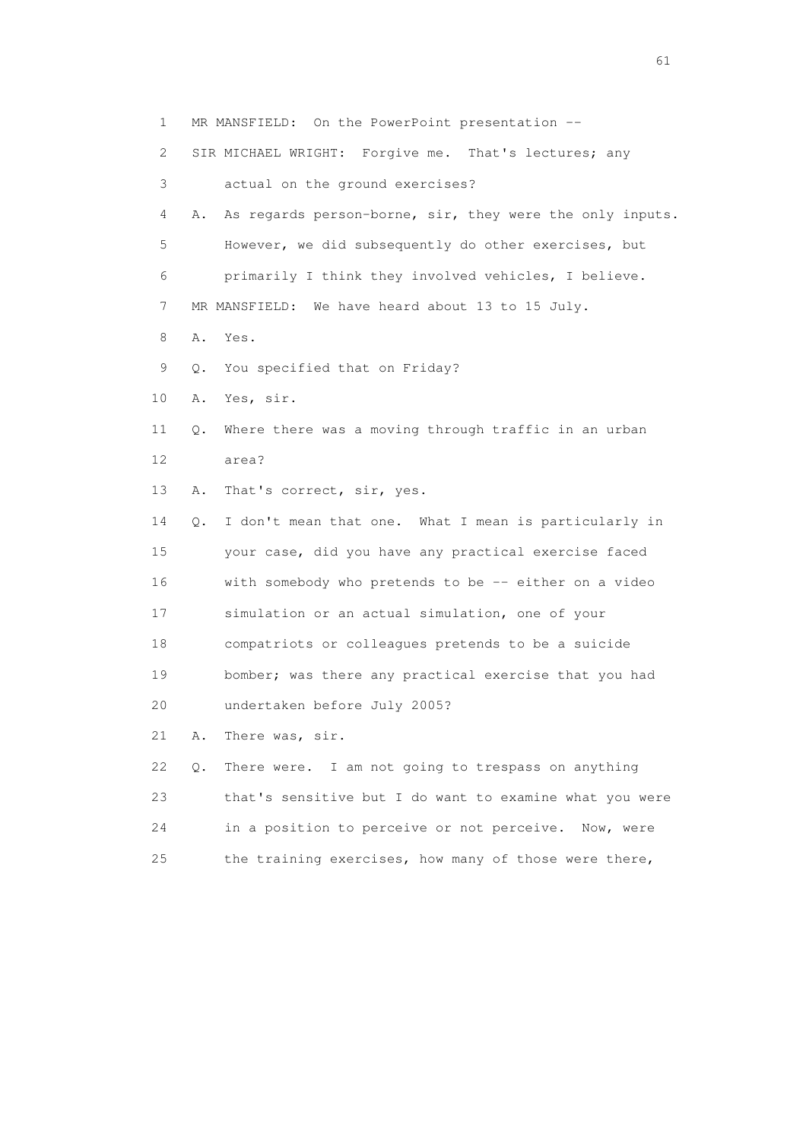| 1                         |    | MR MANSFIELD: On the PowerPoint presentation --          |
|---------------------------|----|----------------------------------------------------------|
| $\mathbf{2}^{\mathsf{I}}$ |    | SIR MICHAEL WRIGHT: Forgive me. That's lectures; any     |
| 3                         |    | actual on the ground exercises?                          |
| 4                         | Α. | As regards person-borne, sir, they were the only inputs. |
| 5                         |    | However, we did subsequently do other exercises, but     |
| 6                         |    | primarily I think they involved vehicles, I believe.     |
| 7                         |    | MR MANSFIELD: We have heard about 13 to 15 July.         |
| 8                         | Α. | Yes.                                                     |
| 9                         | Q. | You specified that on Friday?                            |
| 10                        | Α. | Yes, sir.                                                |
| 11                        | Q. | Where there was a moving through traffic in an urban     |
| 12                        |    | area?                                                    |
| 13                        | Α. | That's correct, sir, yes.                                |
| 14                        | О. | I don't mean that one. What I mean is particularly in    |
| 15                        |    | your case, did you have any practical exercise faced     |
| 16                        |    | with somebody who pretends to be -- either on a video    |
| 17                        |    | simulation or an actual simulation, one of your          |
| 18                        |    | compatriots or colleagues pretends to be a suicide       |
| 19                        |    | bomber; was there any practical exercise that you had    |
| 20                        |    | undertaken before July 2005?                             |
| 21                        | Α. | There was, sir.                                          |
| 22                        | Q. | There were. I am not going to trespass on anything       |
| 23                        |    | that's sensitive but I do want to examine what you were  |
| 24                        |    | in a position to perceive or not perceive.<br>Now, were  |
| 25                        |    | the training exercises, how many of those were there,    |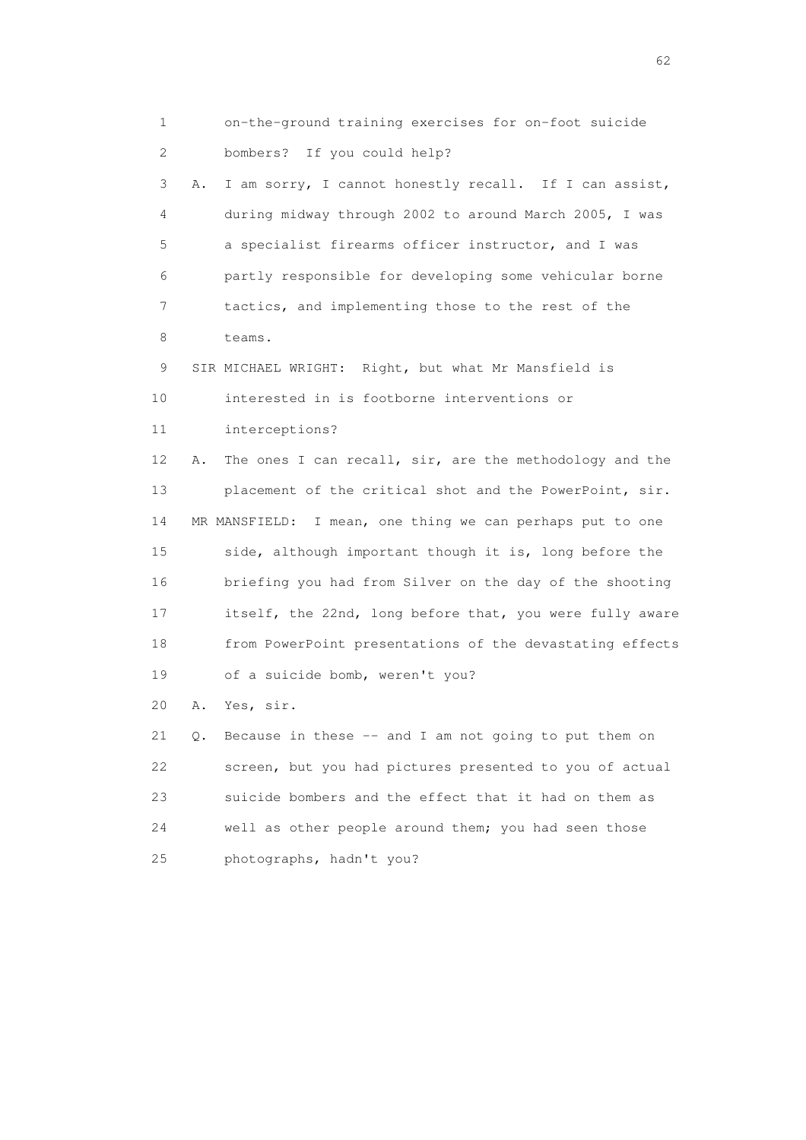1 on-the-ground training exercises for on-foot suicide 2 bombers? If you could help? 3 A. I am sorry, I cannot honestly recall. If I can assist, 4 during midway through 2002 to around March 2005, I was 5 a specialist firearms officer instructor, and I was 6 partly responsible for developing some vehicular borne 7 tactics, and implementing those to the rest of the 8 teams. 9 SIR MICHAEL WRIGHT: Right, but what Mr Mansfield is 10 interested in is footborne interventions or 11 interceptions? 12 A. The ones I can recall, sir, are the methodology and the 13 placement of the critical shot and the PowerPoint, sir. 14 MR MANSFIELD: I mean, one thing we can perhaps put to one 15 side, although important though it is, long before the 16 briefing you had from Silver on the day of the shooting 17 itself, the 22nd, long before that, you were fully aware 18 from PowerPoint presentations of the devastating effects 19 of a suicide bomb, weren't you? 20 A. Yes, sir. 21 Q. Because in these -- and I am not going to put them on 22 screen, but you had pictures presented to you of actual 23 suicide bombers and the effect that it had on them as 24 well as other people around them; you had seen those 25 photographs, hadn't you?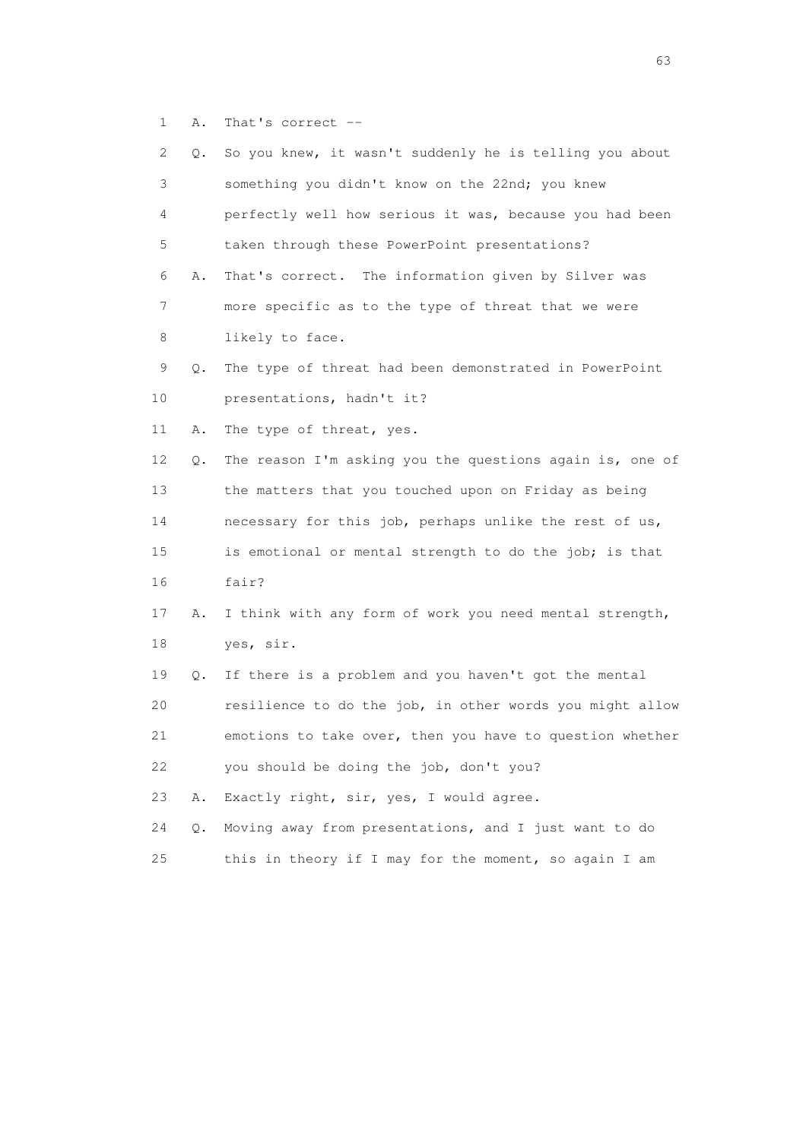1 A. That's correct --

| 2  | Q. | So you knew, it wasn't suddenly he is telling you about  |
|----|----|----------------------------------------------------------|
| 3  |    | something you didn't know on the 22nd; you knew          |
| 4  |    | perfectly well how serious it was, because you had been  |
| 5  |    | taken through these PowerPoint presentations?            |
| 6  | Α. | That's correct. The information given by Silver was      |
| 7  |    | more specific as to the type of threat that we were      |
| 8  |    | likely to face.                                          |
| 9  | Q. | The type of threat had been demonstrated in PowerPoint   |
| 10 |    | presentations, hadn't it?                                |
| 11 | Α. | The type of threat, yes.                                 |
| 12 | Q. | The reason I'm asking you the questions again is, one of |
| 13 |    | the matters that you touched upon on Friday as being     |
| 14 |    | necessary for this job, perhaps unlike the rest of us,   |
| 15 |    | is emotional or mental strength to do the job; is that   |
| 16 |    | fair?                                                    |
| 17 | Α. | I think with any form of work you need mental strength,  |
| 18 |    | yes, sir.                                                |
| 19 | О. | If there is a problem and you haven't got the mental     |
| 20 |    | resilience to do the job, in other words you might allow |
| 21 |    | emotions to take over, then you have to question whether |
| 22 |    | you should be doing the job, don't you?                  |
| 23 | Α. | Exactly right, sir, yes, I would agree.                  |
| 24 | Q. | Moving away from presentations, and I just want to do    |
| 25 |    | this in theory if I may for the moment, so again I am    |

experience of the contract of the contract of the contract of the contract of the contract of the contract of the contract of the contract of the contract of the contract of the contract of the contract of the contract of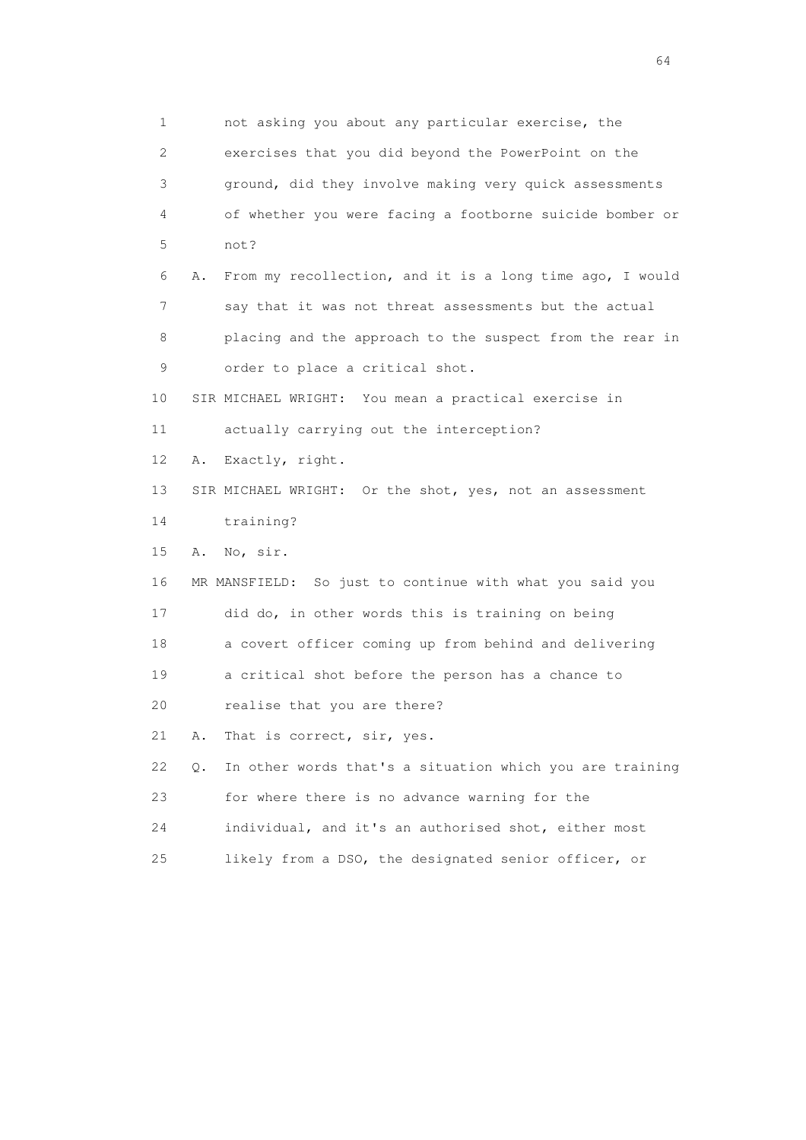1 not asking you about any particular exercise, the 2 exercises that you did beyond the PowerPoint on the 3 ground, did they involve making very quick assessments 4 of whether you were facing a footborne suicide bomber or 5 not? 6 A. From my recollection, and it is a long time ago, I would 7 say that it was not threat assessments but the actual 8 placing and the approach to the suspect from the rear in 9 order to place a critical shot. 10 SIR MICHAEL WRIGHT: You mean a practical exercise in 11 actually carrying out the interception? 12 A. Exactly, right. 13 SIR MICHAEL WRIGHT: Or the shot, yes, not an assessment 14 training? 15 A. No, sir. 16 MR MANSFIELD: So just to continue with what you said you 17 did do, in other words this is training on being 18 a covert officer coming up from behind and delivering 19 a critical shot before the person has a chance to 20 realise that you are there? 21 A. That is correct, sir, yes. 22 Q. In other words that's a situation which you are training 23 for where there is no advance warning for the 24 individual, and it's an authorised shot, either most 25 likely from a DSO, the designated senior officer, or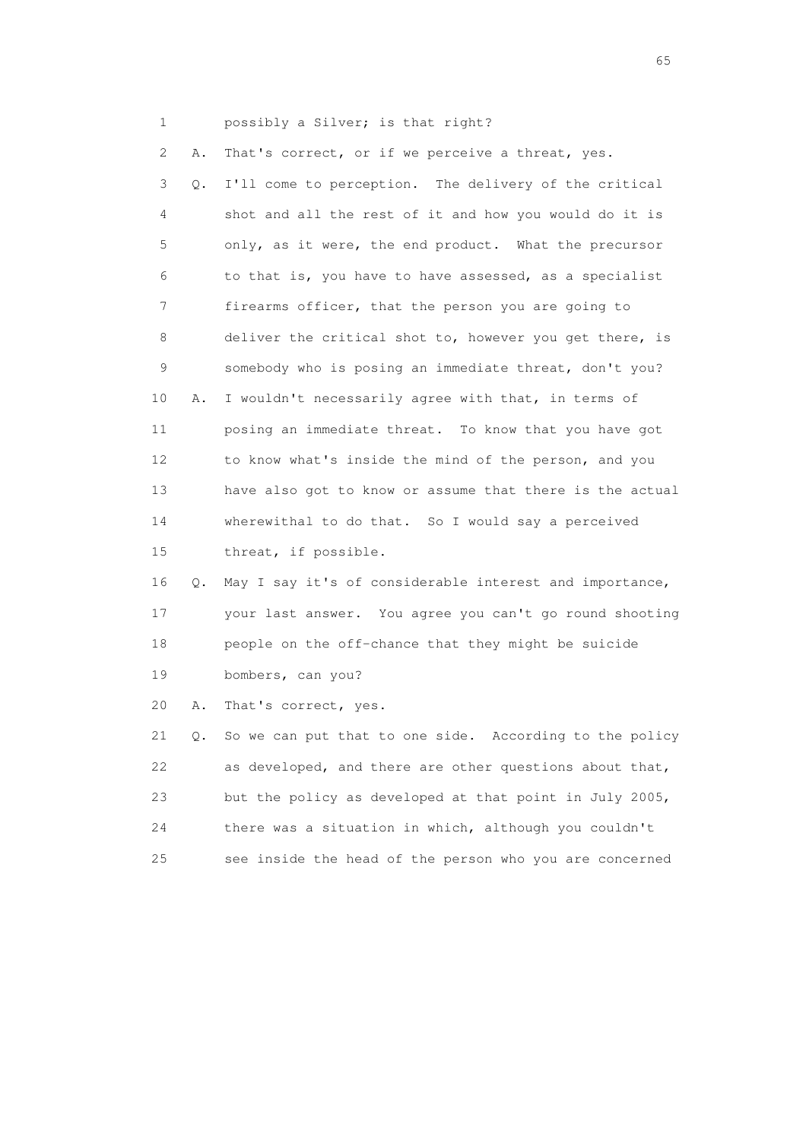1 possibly a Silver; is that right?

 2 A. That's correct, or if we perceive a threat, yes. 3 Q. I'll come to perception. The delivery of the critical 4 shot and all the rest of it and how you would do it is 5 only, as it were, the end product. What the precursor 6 to that is, you have to have assessed, as a specialist 7 firearms officer, that the person you are going to 8 deliver the critical shot to, however you get there, is 9 somebody who is posing an immediate threat, don't you? 10 A. I wouldn't necessarily agree with that, in terms of 11 posing an immediate threat. To know that you have got 12 to know what's inside the mind of the person, and you 13 have also got to know or assume that there is the actual 14 wherewithal to do that. So I would say a perceived 15 threat, if possible. 16 Q. May I say it's of considerable interest and importance, 17 your last answer. You agree you can't go round shooting

 18 people on the off-chance that they might be suicide 19 bombers, can you?

20 A. That's correct, yes.

 21 Q. So we can put that to one side. According to the policy 22 as developed, and there are other questions about that, 23 but the policy as developed at that point in July 2005, 24 there was a situation in which, although you couldn't 25 see inside the head of the person who you are concerned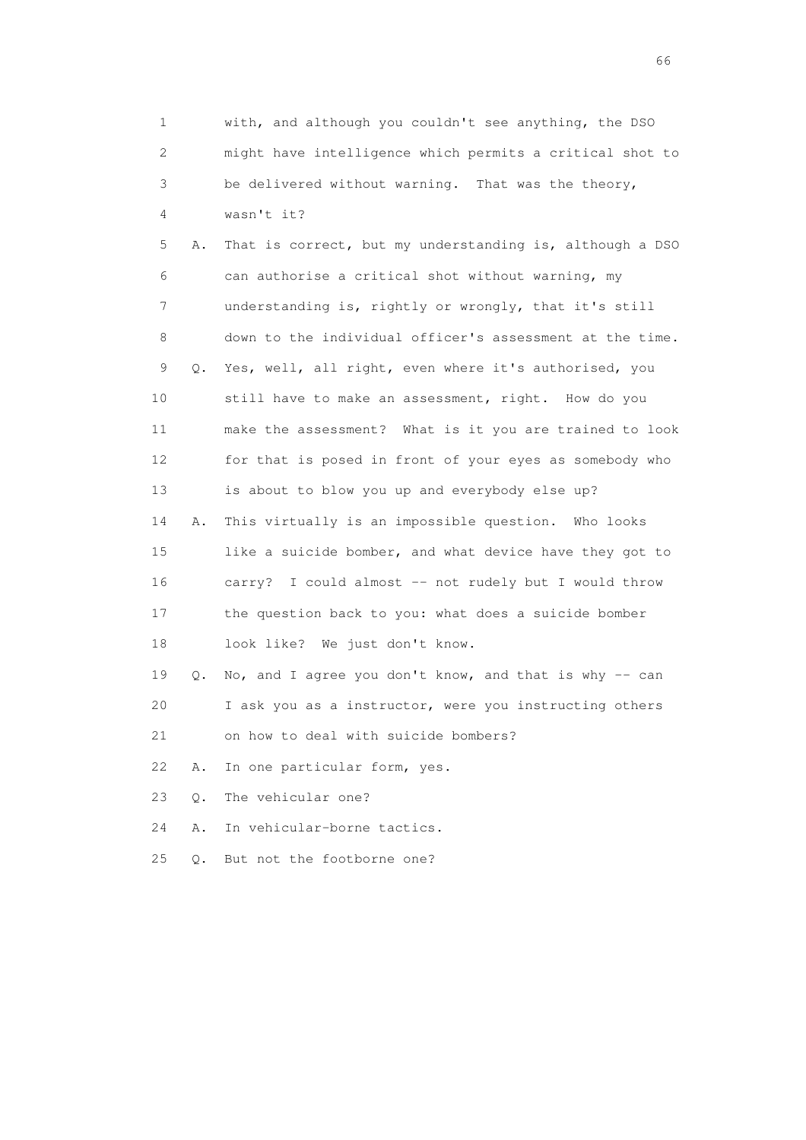| 1  |    | with, and although you couldn't see anything, the DSO    |
|----|----|----------------------------------------------------------|
| 2  |    | might have intelligence which permits a critical shot to |
| 3  |    | be delivered without warning. That was the theory,       |
| 4  |    | wasn't it?                                               |
| 5  | Α. | That is correct, but my understanding is, although a DSO |
| 6  |    | can authorise a critical shot without warning, my        |
| 7  |    | understanding is, rightly or wrongly, that it's still    |
| 8  |    | down to the individual officer's assessment at the time. |
| 9  | Q. | Yes, well, all right, even where it's authorised, you    |
| 10 |    | still have to make an assessment, right. How do you      |
| 11 |    | make the assessment? What is it you are trained to look  |
| 12 |    | for that is posed in front of your eyes as somebody who  |
| 13 |    | is about to blow you up and everybody else up?           |
| 14 | Α. | This virtually is an impossible question. Who looks      |
| 15 |    | like a suicide bomber, and what device have they got to  |
| 16 |    | carry? I could almost -- not rudely but I would throw    |
| 17 |    | the question back to you: what does a suicide bomber     |
| 18 |    | look like? We just don't know.                           |
| 19 | Q. | No, and I agree you don't know, and that is why -- can   |
| 20 |    | I ask you as a instructor, were you instructing others   |
| 21 |    | on how to deal with suicide bombers?                     |
| 22 | Α. | In one particular form, yes.                             |
| 23 | О. | The vehicular one?                                       |
| 24 | Α. | In vehicular-borne tactics.                              |
| 25 | О. | But not the footborne one?                               |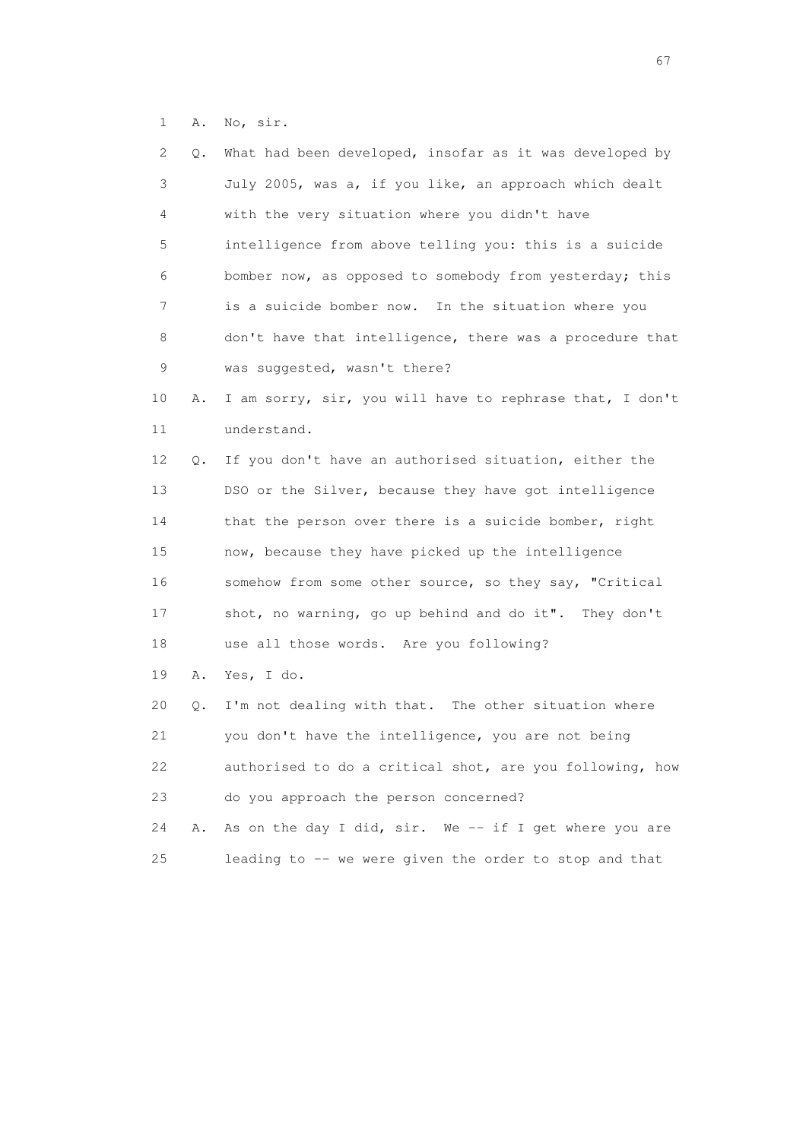1 A. No, sir.

| 2  | Q. | What had been developed, insofar as it was developed by  |
|----|----|----------------------------------------------------------|
| 3  |    | July 2005, was a, if you like, an approach which dealt   |
| 4  |    | with the very situation where you didn't have            |
| 5  |    | intelligence from above telling you: this is a suicide   |
| 6  |    | bomber now, as opposed to somebody from yesterday; this  |
| 7  |    | is a suicide bomber now. In the situation where you      |
| 8  |    | don't have that intelligence, there was a procedure that |
| 9  |    | was suggested, wasn't there?                             |
| 10 | Α. | I am sorry, sir, you will have to rephrase that, I don't |
| 11 |    | understand.                                              |
| 12 | Q. | If you don't have an authorised situation, either the    |
| 13 |    | DSO or the Silver, because they have got intelligence    |
| 14 |    | that the person over there is a suicide bomber, right    |
| 15 |    | now, because they have picked up the intelligence        |
| 16 |    | somehow from some other source, so they say, "Critical   |
| 17 |    | shot, no warning, go up behind and do it". They don't    |
| 18 |    | use all those words. Are you following?                  |
| 19 | Α. | Yes, I do.                                               |
| 20 | Q. | I'm not dealing with that. The other situation where     |
| 21 |    | you don't have the intelligence, you are not being       |
| 22 |    | authorised to do a critical shot, are you following, how |
| 23 |    | do you approach the person concerned?                    |
| 24 | Α. | As on the day I did, sir. We -- if I get where you are   |
| 25 |    | leading to -- we were given the order to stop and that   |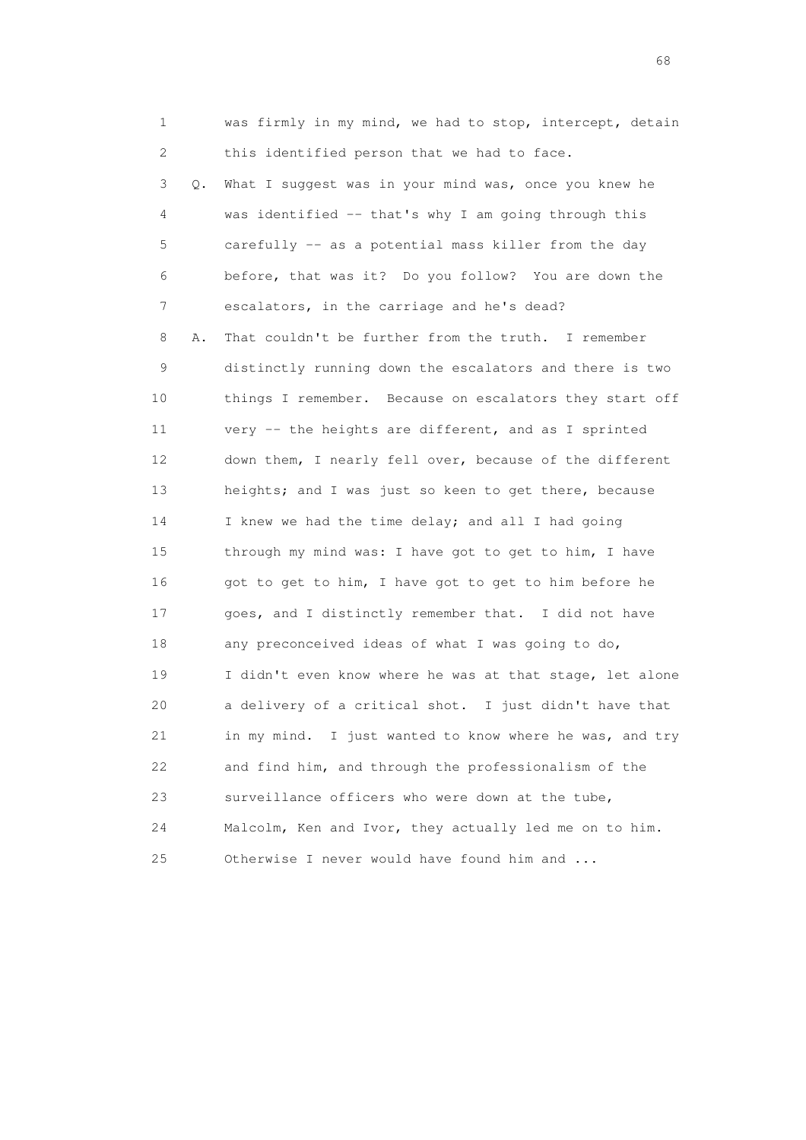1 was firmly in my mind, we had to stop, intercept, detain 2 this identified person that we had to face.

 3 Q. What I suggest was in your mind was, once you knew he 4 was identified -- that's why I am going through this 5 carefully -- as a potential mass killer from the day 6 before, that was it? Do you follow? You are down the 7 escalators, in the carriage and he's dead? 8 A. That couldn't be further from the truth. I remember 9 distinctly running down the escalators and there is two 10 things I remember. Because on escalators they start off 11 very -- the heights are different, and as I sprinted 12 down them, I nearly fell over, because of the different 13 heights; and I was just so keen to get there, because 14 I knew we had the time delay; and all I had going 15 through my mind was: I have got to get to him, I have 16 got to get to him, I have got to get to him before he 17 goes, and I distinctly remember that. I did not have 18 any preconceived ideas of what I was going to do, 19 I didn't even know where he was at that stage, let alone 20 a delivery of a critical shot. I just didn't have that 21 in my mind. I just wanted to know where he was, and try 22 and find him, and through the professionalism of the 23 surveillance officers who were down at the tube, 24 Malcolm, Ken and Ivor, they actually led me on to him. 25 Otherwise I never would have found him and ...

en de la construction de la construction de la construction de la construction de la construction de la construction de la construction de la construction de la construction de la construction de la construction de la cons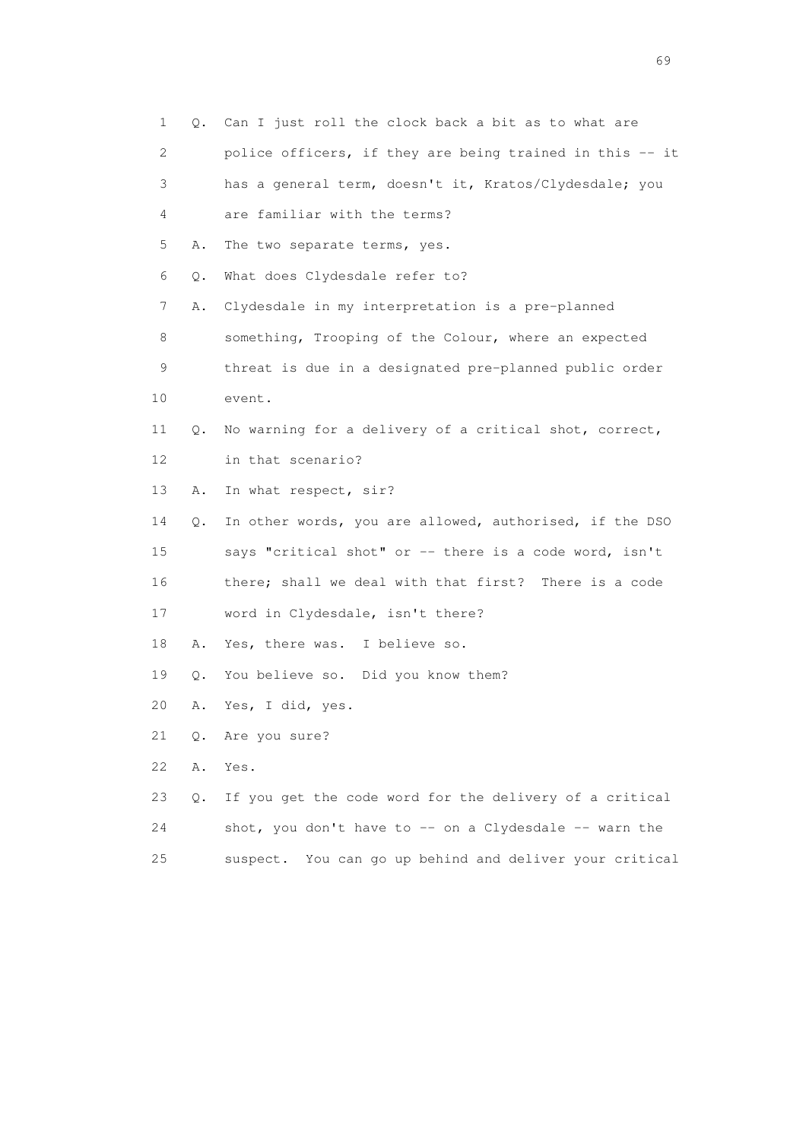|    | 1          | Q. Can I just roll the clock back a bit as to what are     |
|----|------------|------------------------------------------------------------|
|    | 2          | police officers, if they are being trained in this -- it   |
|    | 3          | has a general term, doesn't it, Kratos/Clydesdale; you     |
|    | 4          | are familiar with the terms?                               |
|    | 5<br>Α.    | The two separate terms, yes.                               |
|    | 6<br>$Q$ . | What does Clydesdale refer to?                             |
|    | 7<br>Α.    | Clydesdale in my interpretation is a pre-planned           |
|    | 8          | something, Trooping of the Colour, where an expected       |
|    | 9          | threat is due in a designated pre-planned public order     |
| 10 |            | event.                                                     |
| 11 | Q.         | No warning for a delivery of a critical shot, correct,     |
| 12 |            | in that scenario?                                          |
| 13 | Α.         | In what respect, sir?                                      |
| 14 | Q.         | In other words, you are allowed, authorised, if the DSO    |
| 15 |            | says "critical shot" or -- there is a code word, isn't     |
| 16 |            | there; shall we deal with that first? There is a code      |
| 17 |            | word in Clydesdale, isn't there?                           |
| 18 | Α.         | Yes, there was. I believe so.                              |
| 19 | Q.         | You believe so. Did you know them?                         |
| 20 | Α.         | Yes, I did, yes.                                           |
| 21 | Q.         | Are you sure?                                              |
| 22 | Α.         | Yes.                                                       |
| 23 | Q.         | If you get the code word for the delivery of a critical    |
| 24 |            | shot, you don't have to -- on a Clydesdale -- warn the     |
| 25 |            | You can go up behind and deliver your critical<br>suspect. |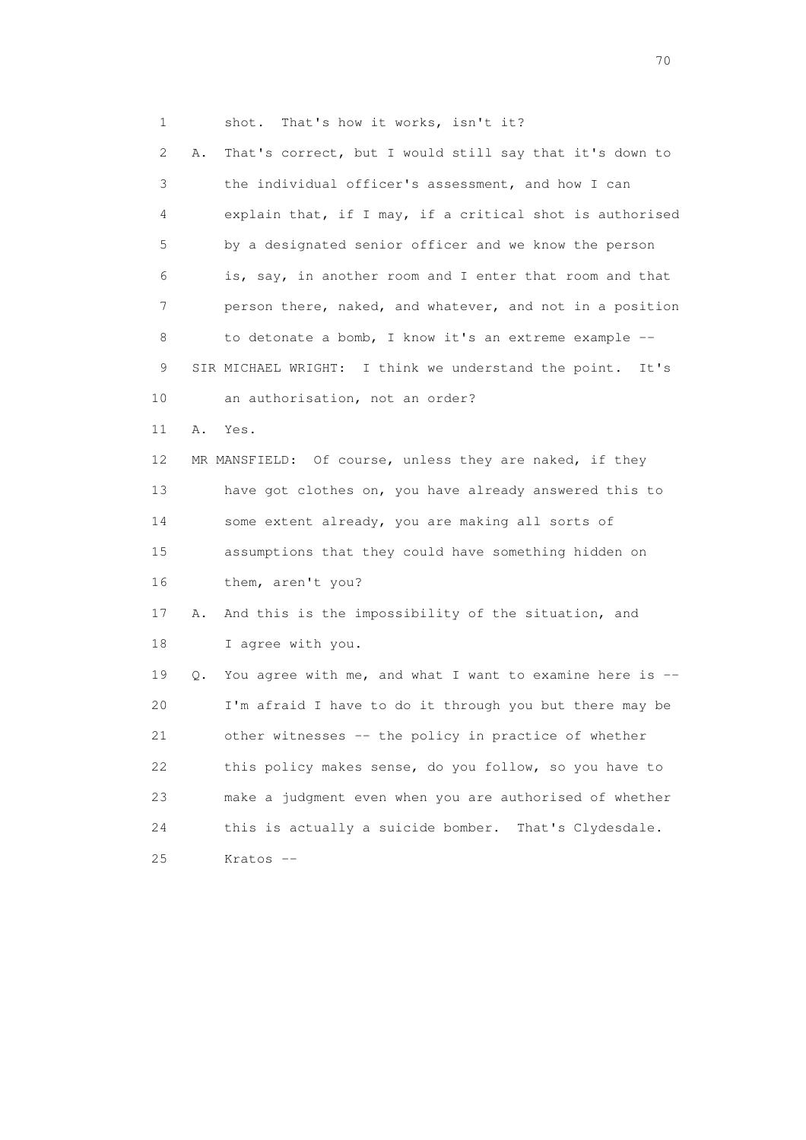1 shot. That's how it works, isn't it? 2 A. That's correct, but I would still say that it's down to 3 the individual officer's assessment, and how I can 4 explain that, if I may, if a critical shot is authorised 5 by a designated senior officer and we know the person 6 is, say, in another room and I enter that room and that 7 person there, naked, and whatever, and not in a position 8 to detonate a bomb, I know it's an extreme example -- 9 SIR MICHAEL WRIGHT: I think we understand the point. It's 10 an authorisation, not an order? 11 A. Yes. 12 MR MANSFIELD: Of course, unless they are naked, if they 13 have got clothes on, you have already answered this to 14 some extent already, you are making all sorts of 15 assumptions that they could have something hidden on 16 them, aren't you? 17 A. And this is the impossibility of the situation, and 18 I agree with you. 19 Q. You agree with me, and what I want to examine here is -- 20 I'm afraid I have to do it through you but there may be 21 other witnesses -- the policy in practice of whether 22 this policy makes sense, do you follow, so you have to 23 make a judgment even when you are authorised of whether 24 this is actually a suicide bomber. That's Clydesdale.

25 Kratos --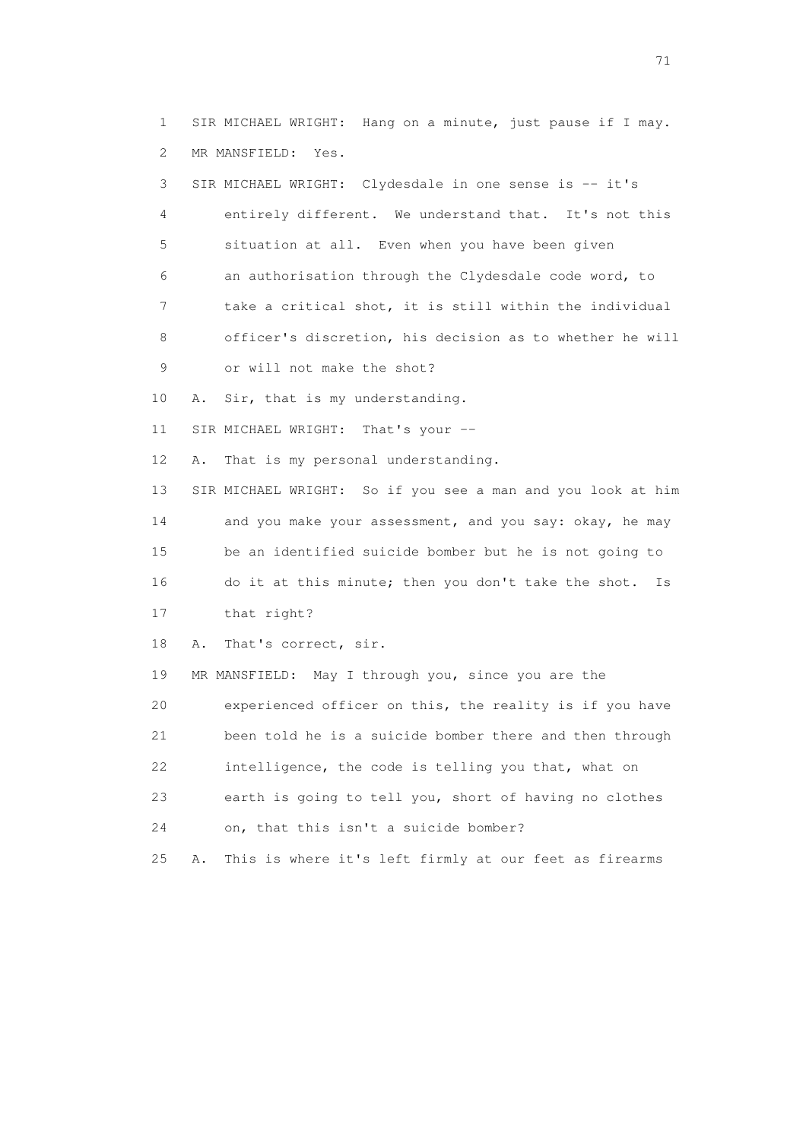1 SIR MICHAEL WRIGHT: Hang on a minute, just pause if I may. 2 MR MANSFIELD: Yes.

 3 SIR MICHAEL WRIGHT: Clydesdale in one sense is -- it's 4 entirely different. We understand that. It's not this 5 situation at all. Even when you have been given 6 an authorisation through the Clydesdale code word, to 7 take a critical shot, it is still within the individual 8 officer's discretion, his decision as to whether he will 9 or will not make the shot? 10 A. Sir, that is my understanding. 11 SIR MICHAEL WRIGHT: That's your -- 12 A. That is my personal understanding. 13 SIR MICHAEL WRIGHT: So if you see a man and you look at him 14 and you make your assessment, and you say: okay, he may 15 be an identified suicide bomber but he is not going to 16 do it at this minute; then you don't take the shot. Is 17 that right? 18 A. That's correct, sir. 19 MR MANSFIELD: May I through you, since you are the 20 experienced officer on this, the reality is if you have 21 been told he is a suicide bomber there and then through

22 intelligence, the code is telling you that, what on

 23 earth is going to tell you, short of having no clothes 24 on, that this isn't a suicide bomber?

25 A. This is where it's left firmly at our feet as firearms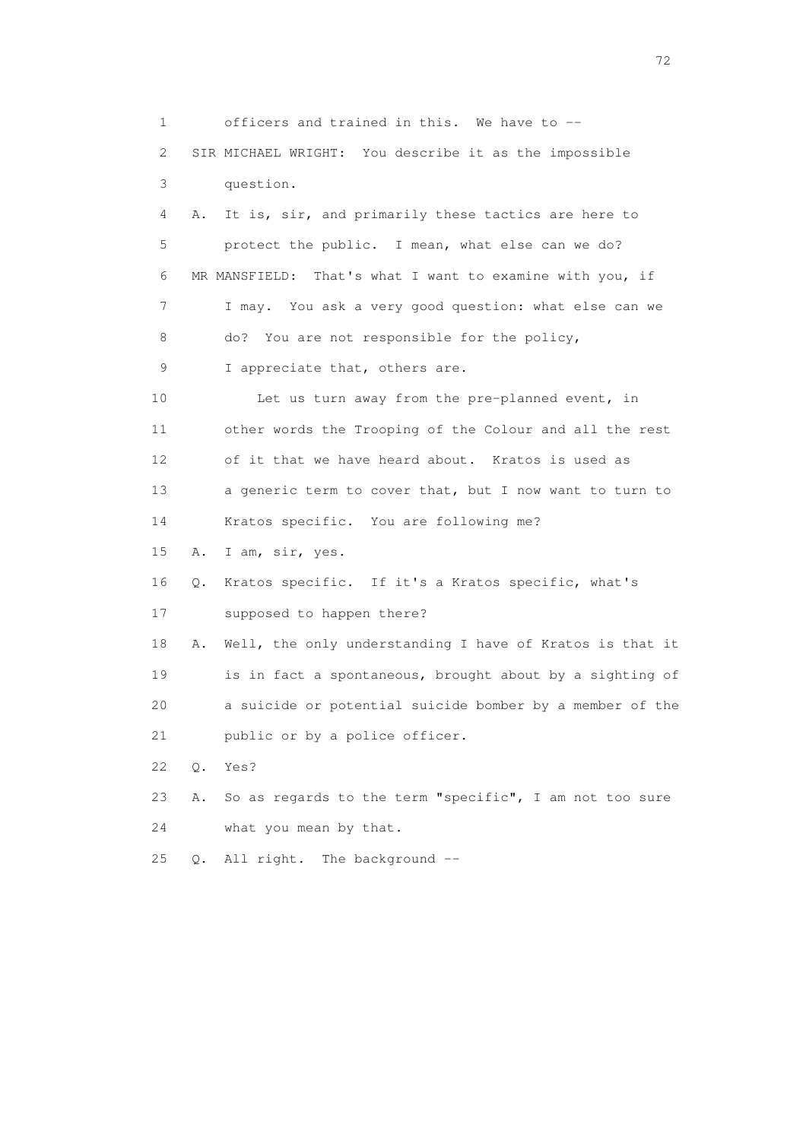1 officers and trained in this. We have to -- 2 SIR MICHAEL WRIGHT: You describe it as the impossible 3 question. 4 A. It is, sir, and primarily these tactics are here to 5 protect the public. I mean, what else can we do? 6 MR MANSFIELD: That's what I want to examine with you, if 7 I may. You ask a very good question: what else can we 8 do? You are not responsible for the policy, 9 I appreciate that, others are. 10 Let us turn away from the pre-planned event, in 11 other words the Trooping of the Colour and all the rest 12 of it that we have heard about. Kratos is used as 13 a generic term to cover that, but I now want to turn to 14 Kratos specific. You are following me? 15 A. I am, sir, yes. 16 Q. Kratos specific. If it's a Kratos specific, what's 17 supposed to happen there? 18 A. Well, the only understanding I have of Kratos is that it 19 is in fact a spontaneous, brought about by a sighting of 20 a suicide or potential suicide bomber by a member of the 21 public or by a police officer. 22 Q. Yes? 23 A. So as regards to the term "specific", I am not too sure 24 what you mean by that. 25 Q. All right. The background --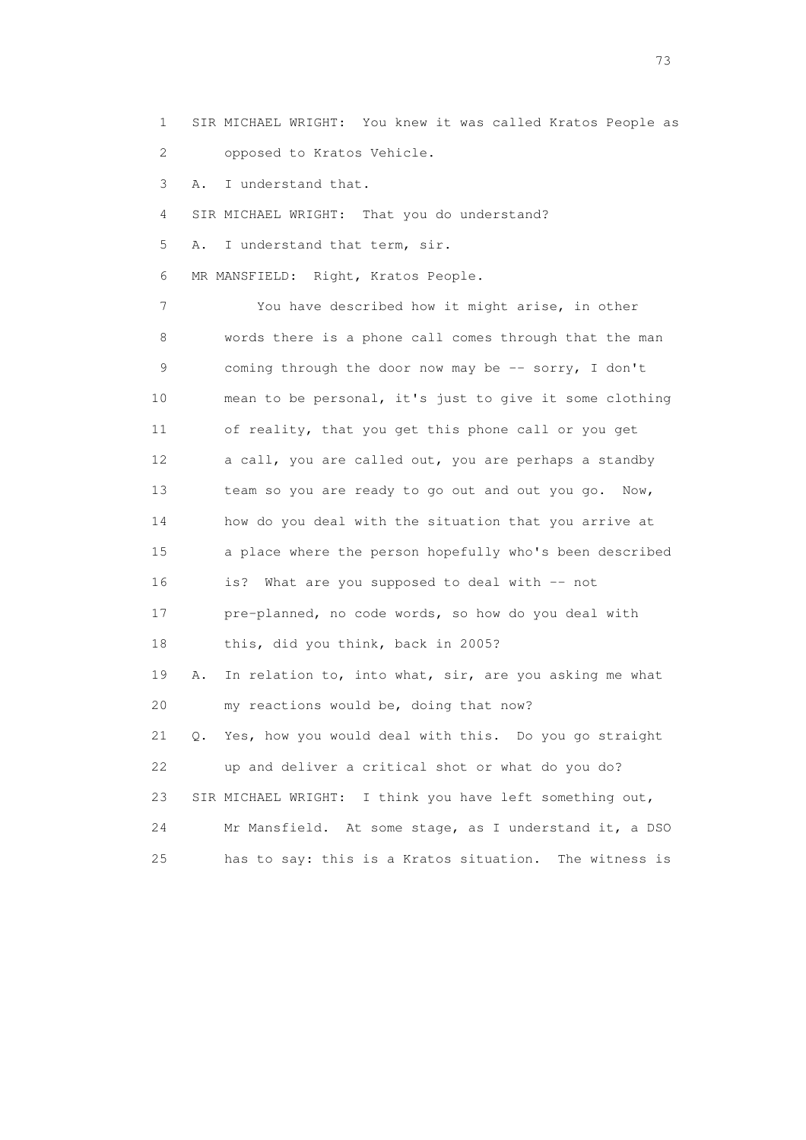1 SIR MICHAEL WRIGHT: You knew it was called Kratos People as 2 opposed to Kratos Vehicle.

3 A. I understand that.

4 SIR MICHAEL WRIGHT: That you do understand?

5 A. I understand that term, sir.

6 MR MANSFIELD: Right, Kratos People.

 7 You have described how it might arise, in other 8 words there is a phone call comes through that the man 9 coming through the door now may be -- sorry, I don't 10 mean to be personal, it's just to give it some clothing 11 of reality, that you get this phone call or you get 12 a call, you are called out, you are perhaps a standby 13 team so you are ready to go out and out you go. Now, 14 how do you deal with the situation that you arrive at 15 a place where the person hopefully who's been described 16 is? What are you supposed to deal with -- not 17 pre-planned, no code words, so how do you deal with 18 this, did you think, back in 2005? 19 A. In relation to, into what, sir, are you asking me what 20 my reactions would be, doing that now? 21 Q. Yes, how you would deal with this. Do you go straight 22 up and deliver a critical shot or what do you do? 23 SIR MICHAEL WRIGHT: I think you have left something out, 24 Mr Mansfield. At some stage, as I understand it, a DSO 25 has to say: this is a Kratos situation. The witness is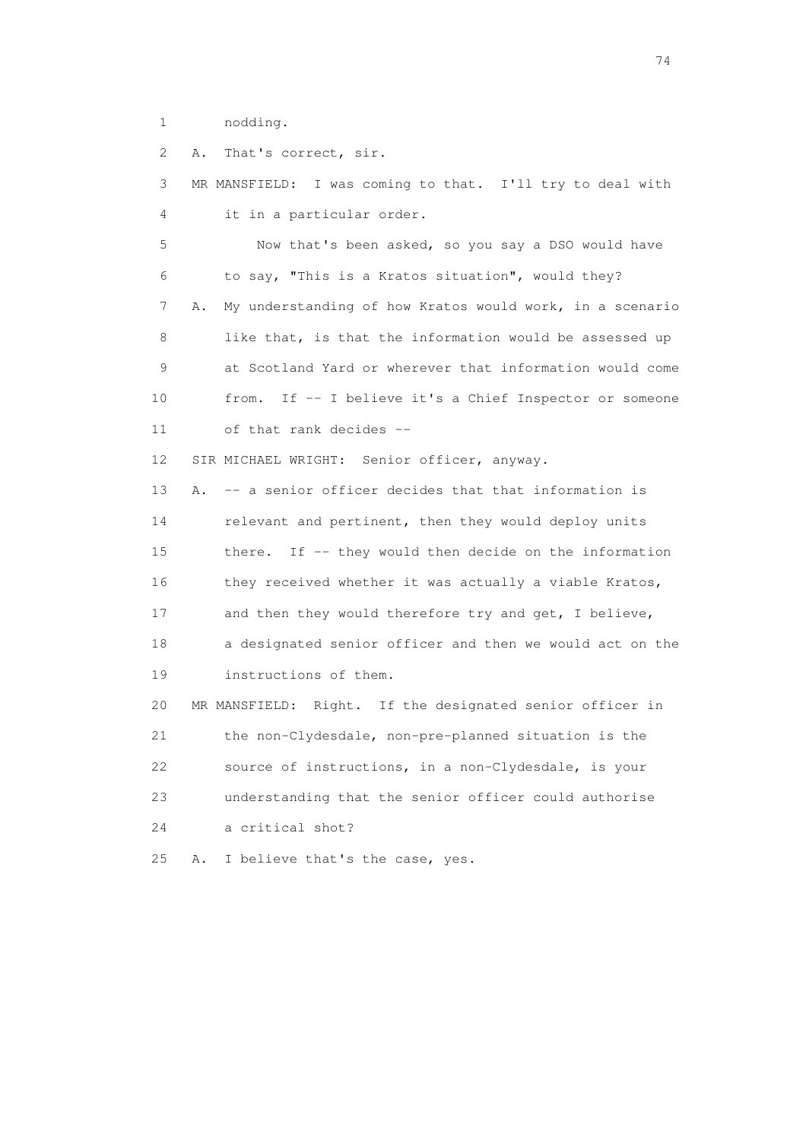1 nodding.

2 A. That's correct, sir.

 3 MR MANSFIELD: I was coming to that. I'll try to deal with 4 it in a particular order.

 5 Now that's been asked, so you say a DSO would have 6 to say, "This is a Kratos situation", would they? 7 A. My understanding of how Kratos would work, in a scenario 8 like that, is that the information would be assessed up 9 at Scotland Yard or wherever that information would come 10 from. If -- I believe it's a Chief Inspector or someone 11 of that rank decides --

12 SIR MICHAEL WRIGHT: Senior officer, anyway.

 13 A. -- a senior officer decides that that information is 14 relevant and pertinent, then they would deploy units 15 there. If -- they would then decide on the information 16 they received whether it was actually a viable Kratos, 17 and then they would therefore try and get, I believe, 18 a designated senior officer and then we would act on the 19 instructions of them.

 20 MR MANSFIELD: Right. If the designated senior officer in 21 the non-Clydesdale, non-pre-planned situation is the 22 source of instructions, in a non-Clydesdale, is your 23 understanding that the senior officer could authorise 24 a critical shot?

25 A. I believe that's the case, yes.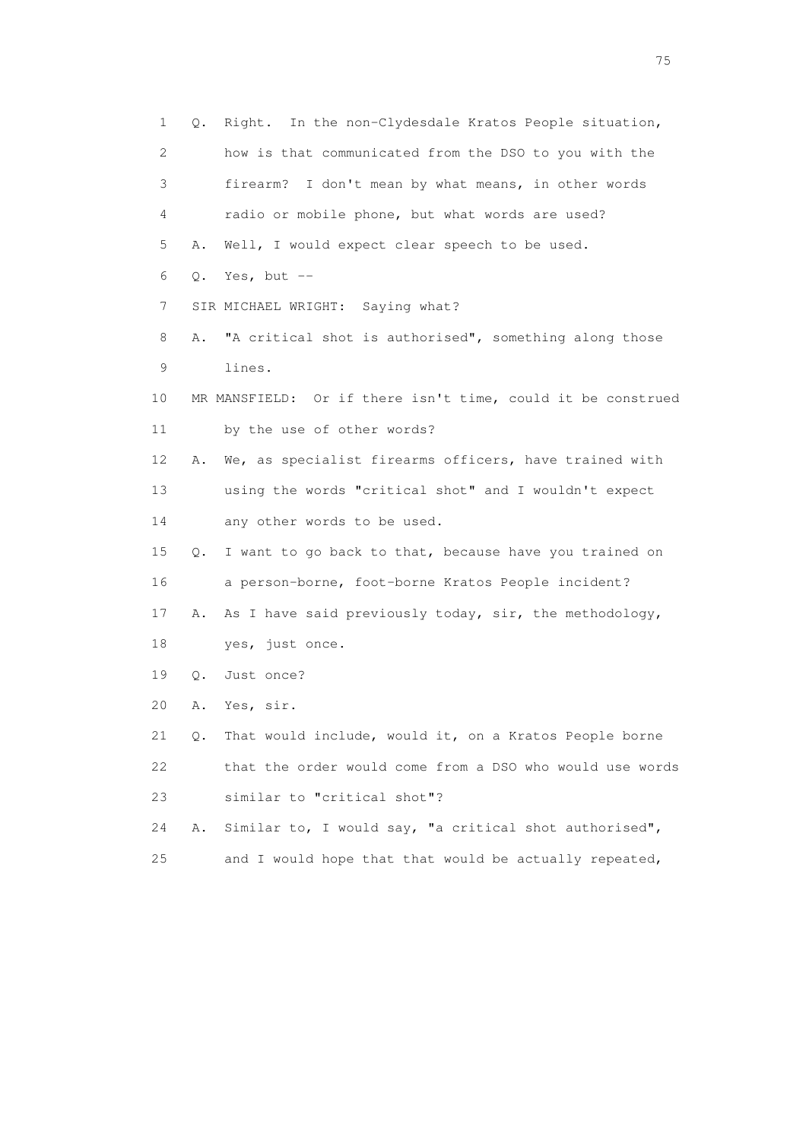1 Q. Right. In the non-Clydesdale Kratos People situation, 2 how is that communicated from the DSO to you with the 3 firearm? I don't mean by what means, in other words 4 radio or mobile phone, but what words are used? 5 A. Well, I would expect clear speech to be used. 6 Q. Yes, but -- 7 SIR MICHAEL WRIGHT: Saying what? 8 A. "A critical shot is authorised", something along those 9 lines. 10 MR MANSFIELD: Or if there isn't time, could it be construed 11 by the use of other words? 12 A. We, as specialist firearms officers, have trained with 13 using the words "critical shot" and I wouldn't expect 14 any other words to be used. 15 Q. I want to go back to that, because have you trained on 16 a person-borne, foot-borne Kratos People incident? 17 A. As I have said previously today, sir, the methodology, 18 yes, just once. 19 Q. Just once? 20 A. Yes, sir. 21 Q. That would include, would it, on a Kratos People borne 22 that the order would come from a DSO who would use words 23 similar to "critical shot"? 24 A. Similar to, I would say, "a critical shot authorised", 25 and I would hope that that would be actually repeated,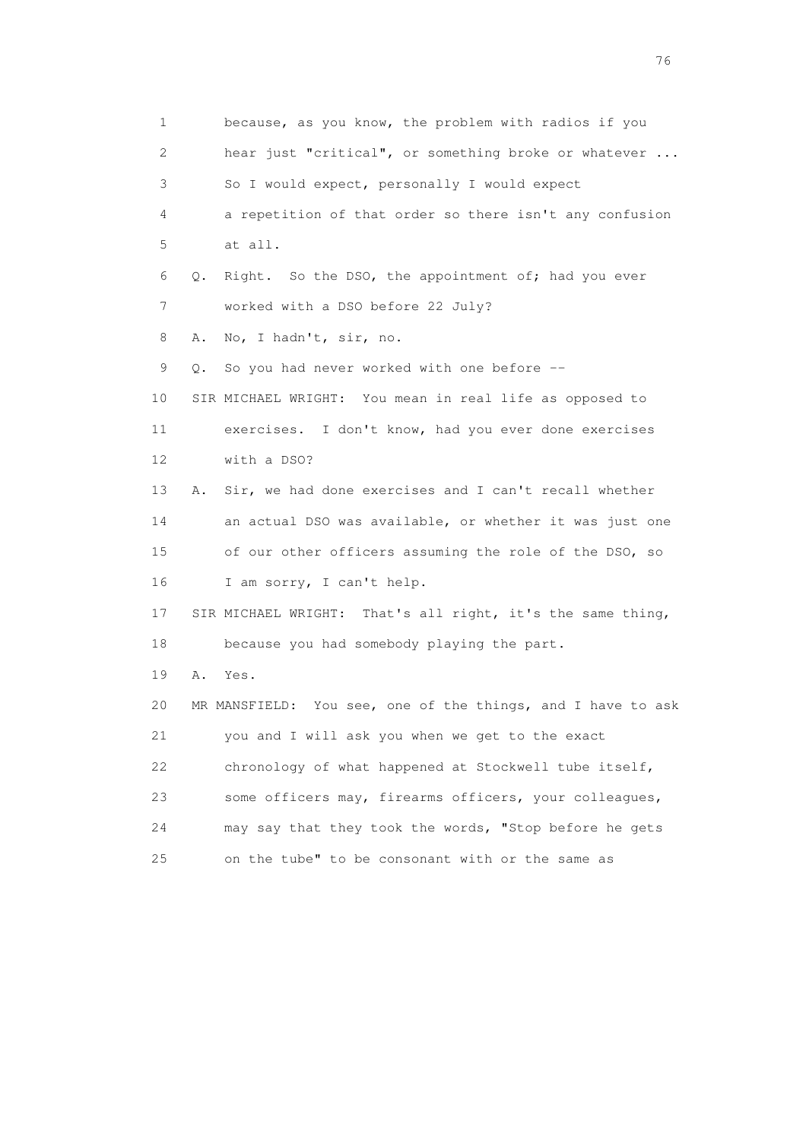1 because, as you know, the problem with radios if you 2 hear just "critical", or something broke or whatever ... 3 So I would expect, personally I would expect 4 a repetition of that order so there isn't any confusion 5 at all. 6 Q. Right. So the DSO, the appointment of; had you ever 7 worked with a DSO before 22 July? 8 A. No, I hadn't, sir, no. 9 Q. So you had never worked with one before -- 10 SIR MICHAEL WRIGHT: You mean in real life as opposed to 11 exercises. I don't know, had you ever done exercises 12 with a DSO? 13 A. Sir, we had done exercises and I can't recall whether 14 an actual DSO was available, or whether it was just one 15 of our other officers assuming the role of the DSO, so 16 I am sorry, I can't help. 17 SIR MICHAEL WRIGHT: That's all right, it's the same thing, 18 because you had somebody playing the part. 19 A. Yes. 20 MR MANSFIELD: You see, one of the things, and I have to ask 21 you and I will ask you when we get to the exact 22 chronology of what happened at Stockwell tube itself, 23 some officers may, firearms officers, your colleagues, 24 may say that they took the words, "Stop before he gets 25 on the tube" to be consonant with or the same as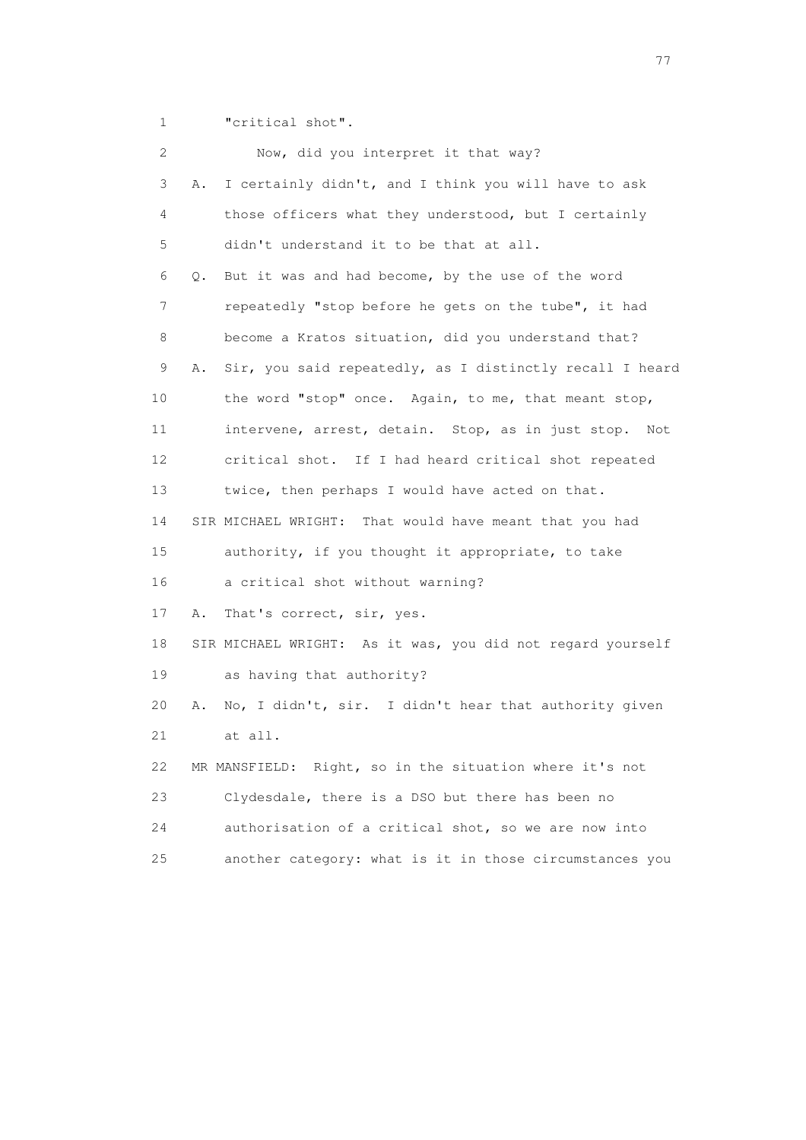1 **"**critical shot".

| 2  | Now, did you interpret it that way?                            |     |
|----|----------------------------------------------------------------|-----|
| 3  | I certainly didn't, and I think you will have to ask<br>Α.     |     |
| 4  | those officers what they understood, but I certainly           |     |
| 5  | didn't understand it to be that at all.                        |     |
| 6  | But it was and had become, by the use of the word<br>Q.        |     |
| 7  | repeatedly "stop before he gets on the tube", it had           |     |
| 8  | become a Kratos situation, did you understand that?            |     |
| 9  | Sir, you said repeatedly, as I distinctly recall I heard<br>Α. |     |
| 10 | the word "stop" once. Again, to me, that meant stop,           |     |
| 11 | intervene, arrest, detain. Stop, as in just stop.              | Not |
| 12 | critical shot. If I had heard critical shot repeated           |     |
| 13 | twice, then perhaps I would have acted on that.                |     |
| 14 | SIR MICHAEL WRIGHT: That would have meant that you had         |     |
| 15 | authority, if you thought it appropriate, to take              |     |
| 16 | a critical shot without warning?                               |     |
| 17 | That's correct, sir, yes.<br>Α.                                |     |
| 18 | SIR MICHAEL WRIGHT: As it was, you did not regard yourself     |     |
| 19 | as having that authority?                                      |     |
| 20 | No, I didn't, sir. I didn't hear that authority given<br>Α.    |     |
| 21 | at all.                                                        |     |
| 22 | MR MANSFIELD: Right, so in the situation where it's not        |     |
| 23 | Clydesdale, there is a DSO but there has been no               |     |
| 24 | authorisation of a critical shot, so we are now into           |     |
| 25 | another category: what is it in those circumstances you        |     |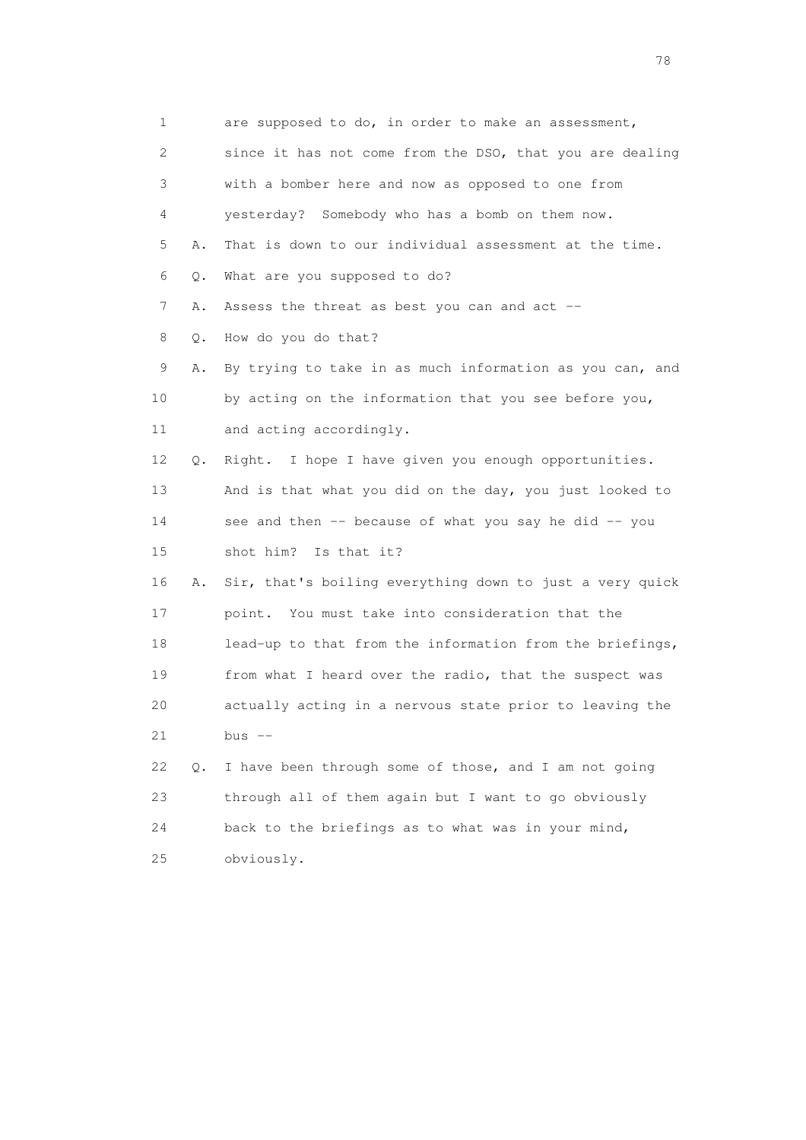1 are supposed to do, in order to make an assessment, 2 since it has not come from the DSO, that you are dealing 3 with a bomber here and now as opposed to one from 4 yesterday? Somebody who has a bomb on them now. 5 A. That is down to our individual assessment at the time. 6 Q. What are you supposed to do? 7 A. Assess the threat as best you can and act -- 8 Q. How do you do that? 9 A. By trying to take in as much information as you can, and 10 by acting on the information that you see before you, 11 and acting accordingly. 12 Q. Right. I hope I have given you enough opportunities. 13 And is that what you did on the day, you just looked to 14 see and then -- because of what you say he did -- you 15 shot him? Is that it? 16 A. Sir, that's boiling everything down to just a very quick 17 point. You must take into consideration that the 18 lead-up to that from the information from the briefings, 19 from what I heard over the radio, that the suspect was 20 actually acting in a nervous state prior to leaving the  $21$  bus  $-$  22 Q. I have been through some of those, and I am not going 23 through all of them again but I want to go obviously 24 back to the briefings as to what was in your mind, 25 obviously.

na na matsayang mga kasang mga kalendaryon ng mga kasang mga kasang mga kasang mga kasang mga kasang mga kasan<br>Mga kasang mga kasang mga kasang mga kasang mga kasang mga kasang mga kasang mga kasang mga kasang mga kasang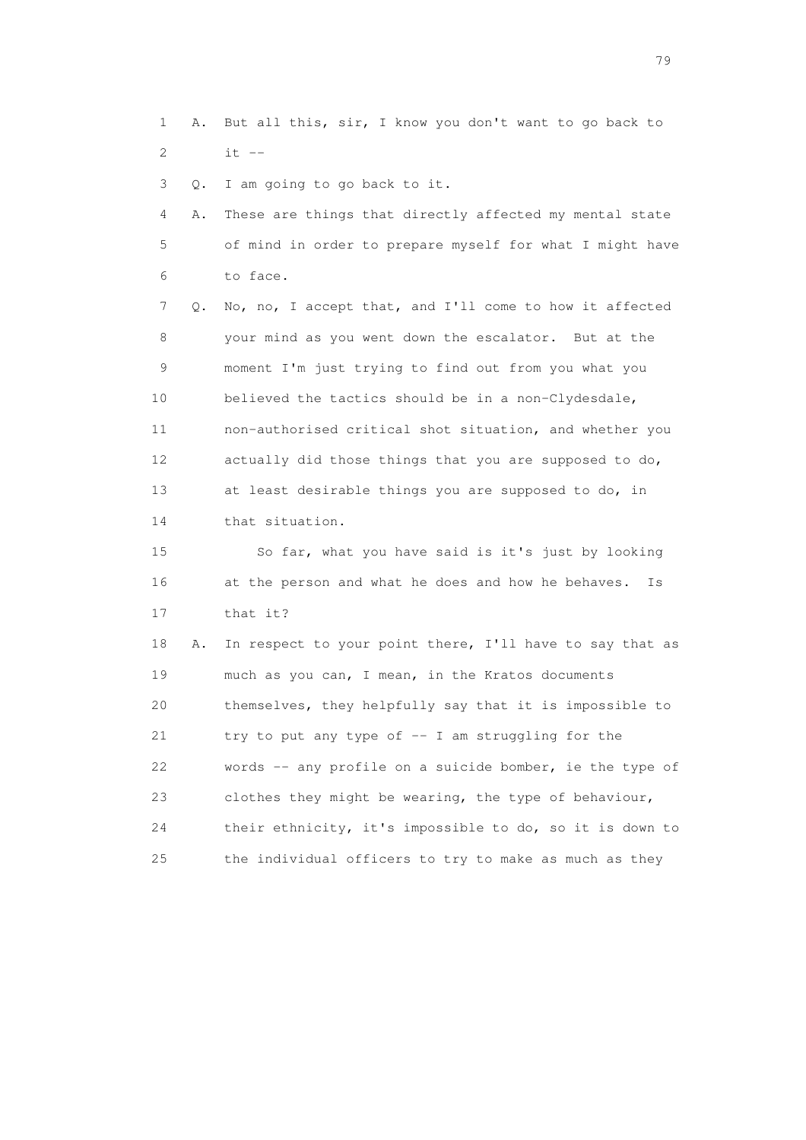1 A. But all this, sir, I know you don't want to go back to 2 it --

3 Q. I am going to go back to it.

 4 A. These are things that directly affected my mental state 5 of mind in order to prepare myself for what I might have 6 to face.

 7 Q. No, no, I accept that, and I'll come to how it affected 8 your mind as you went down the escalator. But at the 9 moment I'm just trying to find out from you what you 10 believed the tactics should be in a non-Clydesdale, 11 non-authorised critical shot situation, and whether you 12 actually did those things that you are supposed to do, 13 at least desirable things you are supposed to do, in 14 that situation.

 15 So far, what you have said is it's just by looking 16 at the person and what he does and how he behaves. Is 17 that it?

 18 A. In respect to your point there, I'll have to say that as 19 much as you can, I mean, in the Kratos documents 20 themselves, they helpfully say that it is impossible to 21 try to put any type of  $-$  I am struggling for the 22 words -- any profile on a suicide bomber, ie the type of 23 clothes they might be wearing, the type of behaviour, 24 their ethnicity, it's impossible to do, so it is down to 25 the individual officers to try to make as much as they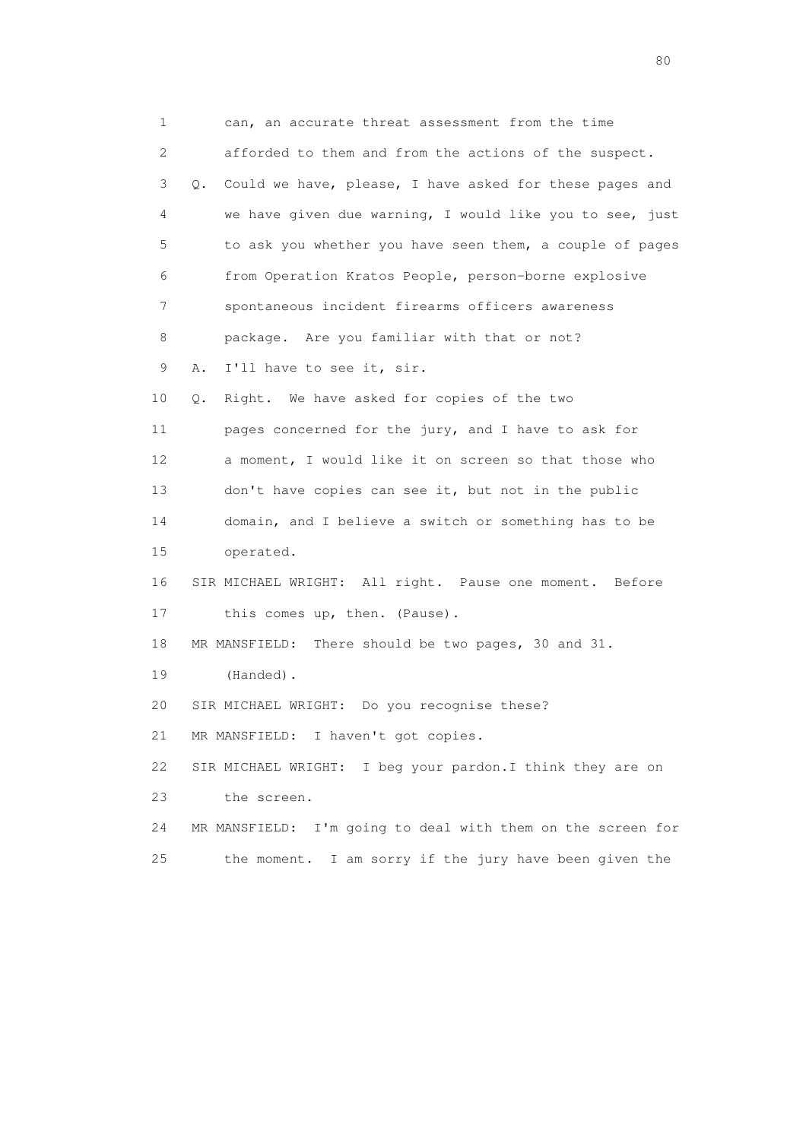1 can, an accurate threat assessment from the time 2 afforded to them and from the actions of the suspect. 3 Q. Could we have, please, I have asked for these pages and 4 we have given due warning, I would like you to see, just 5 to ask you whether you have seen them, a couple of pages 6 from Operation Kratos People, person-borne explosive 7 spontaneous incident firearms officers awareness 8 package. Are you familiar with that or not? 9 A. I'll have to see it, sir. 10 Q. Right. We have asked for copies of the two 11 pages concerned for the jury, and I have to ask for 12 a moment, I would like it on screen so that those who 13 don't have copies can see it, but not in the public 14 domain, and I believe a switch or something has to be 15 operated. 16 SIR MICHAEL WRIGHT: All right. Pause one moment. Before 17 this comes up, then. (Pause). 18 MR MANSFIELD: There should be two pages, 30 and 31. 19 (Handed). 20 SIR MICHAEL WRIGHT: Do you recognise these? 21 MR MANSFIELD: I haven't got copies. 22 SIR MICHAEL WRIGHT: I beg your pardon.I think they are on 23 the screen. 24 MR MANSFIELD: I'm going to deal with them on the screen for 25 the moment. I am sorry if the jury have been given the

entration of the state of the state of the state of the state of the state of the state of the state of the state of the state of the state of the state of the state of the state of the state of the state of the state of t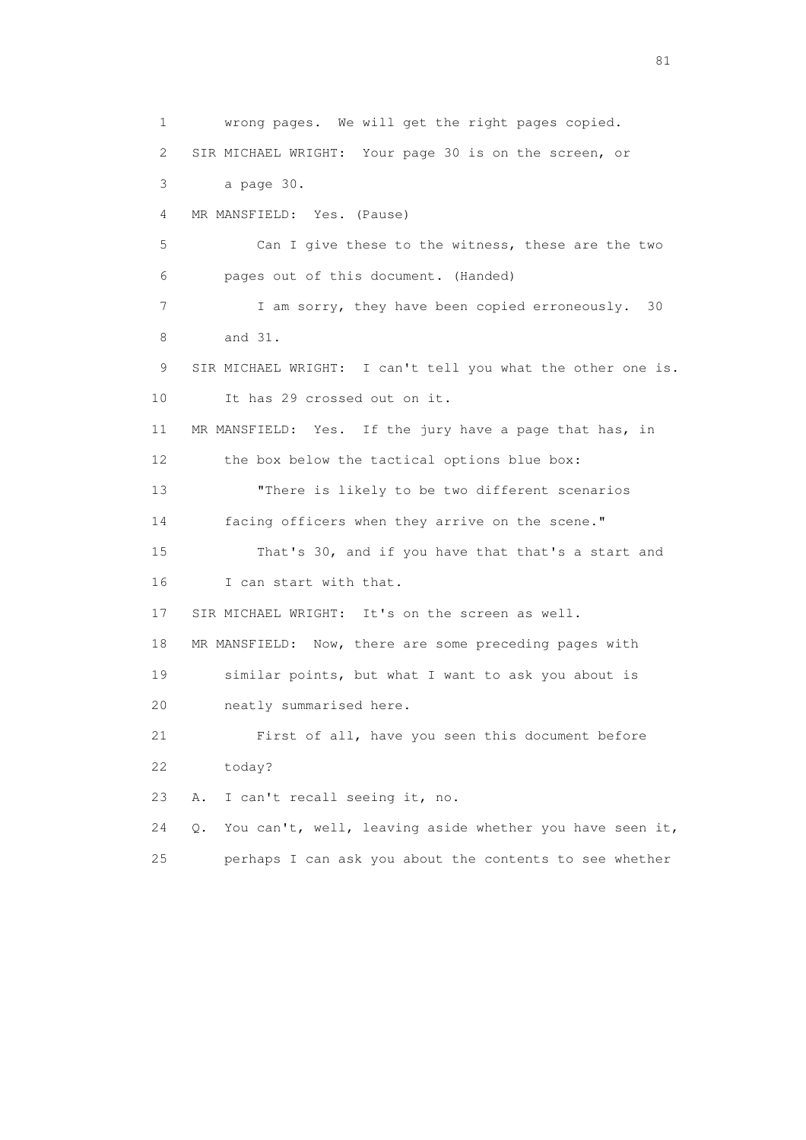1 wrong pages. We will get the right pages copied. 2 SIR MICHAEL WRIGHT: Your page 30 is on the screen, or 3 a page 30. 4 MR MANSFIELD: Yes. (Pause) 5 Can I give these to the witness, these are the two 6 pages out of this document. (Handed) 7 I am sorry, they have been copied erroneously. 30 8 and 31. 9 SIR MICHAEL WRIGHT: I can't tell you what the other one is. 10 It has 29 crossed out on it. 11 MR MANSFIELD: Yes. If the jury have a page that has, in 12 the box below the tactical options blue box: 13 "There is likely to be two different scenarios 14 facing officers when they arrive on the scene." 15 That's 30, and if you have that that's a start and 16 I can start with that. 17 SIR MICHAEL WRIGHT: It's on the screen as well. 18 MR MANSFIELD: Now, there are some preceding pages with 19 similar points, but what I want to ask you about is 20 neatly summarised here. 21 First of all, have you seen this document before 22 today? 23 A. I can't recall seeing it, no. 24 Q. You can't, well, leaving aside whether you have seen it, 25 perhaps I can ask you about the contents to see whether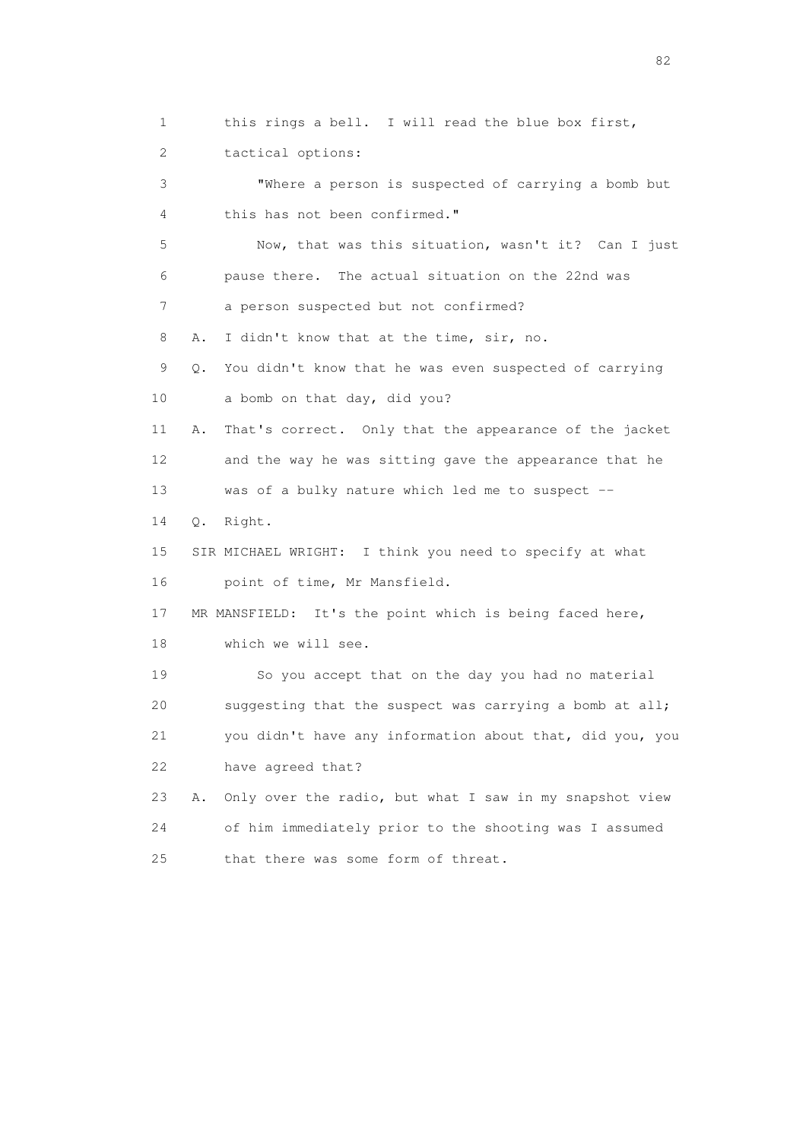1 this rings a bell. I will read the blue box first, 2 tactical options: 3 "Where a person is suspected of carrying a bomb but 4 this has not been confirmed." 5 Now, that was this situation, wasn't it? Can I just 6 pause there. The actual situation on the 22nd was 7 a person suspected but not confirmed? 8 A. I didn't know that at the time, sir, no. 9 Q. You didn't know that he was even suspected of carrying 10 a bomb on that day, did you? 11 A. That's correct. Only that the appearance of the jacket 12 and the way he was sitting gave the appearance that he 13 was of a bulky nature which led me to suspect -- 14 Q. Right. 15 SIR MICHAEL WRIGHT: I think you need to specify at what 16 point of time, Mr Mansfield. 17 MR MANSFIELD: It's the point which is being faced here, 18 which we will see. 19 So you accept that on the day you had no material 20 suggesting that the suspect was carrying a bomb at all; 21 you didn't have any information about that, did you, you 22 have agreed that? 23 A. Only over the radio, but what I saw in my snapshot view 24 of him immediately prior to the shooting was I assumed 25 that there was some form of threat.

experience of the state of the state of the state of the state of the state of the state of the state of the s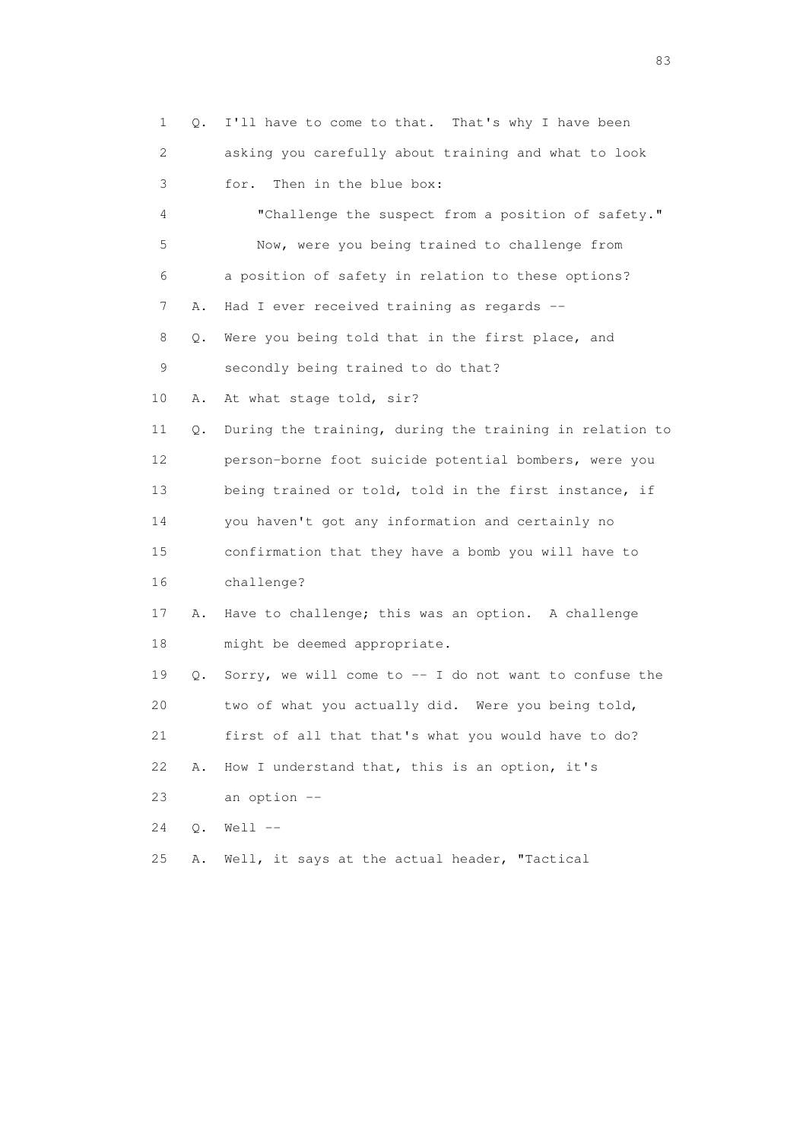| $\mathbf{1}$ | Q.    | I'll have to come to that. That's why I have been       |
|--------------|-------|---------------------------------------------------------|
| 2            |       | asking you carefully about training and what to look    |
| 3            |       | Then in the blue box:<br>for.                           |
| 4            |       | "Challenge the suspect from a position of safety."      |
| 5            |       | Now, were you being trained to challenge from           |
| 6            |       | a position of safety in relation to these options?      |
| 7            | Α.    | Had I ever received training as regards --              |
| 8            | Q.    | Were you being told that in the first place, and        |
| 9            |       | secondly being trained to do that?                      |
| 10           | Α.    | At what stage told, sir?                                |
| 11           | О.    | During the training, during the training in relation to |
| 12           |       | person-borne foot suicide potential bombers, were you   |
| 13           |       | being trained or told, told in the first instance, if   |
| 14           |       | you haven't got any information and certainly no        |
| 15           |       | confirmation that they have a bomb you will have to     |
| 16           |       | challenge?                                              |
| 17           | Α.    | Have to challenge; this was an option. A challenge      |
| 18           |       | might be deemed appropriate.                            |
| 19           | Q.    | Sorry, we will come to -- I do not want to confuse the  |
| 20           |       | two of what you actually did. Were you being told,      |
| 21           |       | first of all that that's what you would have to do?     |
| 22           | Α.    | How I understand that, this is an option, it's          |
| 23           |       | an option --                                            |
| 24           | $Q$ . | $Well --$                                               |
| 25           | Α.    | Well, it says at the actual header, "Tactical           |

experience of the contract of the contract of the contract of the contract of the contract of the contract of the contract of the contract of the contract of the contract of the contract of the contract of the contract of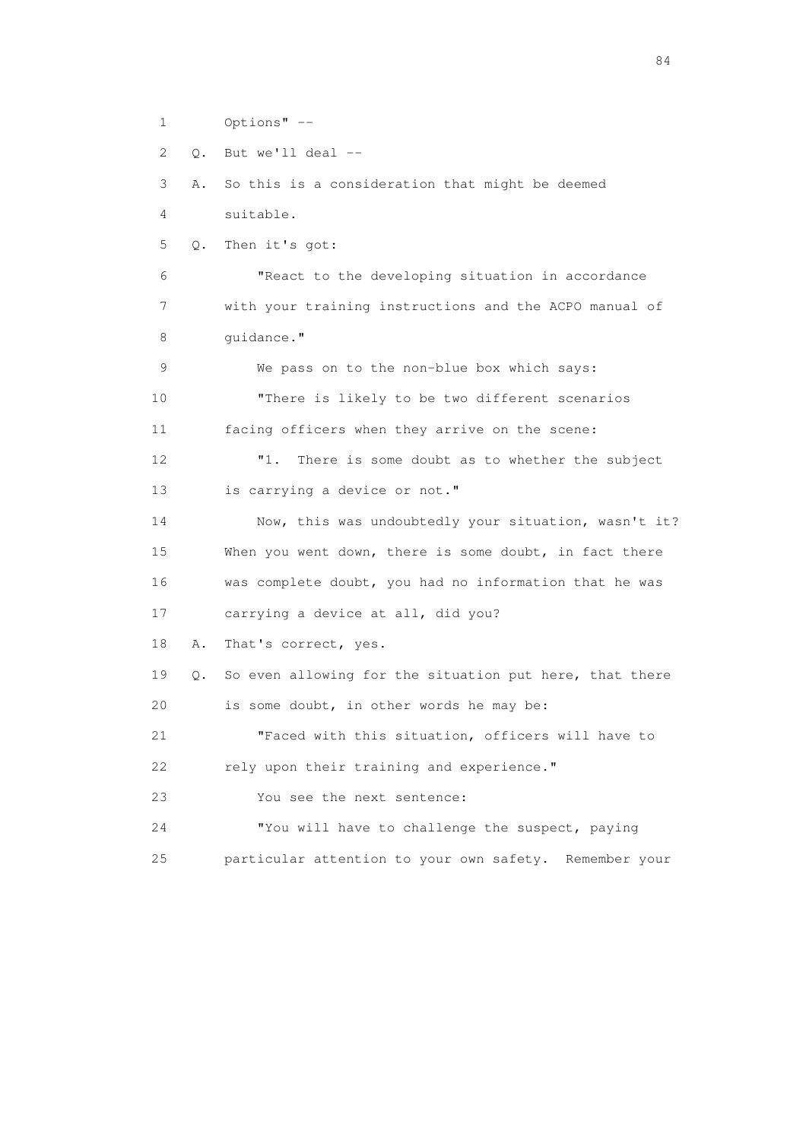1 Options" -- 2 Q. But we'll deal -- 3 A. So this is a consideration that might be deemed 4 suitable. 5 Q. Then it's got: 6 "React to the developing situation in accordance 7 with your training instructions and the ACPO manual of 8 quidance." 9 We pass on to the non-blue box which says: 10 "There is likely to be two different scenarios 11 facing officers when they arrive on the scene: 12 "1. There is some doubt as to whether the subject 13 is carrying a device or not." 14 Now, this was undoubtedly your situation, wasn't it? 15 When you went down, there is some doubt, in fact there 16 was complete doubt, you had no information that he was 17 carrying a device at all, did you? 18 A. That's correct, yes. 19 Q. So even allowing for the situation put here, that there 20 is some doubt, in other words he may be: 21 "Faced with this situation, officers will have to 22 rely upon their training and experience." 23 You see the next sentence: 24 "You will have to challenge the suspect, paying 25 particular attention to your own safety. Remember your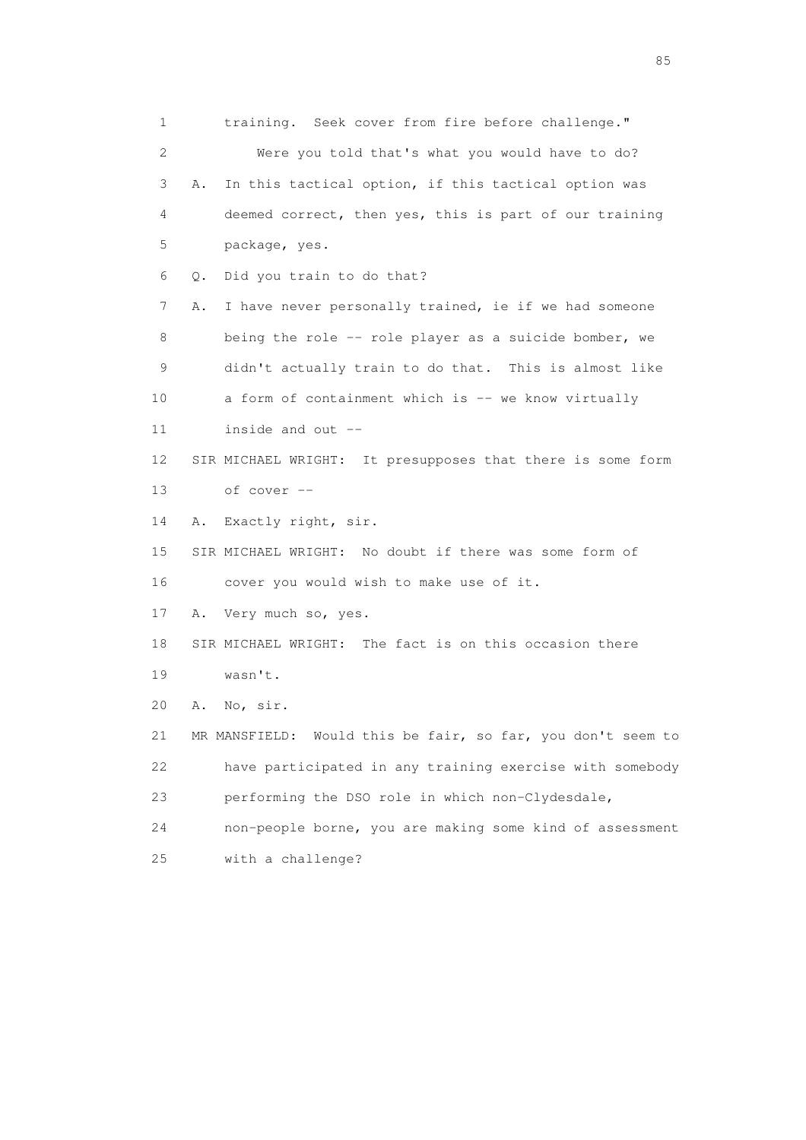1 training. Seek cover from fire before challenge." 2 Were you told that's what you would have to do? 3 A. In this tactical option, if this tactical option was 4 deemed correct, then yes, this is part of our training 5 package, yes. 6 Q. Did you train to do that? 7 A. I have never personally trained, ie if we had someone 8 being the role -- role player as a suicide bomber, we 9 didn't actually train to do that. This is almost like 10 a form of containment which is -- we know virtually 11 inside and out -- 12 SIR MICHAEL WRIGHT: It presupposes that there is some form 13 of cover -- 14 A. Exactly right, sir. 15 SIR MICHAEL WRIGHT: No doubt if there was some form of 16 cover you would wish to make use of it. 17 A. Very much so, yes. 18 SIR MICHAEL WRIGHT: The fact is on this occasion there 19 wasn't. 20 A. No, sir. 21 MR MANSFIELD: Would this be fair, so far, you don't seem to 22 have participated in any training exercise with somebody 23 performing the DSO role in which non-Clydesdale, 24 non-people borne, you are making some kind of assessment 25 with a challenge?

experience of the contract of the contract of the contract of the contract of the contract of the contract of the contract of the contract of the contract of the contract of the contract of the contract of the contract of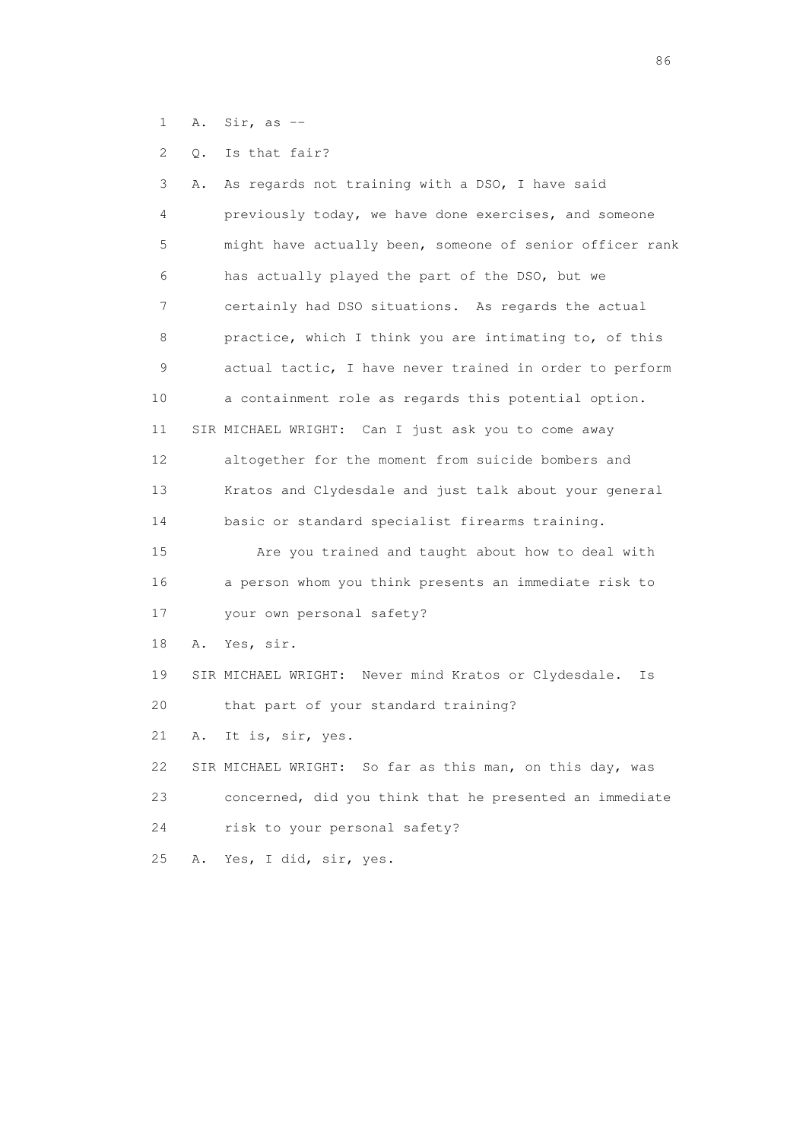1 A. Sir, as --

2 Q. Is that fair?

 3 A. As regards not training with a DSO, I have said 4 previously today, we have done exercises, and someone 5 might have actually been, someone of senior officer rank 6 has actually played the part of the DSO, but we 7 certainly had DSO situations. As regards the actual 8 practice, which I think you are intimating to, of this 9 actual tactic, I have never trained in order to perform 10 a containment role as regards this potential option. 11 SIR MICHAEL WRIGHT: Can I just ask you to come away 12 altogether for the moment from suicide bombers and 13 Kratos and Clydesdale and just talk about your general 14 basic or standard specialist firearms training. 15 Are you trained and taught about how to deal with 16 a person whom you think presents an immediate risk to 17 your own personal safety? 18 A. Yes, sir. 19 SIR MICHAEL WRIGHT: Never mind Kratos or Clydesdale. Is 20 that part of your standard training? 21 A. It is, sir, yes. 22 SIR MICHAEL WRIGHT: So far as this man, on this day, was 23 concerned, did you think that he presented an immediate 24 risk to your personal safety? 25 A. Yes, I did, sir, yes.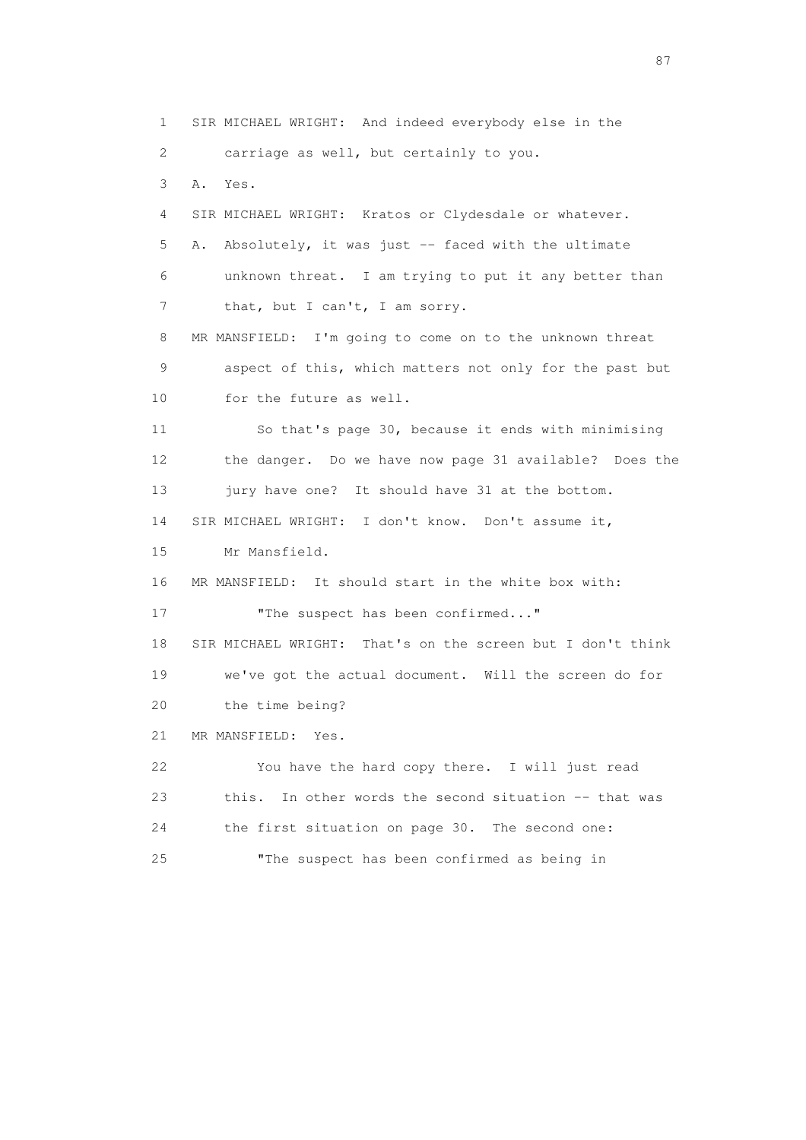1 SIR MICHAEL WRIGHT: And indeed everybody else in the 2 carriage as well, but certainly to you. 3 A. Yes. 4 SIR MICHAEL WRIGHT: Kratos or Clydesdale or whatever. 5 A. Absolutely, it was just -- faced with the ultimate 6 unknown threat. I am trying to put it any better than 7 that, but I can't, I am sorry. 8 MR MANSFIELD: I'm going to come on to the unknown threat 9 aspect of this, which matters not only for the past but 10 for the future as well. 11 So that's page 30, because it ends with minimising 12 the danger. Do we have now page 31 available? Does the 13 jury have one? It should have 31 at the bottom. 14 SIR MICHAEL WRIGHT: I don't know. Don't assume it, 15 Mr Mansfield. 16 MR MANSFIELD: It should start in the white box with: 17 The suspect has been confirmed..." 18 SIR MICHAEL WRIGHT: That's on the screen but I don't think 19 we've got the actual document. Will the screen do for 20 the time being? 21 MR MANSFIELD: Yes. 22 You have the hard copy there. I will just read 23 this. In other words the second situation -- that was 24 the first situation on page 30. The second one: 25 "The suspect has been confirmed as being in

experience of the state of the state of the state of the state of the state of the state of the state of the s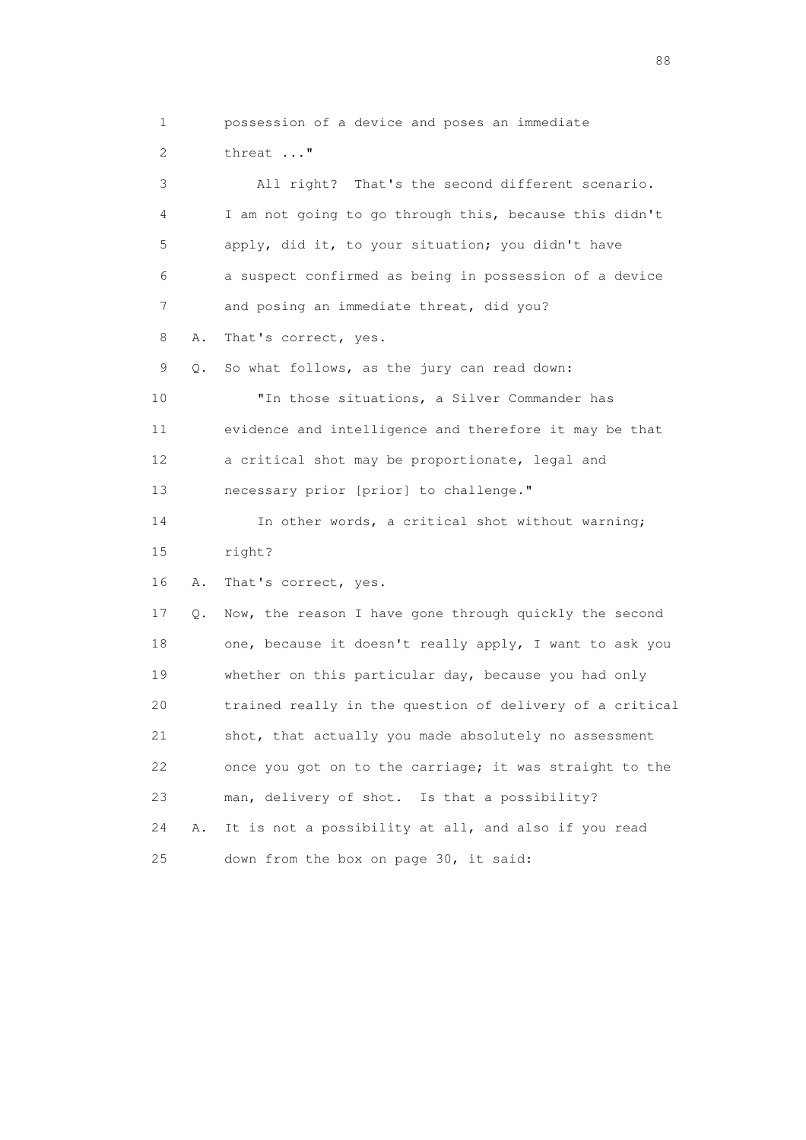1 possession of a device and poses an immediate 2 threat ..." 3 All right? That's the second different scenario. 4 I am not going to go through this, because this didn't 5 apply, did it, to your situation; you didn't have 6 a suspect confirmed as being in possession of a device 7 and posing an immediate threat, did you? 8 A. That's correct, yes. 9 Q. So what follows, as the jury can read down: 10 "In those situations, a Silver Commander has 11 evidence and intelligence and therefore it may be that 12 a critical shot may be proportionate, legal and 13 necessary prior [prior] to challenge." 14 In other words, a critical shot without warning; 15 right? 16 A. That's correct, yes. 17 Q. Now, the reason I have gone through quickly the second 18 one, because it doesn't really apply, I want to ask you 19 whether on this particular day, because you had only 20 trained really in the question of delivery of a critical 21 shot, that actually you made absolutely no assessment 22 once you got on to the carriage; it was straight to the 23 man, delivery of shot. Is that a possibility? 24 A. It is not a possibility at all, and also if you read 25 down from the box on page 30, it said:

en de la construction de la construction de la construction de la construction de la construction de la constr<br>1880 : le construction de la construction de la construction de la construction de la construction de la const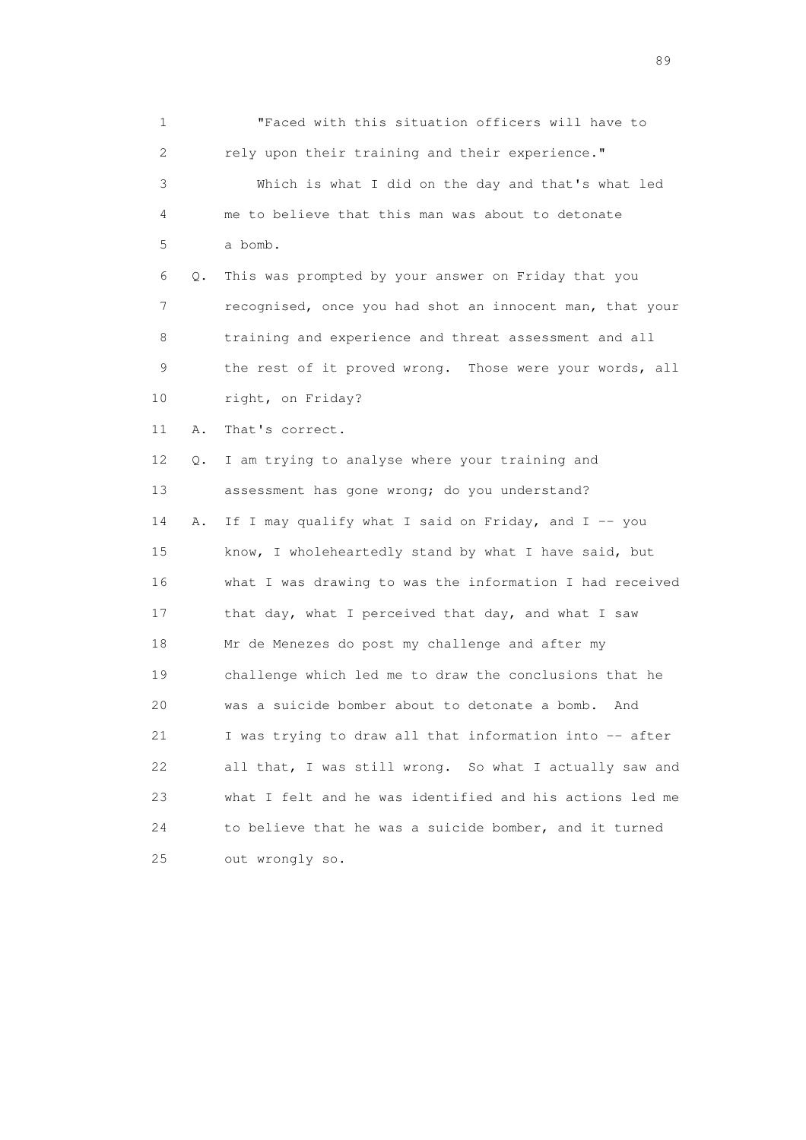| $\mathbf 1$ |    | "Faced with this situation officers will have to         |
|-------------|----|----------------------------------------------------------|
| 2           |    | rely upon their training and their experience."          |
| 3           |    | Which is what I did on the day and that's what led       |
| 4           |    | me to believe that this man was about to detonate        |
| 5           |    | a bomb.                                                  |
| 6           | Q. | This was prompted by your answer on Friday that you      |
| 7           |    | recognised, once you had shot an innocent man, that your |
| 8           |    | training and experience and threat assessment and all    |
| 9           |    | the rest of it proved wrong. Those were your words, all  |
| 10          |    | right, on Friday?                                        |
| 11          | Α. | That's correct.                                          |
| 12          | Q. | I am trying to analyse where your training and           |
| 13          |    | assessment has gone wrong; do you understand?            |
| 14          | Α. | If I may qualify what I said on Friday, and I -- you     |
| 15          |    | know, I wholeheartedly stand by what I have said, but    |
| 16          |    | what I was drawing to was the information I had received |
| 17          |    | that day, what I perceived that day, and what I saw      |
| 18          |    | Mr de Menezes do post my challenge and after my          |
| 19          |    | challenge which led me to draw the conclusions that he   |
| 20          |    | was a suicide bomber about to detonate a bomb.<br>And    |
| 21          |    | I was trying to draw all that information into -- after  |
| 22          |    | all that, I was still wrong. So what I actually saw and  |
| 23          |    | what I felt and he was identified and his actions led me |
| 24          |    | to believe that he was a suicide bomber, and it turned   |
| 25          |    | out wrongly so.                                          |

en andere de la provincia de la provincia de la provincia de la provincia de la provincia de la provincia de l<br>En 1910, en la provincia de la provincia de la provincia de la provincia de la provincia de la provincia de la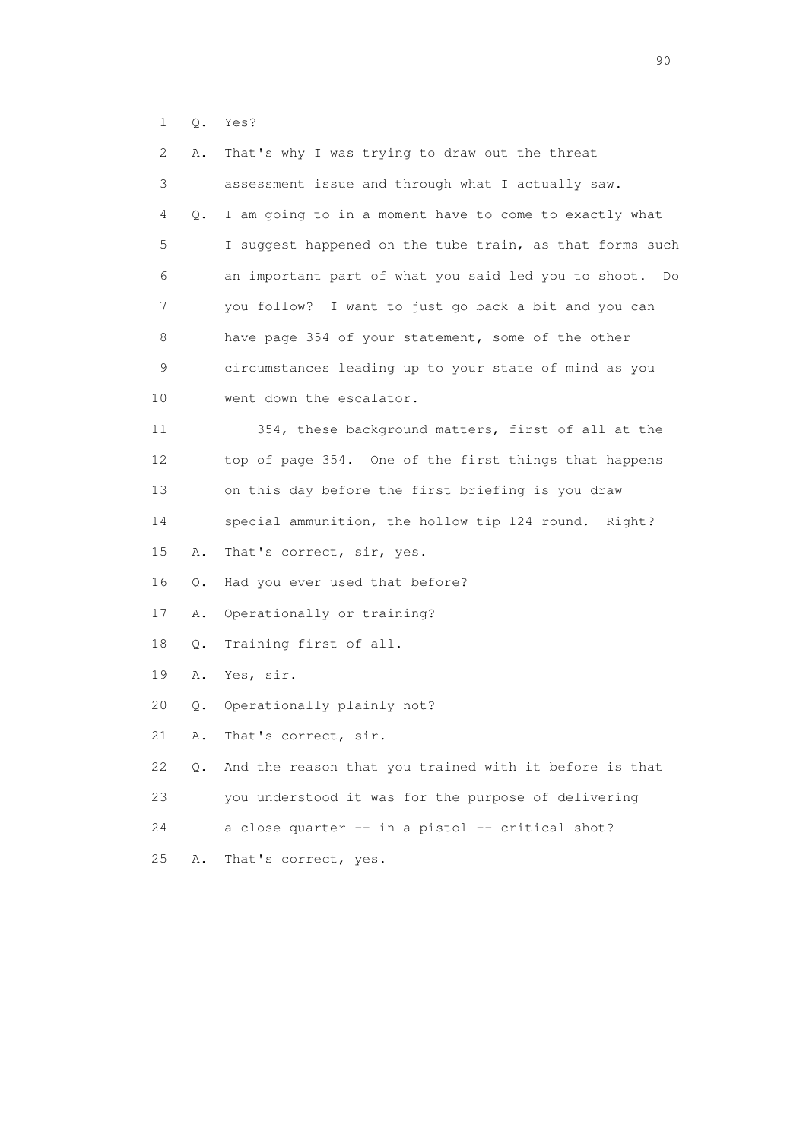1 Q. Yes?

| 2  | Α. | That's why I was trying to draw out the threat           |
|----|----|----------------------------------------------------------|
| 3  |    | assessment issue and through what I actually saw.        |
| 4  | Q. | I am going to in a moment have to come to exactly what   |
| 5  |    | I suggest happened on the tube train, as that forms such |
| 6  |    | an important part of what you said led you to shoot. Do  |
| 7  |    | you follow? I want to just go back a bit and you can     |
| 8  |    | have page 354 of your statement, some of the other       |
| 9  |    | circumstances leading up to your state of mind as you    |
| 10 |    | went down the escalator.                                 |
| 11 |    | 354, these background matters, first of all at the       |
| 12 |    | top of page 354. One of the first things that happens    |
| 13 |    | on this day before the first briefing is you draw        |
| 14 |    | special ammunition, the hollow tip 124 round. Right?     |
| 15 | Α. | That's correct, sir, yes.                                |
| 16 | Q. | Had you ever used that before?                           |
| 17 | Α. | Operationally or training?                               |
| 18 | Q. | Training first of all.                                   |
| 19 | Α. | Yes, sir.                                                |
| 20 | Q. | Operationally plainly not?                               |
| 21 | Α. | That's correct, sir.                                     |
| 22 | Q. | And the reason that you trained with it before is that   |
| 23 |    | you understood it was for the purpose of delivering      |
| 24 |    | a close quarter -- in a pistol -- critical shot?         |
| 25 | Α. | That's correct, yes.                                     |
|    |    |                                                          |

entral de la construction de la construction de la construction de la construction de la construction de la co<br>1900 : le construction de la construction de la construction de la construction de la construction de la const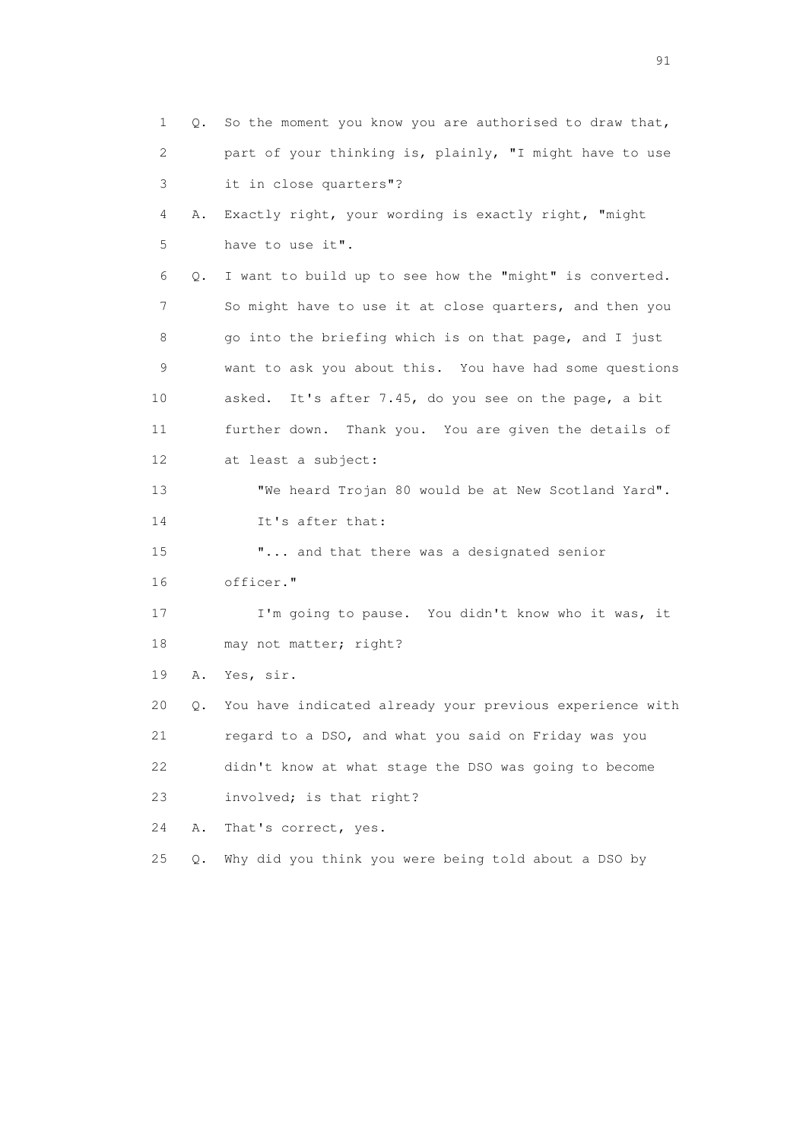| 1                         | Q.    | So the moment you know you are authorised to draw that,  |
|---------------------------|-------|----------------------------------------------------------|
| $\mathbf{2}^{\mathsf{I}}$ |       | part of your thinking is, plainly, "I might have to use  |
| 3                         |       | it in close quarters"?                                   |
| 4                         | Α.    | Exactly right, your wording is exactly right, "might     |
| 5                         |       | have to use it".                                         |
| 6                         | Q.    | I want to build up to see how the "might" is converted.  |
| 7                         |       | So might have to use it at close quarters, and then you  |
| 8                         |       | go into the briefing which is on that page, and I just   |
| 9                         |       | want to ask you about this. You have had some questions  |
| 10                        |       | asked. It's after 7.45, do you see on the page, a bit    |
| 11                        |       | further down. Thank you. You are given the details of    |
| 12 <sup>°</sup>           |       | at least a subject:                                      |
| 13                        |       | "We heard Trojan 80 would be at New Scotland Yard".      |
| 14                        |       | It's after that:                                         |
| 15                        |       | " and that there was a designated senior                 |
| 16                        |       | officer."                                                |
| 17                        |       | I'm going to pause. You didn't know who it was, it       |
| 18                        |       | may not matter; right?                                   |
| 19                        | Α.    | Yes, sir.                                                |
| 20                        | Q.    | You have indicated already your previous experience with |
| 21                        |       | regard to a DSO, and what you said on Friday was you     |
| 22                        |       | didn't know at what stage the DSO was going to become    |
| 23                        |       | involved; is that right?                                 |
| 24                        | Α.    | That's correct, yes.                                     |
| 25                        | $Q$ . | Why did you think you were being told about a DSO by     |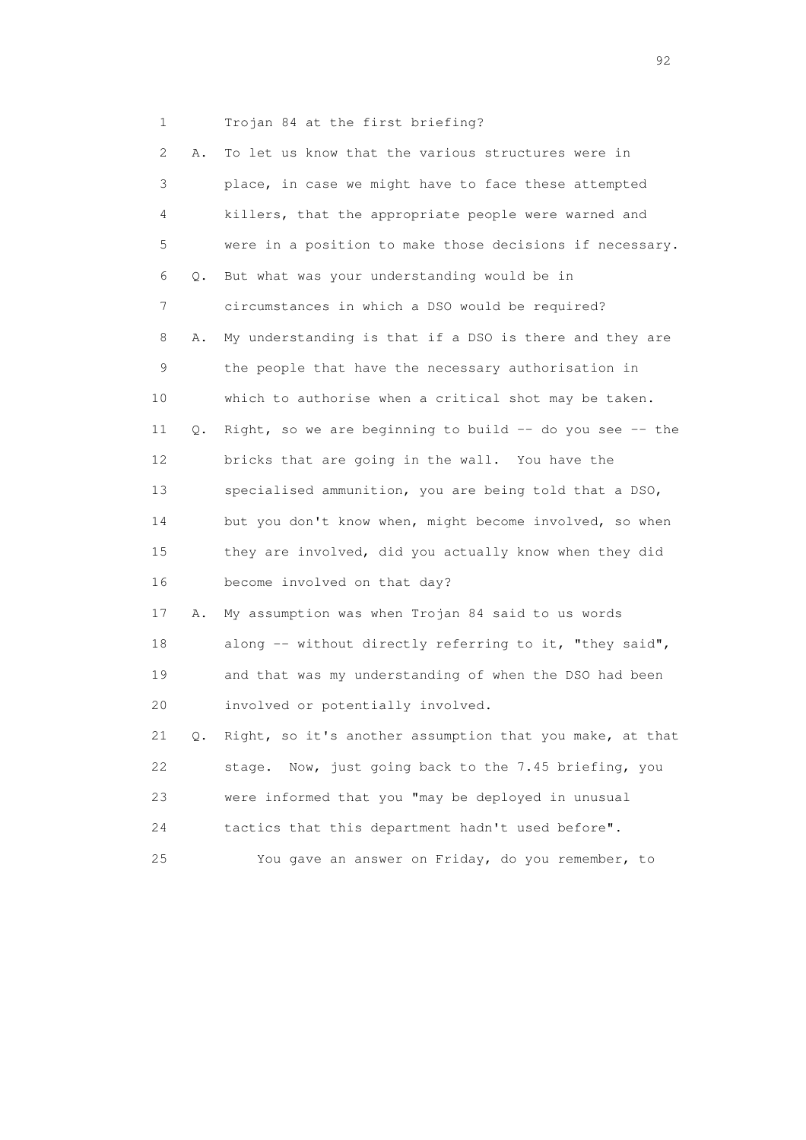1 Trojan 84 at the first briefing?

| 2  | Α. | To let us know that the various structures were in         |
|----|----|------------------------------------------------------------|
| 3  |    | place, in case we might have to face these attempted       |
| 4  |    | killers, that the appropriate people were warned and       |
| 5  |    | were in a position to make those decisions if necessary.   |
| 6  | Q. | But what was your understanding would be in                |
| 7  |    | circumstances in which a DSO would be required?            |
| 8  | Α. | My understanding is that if a DSO is there and they are    |
| 9  |    | the people that have the necessary authorisation in        |
| 10 |    | which to authorise when a critical shot may be taken.      |
| 11 | Q. | Right, so we are beginning to build $-$ do you see $-$ the |
| 12 |    | bricks that are going in the wall. You have the            |
| 13 |    | specialised ammunition, you are being told that a DSO,     |
| 14 |    | but you don't know when, might become involved, so when    |
| 15 |    | they are involved, did you actually know when they did     |
| 16 |    | become involved on that day?                               |
| 17 | Α. | My assumption was when Trojan 84 said to us words          |
| 18 |    | along -- without directly referring to it, "they said",    |
| 19 |    | and that was my understanding of when the DSO had been     |
| 20 |    | involved or potentially involved.                          |
| 21 | Q. | Right, so it's another assumption that you make, at that   |
| 22 |    | Now, just going back to the 7.45 briefing, you<br>stage.   |
| 23 |    | were informed that you "may be deployed in unusual         |
| 24 |    | tactics that this department hadn't used before".          |
| 25 |    | You gave an answer on Friday, do you remember, to          |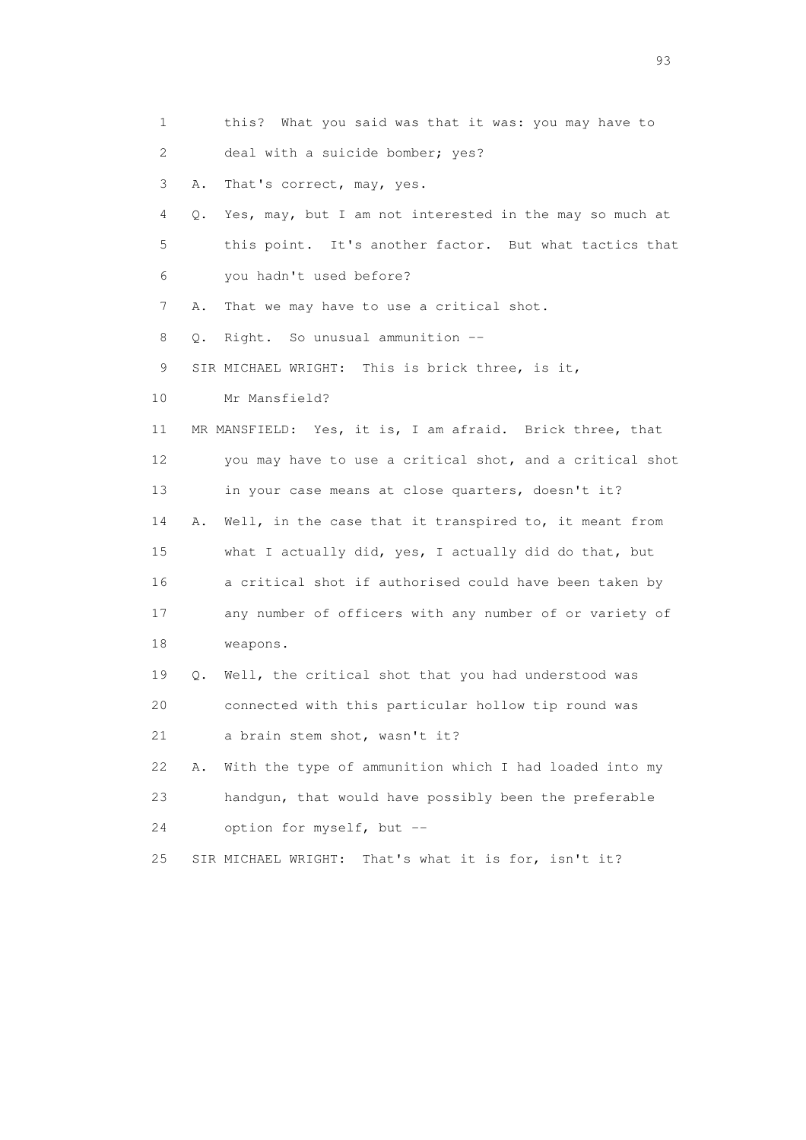1 this? What you said was that it was: you may have to 2 deal with a suicide bomber; yes? 3 A. That's correct, may, yes. 4 Q. Yes, may, but I am not interested in the may so much at 5 this point. It's another factor. But what tactics that 6 you hadn't used before? 7 A. That we may have to use a critical shot. 8 Q. Right. So unusual ammunition -- 9 SIR MICHAEL WRIGHT: This is brick three, is it, 10 Mr Mansfield? 11 MR MANSFIELD: Yes, it is, I am afraid. Brick three, that 12 you may have to use a critical shot, and a critical shot 13 in your case means at close quarters, doesn't it? 14 A. Well, in the case that it transpired to, it meant from 15 what I actually did, yes, I actually did do that, but 16 a critical shot if authorised could have been taken by 17 any number of officers with any number of or variety of 18 weapons. 19 Q. Well, the critical shot that you had understood was 20 connected with this particular hollow tip round was 21 a brain stem shot, wasn't it? 22 A. With the type of ammunition which I had loaded into my 23 handgun, that would have possibly been the preferable 24 option for myself, but -- 25 SIR MICHAEL WRIGHT: That's what it is for, isn't it?

experience of the contract of the contract of the contract of the contract of the contract of the contract of the contract of the contract of the contract of the contract of the contract of the contract of the contract of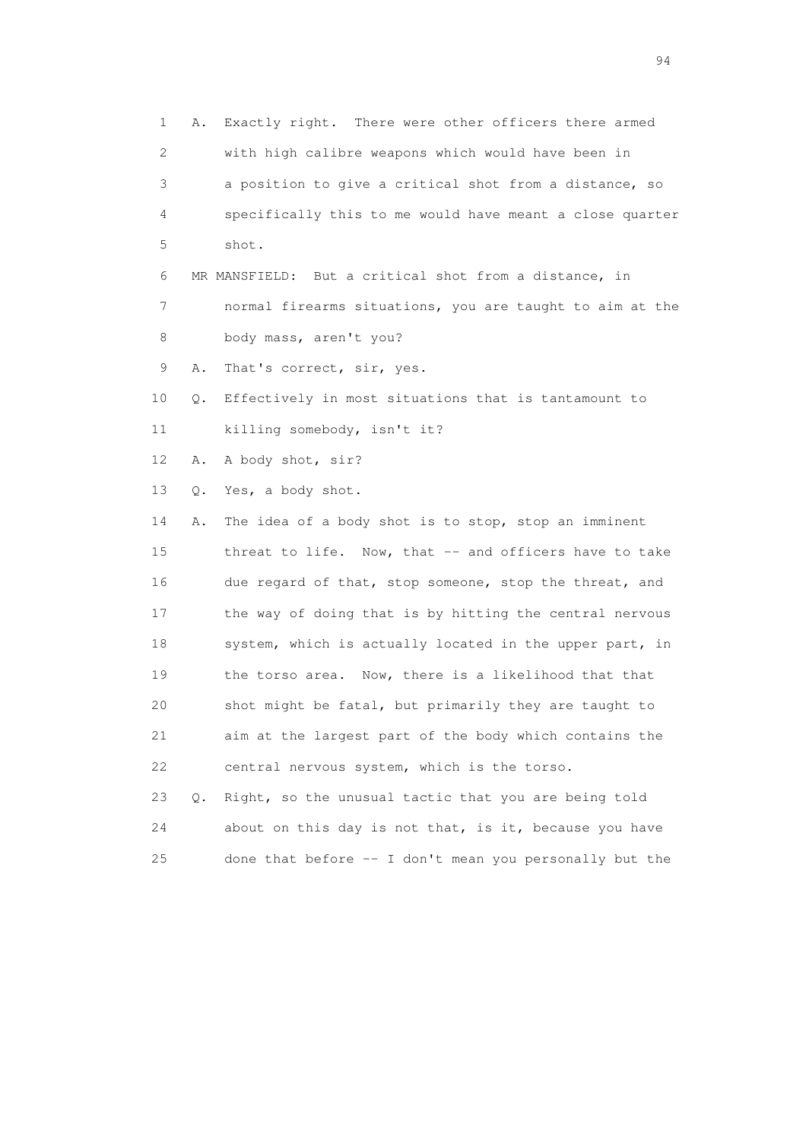1 A. Exactly right. There were other officers there armed 2 with high calibre weapons which would have been in 3 a position to give a critical shot from a distance, so 4 specifically this to me would have meant a close quarter 5 shot. 6 MR MANSFIELD: But a critical shot from a distance, in 7 normal firearms situations, you are taught to aim at the 8 body mass, aren't you? 9 A. That's correct, sir, yes. 10 Q. Effectively in most situations that is tantamount to 11 killing somebody, isn't it? 12 A. A body shot, sir? 13 Q. Yes, a body shot. 14 A. The idea of a body shot is to stop, stop an imminent 15 threat to life. Now, that -- and officers have to take 16 due regard of that, stop someone, stop the threat, and 17 the way of doing that is by hitting the central nervous 18 system, which is actually located in the upper part, in 19 the torso area. Now, there is a likelihood that that 20 shot might be fatal, but primarily they are taught to 21 aim at the largest part of the body which contains the 22 central nervous system, which is the torso. 23 Q. Right, so the unusual tactic that you are being told 24 about on this day is not that, is it, because you have 25 done that before -- I don't mean you personally but the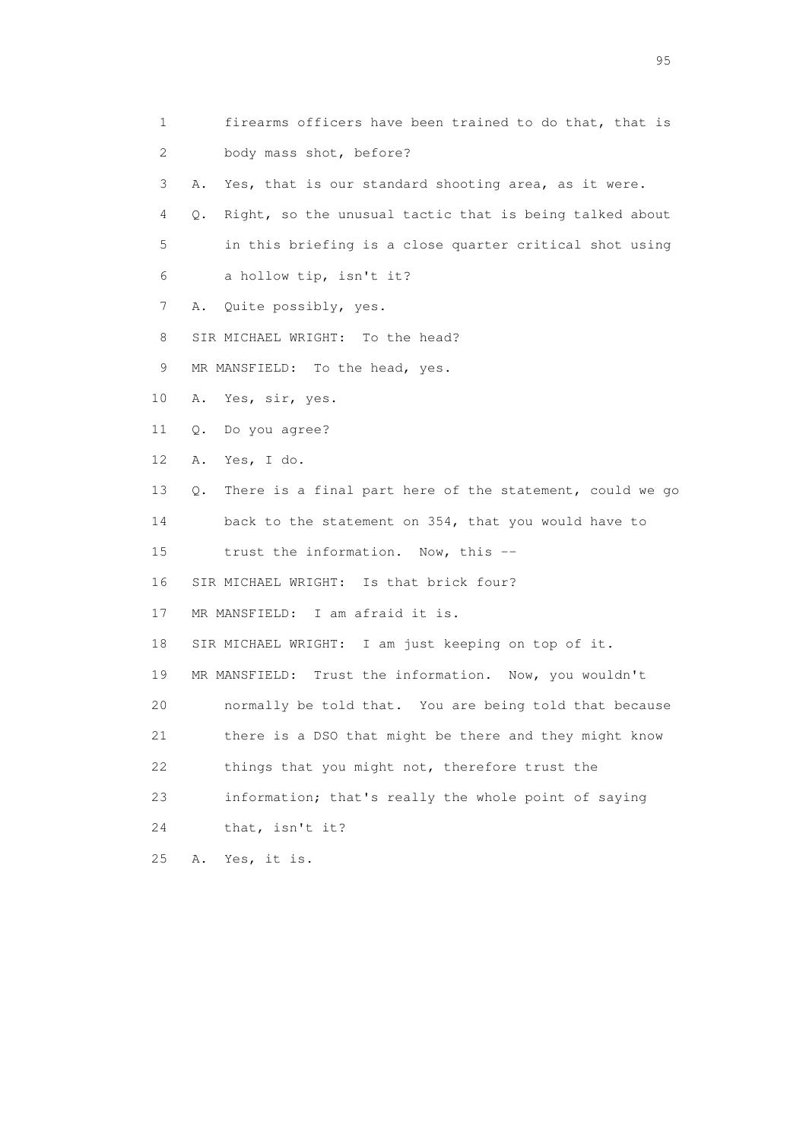- 1 firearms officers have been trained to do that, that is 2 body mass shot, before?
- 3 A. Yes, that is our standard shooting area, as it were.
- 4 Q. Right, so the unusual tactic that is being talked about 5 in this briefing is a close quarter critical shot using 6 a hollow tip, isn't it?
- 7 A. Quite possibly, yes.
- 8 SIR MICHAEL WRIGHT: To the head?
- 9 MR MANSFIELD: To the head, yes.
- 10 A. Yes, sir, yes.
- 11 Q. Do you agree?
- 12 A. Yes, I do.
- 13 Q. There is a final part here of the statement, could we go
- 14 back to the statement on 354, that you would have to
- 15 trust the information. Now, this --
- 16 SIR MICHAEL WRIGHT: Is that brick four?
- 17 MR MANSFIELD: I am afraid it is.
- 18 SIR MICHAEL WRIGHT: I am just keeping on top of it.
- 19 MR MANSFIELD: Trust the information. Now, you wouldn't
- 20 normally be told that. You are being told that because
- 21 there is a DSO that might be there and they might know
- 22 things that you might not, therefore trust the
- 23 information; that's really the whole point of saying
- 24 that, isn't it?
- 25 A. Yes, it is.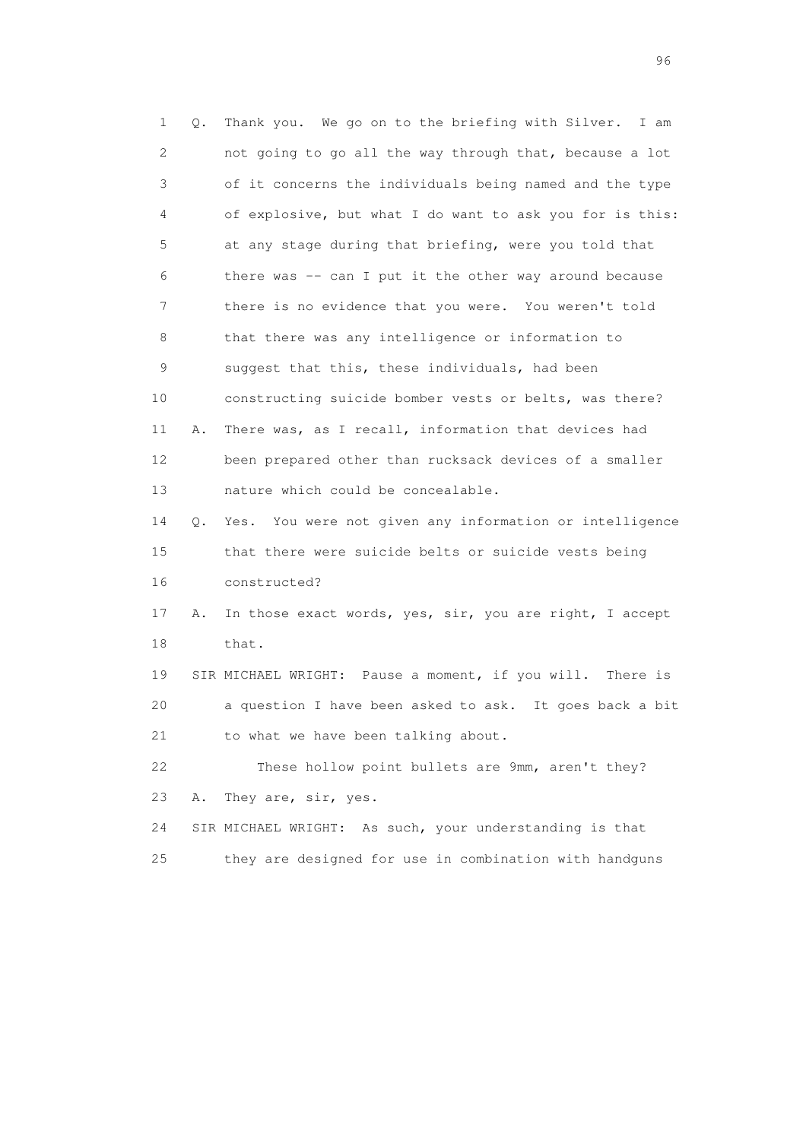1 Q. Thank you. We go on to the briefing with Silver. I am 2 not going to go all the way through that, because a lot 3 of it concerns the individuals being named and the type 4 of explosive, but what I do want to ask you for is this: 5 at any stage during that briefing, were you told that 6 there was -- can I put it the other way around because 7 there is no evidence that you were. You weren't told 8 that there was any intelligence or information to 9 suggest that this, these individuals, had been 10 constructing suicide bomber vests or belts, was there? 11 A. There was, as I recall, information that devices had 12 been prepared other than rucksack devices of a smaller 13 nature which could be concealable. 14 Q. Yes. You were not given any information or intelligence 15 that there were suicide belts or suicide vests being 16 constructed? 17 A. In those exact words, yes, sir, you are right, I accept 18 that. 19 SIR MICHAEL WRIGHT: Pause a moment, if you will. There is 20 a question I have been asked to ask. It goes back a bit 21 to what we have been talking about. 22 These hollow point bullets are 9mm, aren't they? 23 A. They are, sir, yes. 24 SIR MICHAEL WRIGHT: As such, your understanding is that 25 they are designed for use in combination with handguns

<u>96 and the state of the state of the state of the state of the state of the state of the state of the state of the state of the state of the state of the state of the state of the state of the state of the state of the st</u>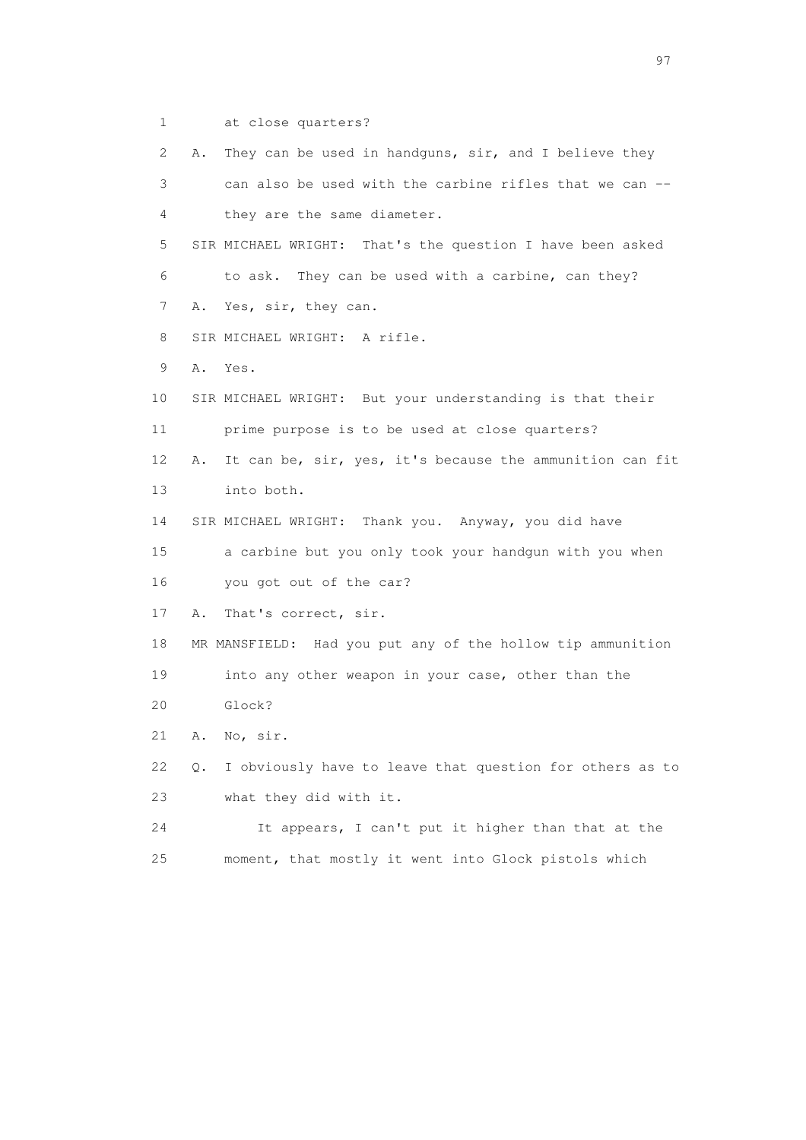1 at close quarters?

| 2  | They can be used in handguns, sir, and I believe they<br>Α.    |
|----|----------------------------------------------------------------|
| 3  | can also be used with the carbine rifles that we can --        |
| 4  | they are the same diameter.                                    |
| 5  | SIR MICHAEL WRIGHT: That's the question I have been asked      |
| 6  | to ask. They can be used with a carbine, can they?             |
| 7  | Yes, sir, they can.<br>Α.                                      |
| 8  | SIR MICHAEL WRIGHT: A rifle.                                   |
| 9  | Α.<br>Yes.                                                     |
| 10 | SIR MICHAEL WRIGHT: But your understanding is that their       |
| 11 | prime purpose is to be used at close quarters?                 |
| 12 | It can be, sir, yes, it's because the ammunition can fit<br>Α. |
| 13 | into both.                                                     |
| 14 | SIR MICHAEL WRIGHT: Thank you. Anyway, you did have            |
| 15 | a carbine but you only took your handgun with you when         |
| 16 | you got out of the car?                                        |
| 17 | That's correct, sir.<br>Α.                                     |
| 18 | MR MANSFIELD: Had you put any of the hollow tip ammunition     |
| 19 | into any other weapon in your case, other than the             |
| 20 | Glock?                                                         |
| 21 | No, sir.<br>Α.                                                 |
| 22 | I obviously have to leave that question for others as to<br>Q. |
| 23 | what they did with it.                                         |
| 24 | It appears, I can't put it higher than that at the             |
| 25 | moment, that mostly it went into Glock pistols which           |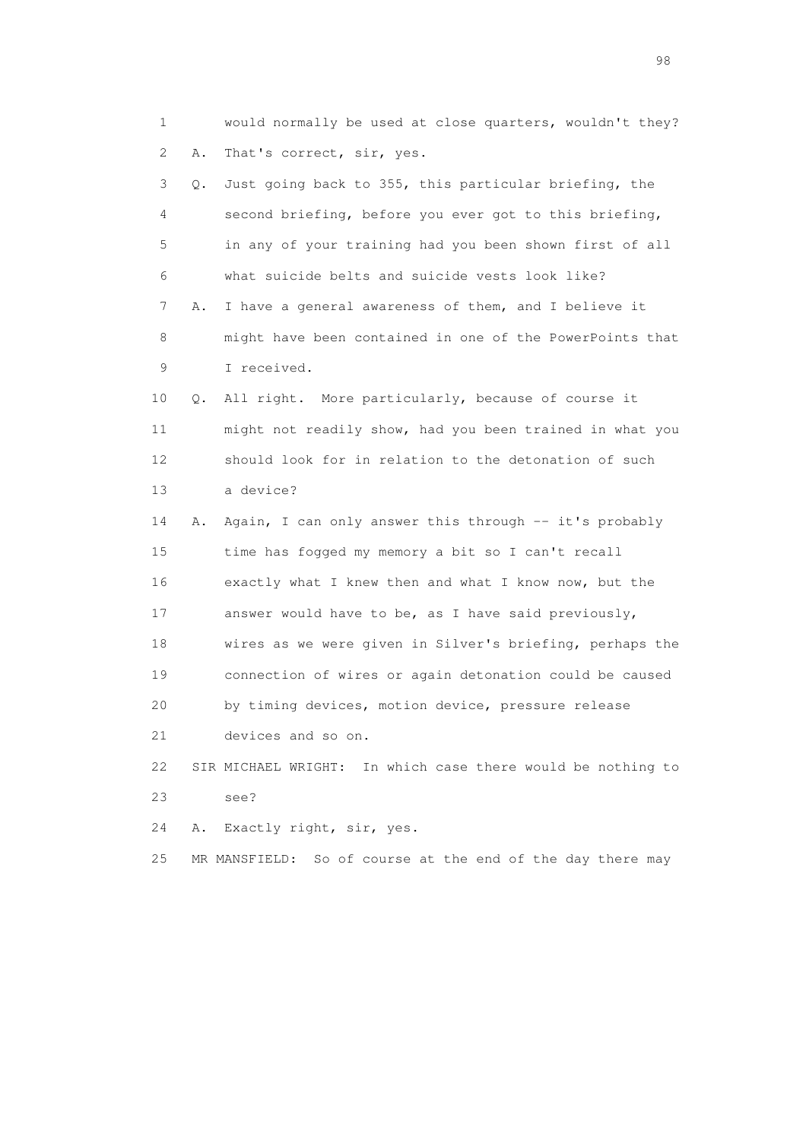1 would normally be used at close quarters, wouldn't they? 2 A. That's correct, sir, yes. 3 Q. Just going back to 355, this particular briefing, the 4 second briefing, before you ever got to this briefing, 5 in any of your training had you been shown first of all 6 what suicide belts and suicide vests look like? 7 A. I have a general awareness of them, and I believe it 8 might have been contained in one of the PowerPoints that 9 I received. 10 Q. All right. More particularly, because of course it 11 might not readily show, had you been trained in what you 12 should look for in relation to the detonation of such 13 a device? 14 A. Again, I can only answer this through -- it's probably 15 time has fogged my memory a bit so I can't recall 16 exactly what I knew then and what I know now, but the 17 answer would have to be, as I have said previously, 18 wires as we were given in Silver's briefing, perhaps the 19 connection of wires or again detonation could be caused 20 by timing devices, motion device, pressure release 21 devices and so on. 22 SIR MICHAEL WRIGHT: In which case there would be nothing to 23 see? 24 A. Exactly right, sir, yes.

25 MR MANSFIELD: So of course at the end of the day there may

en 1988 en 1989 en 1989 en 1989 en 1989 en 1989 en 1989 en 1989 en 1989 en 1989 en 1989 en 1989 en 1989 en 19<br>De grote en 1989 en 1989 en 1989 en 1989 en 1989 en 1989 en 1989 en 1989 en 1989 en 1989 en 1989 en 1989 en 19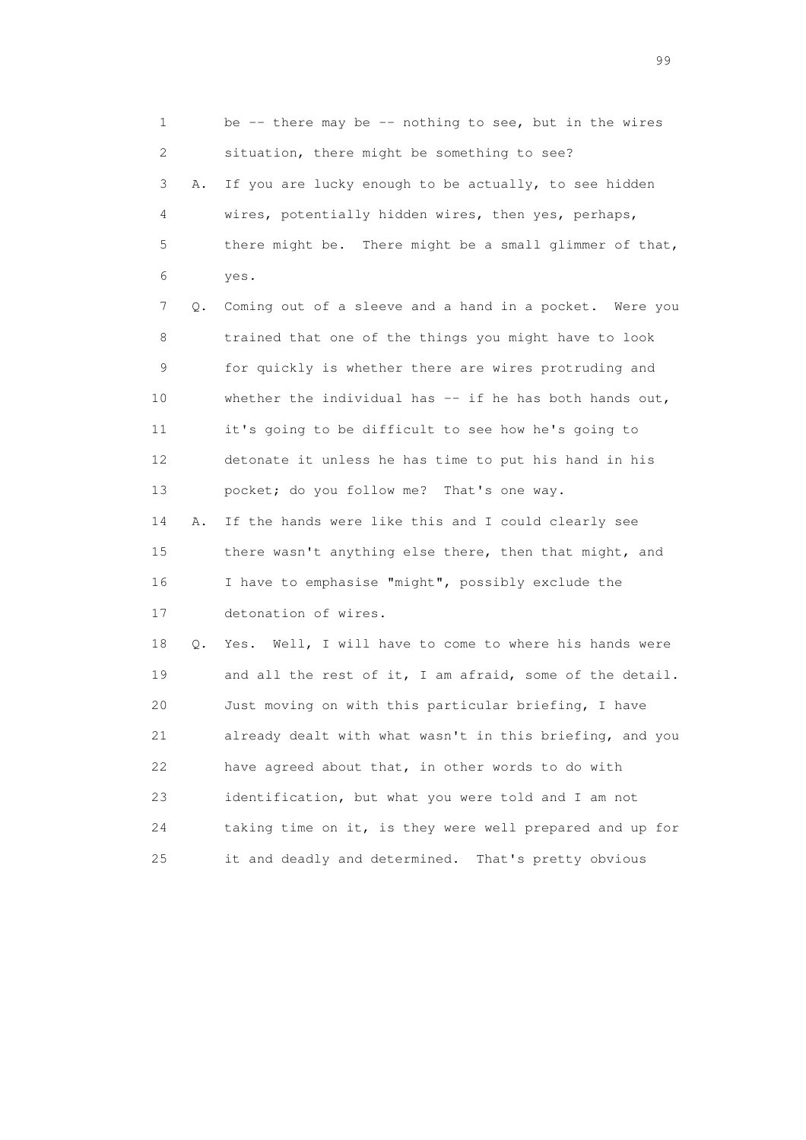| 1               |    | be $-$ - there may be $-$ - nothing to see, but in the wires |
|-----------------|----|--------------------------------------------------------------|
| 2               |    | situation, there might be something to see?                  |
| 3               | Α. | If you are lucky enough to be actually, to see hidden        |
| 4               |    | wires, potentially hidden wires, then yes, perhaps,          |
| 5               |    | there might be. There might be a small glimmer of that,      |
| 6               |    | yes.                                                         |
| 7               | Q. | Coming out of a sleeve and a hand in a pocket. Were you      |
| 8               |    | trained that one of the things you might have to look        |
| 9               |    | for quickly is whether there are wires protruding and        |
| 10              |    | whether the individual has $--$ if he has both hands out,    |
| 11              |    | it's going to be difficult to see how he's going to          |
| 12 <sup>°</sup> |    | detonate it unless he has time to put his hand in his        |
| 13              |    | pocket; do you follow me? That's one way.                    |
| 14              | Α. | If the hands were like this and I could clearly see          |
| 15              |    | there wasn't anything else there, then that might, and       |
| 16              |    | I have to emphasise "might", possibly exclude the            |
| 17              |    | detonation of wires.                                         |
| 18              | Q. | Yes. Well, I will have to come to where his hands were       |
| 19              |    | and all the rest of it, I am afraid, some of the detail.     |
| 20              |    | Just moving on with this particular briefing, I have         |
| 21              |    | already dealt with what wasn't in this briefing, and you     |
| 22              |    | have agreed about that, in other words to do with            |
| 23              |    | identification, but what you were told and I am not          |
| 24              |    | taking time on it, is they were well prepared and up for     |
| 25              |    | it and deadly and determined.<br>That's pretty obvious       |

en de la construction de la construction de la construction de la construction de la construction de la constr<br>1990 : la construction de la construction de la construction de la construction de la construction de la const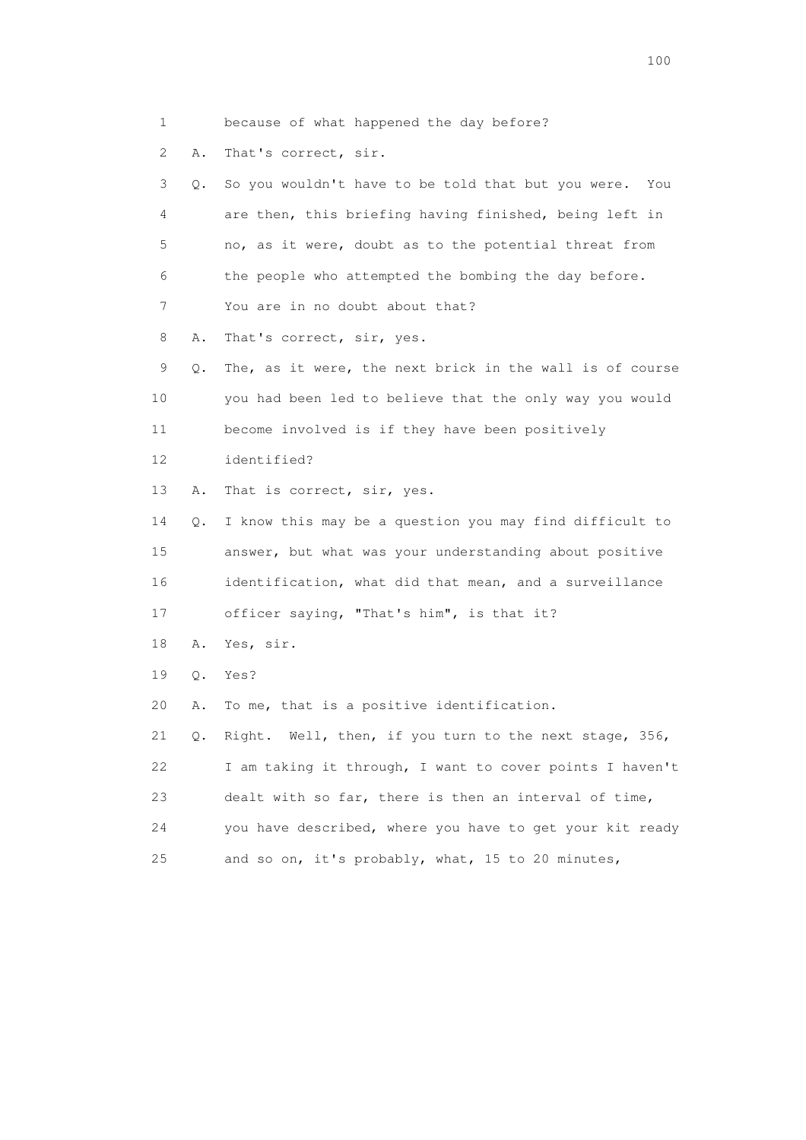1 because of what happened the day before?

2 A. That's correct, sir.

 3 Q. So you wouldn't have to be told that but you were. You 4 are then, this briefing having finished, being left in 5 no, as it were, doubt as to the potential threat from 6 the people who attempted the bombing the day before. 7 You are in no doubt about that?

8 A. That's correct, sir, yes.

 9 Q. The, as it were, the next brick in the wall is of course 10 you had been led to believe that the only way you would 11 become involved is if they have been positively

12 identified?

13 A. That is correct, sir, yes.

 14 Q. I know this may be a question you may find difficult to 15 answer, but what was your understanding about positive 16 identification, what did that mean, and a surveillance

17 officer saying, "That's him", is that it?

18 A. Yes, sir.

19 Q. Yes?

20 A. To me, that is a positive identification.

 21 Q. Right. Well, then, if you turn to the next stage, 356, 22 I am taking it through, I want to cover points I haven't 23 dealt with so far, there is then an interval of time, 24 you have described, where you have to get your kit ready 25 and so on, it's probably, what, 15 to 20 minutes,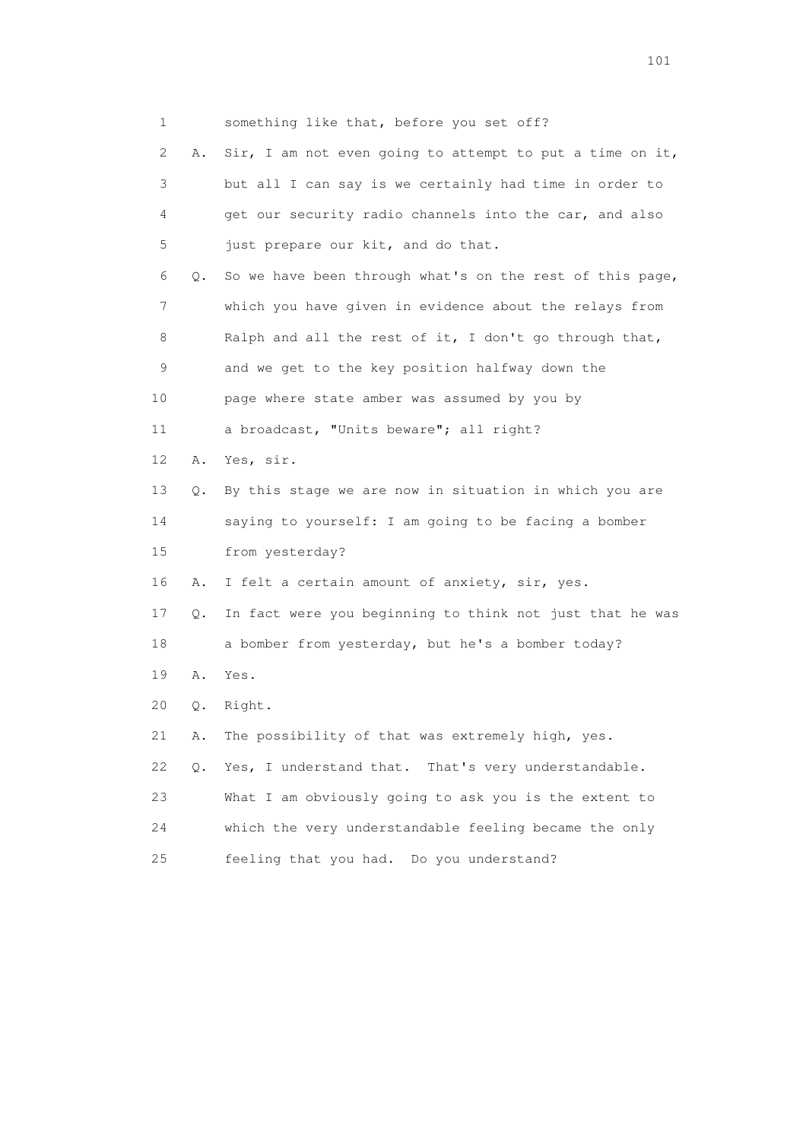1 something like that, before you set off? 2 A. Sir, I am not even going to attempt to put a time on it, 3 but all I can say is we certainly had time in order to 4 get our security radio channels into the car, and also 5 just prepare our kit, and do that. 6 Q. So we have been through what's on the rest of this page, 7 which you have given in evidence about the relays from 8 Ralph and all the rest of it, I don't go through that, 9 and we get to the key position halfway down the 10 page where state amber was assumed by you by 11 a broadcast, "Units beware"; all right? 12 A. Yes, sir. 13 Q. By this stage we are now in situation in which you are 14 saying to yourself: I am going to be facing a bomber 15 from yesterday? 16 A. I felt a certain amount of anxiety, sir, yes. 17 Q. In fact were you beginning to think not just that he was 18 a bomber from yesterday, but he's a bomber today? 19 A. Yes. 20 Q. Right. 21 A. The possibility of that was extremely high, yes. 22 Q. Yes, I understand that. That's very understandable. 23 What I am obviously going to ask you is the extent to 24 which the very understandable feeling became the only 25 feeling that you had. Do you understand?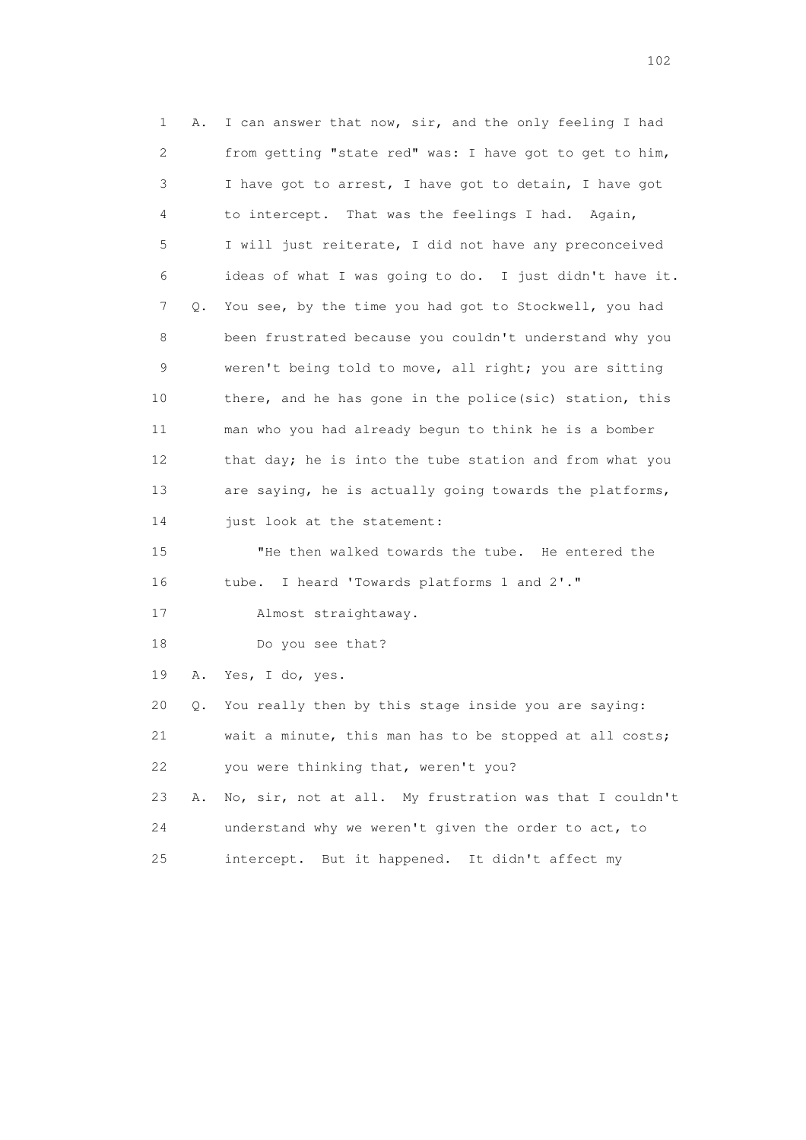1 A. I can answer that now, sir, and the only feeling I had 2 from getting "state red" was: I have got to get to him, 3 I have got to arrest, I have got to detain, I have got 4 to intercept. That was the feelings I had. Again, 5 I will just reiterate, I did not have any preconceived 6 ideas of what I was going to do. I just didn't have it. 7 Q. You see, by the time you had got to Stockwell, you had 8 been frustrated because you couldn't understand why you 9 weren't being told to move, all right; you are sitting 10 there, and he has gone in the police(sic) station, this 11 man who you had already begun to think he is a bomber 12 that day; he is into the tube station and from what you 13 are saying, he is actually going towards the platforms, 14 just look at the statement: 15 "He then walked towards the tube. He entered the 16 tube. I heard 'Towards platforms 1 and 2'." 17 Almost straightaway. 18 Do you see that? 19 A. Yes, I do, yes. 20 Q. You really then by this stage inside you are saying: 21 wait a minute, this man has to be stopped at all costs; 22 you were thinking that, weren't you? 23 A. No, sir, not at all. My frustration was that I couldn't 24 understand why we weren't given the order to act, to 25 intercept. But it happened. It didn't affect my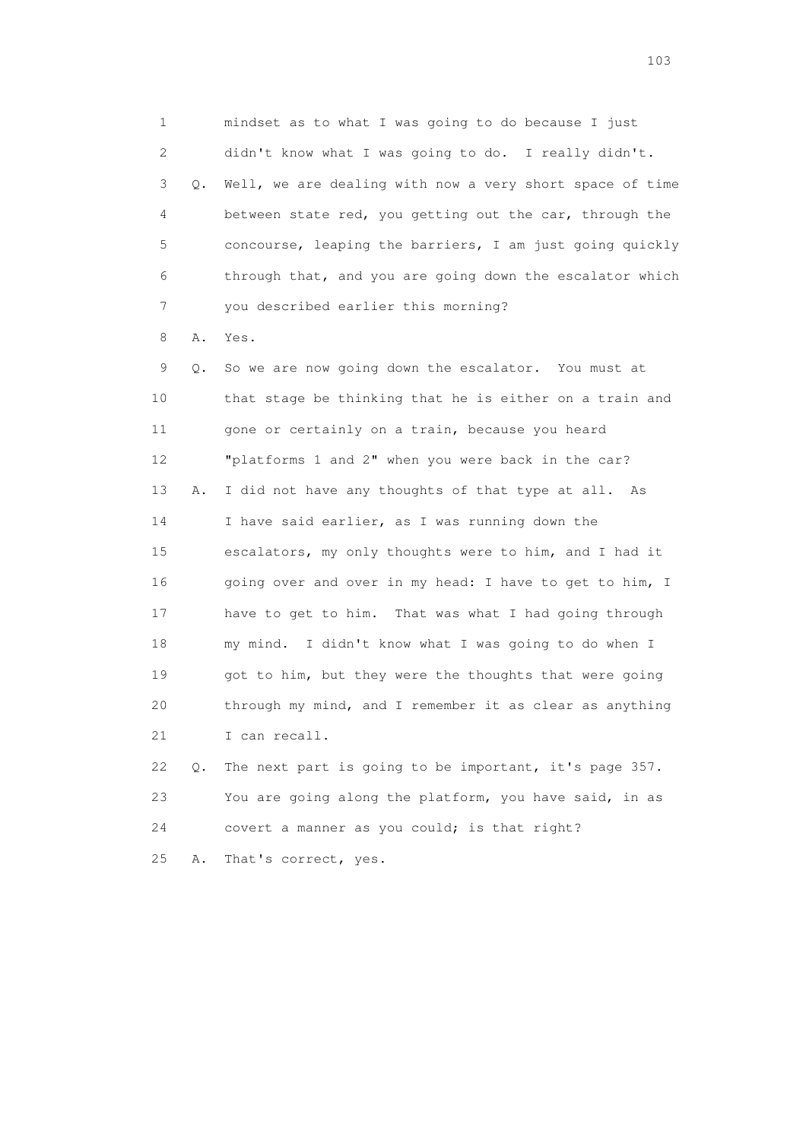1 mindset as to what I was going to do because I just 2 didn't know what I was going to do. I really didn't. 3 Q. Well, we are dealing with now a very short space of time 4 between state red, you getting out the car, through the 5 concourse, leaping the barriers, I am just going quickly 6 through that, and you are going down the escalator which 7 you described earlier this morning?

8 A. Yes.

 9 Q. So we are now going down the escalator. You must at 10 that stage be thinking that he is either on a train and 11 gone or certainly on a train, because you heard 12 "platforms 1 and 2" when you were back in the car? 13 A. I did not have any thoughts of that type at all. As 14 I have said earlier, as I was running down the 15 escalators, my only thoughts were to him, and I had it 16 going over and over in my head: I have to get to him, I 17 have to get to him. That was what I had going through 18 my mind. I didn't know what I was going to do when I 19 got to him, but they were the thoughts that were going 20 through my mind, and I remember it as clear as anything 21 I can recall.

 22 Q. The next part is going to be important, it's page 357. 23 You are going along the platform, you have said, in as 24 covert a manner as you could; is that right? 25 A. That's correct, yes.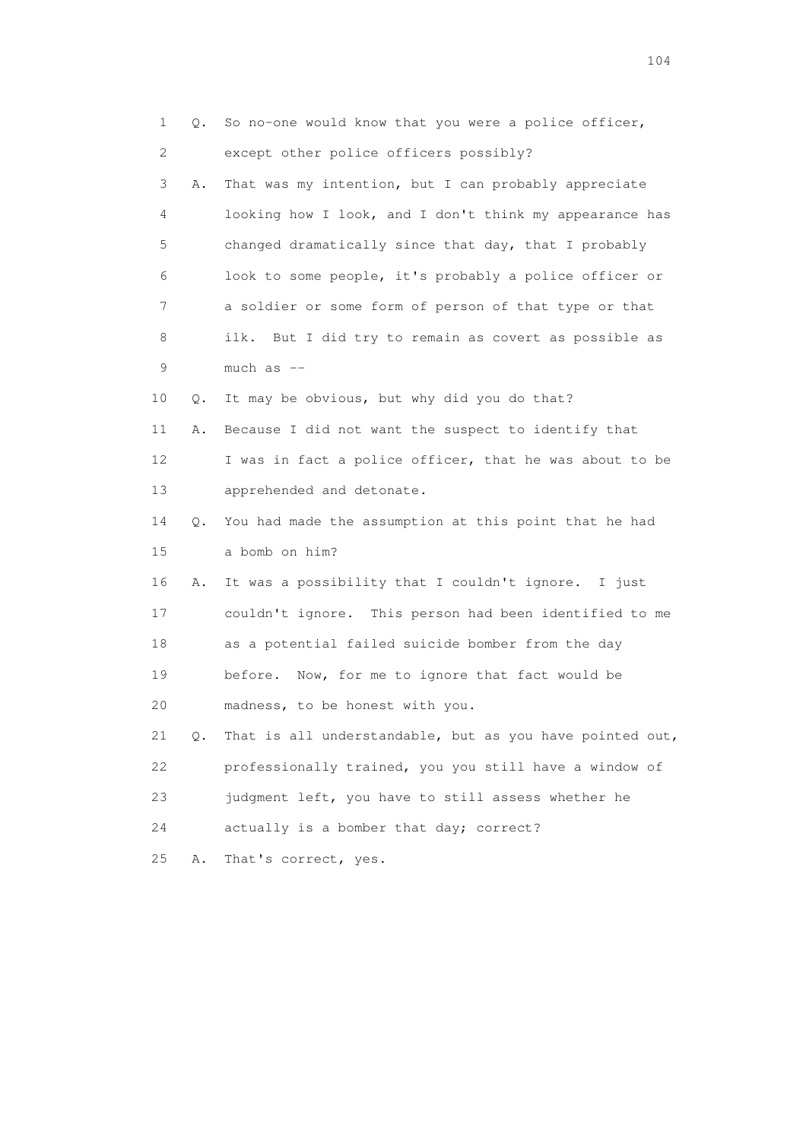|                 | 1<br>Q. | So no-one would know that you were a police officer,     |
|-----------------|---------|----------------------------------------------------------|
|                 | 2       | except other police officers possibly?                   |
|                 | 3<br>Α. | That was my intention, but I can probably appreciate     |
|                 | 4       | looking how I look, and I don't think my appearance has  |
|                 | 5       | changed dramatically since that day, that I probably     |
|                 | 6       | look to some people, it's probably a police officer or   |
|                 | 7       | a soldier or some form of person of that type or that    |
|                 | 8       | ilk. But I did try to remain as covert as possible as    |
|                 | 9       | much as --                                               |
| 10              | Q.      | It may be obvious, but why did you do that?              |
| 11              | Α.      | Because I did not want the suspect to identify that      |
| 12 <sup>°</sup> |         | I was in fact a police officer, that he was about to be  |
| 13              |         | apprehended and detonate.                                |
| 14              | Q.      | You had made the assumption at this point that he had    |
| 15              |         | a bomb on him?                                           |
| 16              | Α.      | It was a possibility that I couldn't ignore. I just      |
| 17              |         | couldn't ignore. This person had been identified to me   |
| 18              |         | as a potential failed suicide bomber from the day        |
| 19              |         | before. Now, for me to ignore that fact would be         |
| 20              |         | madness, to be honest with you.                          |
| 21              | $Q$ .   | That is all understandable, but as you have pointed out, |
| 22              |         | professionally trained, you you still have a window of   |
| 23              |         | judgment left, you have to still assess whether he       |
| 24              |         | actually is a bomber that day; correct?                  |
| 25              | Α.      | That's correct, yes.                                     |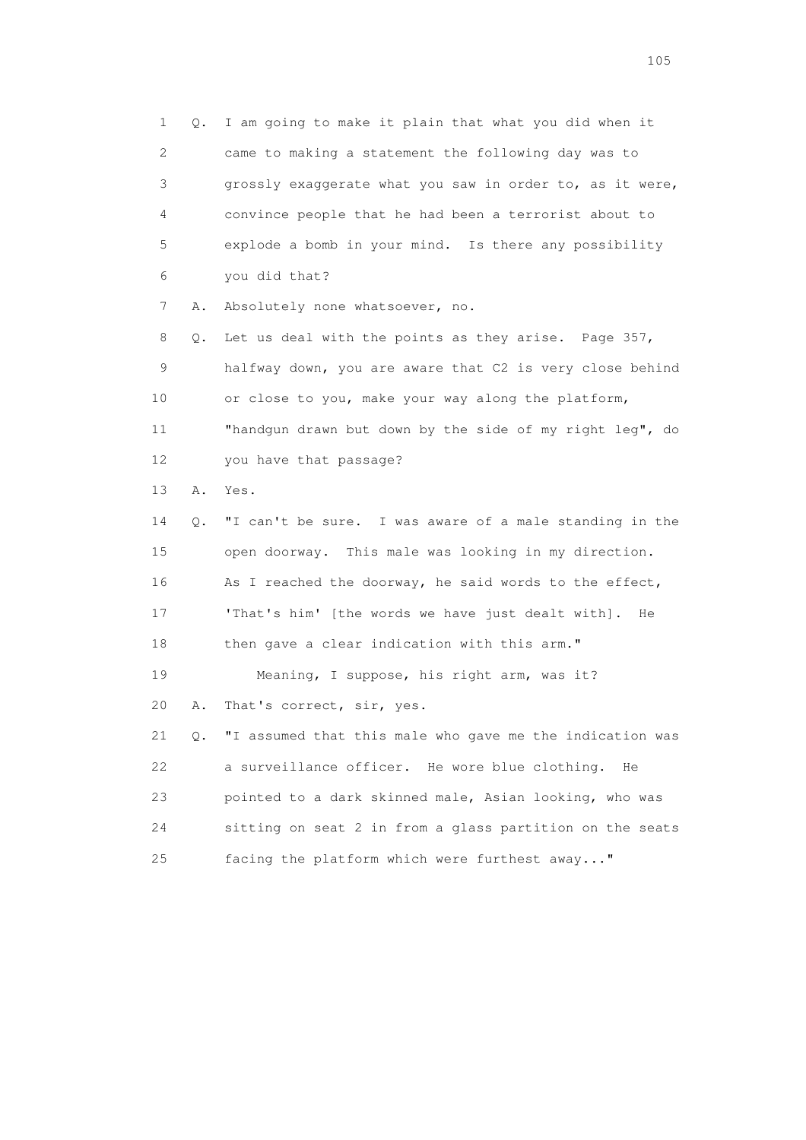1 Q. I am going to make it plain that what you did when it 2 came to making a statement the following day was to 3 grossly exaggerate what you saw in order to, as it were, 4 convince people that he had been a terrorist about to 5 explode a bomb in your mind. Is there any possibility 6 you did that? 7 A. Absolutely none whatsoever, no. 8 Q. Let us deal with the points as they arise. Page 357, 9 halfway down, you are aware that C2 is very close behind 10 or close to you, make your way along the platform, 11 "handgun drawn but down by the side of my right leg", do 12 you have that passage? 13 A. Yes. 14 Q. "I can't be sure. I was aware of a male standing in the 15 open doorway. This male was looking in my direction. 16 As I reached the doorway, he said words to the effect, 17 'That's him' [the words we have just dealt with]. He 18 then gave a clear indication with this arm." 19 Meaning, I suppose, his right arm, was it? 20 A. That's correct, sir, yes. 21 Q. "I assumed that this male who gave me the indication was 22 a surveillance officer. He wore blue clothing. He 23 pointed to a dark skinned male, Asian looking, who was 24 sitting on seat 2 in from a glass partition on the seats 25 facing the platform which were furthest away..."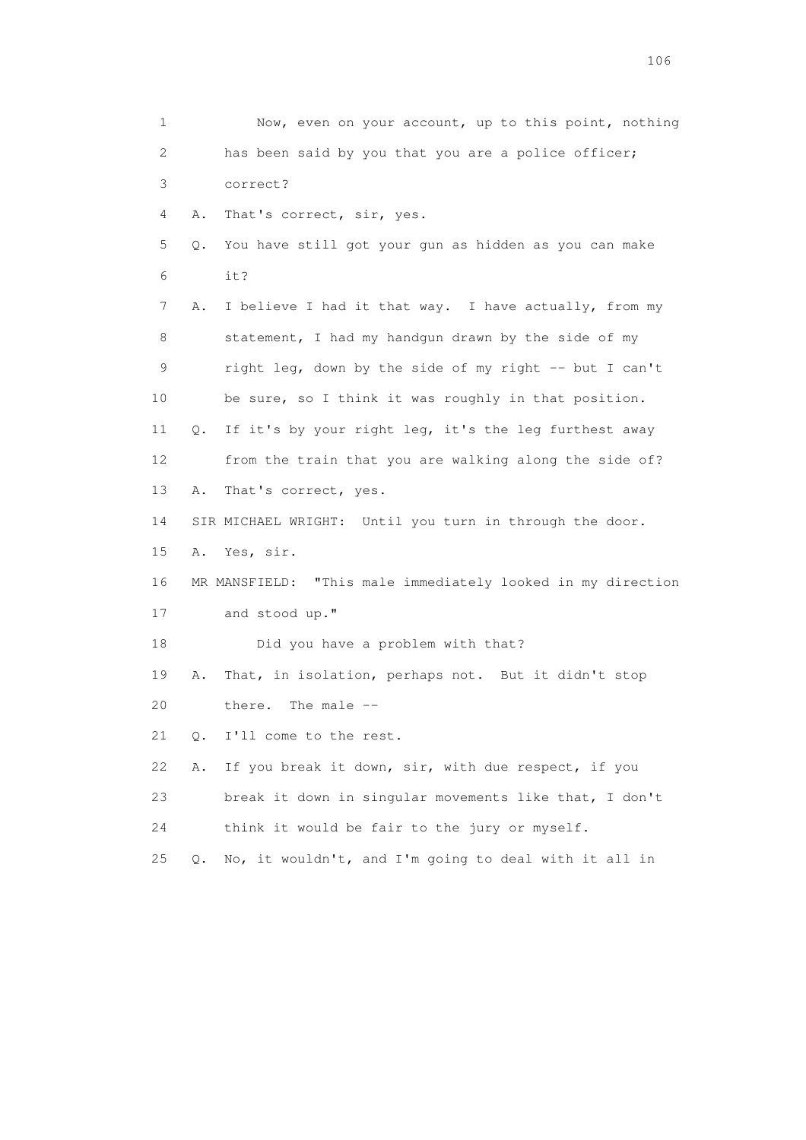1 Now, even on your account, up to this point, nothing 2 has been said by you that you are a police officer; 3 correct? 4 A. That's correct, sir, yes. 5 Q. You have still got your gun as hidden as you can make 6 it? 7 A. I believe I had it that way. I have actually, from my 8 statement, I had my handgun drawn by the side of my 9 right leg, down by the side of my right -- but I can't 10 be sure, so I think it was roughly in that position. 11 Q. If it's by your right leg, it's the leg furthest away 12 from the train that you are walking along the side of? 13 A. That's correct, yes. 14 SIR MICHAEL WRIGHT: Until you turn in through the door. 15 A. Yes, sir. 16 MR MANSFIELD: "This male immediately looked in my direction 17 and stood up." 18 Did you have a problem with that? 19 A. That, in isolation, perhaps not. But it didn't stop 20 there. The male -- 21 Q. I'll come to the rest. 22 A. If you break it down, sir, with due respect, if you 23 break it down in singular movements like that, I don't 24 think it would be fair to the jury or myself. 25 Q. No, it wouldn't, and I'm going to deal with it all in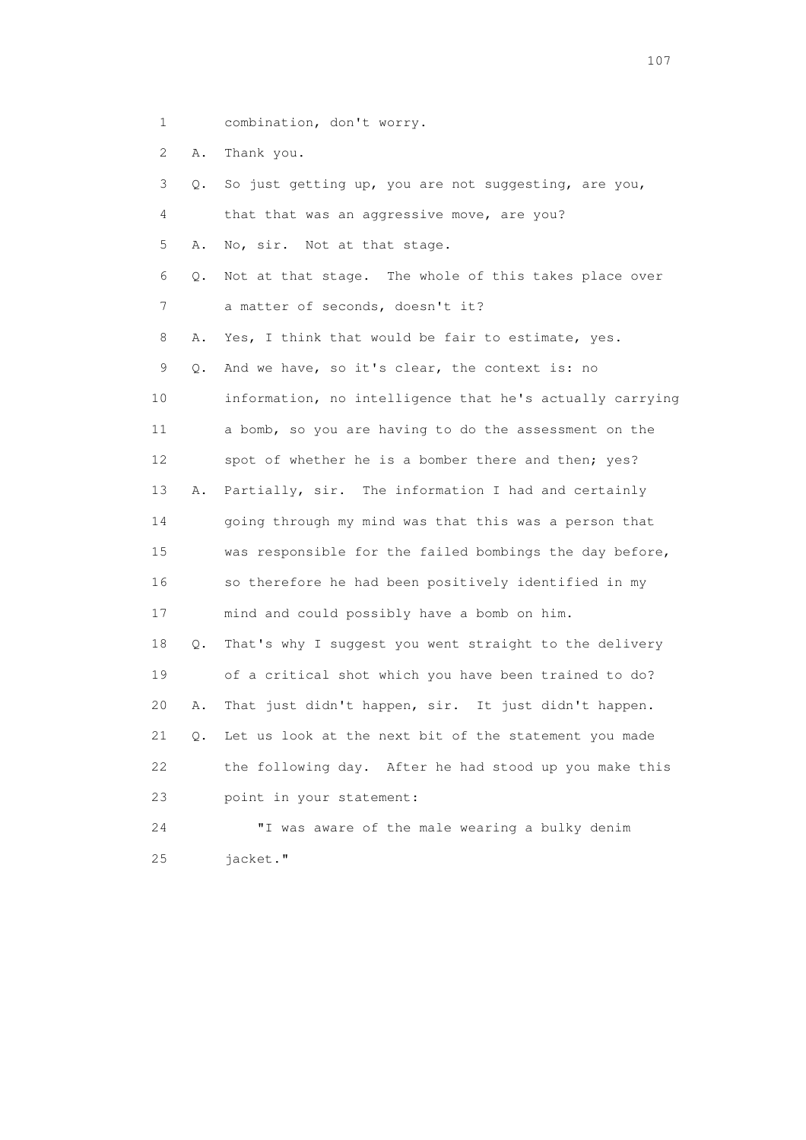1 combination, don't worry.

2 A. Thank you.

| 3               | Q. | So just getting up, you are not suggesting, are you,     |
|-----------------|----|----------------------------------------------------------|
| 4               |    | that that was an aggressive move, are you?               |
| 5               | Α. | No, sir. Not at that stage.                              |
| 6               | Q. | Not at that stage. The whole of this takes place over    |
| 7               |    | a matter of seconds, doesn't it?                         |
| 8               | Α. | Yes, I think that would be fair to estimate, yes.        |
| 9               | Q. | And we have, so it's clear, the context is: no           |
| 10              |    | information, no intelligence that he's actually carrying |
| 11              |    | a bomb, so you are having to do the assessment on the    |
| 12 <sup>°</sup> |    | spot of whether he is a bomber there and then; yes?      |
| 13              | Α. | Partially, sir. The information I had and certainly      |
| 14              |    | going through my mind was that this was a person that    |
| 15              |    | was responsible for the failed bombings the day before,  |
| 16              |    | so therefore he had been positively identified in my     |
| 17              |    | mind and could possibly have a bomb on him.              |
| 18              | Q. | That's why I suggest you went straight to the delivery   |
| 19              |    | of a critical shot which you have been trained to do?    |
| 20              | Α. | That just didn't happen, sir. It just didn't happen.     |
| 21              | О. | Let us look at the next bit of the statement you made    |
| 22              |    | the following day. After he had stood up you make this   |
| 23              |    | point in your statement:                                 |
| 24              |    | "I was aware of the male wearing a bulky denim           |
| 25              |    | jacket."                                                 |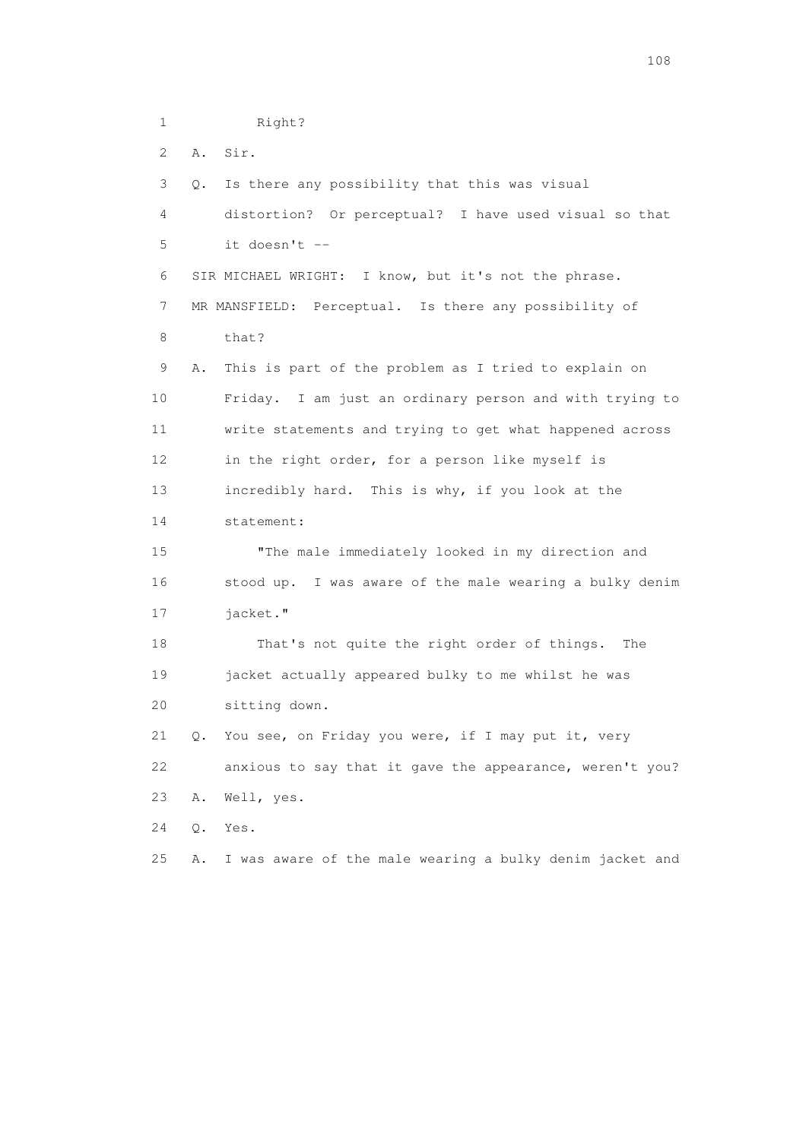1 Right? 2 A. Sir. 3 Q. Is there any possibility that this was visual 4 distortion? Or perceptual? I have used visual so that 5 it doesn't -- 6 SIR MICHAEL WRIGHT: I know, but it's not the phrase. 7 MR MANSFIELD: Perceptual. Is there any possibility of 8 that? 9 A. This is part of the problem as I tried to explain on 10 Friday. I am just an ordinary person and with trying to 11 write statements and trying to get what happened across 12 in the right order, for a person like myself is 13 incredibly hard. This is why, if you look at the 14 statement: 15 "The male immediately looked in my direction and 16 stood up. I was aware of the male wearing a bulky denim 17 jacket." 18 That's not quite the right order of things. The 19 jacket actually appeared bulky to me whilst he was 20 sitting down. 21 Q. You see, on Friday you were, if I may put it, very 22 anxious to say that it gave the appearance, weren't you? 23 A. Well, yes. 24 Q. Yes. 25 A. I was aware of the male wearing a bulky denim jacket and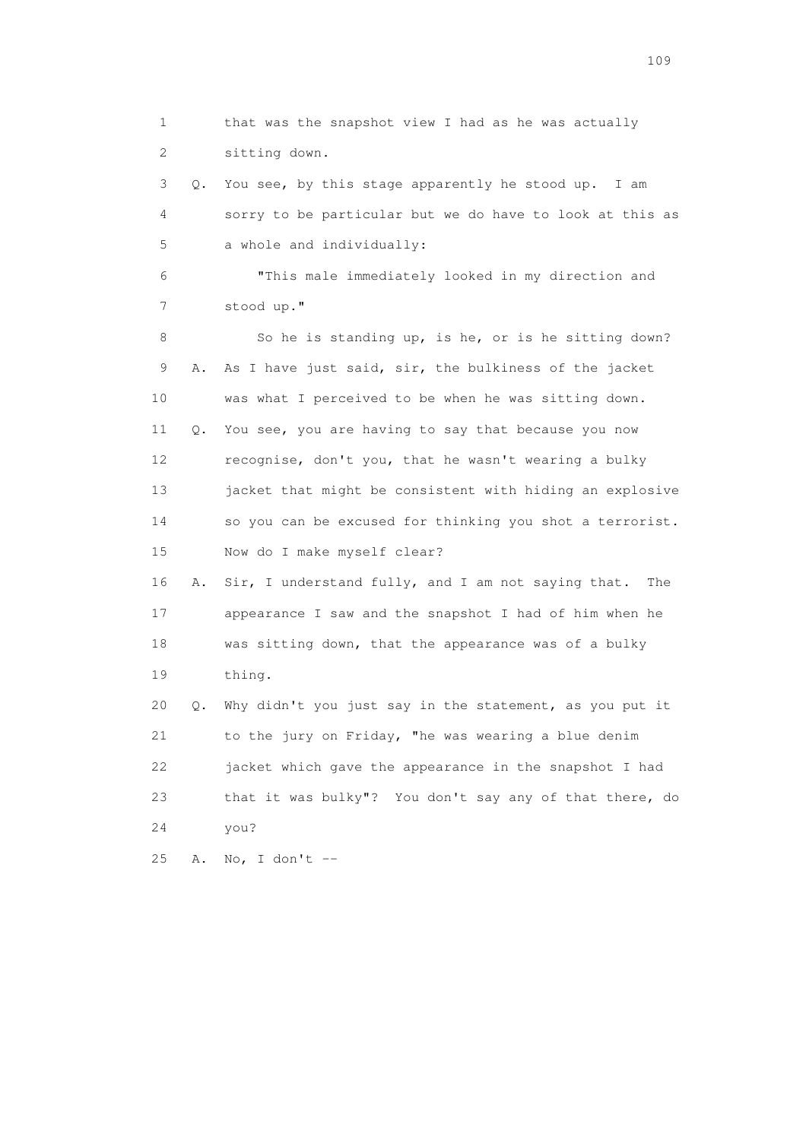1 that was the snapshot view I had as he was actually 2 sitting down. 3 Q. You see, by this stage apparently he stood up. I am 4 sorry to be particular but we do have to look at this as 5 a whole and individually: 6 "This male immediately looked in my direction and 7 stood up." 8 So he is standing up, is he, or is he sitting down? 9 A. As I have just said, sir, the bulkiness of the jacket 10 was what I perceived to be when he was sitting down. 11 Q. You see, you are having to say that because you now 12 recognise, don't you, that he wasn't wearing a bulky 13 jacket that might be consistent with hiding an explosive 14 so you can be excused for thinking you shot a terrorist. 15 Now do I make myself clear? 16 A. Sir, I understand fully, and I am not saying that. The 17 appearance I saw and the snapshot I had of him when he 18 was sitting down, that the appearance was of a bulky 19 thing. 20 Q. Why didn't you just say in the statement, as you put it 21 to the jury on Friday, "he was wearing a blue denim 22 jacket which gave the appearance in the snapshot I had 23 that it was bulky"? You don't say any of that there, do 24 you? 25 A. No, I don't --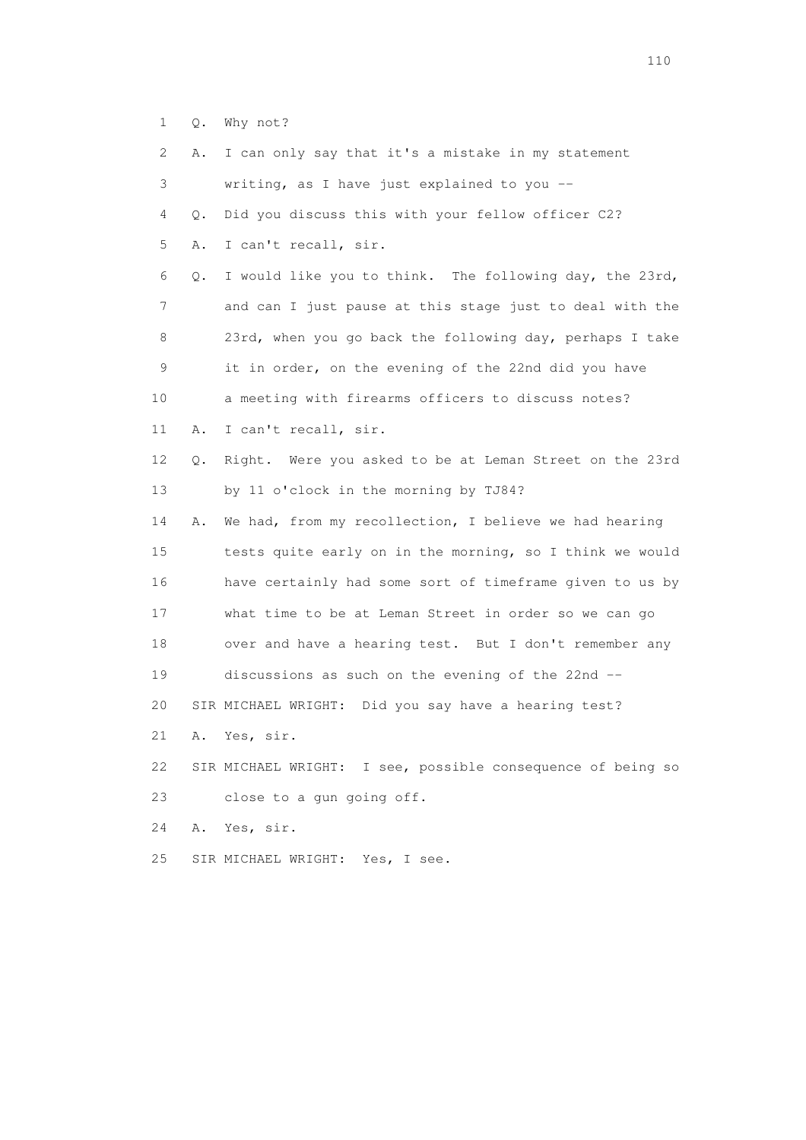|  |  |  | Q. Why not? |  |
|--|--|--|-------------|--|
|--|--|--|-------------|--|

| 2. | Α. | I can only say that it's a mistake in my statement          |
|----|----|-------------------------------------------------------------|
| 3  |    | writing, as I have just explained to you --                 |
| 4  | Q. | Did you discuss this with your fellow officer C2?           |
| 5  | Α. | I can't recall, sir.                                        |
| 6  | Q. | I would like you to think. The following day, the 23rd,     |
| 7  |    | and can I just pause at this stage just to deal with the    |
| 8  |    | 23rd, when you go back the following day, perhaps I take    |
| 9  |    | it in order, on the evening of the 22nd did you have        |
| 10 |    | a meeting with firearms officers to discuss notes?          |
| 11 | Α. | I can't recall, sir.                                        |
| 12 | Q. | Right. Were you asked to be at Leman Street on the 23rd     |
| 13 |    | by 11 o'clock in the morning by TJ84?                       |
| 14 | Α. | We had, from my recollection, I believe we had hearing      |
| 15 |    | tests quite early on in the morning, so I think we would    |
| 16 |    | have certainly had some sort of timeframe given to us by    |
| 17 |    | what time to be at Leman Street in order so we can go       |
| 18 |    | over and have a hearing test. But I don't remember any      |
| 19 |    | discussions as such on the evening of the 22nd --           |
| 20 |    | SIR MICHAEL WRIGHT: Did you say have a hearing test?        |
| 21 | Α. | Yes, sir.                                                   |
| 22 |    | SIR MICHAEL WRIGHT: I see, possible consequence of being so |
| 23 |    | close to a qun going off.                                   |
| 24 | Α. | Yes, sir.                                                   |
| 25 |    | SIR MICHAEL WRIGHT: Yes, I see.                             |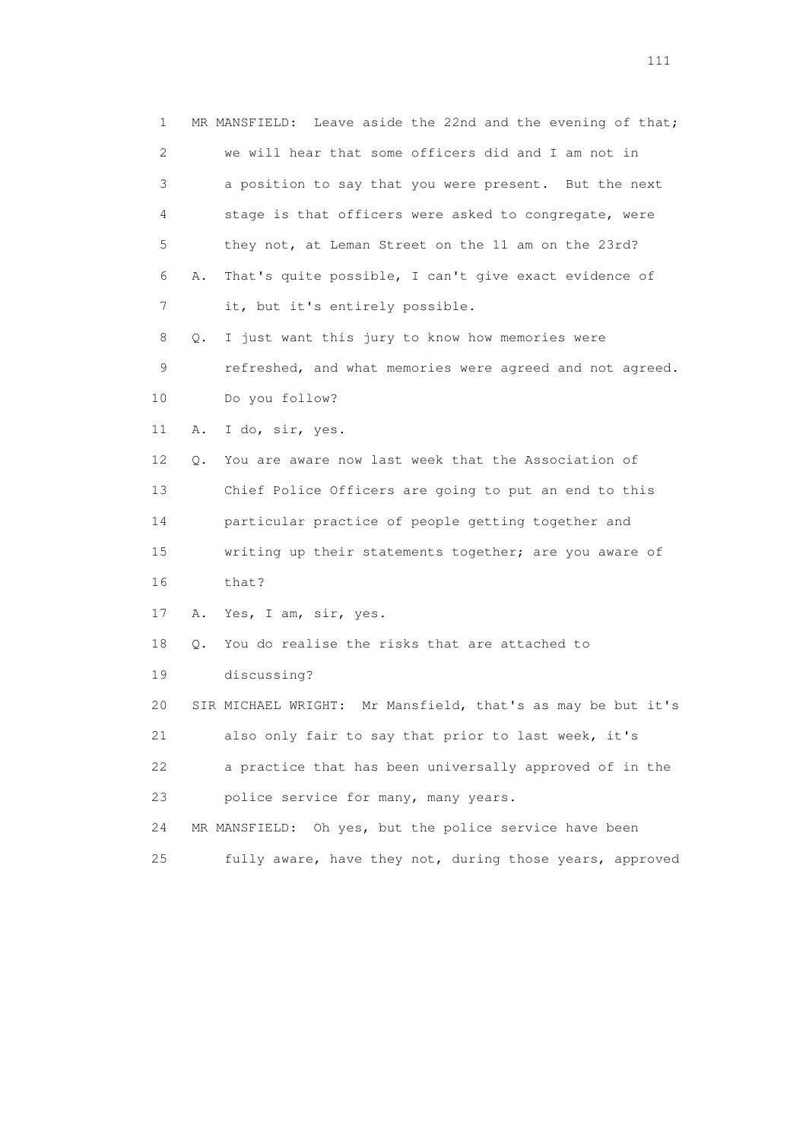1 MR MANSFIELD: Leave aside the 22nd and the evening of that; 2 we will hear that some officers did and I am not in 3 a position to say that you were present. But the next 4 stage is that officers were asked to congregate, were 5 they not, at Leman Street on the 11 am on the 23rd? 6 A. That's quite possible, I can't give exact evidence of 7 it, but it's entirely possible. 8 Q. I just want this jury to know how memories were 9 refreshed, and what memories were agreed and not agreed. 10 Do you follow? 11 A. I do, sir, yes. 12 Q. You are aware now last week that the Association of 13 Chief Police Officers are going to put an end to this 14 particular practice of people getting together and 15 writing up their statements together; are you aware of 16 that? 17 A. Yes, I am, sir, yes. 18 Q. You do realise the risks that are attached to 19 discussing? 20 SIR MICHAEL WRIGHT: Mr Mansfield, that's as may be but it's 21 also only fair to say that prior to last week, it's 22 a practice that has been universally approved of in the 23 police service for many, many years. 24 MR MANSFIELD: Oh yes, but the police service have been 25 fully aware, have they not, during those years, approved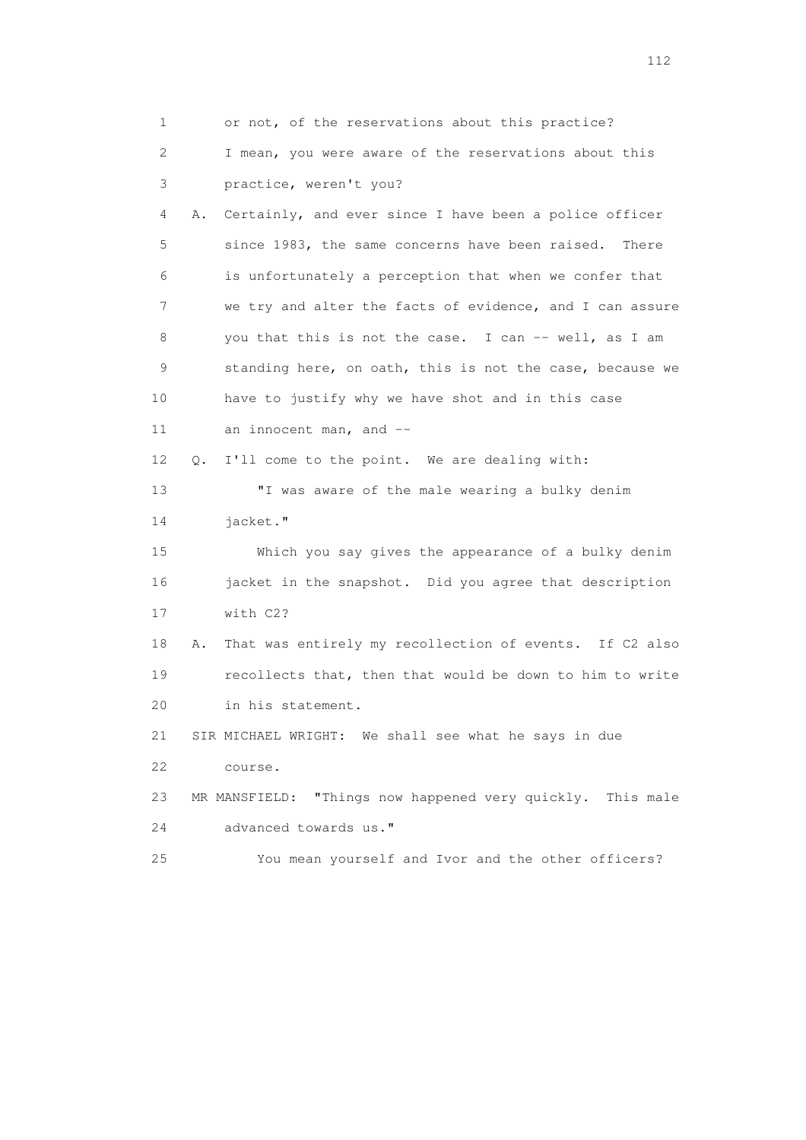| 1  | or not, of the reservations about this practice?              |
|----|---------------------------------------------------------------|
| 2  | I mean, you were aware of the reservations about this         |
| 3  | practice, weren't you?                                        |
| 4  | Certainly, and ever since I have been a police officer<br>Α.  |
| 5  | since 1983, the same concerns have been raised. There         |
| 6  | is unfortunately a perception that when we confer that        |
| 7  | we try and alter the facts of evidence, and I can assure      |
| 8  | you that this is not the case. I can -- well, as I am         |
| 9  | standing here, on oath, this is not the case, because we      |
| 10 | have to justify why we have shot and in this case             |
| 11 | an innocent man, and $-$                                      |
| 12 | I'll come to the point. We are dealing with:<br>$\circ$ .     |
| 13 | "I was aware of the male wearing a bulky denim                |
| 14 | jacket."                                                      |
| 15 | Which you say gives the appearance of a bulky denim           |
| 16 | jacket in the snapshot. Did you agree that description        |
| 17 | with C2?                                                      |
| 18 | That was entirely my recollection of events. If C2 also<br>Α. |
| 19 | recollects that, then that would be down to him to write      |
| 20 | in his statement.                                             |
| 21 | SIR MICHAEL WRIGHT: We shall see what he says in due          |
| 22 | course.                                                       |
| 23 | "Things now happened very quickly. This male<br>MR MANSFIELD: |
| 24 | advanced towards us."                                         |
| 25 | You mean yourself and Ivor and the other officers?            |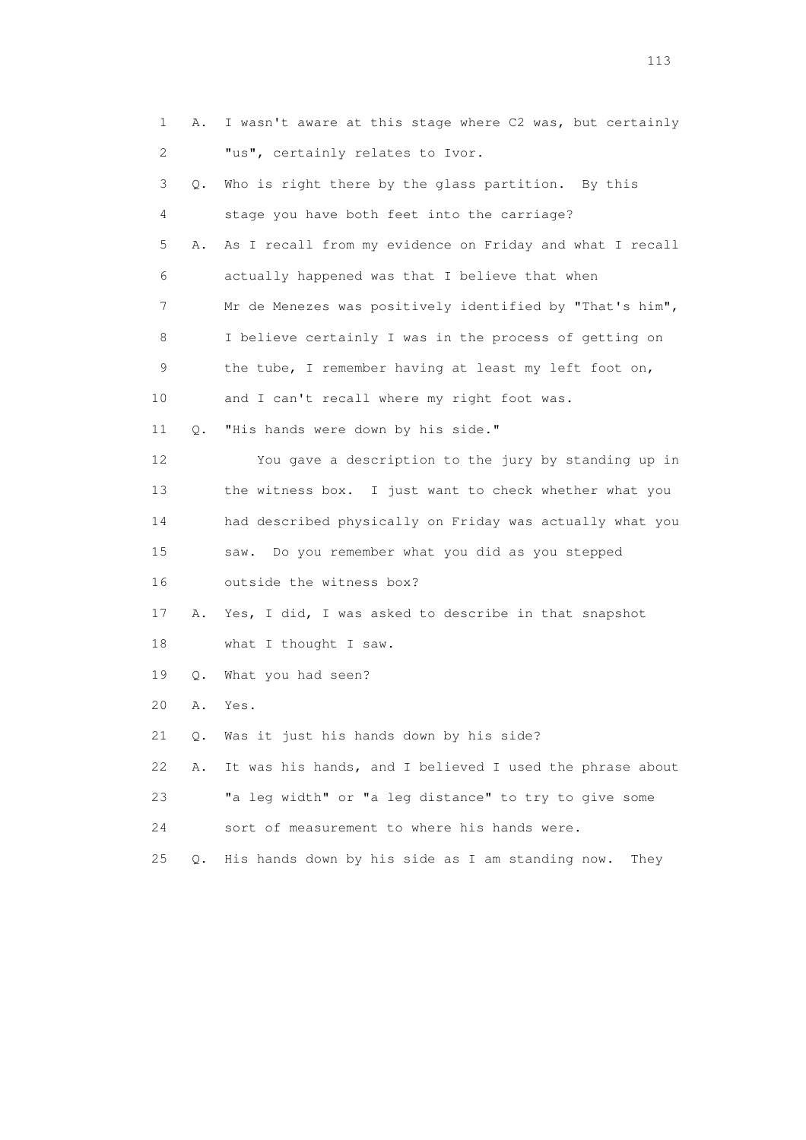| 1           | Α.        | I wasn't aware at this stage where C2 was, but certainly |
|-------------|-----------|----------------------------------------------------------|
| 2           |           | "us", certainly relates to Ivor.                         |
| 3           | Q.        | Who is right there by the glass partition. By this       |
| 4           |           | stage you have both feet into the carriage?              |
| 5           | Α.        | As I recall from my evidence on Friday and what I recall |
| 6           |           | actually happened was that I believe that when           |
| 7           |           | Mr de Menezes was positively identified by "That's him", |
| 8           |           | I believe certainly I was in the process of getting on   |
| $\mathsf 9$ |           | the tube, I remember having at least my left foot on,    |
| 10          |           | and I can't recall where my right foot was.              |
| 11          | $\circ$ . | "His hands were down by his side."                       |
| 12          |           | You gave a description to the jury by standing up in     |
| 13          |           | the witness box. I just want to check whether what you   |
| 14          |           | had described physically on Friday was actually what you |
| 15          |           | Do you remember what you did as you stepped<br>saw.      |
| 16          |           | outside the witness box?                                 |
| 17          | Α.        | Yes, I did, I was asked to describe in that snapshot     |
| 18          |           | what I thought I saw.                                    |
| 19          | Q.        | What you had seen?                                       |
| 20          | Α.        | Yes.                                                     |
| 21          | Q.        | Was it just his hands down by his side?                  |
| 22          | Α.        | It was his hands, and I believed I used the phrase about |
| 23          |           | "a leg width" or "a leg distance" to try to give some    |
| 24          |           | sort of measurement to where his hands were.             |
| 25          | О.        | His hands down by his side as I am standing now.<br>They |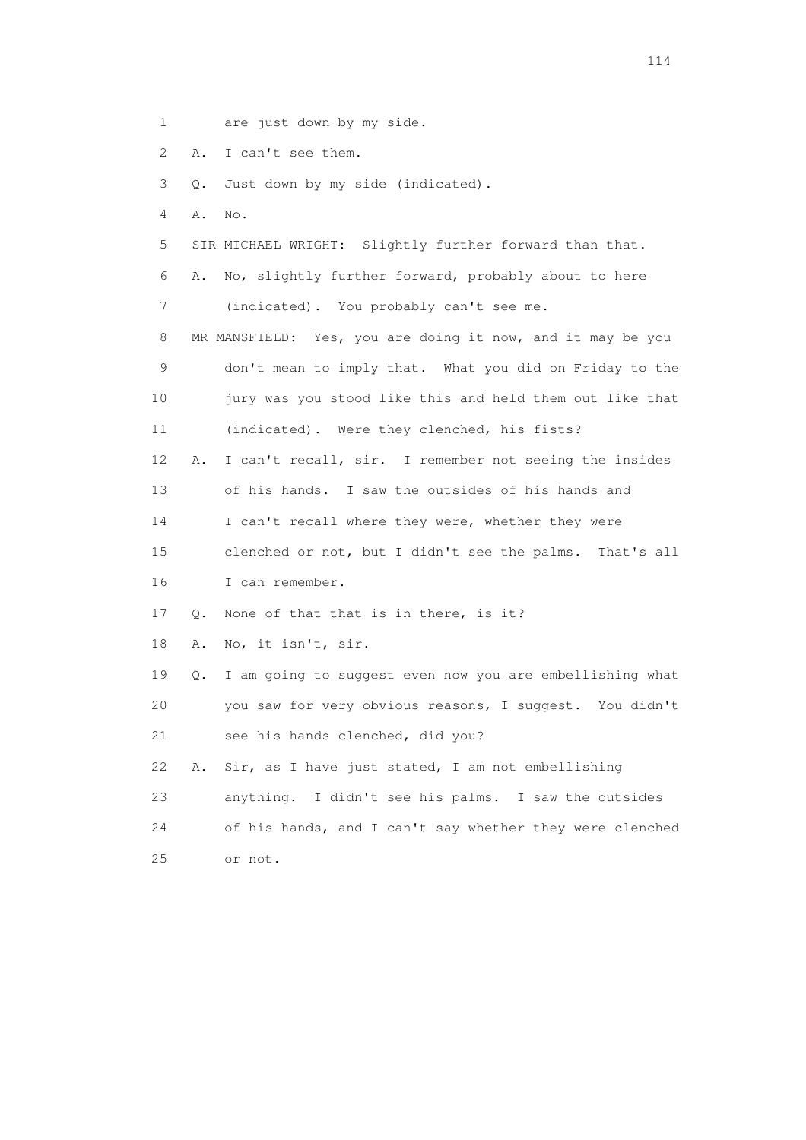- 1 are just down by my side.
- 2 A. I can't see them.
- 3 Q. Just down by my side (indicated).
- 4 A. No.
- 5 SIR MICHAEL WRIGHT: Slightly further forward than that.
- 6 A. No, slightly further forward, probably about to here 7 (indicated). You probably can't see me.
- 8 MR MANSFIELD: Yes, you are doing it now, and it may be you 9 don't mean to imply that. What you did on Friday to the 10 jury was you stood like this and held them out like that 11 (indicated). Were they clenched, his fists?
- 12 A. I can't recall, sir. I remember not seeing the insides 13 of his hands. I saw the outsides of his hands and 14 I can't recall where they were, whether they were 15 clenched or not, but I didn't see the palms. That's all
- 16 I can remember.
- 17 Q. None of that that is in there, is it?
- 18 A. No, it isn't, sir.
- 19 Q. I am going to suggest even now you are embellishing what 20 you saw for very obvious reasons, I suggest. You didn't 21 see his hands clenched, did you?
- 22 A. Sir, as I have just stated, I am not embellishing 23 anything. I didn't see his palms. I saw the outsides 24 of his hands, and I can't say whether they were clenched 25 or not.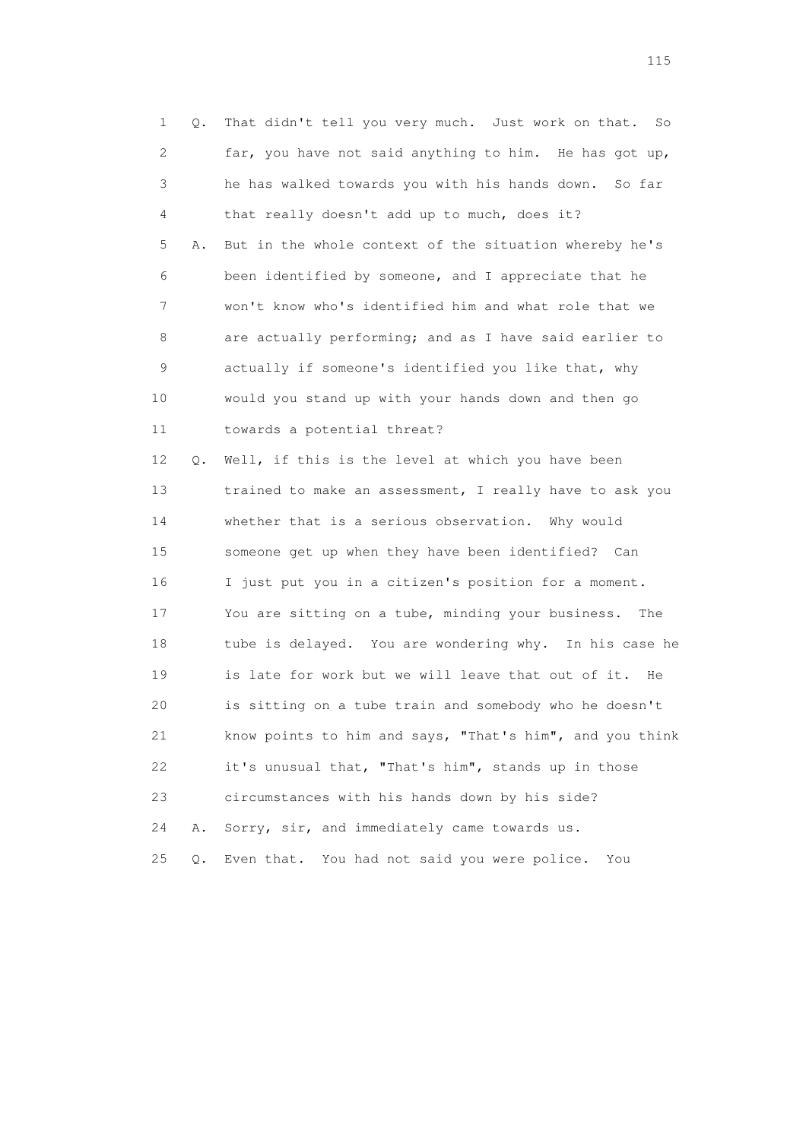| $\mathbf 1$ | Q. | That didn't tell you very much. Just work on that.<br>So |
|-------------|----|----------------------------------------------------------|
| 2           |    | far, you have not said anything to him. He has got up,   |
| 3           |    | he has walked towards you with his hands down.<br>So far |
| 4           |    | that really doesn't add up to much, does it?             |
| 5           | Α. | But in the whole context of the situation whereby he's   |
| 6           |    | been identified by someone, and I appreciate that he     |
| 7           |    | won't know who's identified him and what role that we    |
| 8           |    | are actually performing; and as I have said earlier to   |
| 9           |    | actually if someone's identified you like that, why      |
| 10          |    | would you stand up with your hands down and then go      |
| 11          |    | towards a potential threat?                              |
| 12          | Q. | Well, if this is the level at which you have been        |
| 13          |    | trained to make an assessment, I really have to ask you  |
| 14          |    | whether that is a serious observation. Why would         |
| 15          |    | someone get up when they have been identified? Can       |
| 16          |    | I just put you in a citizen's position for a moment.     |
| 17          |    | You are sitting on a tube, minding your business.<br>The |
| 18          |    | tube is delayed. You are wondering why. In his case he   |
| 19          |    | is late for work but we will leave that out of it.<br>He |
| 20          |    | is sitting on a tube train and somebody who he doesn't   |
| 21          |    | know points to him and says, "That's him", and you think |
| 22          |    | it's unusual that, "That's him", stands up in those      |
| 23          |    | circumstances with his hands down by his side?           |
| 24          | Α. | Sorry, sir, and immediately came towards us.             |
| 25          | Q. | You had not said you were police.<br>Even that.<br>You   |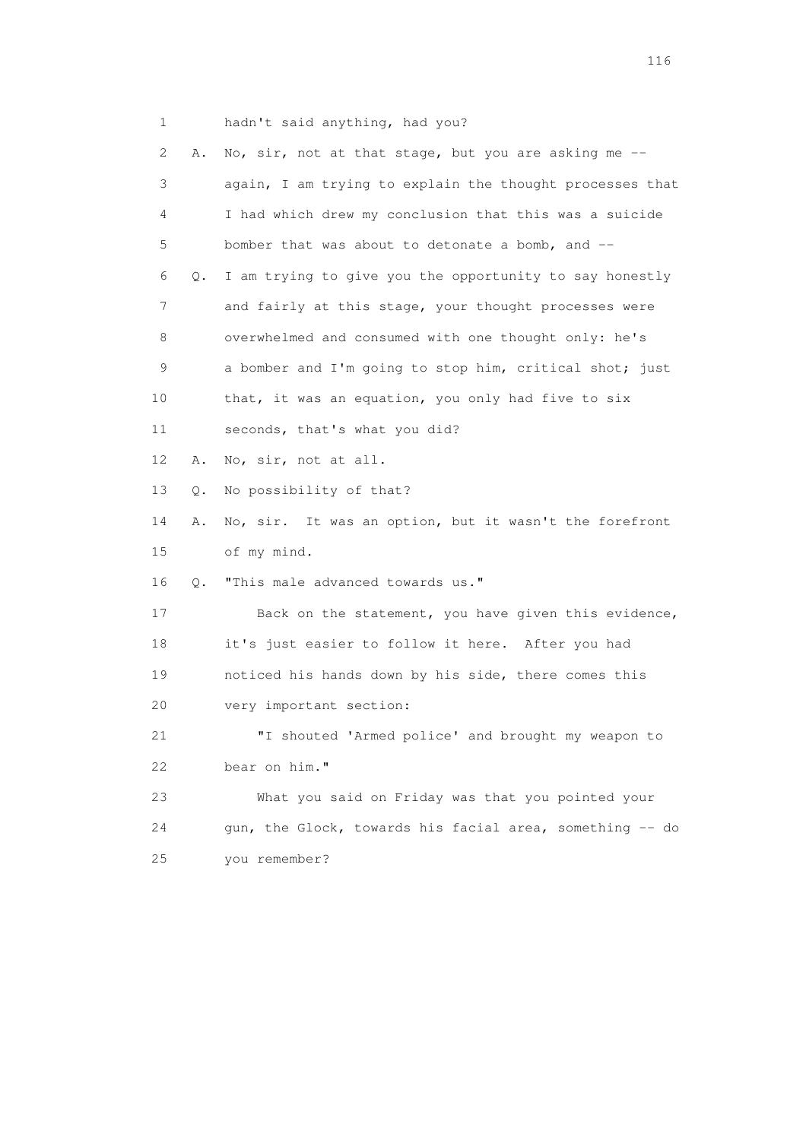1 hadn't said anything, had you?

| 2  | Α. | No, sir, not at that stage, but you are asking me --     |
|----|----|----------------------------------------------------------|
| 3  |    | again, I am trying to explain the thought processes that |
| 4  |    | I had which drew my conclusion that this was a suicide   |
| 5  |    | bomber that was about to detonate a bomb, and --         |
| 6  | Q. | I am trying to give you the opportunity to say honestly  |
| 7  |    | and fairly at this stage, your thought processes were    |
| 8  |    | overwhelmed and consumed with one thought only: he's     |
| 9  |    | a bomber and I'm going to stop him, critical shot; just  |
| 10 |    | that, it was an equation, you only had five to six       |
| 11 |    | seconds, that's what you did?                            |
| 12 | Α. | No, sir, not at all.                                     |
| 13 | Q. | No possibility of that?                                  |
| 14 | Α. | No, sir. It was an option, but it wasn't the forefront   |
| 15 |    | of my mind.                                              |
| 16 | Q. | "This male advanced towards us."                         |
| 17 |    | Back on the statement, you have given this evidence,     |
| 18 |    | it's just easier to follow it here. After you had        |
| 19 |    | noticed his hands down by his side, there comes this     |
| 20 |    | very important section:                                  |
| 21 |    | "I shouted 'Armed police' and brought my weapon to       |
| 22 |    | bear on him."                                            |
| 23 |    | What you said on Friday was that you pointed your        |
| 24 |    | gun, the Glock, towards his facial area, something -- do |
| 25 |    | you remember?                                            |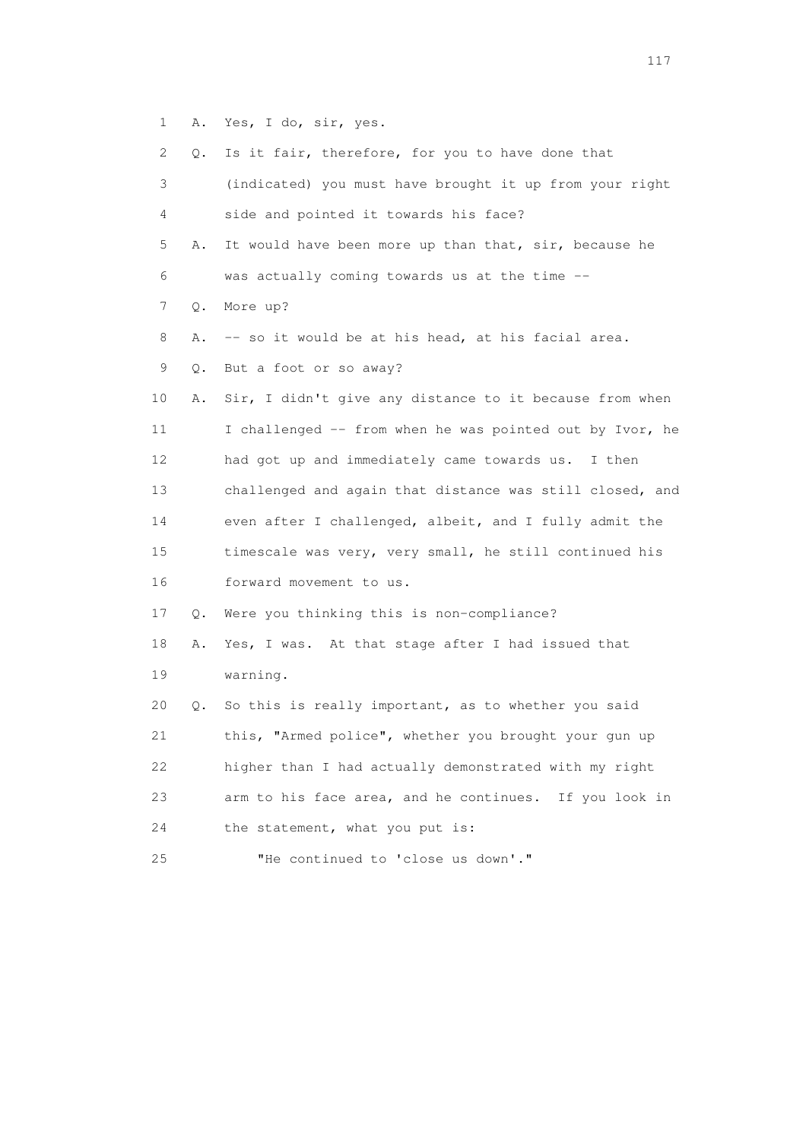1 A. Yes, I do, sir, yes.

| 2      | Q. | Is it fair, therefore, for you to have done that          |
|--------|----|-----------------------------------------------------------|
| 3      |    | (indicated) you must have brought it up from your right   |
| 4      |    | side and pointed it towards his face?                     |
| 5      | Α. | It would have been more up than that, sir, because he     |
| 6      |    | was actually coming towards us at the time --             |
| 7      | Q. | More up?                                                  |
| 8      | Α. | -- so it would be at his head, at his facial area.        |
| 9      | Q. | But a foot or so away?                                    |
| 10     | Α. | Sir, I didn't give any distance to it because from when   |
| 11     |    | I challenged -- from when he was pointed out by Ivor, he  |
| 12     |    | had got up and immediately came towards us. I then        |
| 13     |    | challenged and again that distance was still closed, and  |
| 14     |    | even after I challenged, albeit, and I fully admit the    |
| $15\,$ |    | timescale was very, very small, he still continued his    |
| 16     |    | forward movement to us.                                   |
| 17     | Q. | Were you thinking this is non-compliance?                 |
| 18     | Α. | Yes, I was. At that stage after I had issued that         |
| 19     |    | warning.                                                  |
| 20     | Q. | So this is really important, as to whether you said       |
| 21     |    | this, "Armed police", whether you brought your gun up     |
| 22     |    | higher than I had actually demonstrated with my right     |
| 23     |    | arm to his face area, and he continues.<br>If you look in |
| 24     |    | the statement, what you put is:                           |
| 25     |    | "He continued to 'close us down'."                        |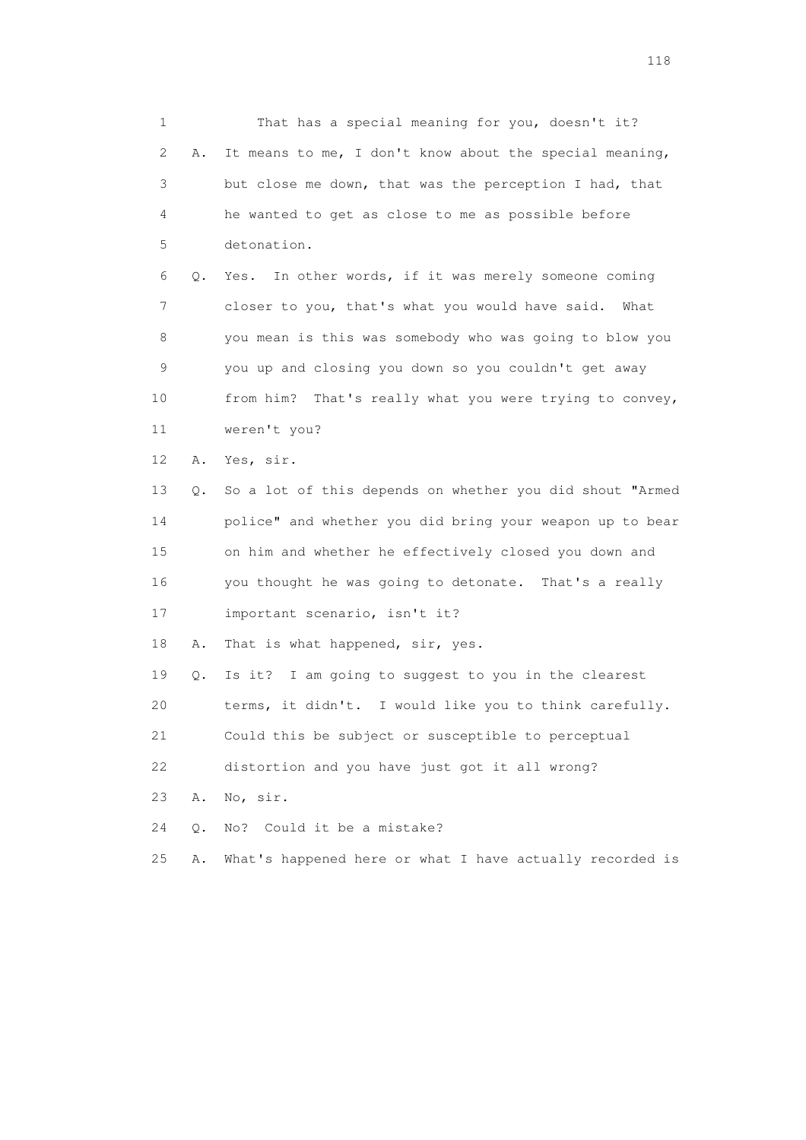1 That has a special meaning for you, doesn't it? 2 A. It means to me, I don't know about the special meaning, 3 but close me down, that was the perception I had, that 4 he wanted to get as close to me as possible before 5 detonation. 6 Q. Yes. In other words, if it was merely someone coming 7 closer to you, that's what you would have said. What 8 you mean is this was somebody who was going to blow you 9 you up and closing you down so you couldn't get away 10 from him? That's really what you were trying to convey, 11 weren't you? 12 A. Yes, sir. 13 Q. So a lot of this depends on whether you did shout "Armed 14 police" and whether you did bring your weapon up to bear 15 on him and whether he effectively closed you down and 16 you thought he was going to detonate. That's a really 17 important scenario, isn't it? 18 A. That is what happened, sir, yes. 19 Q. Is it? I am going to suggest to you in the clearest 20 terms, it didn't. I would like you to think carefully. 21 Could this be subject or susceptible to perceptual 22 distortion and you have just got it all wrong? 23 A. No, sir. 24 Q. No? Could it be a mistake? 25 A. What's happened here or what I have actually recorded is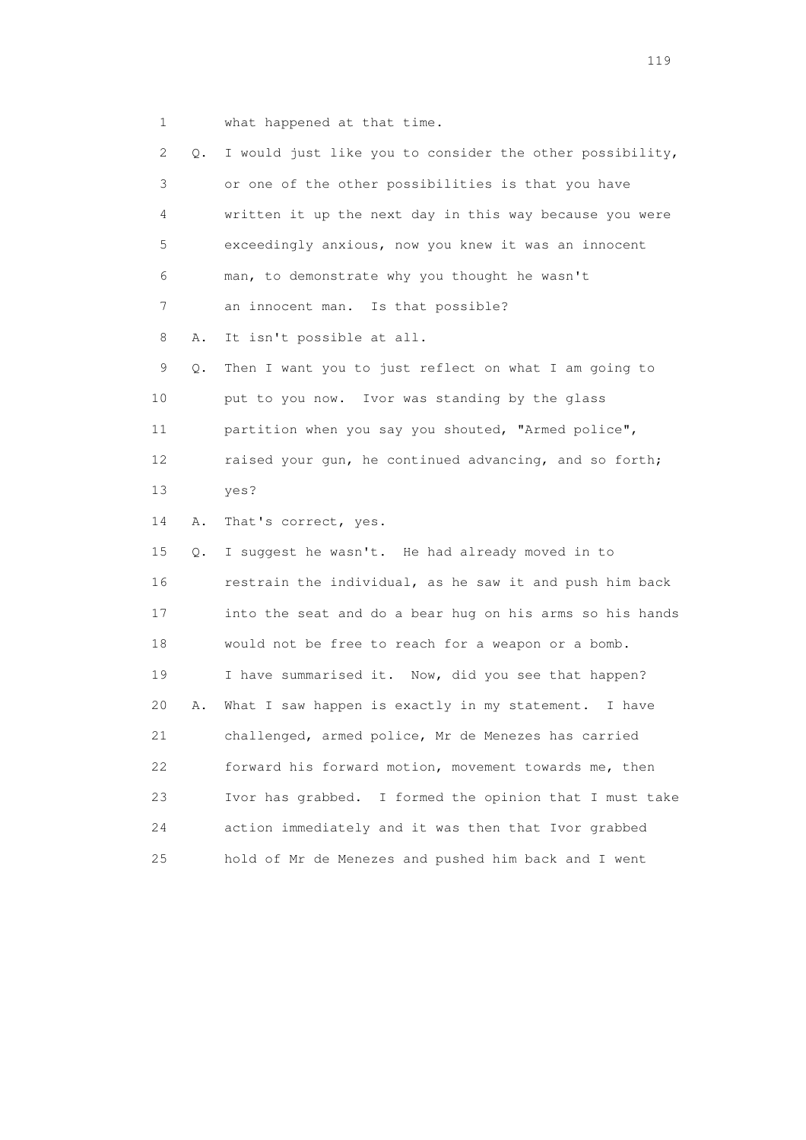1 what happened at that time.

 2 Q. I would just like you to consider the other possibility, 3 or one of the other possibilities is that you have 4 written it up the next day in this way because you were 5 exceedingly anxious, now you knew it was an innocent 6 man, to demonstrate why you thought he wasn't 7 an innocent man. Is that possible? 8 A. It isn't possible at all. 9 Q. Then I want you to just reflect on what I am going to 10 put to you now. Ivor was standing by the glass 11 partition when you say you shouted, "Armed police", 12 raised your gun, he continued advancing, and so forth; 13 yes? 14 A. That's correct, yes. 15 Q. I suggest he wasn't. He had already moved in to 16 restrain the individual, as he saw it and push him back 17 into the seat and do a bear hug on his arms so his hands 18 would not be free to reach for a weapon or a bomb. 19 I have summarised it. Now, did you see that happen? 20 A. What I saw happen is exactly in my statement. I have 21 challenged, armed police, Mr de Menezes has carried 22 forward his forward motion, movement towards me, then 23 Ivor has grabbed. I formed the opinion that I must take 24 action immediately and it was then that Ivor grabbed 25 hold of Mr de Menezes and pushed him back and I went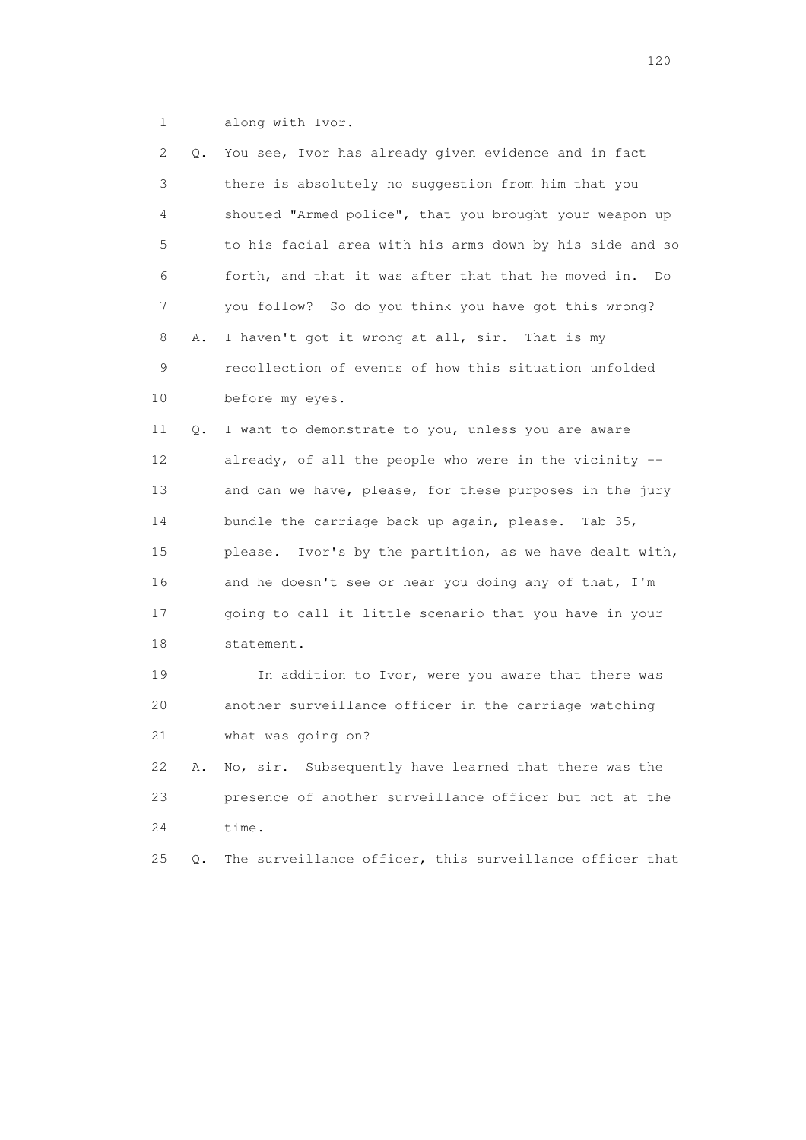1 along with Ivor.

| $\mathbf{2}^{\mathsf{I}}$ | Q. | You see, Ivor has already given evidence and in fact      |
|---------------------------|----|-----------------------------------------------------------|
| 3                         |    | there is absolutely no suggestion from him that you       |
| 4                         |    | shouted "Armed police", that you brought your weapon up   |
| 5                         |    | to his facial area with his arms down by his side and so  |
| 6                         |    | forth, and that it was after that that he moved in.<br>Do |
| 7                         |    | you follow? So do you think you have got this wrong?      |
| 8                         | Α. | I haven't got it wrong at all, sir. That is my            |
| 9                         |    | recollection of events of how this situation unfolded     |
| 10                        |    | before my eyes.                                           |
| 11                        | Q. | I want to demonstrate to you, unless you are aware        |
| 12                        |    | already, of all the people who were in the vicinity --    |
| 13                        |    | and can we have, please, for these purposes in the jury   |
| 14                        |    | bundle the carriage back up again, please.<br>Tab 35,     |
| 15                        |    | please. Ivor's by the partition, as we have dealt with,   |
| 16                        |    | and he doesn't see or hear you doing any of that, I'm     |
| 17                        |    | going to call it little scenario that you have in your    |
| 18                        |    | statement.                                                |
| 19                        |    | In addition to Ivor, were you aware that there was        |
| 20                        |    | another surveillance officer in the carriage watching     |
| 21                        |    | what was going on?                                        |
| 22                        | Α. | No, sir. Subsequently have learned that there was the     |
| 23                        |    | presence of another surveillance officer but not at the   |
| 24                        |    | time.                                                     |
| 25                        | Q. | The surveillance officer, this surveillance officer that  |
|                           |    |                                                           |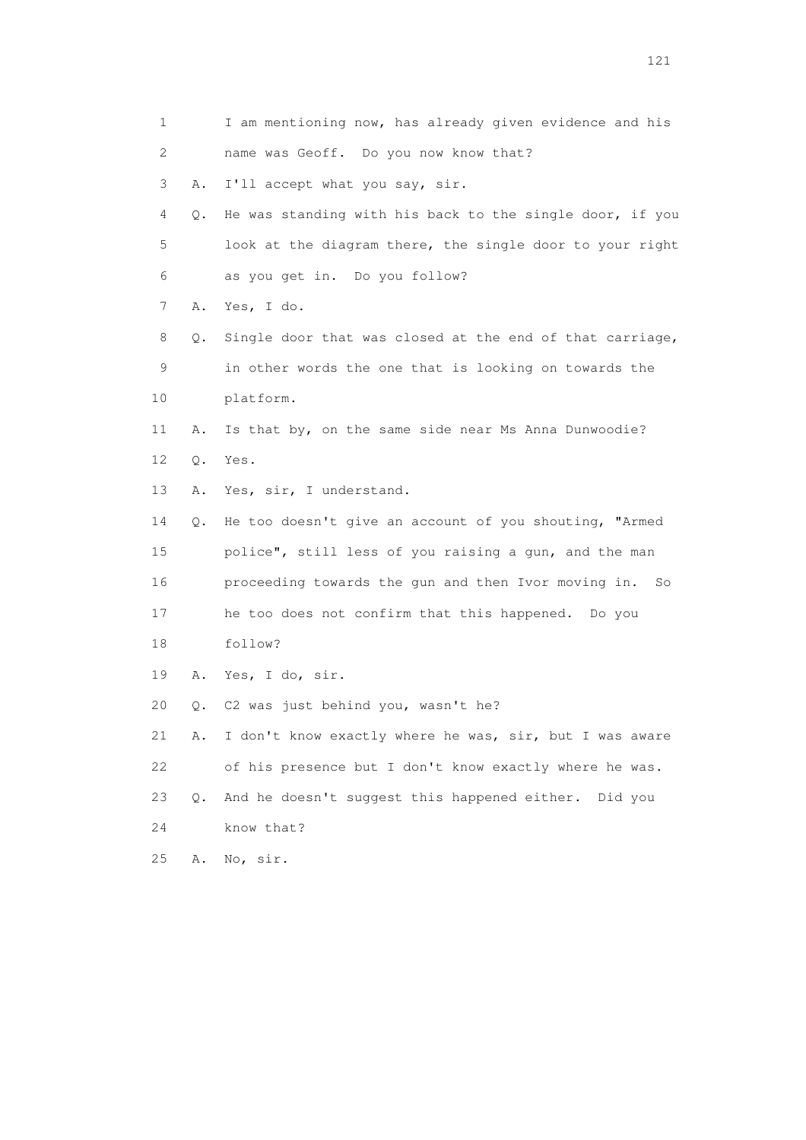| 1  |       | I am mentioning now, has already given evidence and his   |
|----|-------|-----------------------------------------------------------|
| 2  |       | name was Geoff. Do you now know that?                     |
| 3  | Α.    | I'll accept what you say, sir.                            |
| 4  | Q.    | He was standing with his back to the single door, if you  |
| 5  |       | look at the diagram there, the single door to your right  |
| 6  |       | as you get in. Do you follow?                             |
| 7  | Α.    | Yes, I do.                                                |
| 8  | Q.    | Single door that was closed at the end of that carriage,  |
| 9  |       | in other words the one that is looking on towards the     |
| 10 |       | platform.                                                 |
| 11 | Α.    | Is that by, on the same side near Ms Anna Dunwoodie?      |
| 12 | $Q$ . | Yes.                                                      |
| 13 | Α.    | Yes, sir, I understand.                                   |
| 14 | О.    | He too doesn't give an account of you shouting, "Armed    |
| 15 |       | police", still less of you raising a gun, and the man     |
| 16 |       | proceeding towards the gun and then Ivor moving in.<br>So |
| 17 |       | he too does not confirm that this happened. Do you        |
| 18 |       | follow?                                                   |
| 19 |       | A. Yes, I do, sir.                                        |
| 20 | Q.    | C2 was just behind you, wasn't he?                        |
| 21 | Α.    | I don't know exactly where he was, sir, but I was aware   |
| 22 |       | of his presence but I don't know exactly where he was.    |
| 23 | Q.    | And he doesn't suggest this happened either. Did you      |
| 24 |       | know that?                                                |
| 25 | Α.    | No, sir.                                                  |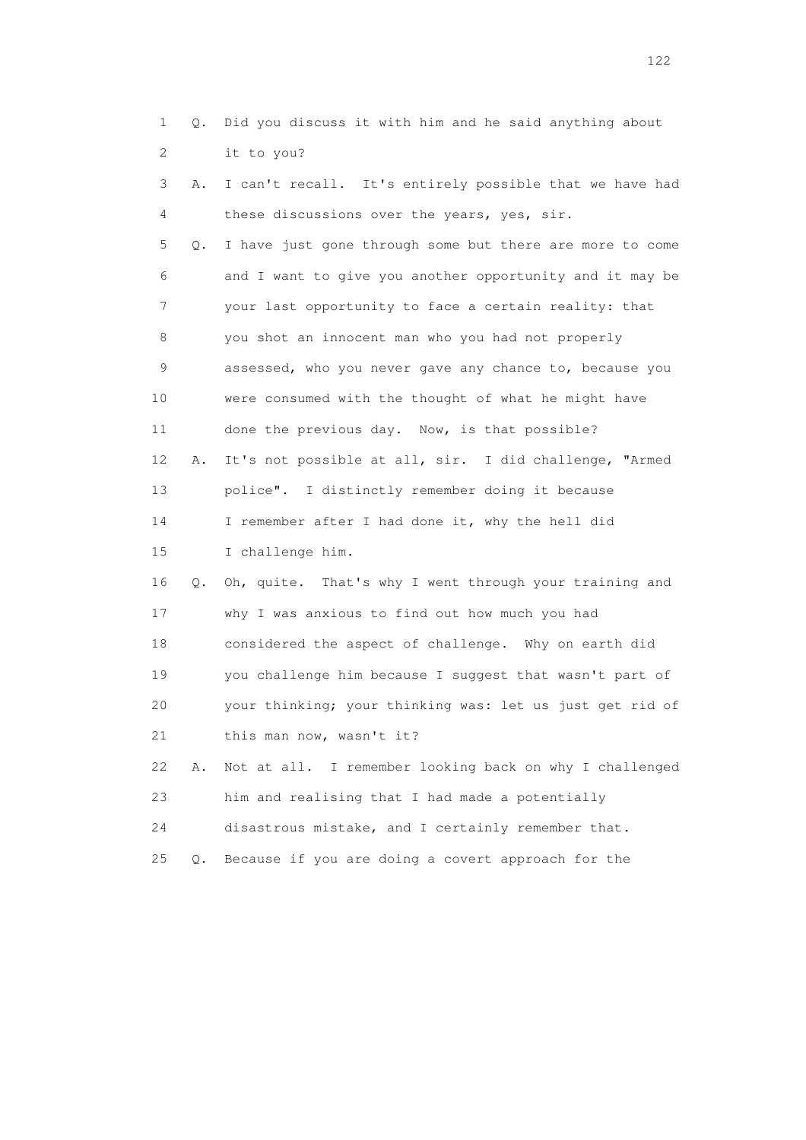| $\mathbf{1}$ | Q.    | Did you discuss it with him and he said anything about   |
|--------------|-------|----------------------------------------------------------|
| 2            |       | it to you?                                               |
| 3            | Α.    | I can't recall. It's entirely possible that we have had  |
| 4            |       | these discussions over the years, yes, sir.              |
| 5            | Q.    | I have just gone through some but there are more to come |
| 6            |       | and I want to give you another opportunity and it may be |
| 7            |       | your last opportunity to face a certain reality: that    |
| 8            |       | you shot an innocent man who you had not properly        |
| 9            |       | assessed, who you never gave any chance to, because you  |
| 10           |       | were consumed with the thought of what he might have     |
| 11           |       | done the previous day. Now, is that possible?            |
| 12           | Α.    | It's not possible at all, sir. I did challenge, "Armed   |
| 13           |       | police". I distinctly remember doing it because          |
| 14           |       | I remember after I had done it, why the hell did         |
| 15           |       | I challenge him.                                         |
| 16           | Q.    | Oh, quite. That's why I went through your training and   |
| 17           |       | why I was anxious to find out how much you had           |
| 18           |       | considered the aspect of challenge. Why on earth did     |
| 19           |       | you challenge him because I suggest that wasn't part of  |
| 20           |       | your thinking; your thinking was: let us just get rid of |
| 21           |       | this man now, wasn't it?                                 |
| 22           | Α.    | Not at all. I remember looking back on why I challenged  |
| 23           |       | him and realising that I had made a potentially          |
| 24           |       | disastrous mistake, and I certainly remember that.       |
| 25           | $Q$ . | Because if you are doing a covert approach for the       |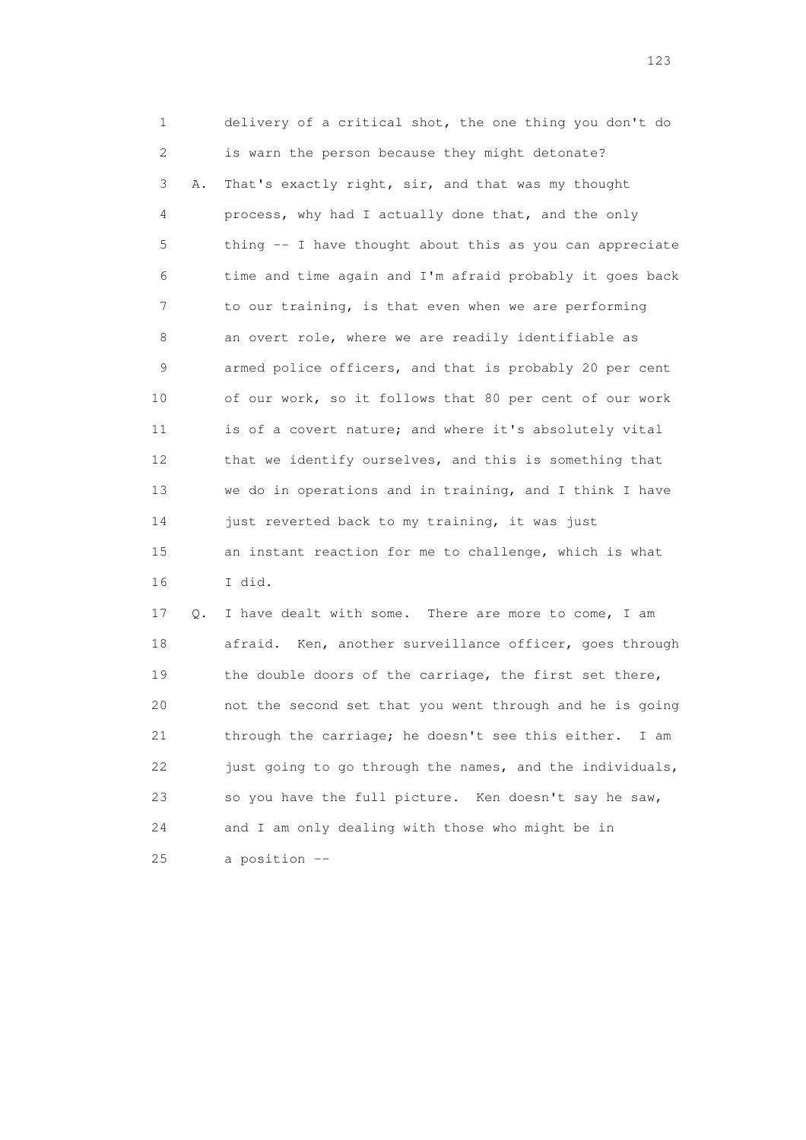1 delivery of a critical shot, the one thing you don't do 2 is warn the person because they might detonate? 3 A. That's exactly right, sir, and that was my thought 4 process, why had I actually done that, and the only 5 thing -- I have thought about this as you can appreciate 6 time and time again and I'm afraid probably it goes back 7 to our training, is that even when we are performing 8 an overt role, where we are readily identifiable as 9 armed police officers, and that is probably 20 per cent 10 of our work, so it follows that 80 per cent of our work 11 is of a covert nature; and where it's absolutely vital 12 that we identify ourselves, and this is something that 13 we do in operations and in training, and I think I have 14 just reverted back to my training, it was just 15 an instant reaction for me to challenge, which is what 16 I did.

 17 Q. I have dealt with some. There are more to come, I am 18 afraid. Ken, another surveillance officer, goes through 19 the double doors of the carriage, the first set there, 20 not the second set that you went through and he is going 21 through the carriage; he doesn't see this either. I am 22 just going to go through the names, and the individuals, 23 so you have the full picture. Ken doesn't say he saw, 24 and I am only dealing with those who might be in 25 a position --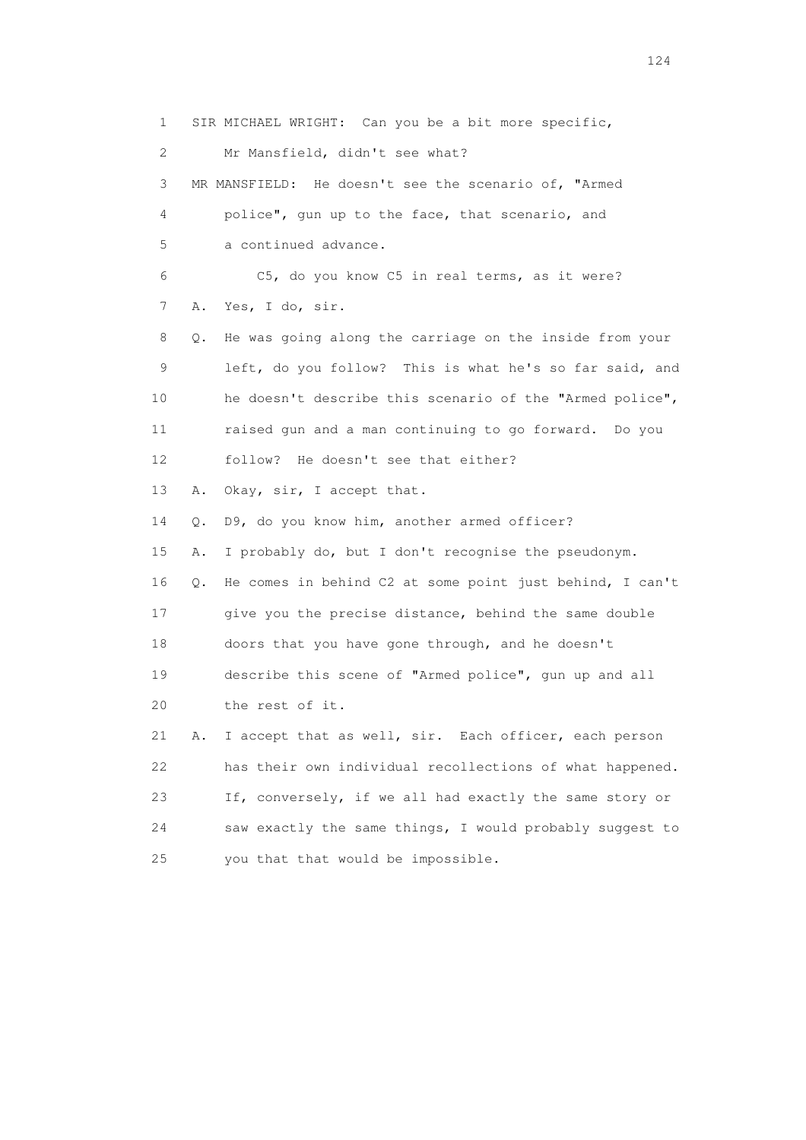1 SIR MICHAEL WRIGHT: Can you be a bit more specific, 2 Mr Mansfield, didn't see what? 3 MR MANSFIELD: He doesn't see the scenario of, "Armed 4 police", gun up to the face, that scenario, and 5 a continued advance. 6 C5, do you know C5 in real terms, as it were? 7 A. Yes, I do, sir. 8 Q. He was going along the carriage on the inside from your 9 left, do you follow? This is what he's so far said, and 10 he doesn't describe this scenario of the "Armed police", 11 raised gun and a man continuing to go forward. Do you 12 follow? He doesn't see that either? 13 A. Okay, sir, I accept that. 14 Q. D9, do you know him, another armed officer? 15 A. I probably do, but I don't recognise the pseudonym. 16 Q. He comes in behind C2 at some point just behind, I can't 17 give you the precise distance, behind the same double 18 doors that you have gone through, and he doesn't 19 describe this scene of "Armed police", gun up and all 20 the rest of it. 21 A. I accept that as well, sir. Each officer, each person 22 has their own individual recollections of what happened. 23 If, conversely, if we all had exactly the same story or 24 saw exactly the same things, I would probably suggest to 25 you that that would be impossible.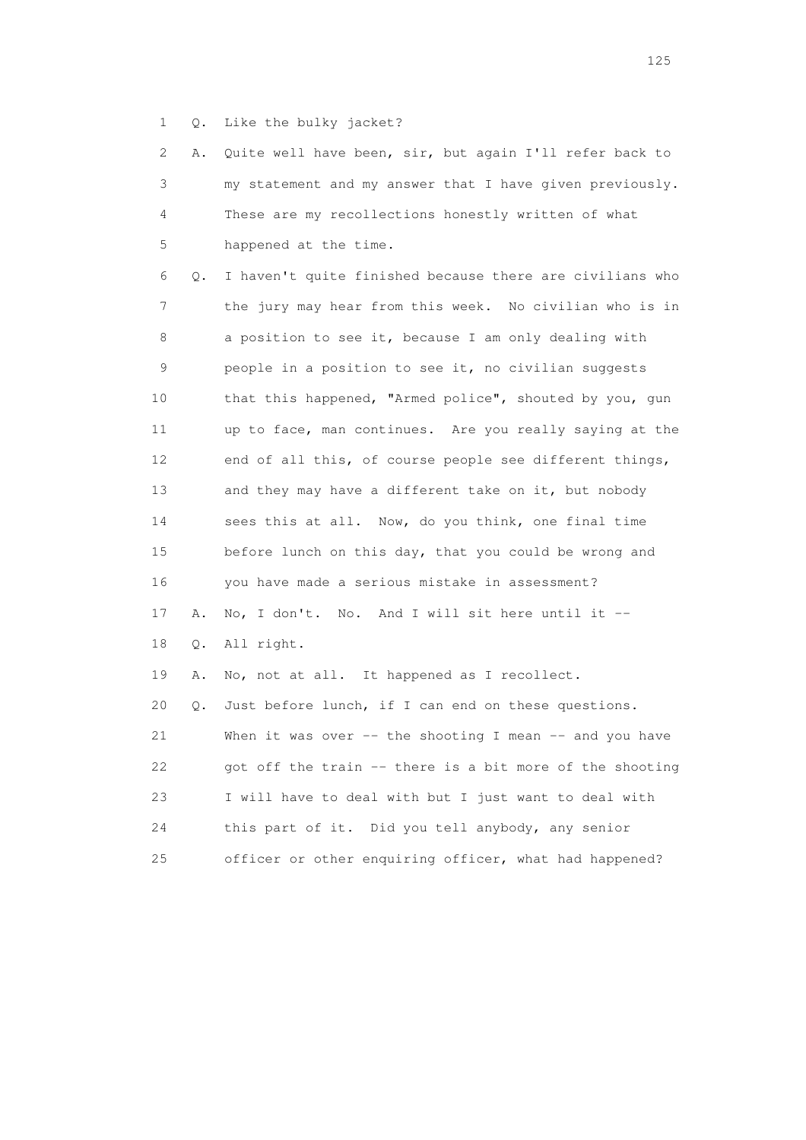1 Q. Like the bulky jacket?

|          | 2 A. Quite well have been, sir, but again I'll refer back to |
|----------|--------------------------------------------------------------|
| $3 \sim$ | my statement and my answer that I have given previously.     |
| $\sim$ 4 | These are my recollections honestly written of what          |
| 5 - 1    | happened at the time.                                        |

 6 Q. I haven't quite finished because there are civilians who 7 the jury may hear from this week. No civilian who is in 8 a position to see it, because I am only dealing with 9 people in a position to see it, no civilian suggests 10 that this happened, "Armed police", shouted by you, gun 11 up to face, man continues. Are you really saying at the 12 end of all this, of course people see different things, 13 and they may have a different take on it, but nobody 14 sees this at all. Now, do you think, one final time 15 before lunch on this day, that you could be wrong and 16 you have made a serious mistake in assessment? 17 A. No, I don't. No. And I will sit here until it -- 18 Q. All right. 19 A. No, not at all. It happened as I recollect. 20 Q. Just before lunch, if I can end on these questions. 21 When it was over -- the shooting I mean -- and you have 22 got off the train -- there is a bit more of the shooting 23 I will have to deal with but I just want to deal with 24 this part of it. Did you tell anybody, any senior 25 officer or other enquiring officer, what had happened?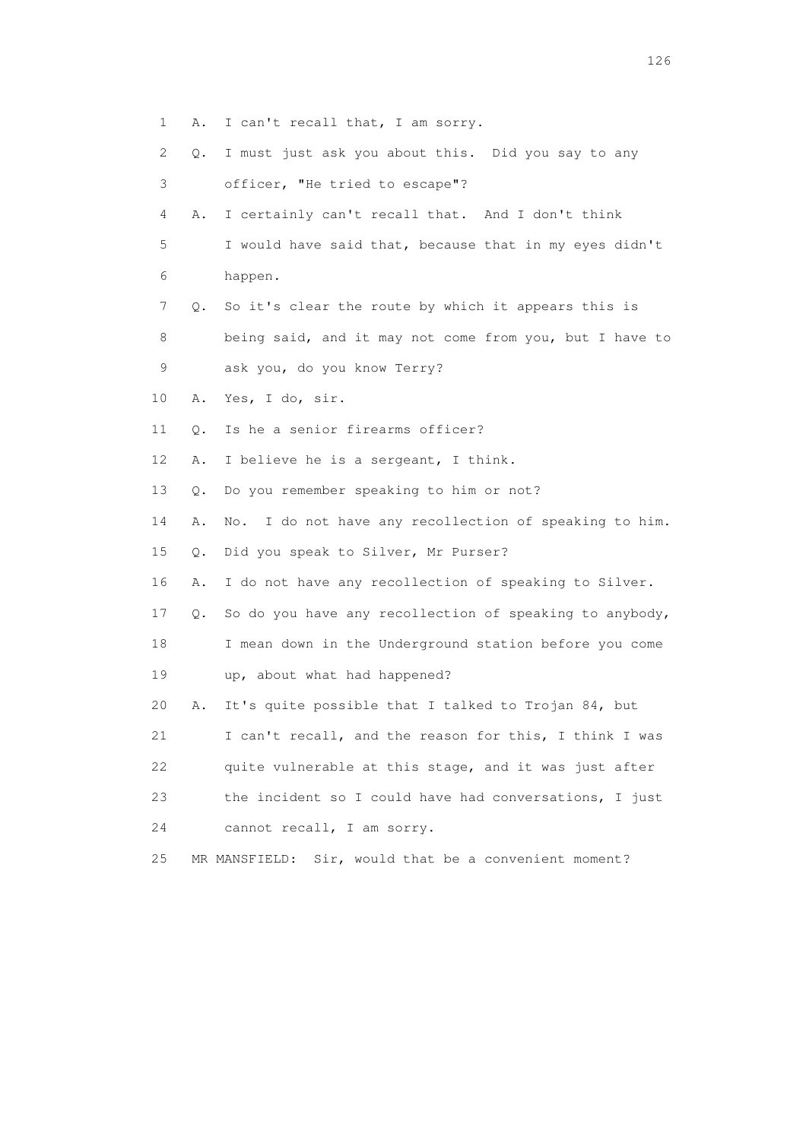- 1 A. I can't recall that, I am sorry.
- 2 Q. I must just ask you about this. Did you say to any
- 3 officer, "He tried to escape"?
- 4 A. I certainly can't recall that. And I don't think
- 5 I would have said that, because that in my eyes didn't 6 happen.
- 7 Q. So it's clear the route by which it appears this is
- 8 being said, and it may not come from you, but I have to 9 ask you, do you know Terry?
- 10 A. Yes, I do, sir.
- 11 Q. Is he a senior firearms officer?
- 12 A. I believe he is a sergeant, I think.
- 13 Q. Do you remember speaking to him or not?
- 14 A. No. I do not have any recollection of speaking to him.
- 15 Q. Did you speak to Silver, Mr Purser?
- 16 A. I do not have any recollection of speaking to Silver.
- 17 Q. So do you have any recollection of speaking to anybody,
- 18 I mean down in the Underground station before you come 19 up, about what had happened?
- 20 A. It's quite possible that I talked to Trojan 84, but
- 21 I can't recall, and the reason for this, I think I was
- 22 quite vulnerable at this stage, and it was just after
- 23 the incident so I could have had conversations, I just
- 24 cannot recall, I am sorry.
- 25 MR MANSFIELD: Sir, would that be a convenient moment?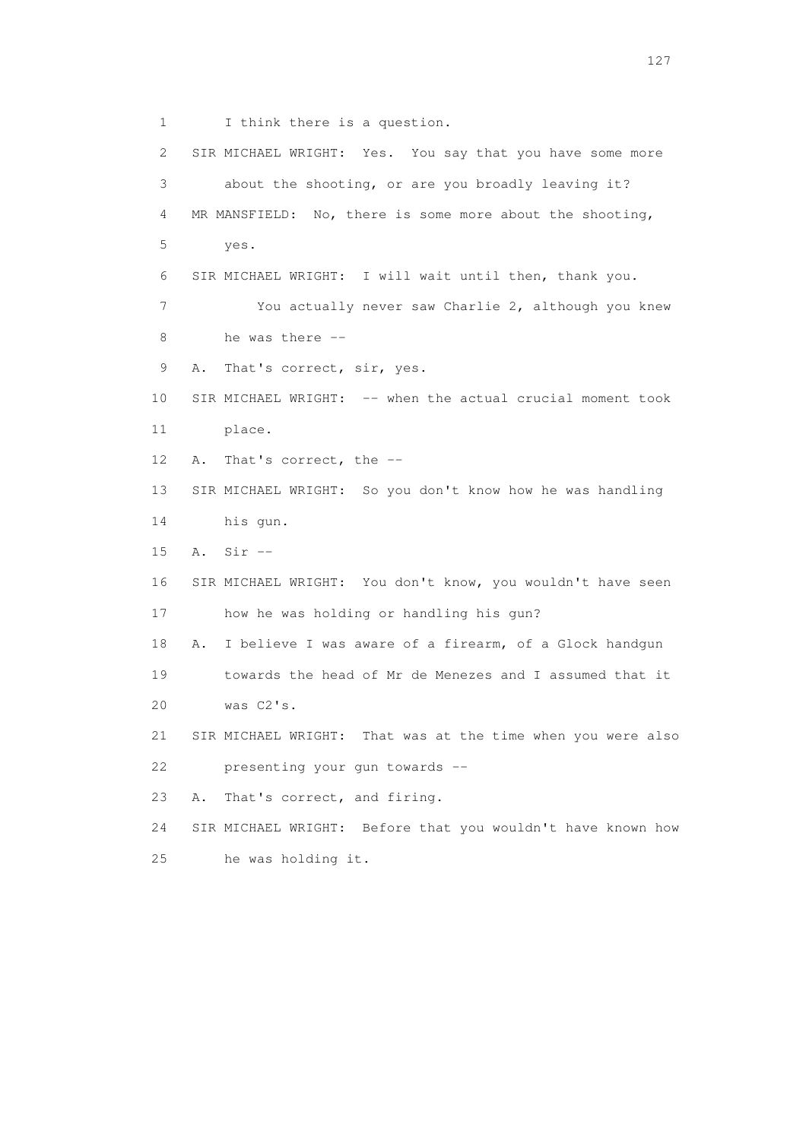1 I think there is a question. 2 SIR MICHAEL WRIGHT: Yes. You say that you have some more 3 about the shooting, or are you broadly leaving it? 4 MR MANSFIELD: No, there is some more about the shooting, 5 yes. 6 SIR MICHAEL WRIGHT: I will wait until then, thank you. 7 You actually never saw Charlie 2, although you knew 8 he was there -- 9 A. That's correct, sir, yes. 10 SIR MICHAEL WRIGHT: -- when the actual crucial moment took 11 place. 12 A. That's correct, the -- 13 SIR MICHAEL WRIGHT: So you don't know how he was handling 14 his gun. 15 A. Sir -- 16 SIR MICHAEL WRIGHT: You don't know, you wouldn't have seen 17 how he was holding or handling his gun? 18 A. I believe I was aware of a firearm, of a Glock handgun 19 towards the head of Mr de Menezes and I assumed that it 20 was C2's. 21 SIR MICHAEL WRIGHT: That was at the time when you were also 22 presenting your gun towards -- 23 A. That's correct, and firing. 24 SIR MICHAEL WRIGHT: Before that you wouldn't have known how 25 he was holding it.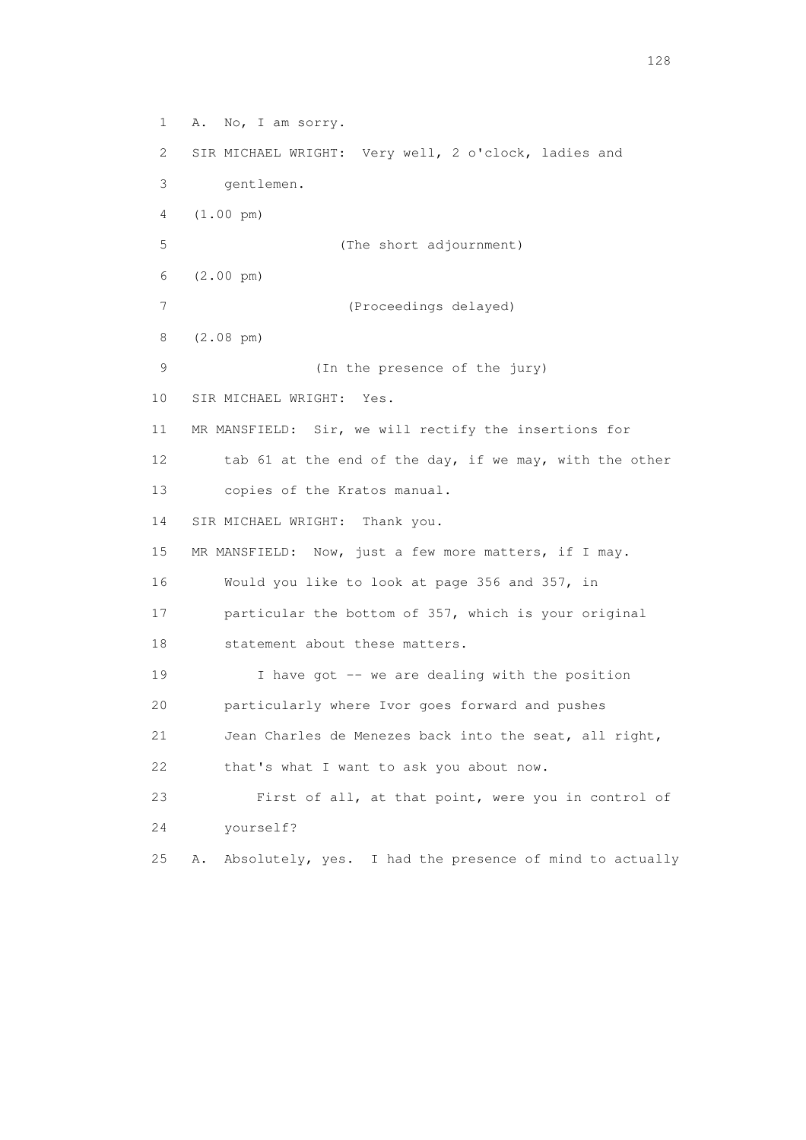1 A. No, I am sorry. 2 SIR MICHAEL WRIGHT: Very well, 2 o'clock, ladies and 3 gentlemen. 4 (1.00 pm) 5 (The short adjournment) 6 (2.00 pm) 7 (Proceedings delayed) 8 (2.08 pm) 9 (In the presence of the jury) 10 SIR MICHAEL WRIGHT: Yes. 11 MR MANSFIELD: Sir, we will rectify the insertions for 12 tab 61 at the end of the day, if we may, with the other 13 copies of the Kratos manual. 14 SIR MICHAEL WRIGHT: Thank you. 15 MR MANSFIELD: Now, just a few more matters, if I may. 16 Would you like to look at page 356 and 357, in 17 particular the bottom of 357, which is your original 18 statement about these matters. 19 I have got -- we are dealing with the position 20 particularly where Ivor goes forward and pushes 21 Jean Charles de Menezes back into the seat, all right, 22 that's what I want to ask you about now. 23 First of all, at that point, were you in control of 24 yourself? 25 A. Absolutely, yes. I had the presence of mind to actually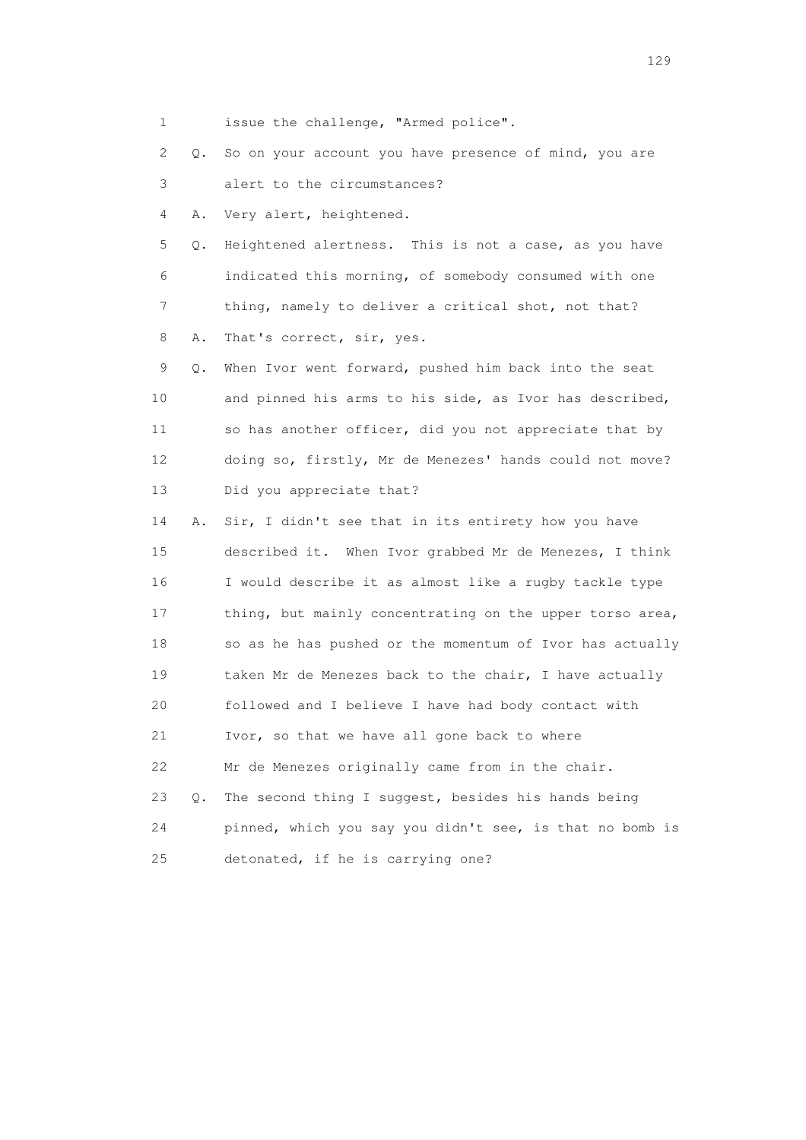1 issue the challenge, "Armed police".

 2 Q. So on your account you have presence of mind, you are 3 alert to the circumstances?

4 A. Very alert, heightened.

 5 Q. Heightened alertness. This is not a case, as you have 6 indicated this morning, of somebody consumed with one 7 thing, namely to deliver a critical shot, not that? 8 A. That's correct, sir, yes.

 9 Q. When Ivor went forward, pushed him back into the seat 10 and pinned his arms to his side, as Ivor has described, 11 so has another officer, did you not appreciate that by 12 doing so, firstly, Mr de Menezes' hands could not move? 13 Did you appreciate that?

 14 A. Sir, I didn't see that in its entirety how you have 15 described it. When Ivor grabbed Mr de Menezes, I think 16 I would describe it as almost like a rugby tackle type 17 thing, but mainly concentrating on the upper torso area, 18 so as he has pushed or the momentum of Ivor has actually 19 taken Mr de Menezes back to the chair, I have actually 20 followed and I believe I have had body contact with 21 Ivor, so that we have all gone back to where 22 Mr de Menezes originally came from in the chair. 23 Q. The second thing I suggest, besides his hands being 24 pinned, which you say you didn't see, is that no bomb is 25 detonated, if he is carrying one?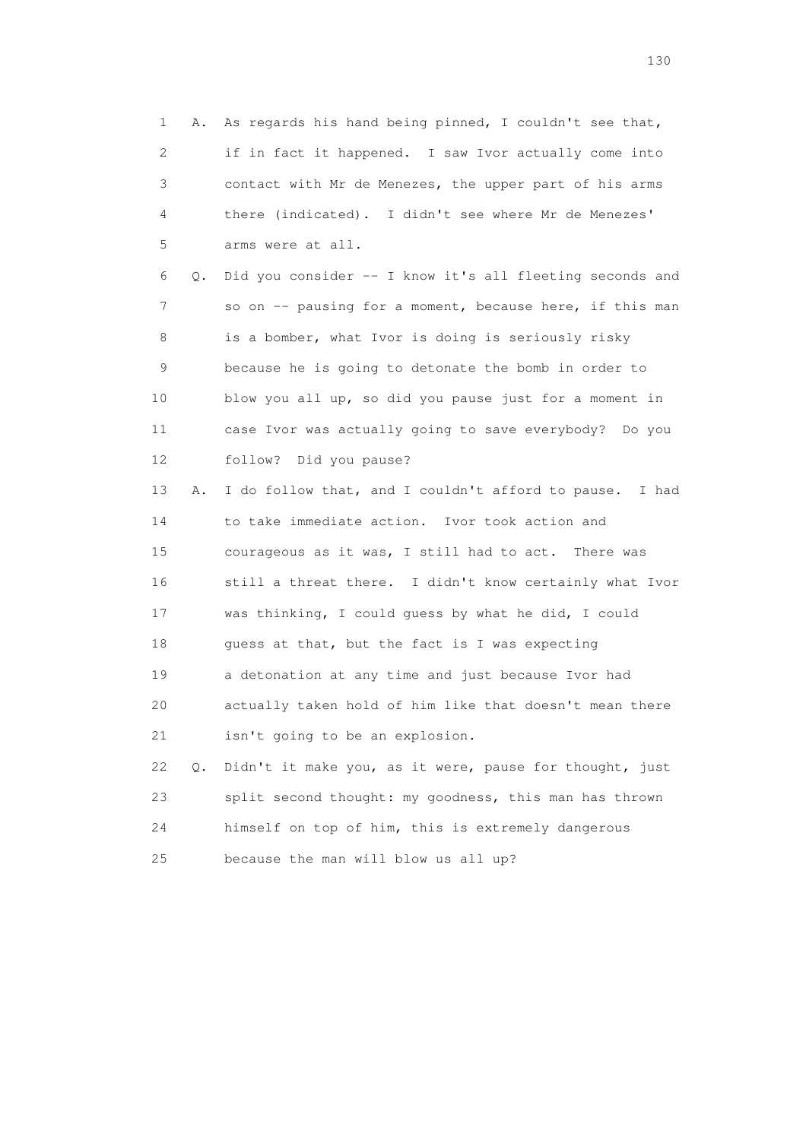1 A. As regards his hand being pinned, I couldn't see that, 2 if in fact it happened. I saw Ivor actually come into 3 contact with Mr de Menezes, the upper part of his arms 4 there (indicated). I didn't see where Mr de Menezes' 5 arms were at all. 6 Q. Did you consider -- I know it's all fleeting seconds and 7 so on -- pausing for a moment, because here, if this man 8 is a bomber, what Ivor is doing is seriously risky 9 because he is going to detonate the bomb in order to 10 blow you all up, so did you pause just for a moment in 11 case Ivor was actually going to save everybody? Do you 12 follow? Did you pause? 13 A. I do follow that, and I couldn't afford to pause. I had 14 to take immediate action. Ivor took action and 15 courageous as it was, I still had to act. There was 16 still a threat there. I didn't know certainly what Ivor 17 was thinking, I could guess by what he did, I could 18 guess at that, but the fact is I was expecting 19 a detonation at any time and just because Ivor had 20 actually taken hold of him like that doesn't mean there 21 isn't going to be an explosion. 22 Q. Didn't it make you, as it were, pause for thought, just 23 split second thought: my goodness, this man has thrown 24 himself on top of him, this is extremely dangerous 25 because the man will blow us all up?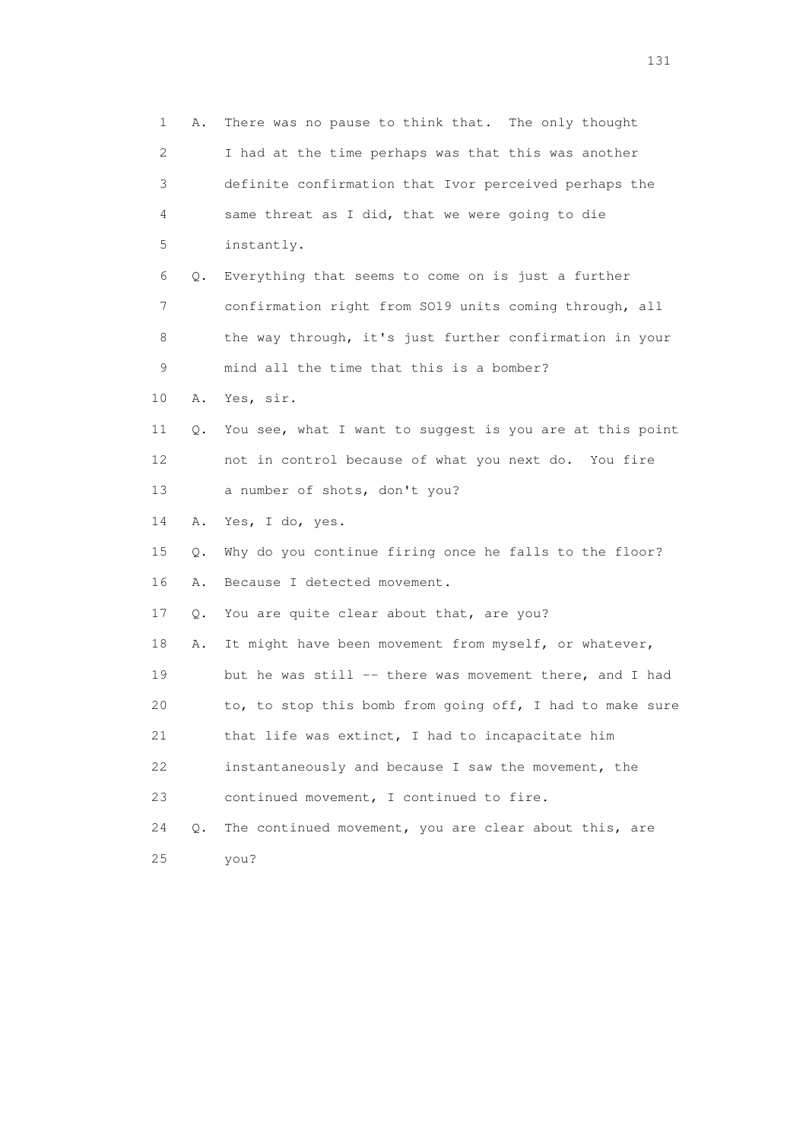| 1  | Α. | There was no pause to think that. The only thought       |
|----|----|----------------------------------------------------------|
| 2  |    | I had at the time perhaps was that this was another      |
| 3  |    | definite confirmation that Ivor perceived perhaps the    |
| 4  |    | same threat as I did, that we were going to die          |
| 5  |    | instantly.                                               |
| 6  | Q. | Everything that seems to come on is just a further       |
| 7  |    | confirmation right from SO19 units coming through, all   |
| 8  |    | the way through, it's just further confirmation in your  |
| 9  |    | mind all the time that this is a bomber?                 |
| 10 | Α. | Yes, sir.                                                |
| 11 | Q. | You see, what I want to suggest is you are at this point |
| 12 |    | not in control because of what you next do. You fire     |
| 13 |    | a number of shots, don't you?                            |
| 14 | Α. | Yes, I do, yes.                                          |
| 15 | Q. | Why do you continue firing once he falls to the floor?   |
| 16 | Α. | Because I detected movement.                             |
| 17 | Q. | You are quite clear about that, are you?                 |
| 18 | Α. | It might have been movement from myself, or whatever,    |
| 19 |    | but he was still -- there was movement there, and I had  |
| 20 |    | to, to stop this bomb from going off, I had to make sure |
| 21 |    | that life was extinct, I had to incapacitate him         |
| 22 |    | instantaneously and because I saw the movement, the      |
| 23 |    | continued movement, I continued to fire.                 |
| 24 | Q. | The continued movement, you are clear about this, are    |
| 25 |    | you?                                                     |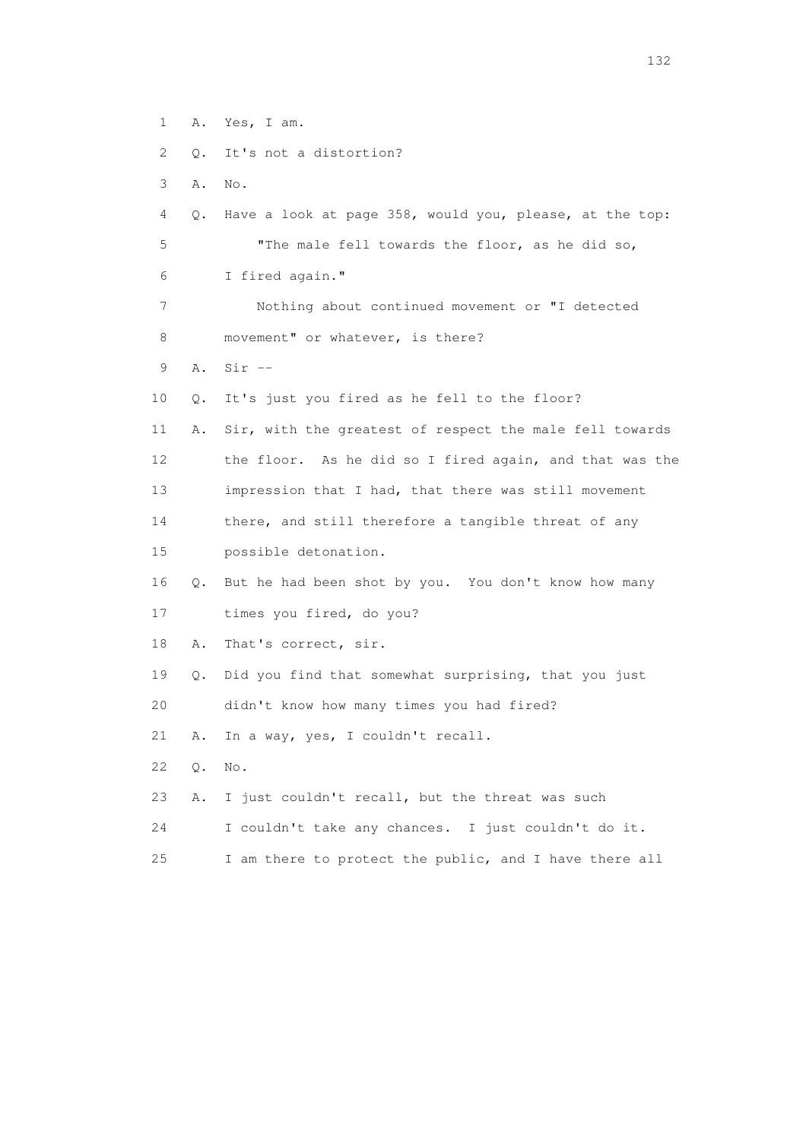1 A. Yes, I am. 2 Q. It's not a distortion? 3 A. No. 4 Q. Have a look at page 358, would you, please, at the top: 5 "The male fell towards the floor, as he did so, 6 I fired again." 7 Nothing about continued movement or "I detected 8 movement" or whatever, is there? 9 A. Sir -- 10 Q. It's just you fired as he fell to the floor? 11 A. Sir, with the greatest of respect the male fell towards 12 the floor. As he did so I fired again, and that was the 13 impression that I had, that there was still movement 14 there, and still therefore a tangible threat of any 15 possible detonation. 16 Q. But he had been shot by you. You don't know how many 17 times you fired, do you? 18 A. That's correct, sir. 19 Q. Did you find that somewhat surprising, that you just 20 didn't know how many times you had fired? 21 A. In a way, yes, I couldn't recall. 22 Q. No. 23 A. I just couldn't recall, but the threat was such 24 I couldn't take any chances. I just couldn't do it. 25 I am there to protect the public, and I have there all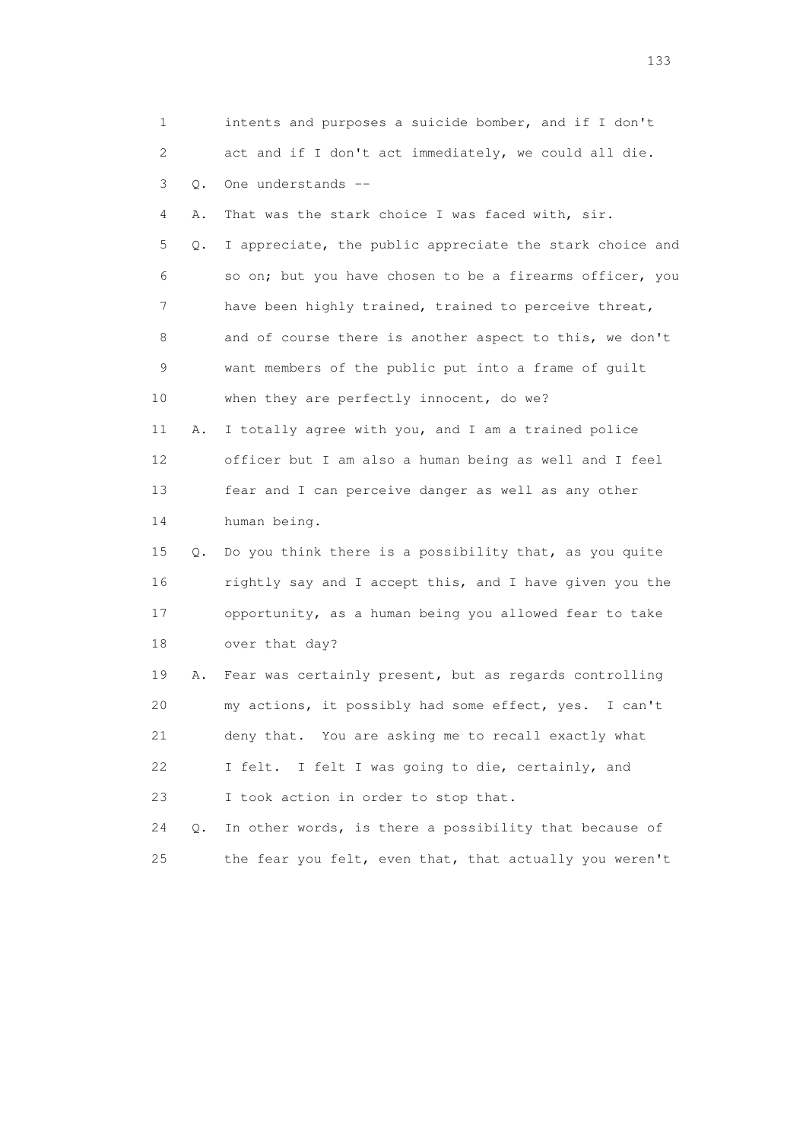| 1          | intents and purposes a suicide bomber, and if I don't           |
|------------|-----------------------------------------------------------------|
| 2          | act and if I don't act immediately, we could all die.           |
| 3<br>$Q$ . | One understands --                                              |
| 4<br>Α.    | That was the stark choice I was faced with, sir.                |
| 5          | I appreciate, the public appreciate the stark choice and<br>Q.  |
| 6          | so on; but you have chosen to be a firearms officer, you        |
| 7          | have been highly trained, trained to perceive threat,           |
| 8          | and of course there is another aspect to this, we don't         |
| 9          | want members of the public put into a frame of guilt            |
| 10         | when they are perfectly innocent, do we?                        |
| 11         | I totally agree with you, and I am a trained police<br>Α.       |
| 12         | officer but I am also a human being as well and I feel          |
| 13         | fear and I can perceive danger as well as any other             |
| 14         | human being.                                                    |
| 15         | Do you think there is a possibility that, as you quite<br>Q.    |
| 16         | rightly say and I accept this, and I have given you the         |
| 17         | opportunity, as a human being you allowed fear to take          |
| 18         | over that day?                                                  |
| 19         | Fear was certainly present, but as regards controlling<br>Α.    |
| 20         | my actions, it possibly had some effect, yes.<br>I can't        |
| 21         | deny that. You are asking me to recall exactly what             |
| 22         | I felt I was going to die, certainly, and<br>I felt.            |
| 23         | I took action in order to stop that.                            |
| 24         | In other words, is there a possibility that because of<br>$Q$ . |
| 25         | the fear you felt, even that, that actually you weren't         |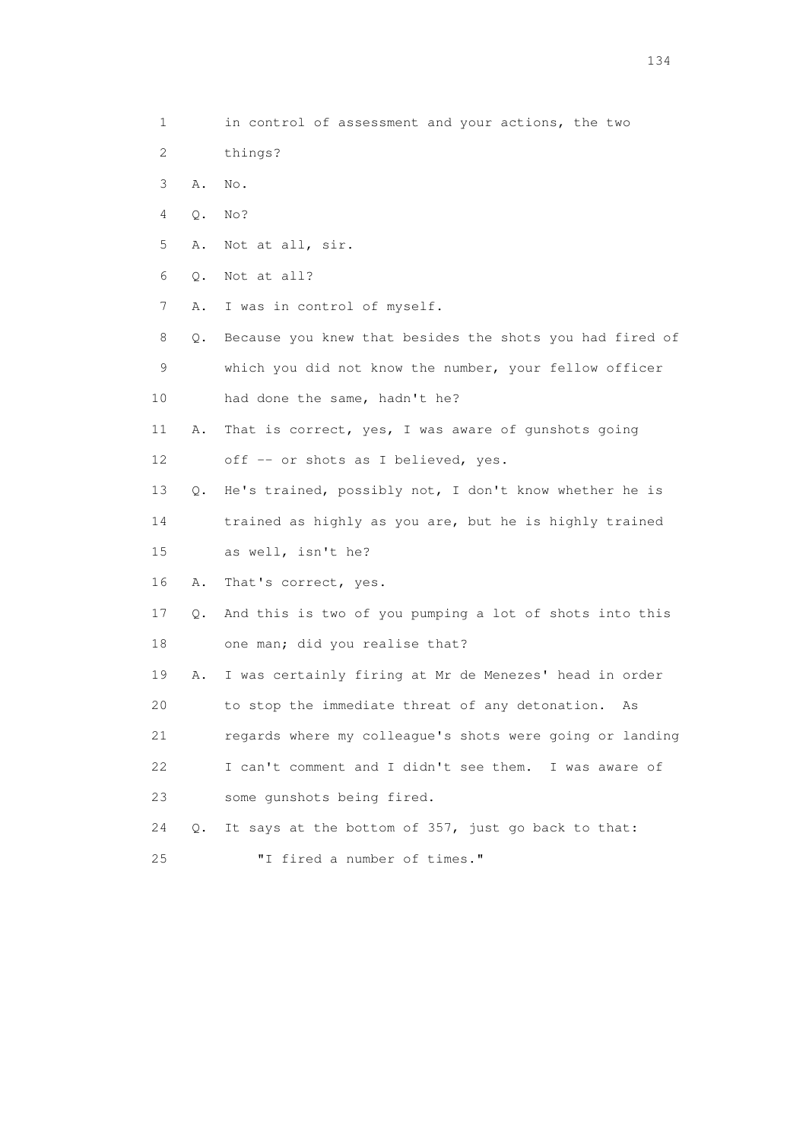- 2 things?
- 3 A. No.
- 4 Q. No?
- 5 A. Not at all, sir.
- 6 Q. Not at all?
- 7 A. I was in control of myself.

 8 Q. Because you knew that besides the shots you had fired of 9 which you did not know the number, your fellow officer 10 had done the same, hadn't he?

- 11 A. That is correct, yes, I was aware of gunshots going 12 off -- or shots as I believed, yes.
- 13 Q. He's trained, possibly not, I don't know whether he is

14 trained as highly as you are, but he is highly trained

- 15 as well, isn't he?
- 16 A. That's correct, yes.
- 17 Q. And this is two of you pumping a lot of shots into this 18 one man; did you realise that?
- 19 A. I was certainly firing at Mr de Menezes' head in order 20 to stop the immediate threat of any detonation. As 21 regards where my colleague's shots were going or landing
- 22 I can't comment and I didn't see them. I was aware of 23 some gunshots being fired.

24 Q. It says at the bottom of 357, just go back to that:

25 "I fired a number of times."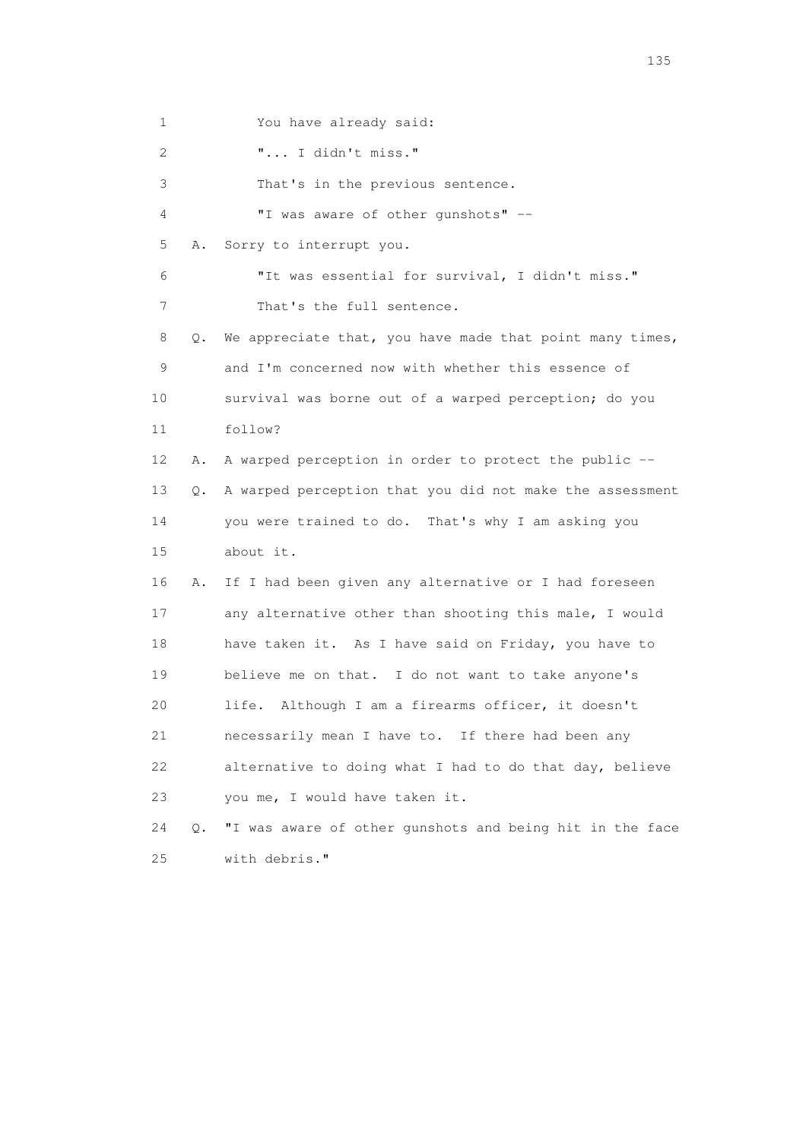1 You have already said:

2 "... I didn't miss."

3 That's in the previous sentence.

4 "I was aware of other gunshots" --

5 A. Sorry to interrupt you.

 6 "It was essential for survival, I didn't miss." 7 That's the full sentence.

 8 Q. We appreciate that, you have made that point many times, 9 and I'm concerned now with whether this essence of 10 survival was borne out of a warped perception; do you 11 follow? 12 A. A warped perception in order to protect the public -- 13 Q. A warped perception that you did not make the assessment

 14 you were trained to do. That's why I am asking you 15 about it.

 16 A. If I had been given any alternative or I had foreseen 17 any alternative other than shooting this male, I would 18 have taken it. As I have said on Friday, you have to 19 believe me on that. I do not want to take anyone's 20 life. Although I am a firearms officer, it doesn't 21 necessarily mean I have to. If there had been any 22 alternative to doing what I had to do that day, believe 23 you me, I would have taken it.

 24 Q. "I was aware of other gunshots and being hit in the face 25 with debris."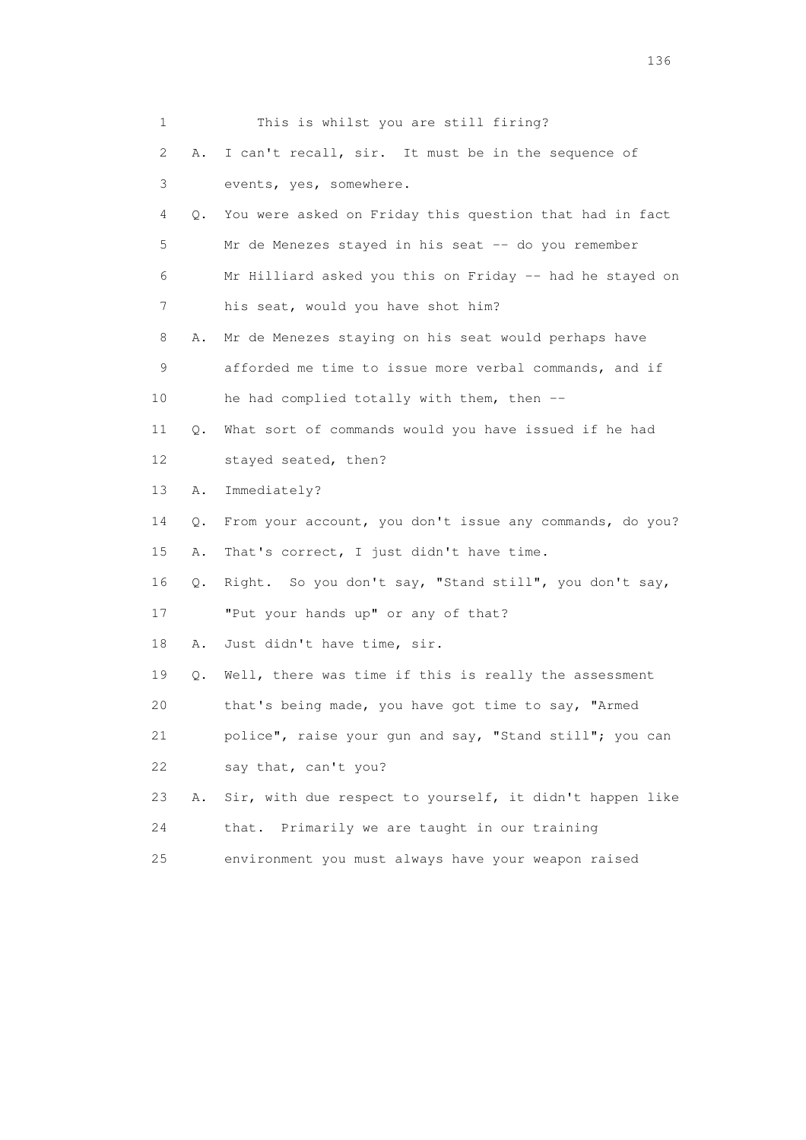|    | 1              | This is whilst you are still firing?                     |
|----|----------------|----------------------------------------------------------|
|    | 2<br>Α.        | I can't recall, sir. It must be in the sequence of       |
|    | 3              | events, yes, somewhere.                                  |
|    | 4<br>$\circ$ . | You were asked on Friday this question that had in fact  |
|    | 5              | Mr de Menezes stayed in his seat -- do you remember      |
|    | 6              | Mr Hilliard asked you this on Friday -- had he stayed on |
|    | 7              | his seat, would you have shot him?                       |
|    | 8<br>Α.        | Mr de Menezes staying on his seat would perhaps have     |
|    | 9              | afforded me time to issue more verbal commands, and if   |
| 10 |                | he had complied totally with them, then --               |
| 11 | Q.             | What sort of commands would you have issued if he had    |
| 12 |                | stayed seated, then?                                     |
| 13 | Α.             | Immediately?                                             |
| 14 | Q.             | From your account, you don't issue any commands, do you? |
| 15 | Α.             | That's correct, I just didn't have time.                 |
| 16 | Q.             | Right. So you don't say, "Stand still", you don't say,   |
| 17 |                | "Put your hands up" or any of that?                      |
| 18 | Α.             | Just didn't have time, sir.                              |
| 19 | Q.             | Well, there was time if this is really the assessment    |
| 20 |                | that's being made, you have got time to say, "Armed      |
| 21 |                | police", raise your qun and say, "Stand still"; you can  |
| 22 |                | say that, can't you?                                     |
| 23 | Α.             | Sir, with due respect to yourself, it didn't happen like |
| 24 |                | Primarily we are taught in our training<br>that.         |
| 25 |                | environment you must always have your weapon raised      |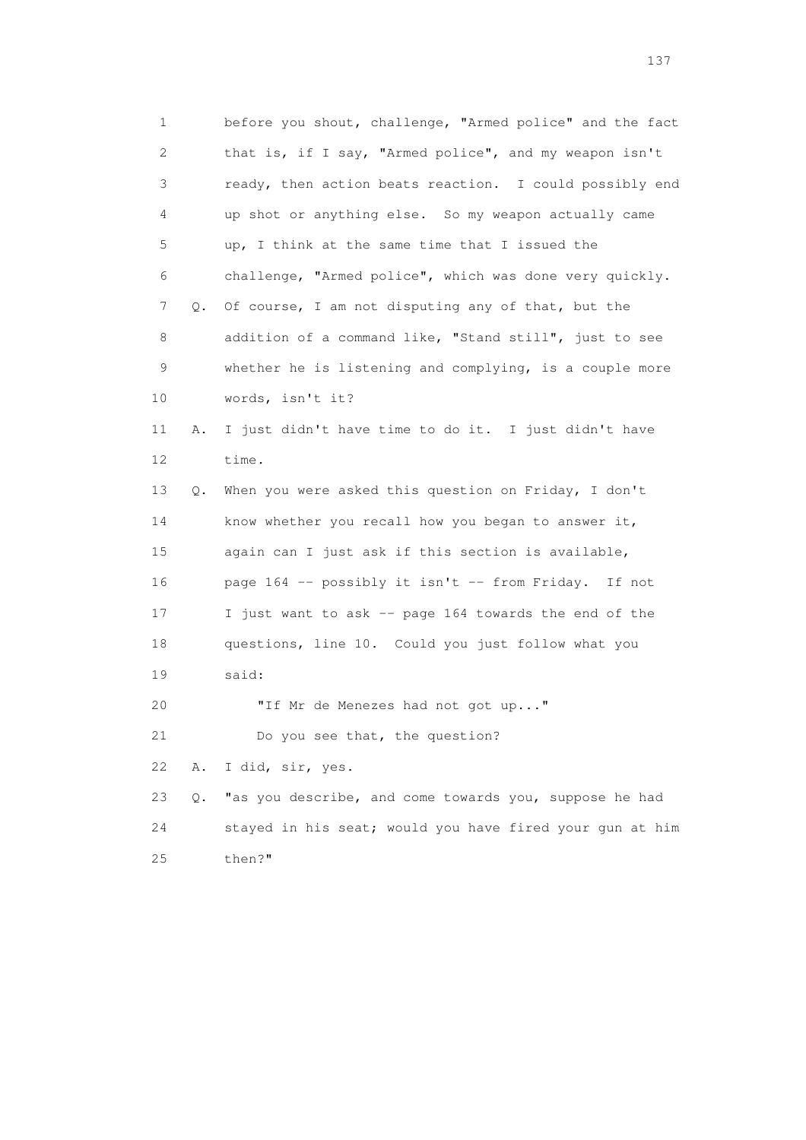1 before you shout, challenge, "Armed police" and the fact 2 that is, if I say, "Armed police", and my weapon isn't 3 ready, then action beats reaction. I could possibly end 4 up shot or anything else. So my weapon actually came 5 up, I think at the same time that I issued the 6 challenge, "Armed police", which was done very quickly. 7 Q. Of course, I am not disputing any of that, but the 8 addition of a command like, "Stand still", just to see 9 whether he is listening and complying, is a couple more 10 words, isn't it? 11 A. I just didn't have time to do it. I just didn't have 12 time. 13 Q. When you were asked this question on Friday, I don't 14 know whether you recall how you began to answer it, 15 again can I just ask if this section is available, 16 page 164 -- possibly it isn't -- from Friday. If not 17 I just want to ask -- page 164 towards the end of the 18 questions, line 10. Could you just follow what you 19 said: 20 "If Mr de Menezes had not got up..." 21 Do you see that, the question? 22 A. I did, sir, yes. 23 Q. "as you describe, and come towards you, suppose he had 24 stayed in his seat; would you have fired your gun at him 25 then?"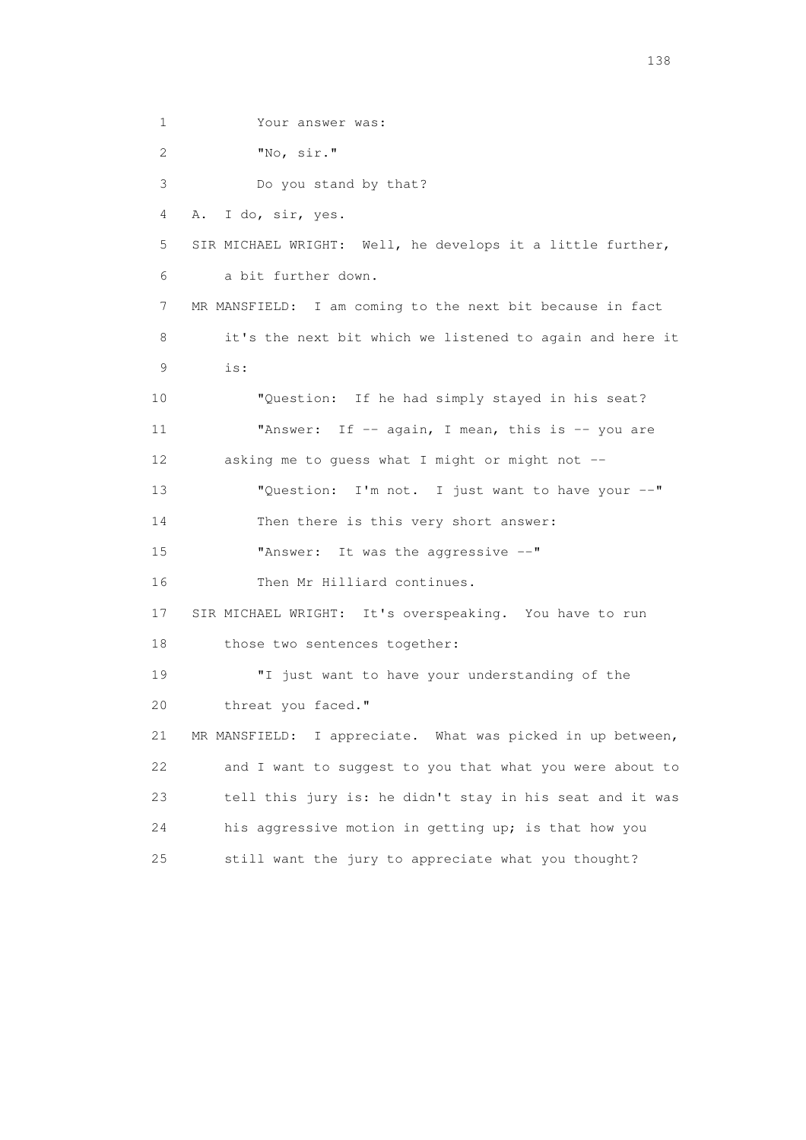1 Your answer was: 2 "No, sir." 3 Do you stand by that? 4 A. I do, sir, yes. 5 SIR MICHAEL WRIGHT: Well, he develops it a little further, 6 a bit further down. 7 MR MANSFIELD: I am coming to the next bit because in fact 8 it's the next bit which we listened to again and here it 9 is: 10 "Question: If he had simply stayed in his seat? 11 **"Answer:** If -- again, I mean, this is -- you are 12 asking me to guess what I might or might not -- 13 "Question: I'm not. I just want to have your --" 14 Then there is this very short answer: 15 "Answer: It was the aggressive --" 16 Then Mr Hilliard continues. 17 SIR MICHAEL WRIGHT: It's overspeaking. You have to run 18 those two sentences together: 19 "I just want to have your understanding of the 20 threat you faced." 21 MR MANSFIELD: I appreciate. What was picked in up between, 22 and I want to suggest to you that what you were about to 23 tell this jury is: he didn't stay in his seat and it was 24 his aggressive motion in getting up; is that how you 25 still want the jury to appreciate what you thought?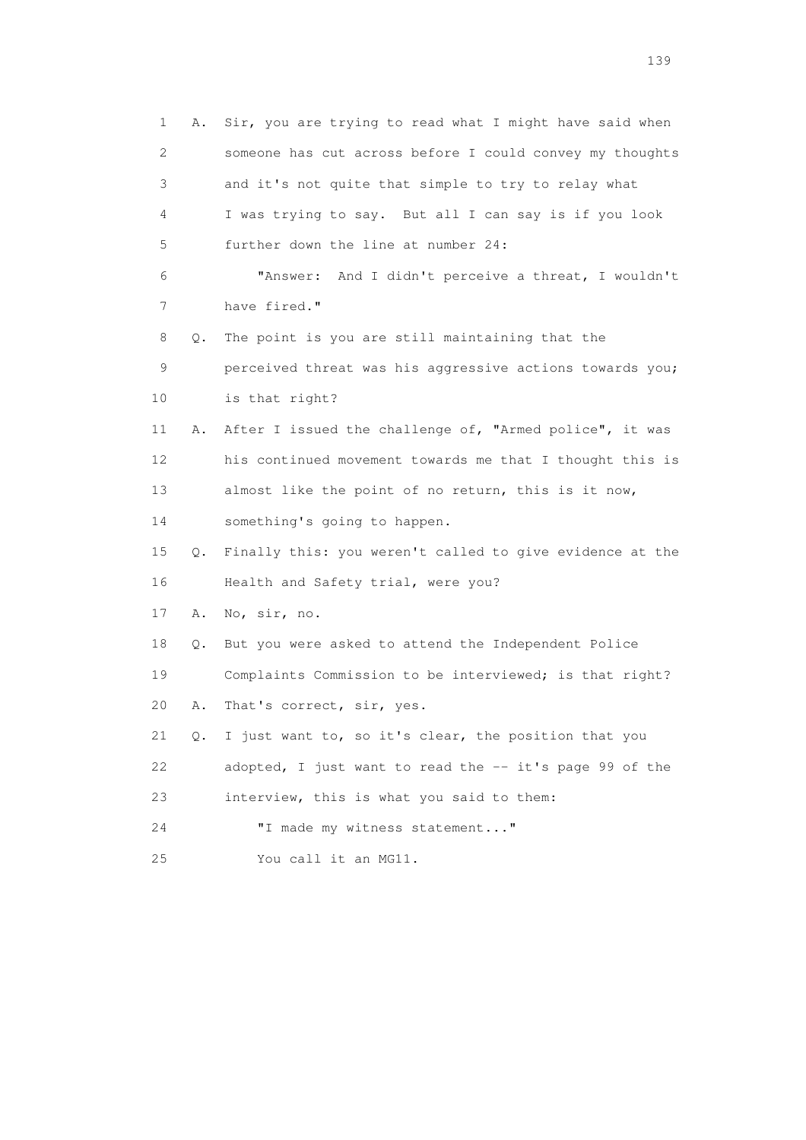|    | 1<br>Α.                   | Sir, you are trying to read what I might have said when  |
|----|---------------------------|----------------------------------------------------------|
|    | $\mathbf{2}^{\mathsf{I}}$ | someone has cut across before I could convey my thoughts |
|    | 3                         | and it's not quite that simple to try to relay what      |
|    | 4                         | I was trying to say. But all I can say is if you look    |
|    | 5                         | further down the line at number 24:                      |
|    | 6                         | And I didn't perceive a threat, I wouldn't<br>"Answer:   |
|    | 7                         | have fired."                                             |
|    | 8<br>Q.                   | The point is you are still maintaining that the          |
|    | 9                         | perceived threat was his aggressive actions towards you; |
| 10 |                           | is that right?                                           |
| 11 | Α.                        | After I issued the challenge of, "Armed police", it was  |
| 12 |                           | his continued movement towards me that I thought this is |
| 13 |                           | almost like the point of no return, this is it now,      |
| 14 |                           | something's going to happen.                             |
| 15 | Q.                        | Finally this: you weren't called to give evidence at the |
| 16 |                           | Health and Safety trial, were you?                       |
| 17 | Α.                        | No, sir, no.                                             |
| 18 | Q.                        | But you were asked to attend the Independent Police      |
| 19 |                           | Complaints Commission to be interviewed; is that right?  |
| 20 | Α.                        | That's correct, sir, yes.                                |
| 21 | 0.                        | I just want to, so it's clear, the position that you     |
| 22 |                           | adopted, I just want to read the -- it's page 99 of the  |
| 23 |                           | interview, this is what you said to them:                |
| 24 |                           | "I made my witness statement"                            |
| 25 |                           | You call it an MG11.                                     |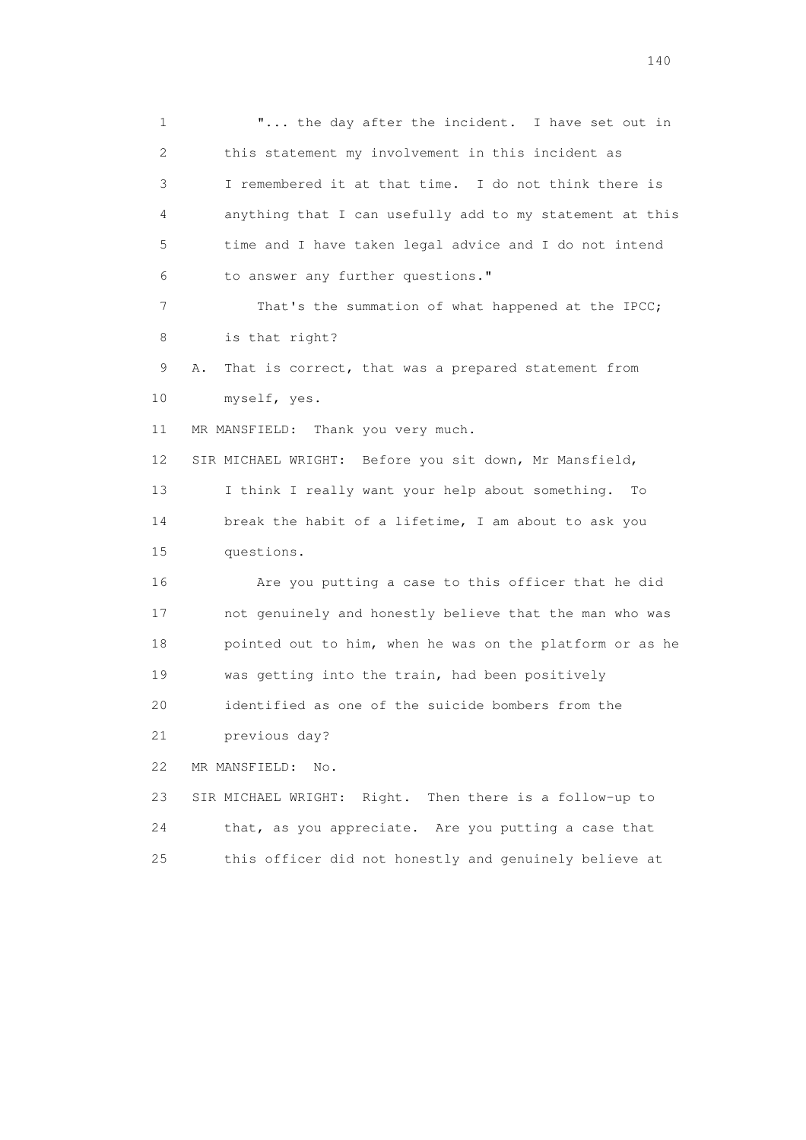1 **"...** the day after the incident. I have set out in 2 this statement my involvement in this incident as 3 I remembered it at that time. I do not think there is 4 anything that I can usefully add to my statement at this 5 time and I have taken legal advice and I do not intend 6 to answer any further questions." 7 That's the summation of what happened at the IPCC; 8 is that right? 9 A. That is correct, that was a prepared statement from 10 myself, yes. 11 MR MANSFIELD: Thank you very much. 12 SIR MICHAEL WRIGHT: Before you sit down, Mr Mansfield, 13 I think I really want your help about something. To 14 break the habit of a lifetime, I am about to ask you 15 questions. 16 Are you putting a case to this officer that he did 17 not genuinely and honestly believe that the man who was 18 pointed out to him, when he was on the platform or as he 19 was getting into the train, had been positively 20 identified as one of the suicide bombers from the 21 previous day? 22 MR MANSFIELD: No. 23 SIR MICHAEL WRIGHT: Right. Then there is a follow-up to 24 that, as you appreciate. Are you putting a case that 25 this officer did not honestly and genuinely believe at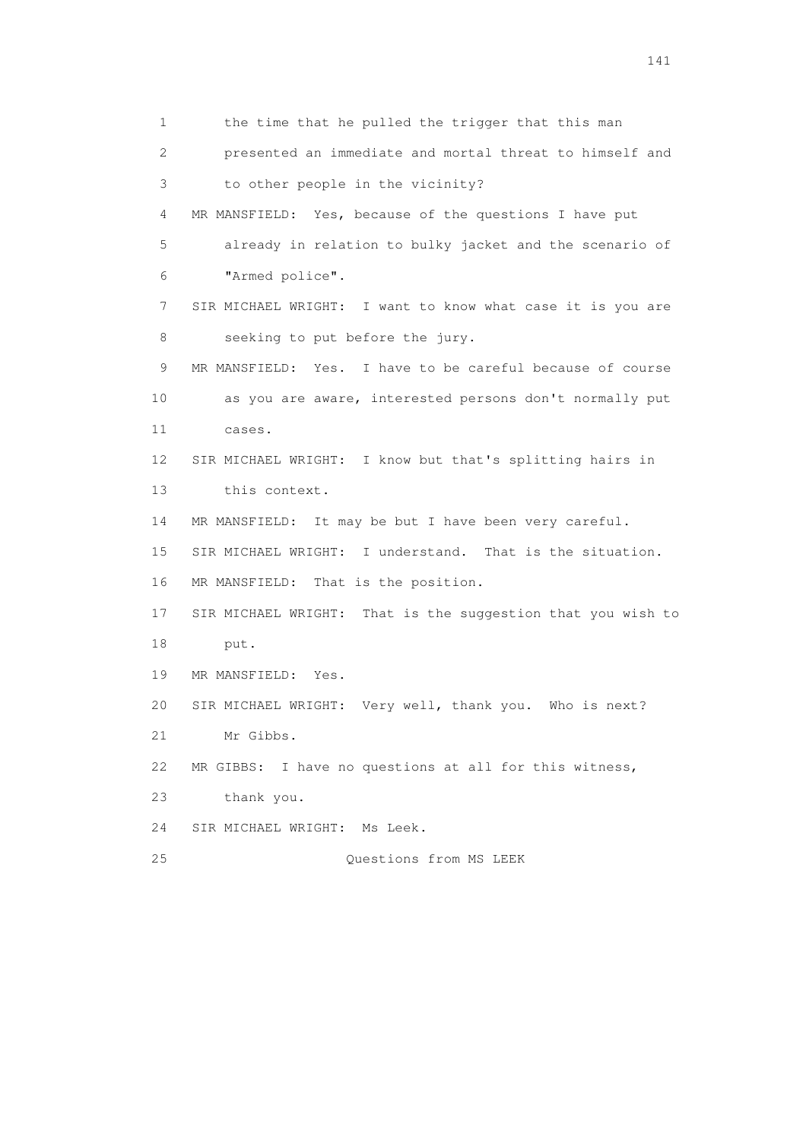1 the time that he pulled the trigger that this man 2 presented an immediate and mortal threat to himself and 3 to other people in the vicinity? 4 MR MANSFIELD: Yes, because of the questions I have put 5 already in relation to bulky jacket and the scenario of 6 "Armed police". 7 SIR MICHAEL WRIGHT: I want to know what case it is you are 8 seeking to put before the jury. 9 MR MANSFIELD: Yes. I have to be careful because of course 10 as you are aware, interested persons don't normally put 11 cases. 12 SIR MICHAEL WRIGHT: I know but that's splitting hairs in 13 this context. 14 MR MANSFIELD: It may be but I have been very careful. 15 SIR MICHAEL WRIGHT: I understand. That is the situation. 16 MR MANSFIELD: That is the position. 17 SIR MICHAEL WRIGHT: That is the suggestion that you wish to 18 put. 19 MR MANSFIELD: Yes. 20 SIR MICHAEL WRIGHT: Very well, thank you. Who is next? 21 Mr Gibbs. 22 MR GIBBS: I have no questions at all for this witness, 23 thank you. 24 SIR MICHAEL WRIGHT: Ms Leek. 25 Questions from MS LEEK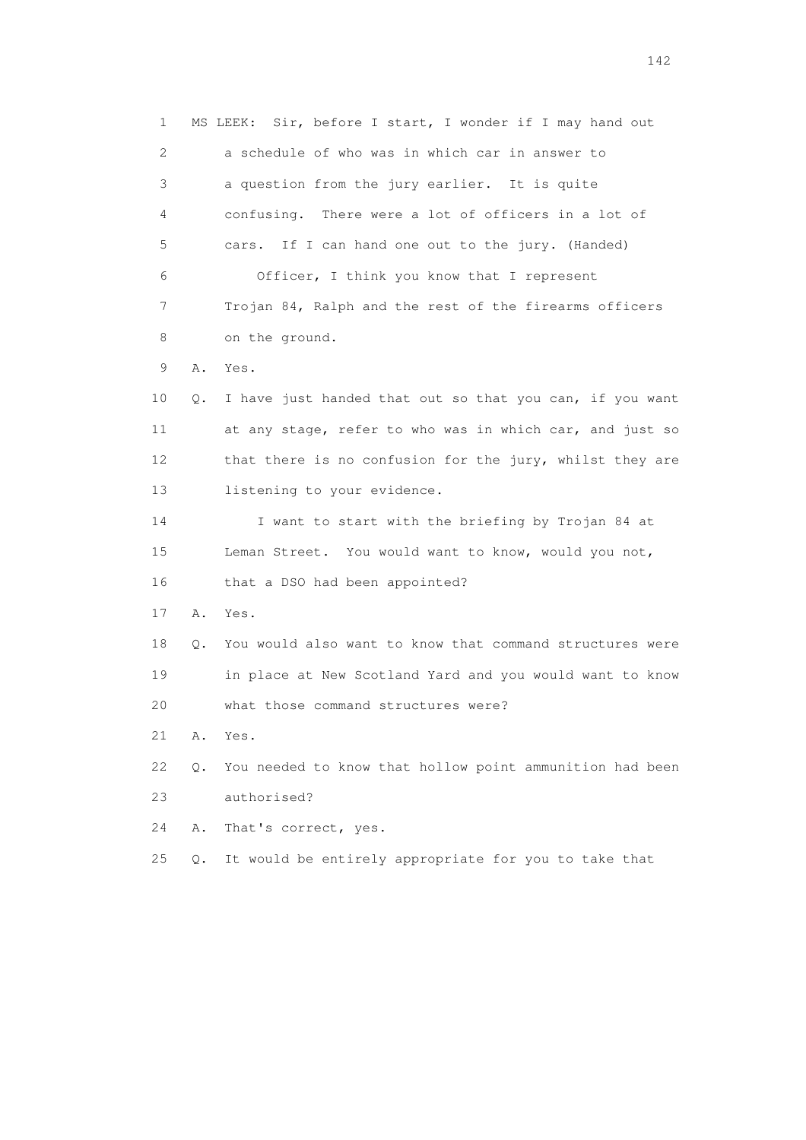1 MS LEEK: Sir, before I start, I wonder if I may hand out 2 a schedule of who was in which car in answer to 3 a question from the jury earlier. It is quite 4 confusing. There were a lot of officers in a lot of 5 cars. If I can hand one out to the jury. (Handed) 6 Officer, I think you know that I represent 7 Trojan 84, Ralph and the rest of the firearms officers 8 on the ground. 9 A. Yes. 10 Q. I have just handed that out so that you can, if you want 11 at any stage, refer to who was in which car, and just so 12 that there is no confusion for the jury, whilst they are 13 listening to your evidence. 14 I want to start with the briefing by Trojan 84 at 15 Leman Street. You would want to know, would you not, 16 that a DSO had been appointed? 17 A. Yes. 18 Q. You would also want to know that command structures were 19 in place at New Scotland Yard and you would want to know 20 what those command structures were? 21 A. Yes. 22 Q. You needed to know that hollow point ammunition had been 23 authorised? 24 A. That's correct, yes. 25 Q. It would be entirely appropriate for you to take that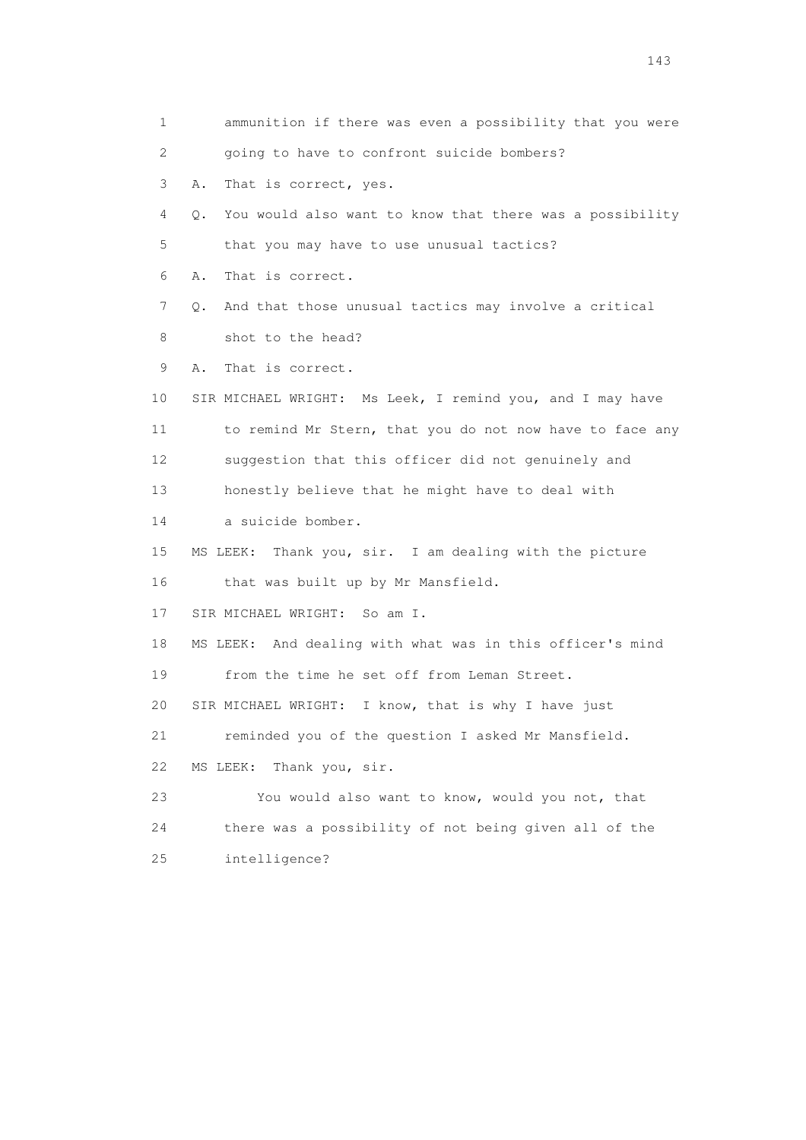1 ammunition if there was even a possibility that you were 2 going to have to confront suicide bombers? 3 A. That is correct, yes. 4 Q. You would also want to know that there was a possibility 5 that you may have to use unusual tactics? 6 A. That is correct. 7 Q. And that those unusual tactics may involve a critical 8 shot to the head? 9 A. That is correct. 10 SIR MICHAEL WRIGHT: Ms Leek, I remind you, and I may have 11 to remind Mr Stern, that you do not now have to face any 12 suggestion that this officer did not genuinely and 13 honestly believe that he might have to deal with 14 a suicide bomber. 15 MS LEEK: Thank you, sir. I am dealing with the picture 16 that was built up by Mr Mansfield. 17 SIR MICHAEL WRIGHT: So am I. 18 MS LEEK: And dealing with what was in this officer's mind 19 from the time he set off from Leman Street. 20 SIR MICHAEL WRIGHT: I know, that is why I have just 21 reminded you of the question I asked Mr Mansfield. 22 MS LEEK: Thank you, sir. 23 You would also want to know, would you not, that 24 there was a possibility of not being given all of the 25 intelligence?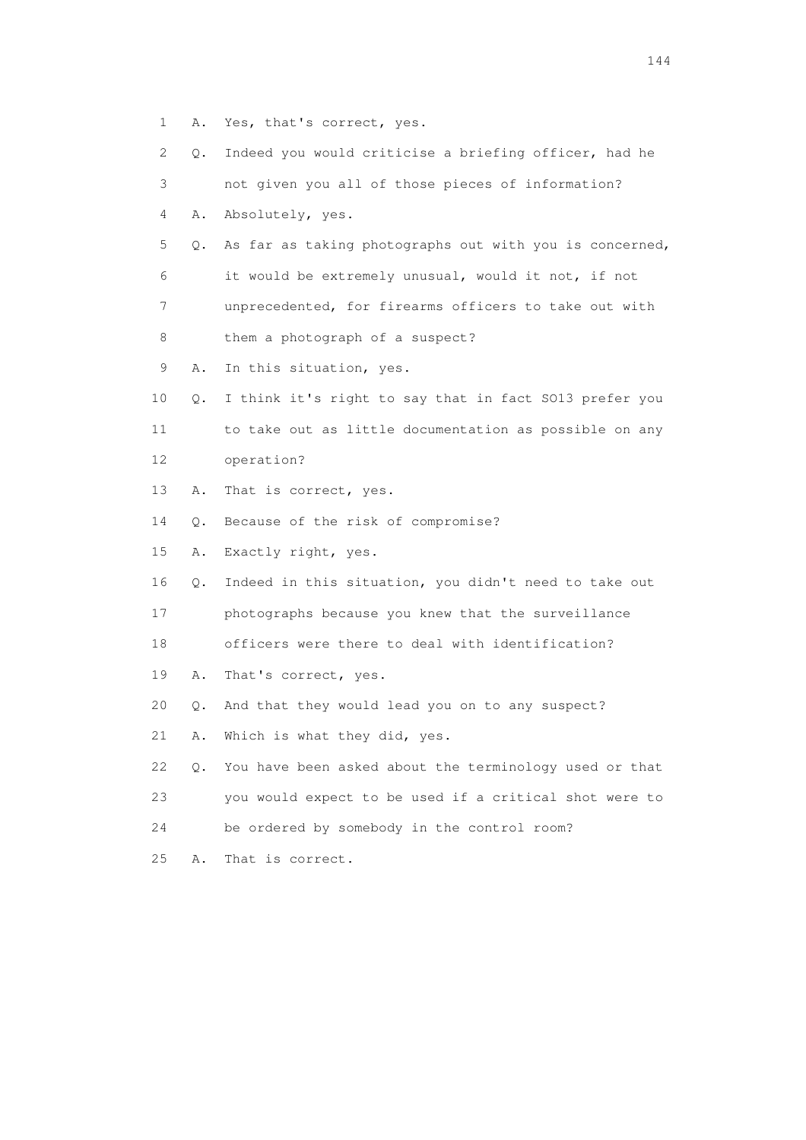- 1 A. Yes, that's correct, yes.
- 2 Q. Indeed you would criticise a briefing officer, had he
- 3 not given you all of those pieces of information?
- 4 A. Absolutely, yes.
- 5 Q. As far as taking photographs out with you is concerned, 6 it would be extremely unusual, would it not, if not 7 unprecedented, for firearms officers to take out with
- 8 them a photograph of a suspect?
- 9 A. In this situation, yes.
- 10 Q. I think it's right to say that in fact SO13 prefer you 11 to take out as little documentation as possible on any 12 operation?
- 13 A. That is correct, yes.
- 14 Q. Because of the risk of compromise?
- 15 A. Exactly right, yes.
- 16 Q. Indeed in this situation, you didn't need to take out
- 17 photographs because you knew that the surveillance
- 18 officers were there to deal with identification?
- 19 A. That's correct, yes.
- 20 Q. And that they would lead you on to any suspect?
- 21 A. Which is what they did, yes.
- 22 Q. You have been asked about the terminology used or that 23 you would expect to be used if a critical shot were to
- 24 be ordered by somebody in the control room?
- 
- 

25 A. That is correct.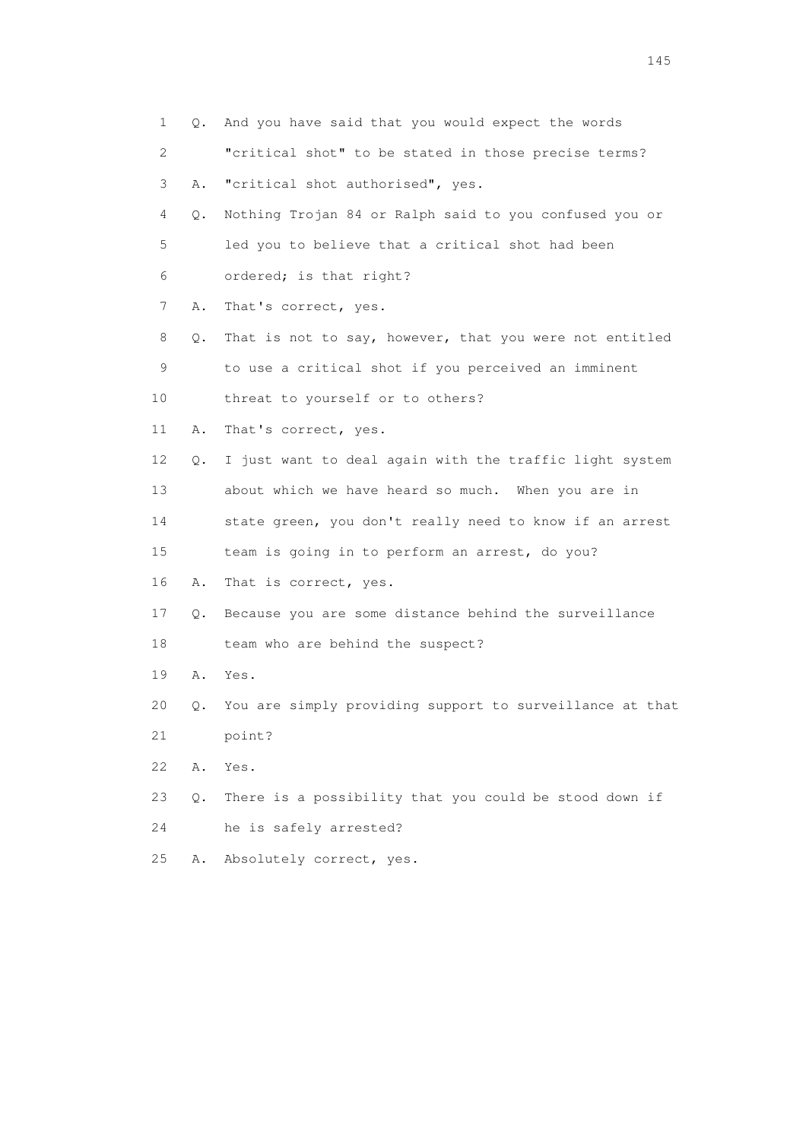| 1                         | Q. | And you have said that you would expect the words        |
|---------------------------|----|----------------------------------------------------------|
| $\mathbf{2}^{\mathsf{I}}$ |    | "critical shot" to be stated in those precise terms?     |
| 3                         | Α. | "critical shot authorised", yes.                         |
| 4                         | Q. | Nothing Trojan 84 or Ralph said to you confused you or   |
| 5                         |    | led you to believe that a critical shot had been         |
| 6                         |    | ordered; is that right?                                  |
| 7                         | Α. | That's correct, yes.                                     |
| 8                         | Q. | That is not to say, however, that you were not entitled  |
| 9                         |    | to use a critical shot if you perceived an imminent      |
| 10                        |    | threat to yourself or to others?                         |
| 11                        | Α. | That's correct, yes.                                     |
| 12                        | Q. | I just want to deal again with the traffic light system  |
| 13                        |    | about which we have heard so much. When you are in       |
| 14                        |    | state green, you don't really need to know if an arrest  |
| 15                        |    | team is going in to perform an arrest, do you?           |
| 16                        | Α. | That is correct, yes.                                    |
| 17                        | Q. | Because you are some distance behind the surveillance    |
| 18                        |    | team who are behind the suspect?                         |
| 19                        | Α. | Yes.                                                     |
| 20                        | Q. | You are simply providing support to surveillance at that |
| 21                        |    | point?                                                   |
| 22                        | Α. | Yes.                                                     |
| 23                        | О. | There is a possibility that you could be stood down if   |
| 24                        |    | he is safely arrested?                                   |
| 25                        | Α. | Absolutely correct, yes.                                 |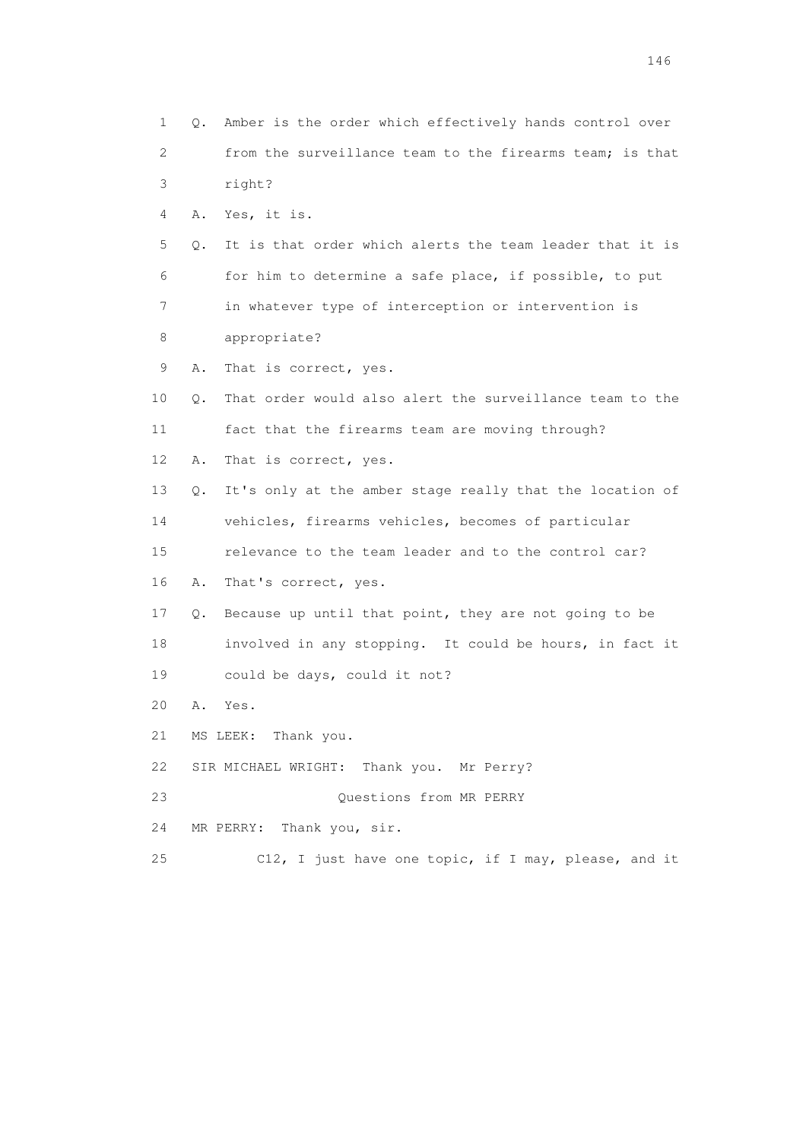1 Q. Amber is the order which effectively hands control over 2 from the surveillance team to the firearms team; is that 3 right? 4 A. Yes, it is. 5 Q. It is that order which alerts the team leader that it is 6 for him to determine a safe place, if possible, to put 7 in whatever type of interception or intervention is 8 appropriate? 9 A. That is correct, yes. 10 Q. That order would also alert the surveillance team to the 11 fact that the firearms team are moving through? 12 A. That is correct, yes. 13 Q. It's only at the amber stage really that the location of 14 vehicles, firearms vehicles, becomes of particular 15 relevance to the team leader and to the control car? 16 A. That's correct, yes. 17 Q. Because up until that point, they are not going to be 18 involved in any stopping. It could be hours, in fact it 19 could be days, could it not? 20 A. Yes. 21 MS LEEK: Thank you. 22 SIR MICHAEL WRIGHT: Thank you. Mr Perry? 23 Questions from MR PERRY 24 MR PERRY: Thank you, sir. 25 C12, I just have one topic, if I may, please, and it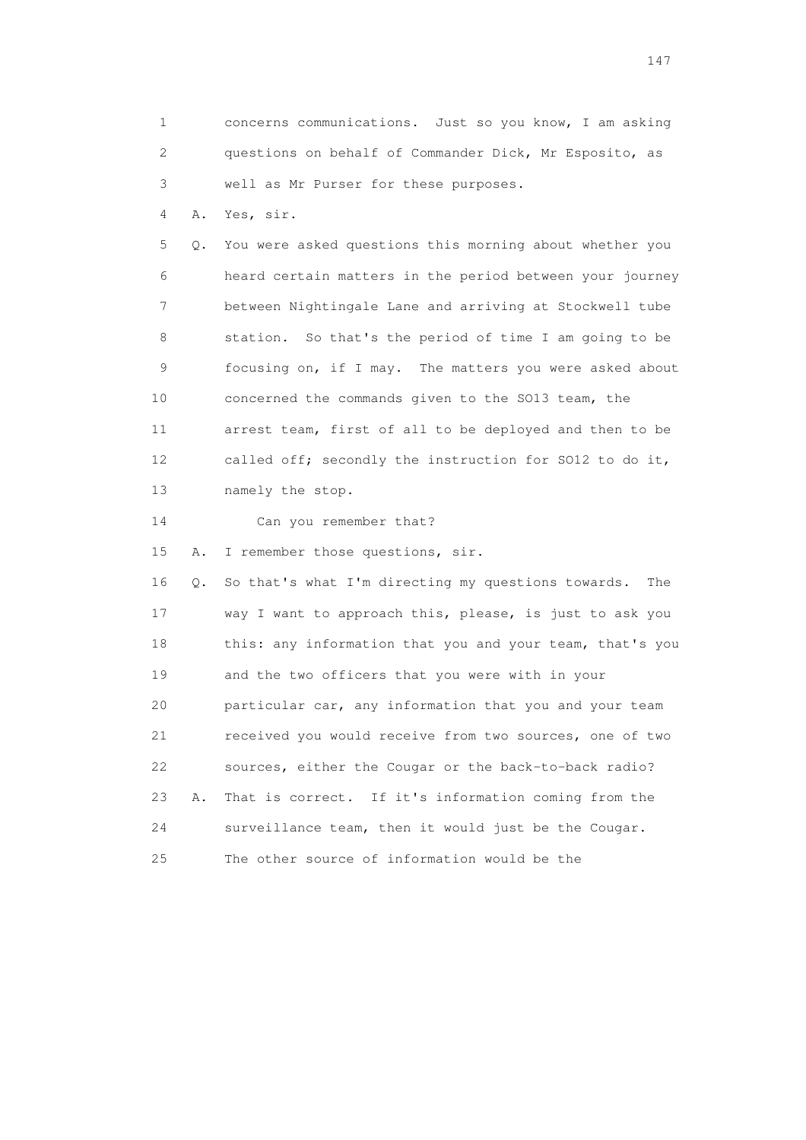1 concerns communications. Just so you know, I am asking 2 questions on behalf of Commander Dick, Mr Esposito, as 3 well as Mr Purser for these purposes. 4 A. Yes, sir. 5 Q. You were asked questions this morning about whether you 6 heard certain matters in the period between your journey 7 between Nightingale Lane and arriving at Stockwell tube 8 station. So that's the period of time I am going to be 9 focusing on, if I may. The matters you were asked about 10 concerned the commands given to the SO13 team, the 11 arrest team, first of all to be deployed and then to be 12 called off; secondly the instruction for SO12 to do it, 13 namely the stop. 14 Can you remember that? 15 A. I remember those questions, sir. 16 Q. So that's what I'm directing my questions towards. The 17 way I want to approach this, please, is just to ask you 18 this: any information that you and your team, that's you 19 and the two officers that you were with in your 20 particular car, any information that you and your team 21 received you would receive from two sources, one of two 22 sources, either the Cougar or the back-to-back radio?

 23 A. That is correct. If it's information coming from the 24 surveillance team, then it would just be the Cougar. 25 The other source of information would be the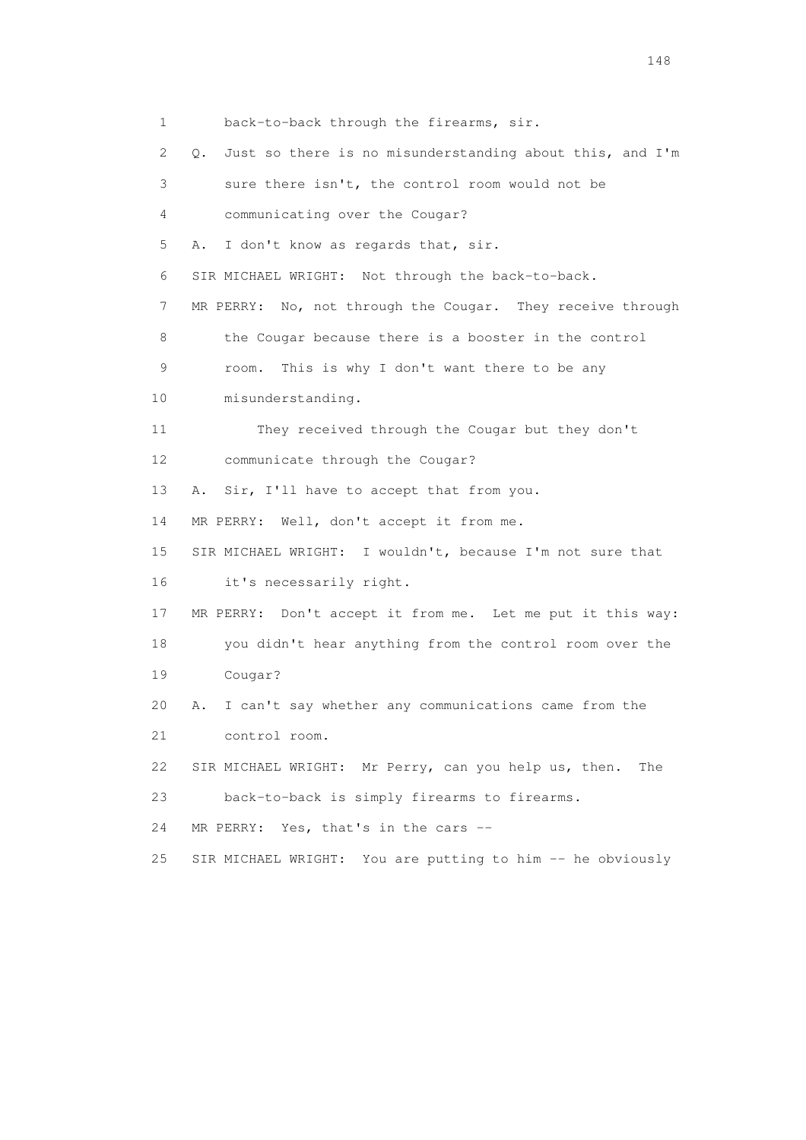1 back-to-back through the firearms, sir. 2 Q. Just so there is no misunderstanding about this, and I'm 3 sure there isn't, the control room would not be 4 communicating over the Cougar? 5 A. I don't know as regards that, sir. 6 SIR MICHAEL WRIGHT: Not through the back-to-back. 7 MR PERRY: No, not through the Cougar. They receive through 8 the Cougar because there is a booster in the control 9 room. This is why I don't want there to be any 10 misunderstanding. 11 They received through the Cougar but they don't 12 communicate through the Cougar? 13 A. Sir, I'll have to accept that from you. 14 MR PERRY: Well, don't accept it from me. 15 SIR MICHAEL WRIGHT: I wouldn't, because I'm not sure that 16 it's necessarily right. 17 MR PERRY: Don't accept it from me. Let me put it this way: 18 you didn't hear anything from the control room over the 19 Cougar? 20 A. I can't say whether any communications came from the 21 control room. 22 SIR MICHAEL WRIGHT: Mr Perry, can you help us, then. The 23 back-to-back is simply firearms to firearms. 24 MR PERRY: Yes, that's in the cars -- 25 SIR MICHAEL WRIGHT: You are putting to him -- he obviously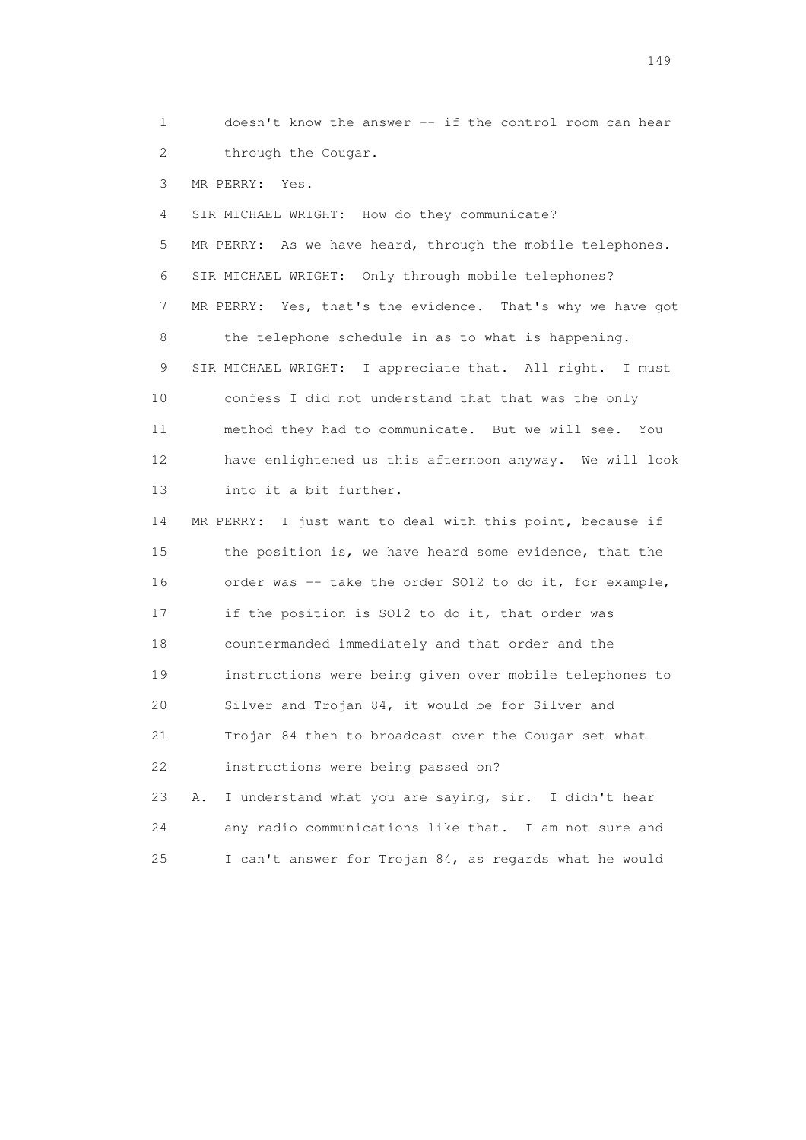1 doesn't know the answer -- if the control room can hear 2 through the Cougar.

3 MR PERRY: Yes.

4 SIR MICHAEL WRIGHT: How do they communicate?

 5 MR PERRY: As we have heard, through the mobile telephones. 6 SIR MICHAEL WRIGHT: Only through mobile telephones? 7 MR PERRY: Yes, that's the evidence. That's why we have got 8 the telephone schedule in as to what is happening. 9 SIR MICHAEL WRIGHT: I appreciate that. All right. I must 10 confess I did not understand that that was the only 11 method they had to communicate. But we will see. You 12 have enlightened us this afternoon anyway. We will look 13 into it a bit further.

 14 MR PERRY: I just want to deal with this point, because if 15 the position is, we have heard some evidence, that the 16 order was -- take the order SO12 to do it, for example, 17 if the position is SO12 to do it, that order was 18 countermanded immediately and that order and the 19 instructions were being given over mobile telephones to 20 Silver and Trojan 84, it would be for Silver and 21 Trojan 84 then to broadcast over the Cougar set what 22 instructions were being passed on?

 23 A. I understand what you are saying, sir. I didn't hear 24 any radio communications like that. I am not sure and 25 I can't answer for Trojan 84, as regards what he would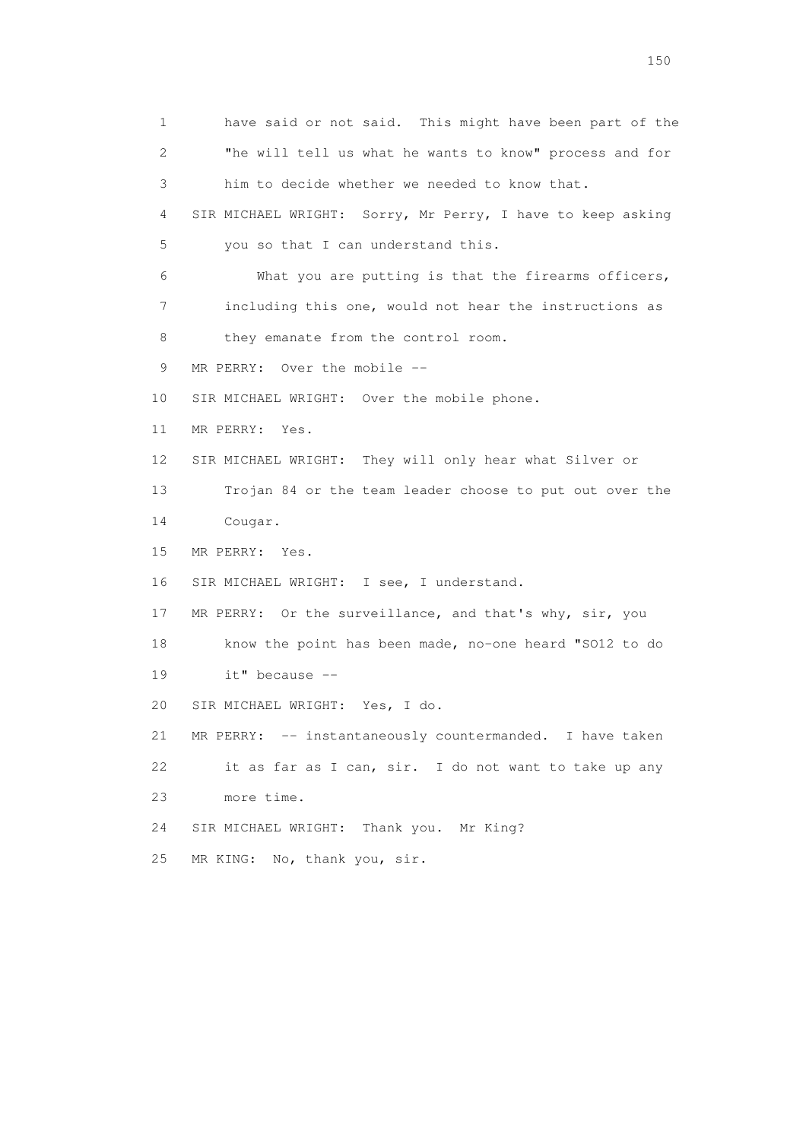1 have said or not said. This might have been part of the 2 "he will tell us what he wants to know" process and for 3 him to decide whether we needed to know that. 4 SIR MICHAEL WRIGHT: Sorry, Mr Perry, I have to keep asking 5 you so that I can understand this. 6 What you are putting is that the firearms officers, 7 including this one, would not hear the instructions as 8 they emanate from the control room. 9 MR PERRY: Over the mobile -- 10 SIR MICHAEL WRIGHT: Over the mobile phone. 11 MR PERRY: Yes. 12 SIR MICHAEL WRIGHT: They will only hear what Silver or 13 Trojan 84 or the team leader choose to put out over the 14 Cougar. 15 MR PERRY: Yes. 16 SIR MICHAEL WRIGHT: I see, I understand. 17 MR PERRY: Or the surveillance, and that's why, sir, you 18 know the point has been made, no-one heard "SO12 to do 19 it" because -- 20 SIR MICHAEL WRIGHT: Yes, I do. 21 MR PERRY: -- instantaneously countermanded. I have taken 22 it as far as I can, sir. I do not want to take up any 23 more time. 24 SIR MICHAEL WRIGHT: Thank you. Mr King? 25 MR KING: No, thank you, sir.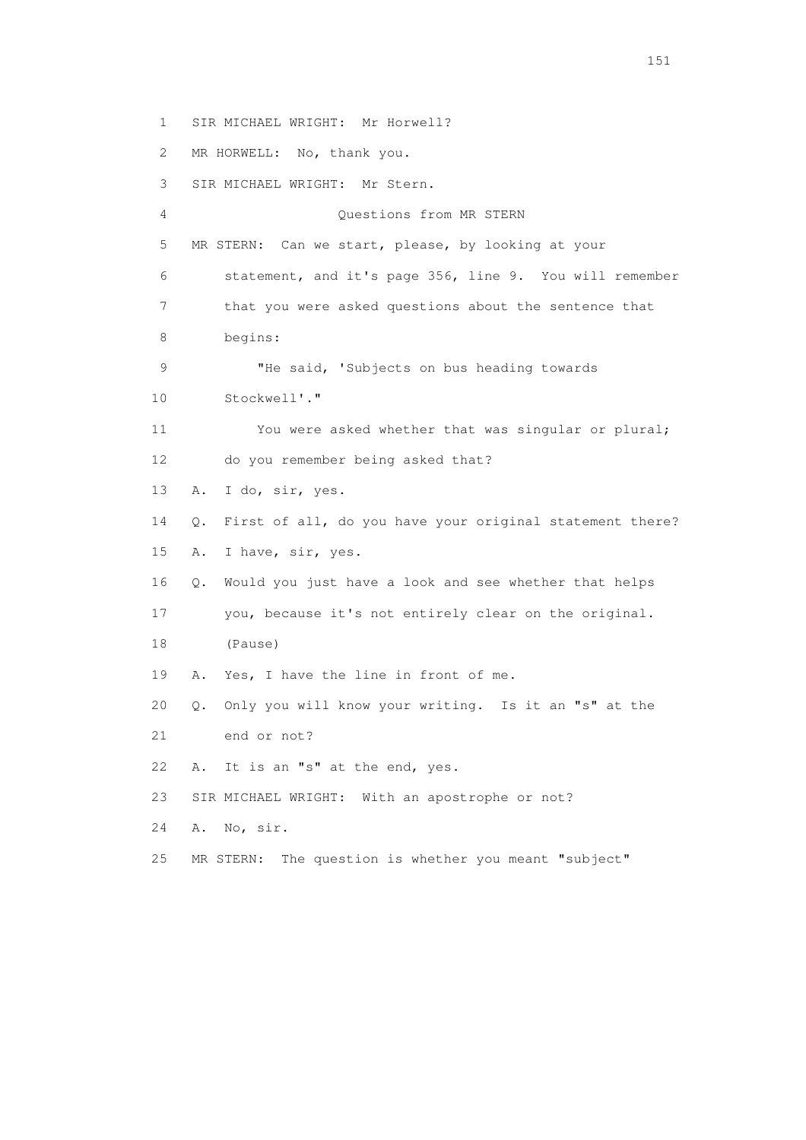1 SIR MICHAEL WRIGHT: Mr Horwell? 2 MR HORWELL: No, thank you. 3 SIR MICHAEL WRIGHT: Mr Stern. 4 Questions from MR STERN 5 MR STERN: Can we start, please, by looking at your 6 statement, and it's page 356, line 9. You will remember 7 that you were asked questions about the sentence that 8 begins: 9 "He said, 'Subjects on bus heading towards 10 Stockwell'." 11 You were asked whether that was singular or plural; 12 do you remember being asked that? 13 A. I do, sir, yes. 14 Q. First of all, do you have your original statement there? 15 A. I have, sir, yes. 16 Q. Would you just have a look and see whether that helps 17 you, because it's not entirely clear on the original. 18 (Pause) 19 A. Yes, I have the line in front of me. 20 Q. Only you will know your writing. Is it an "s" at the 21 end or not? 22 A. It is an "s" at the end, yes. 23 SIR MICHAEL WRIGHT: With an apostrophe or not? 24 A. No, sir. 25 MR STERN: The question is whether you meant "subject"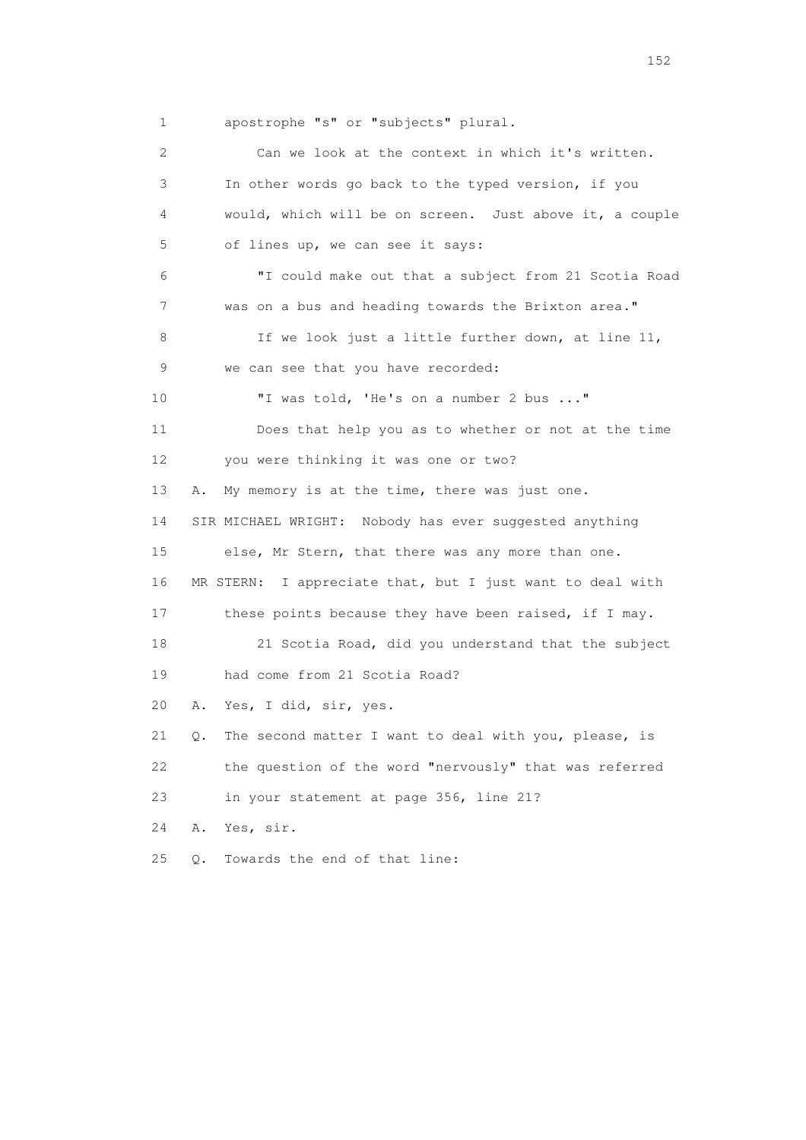1 apostrophe "s" or "subjects" plural.

| 2  | Can we look at the context in which it's written.           |
|----|-------------------------------------------------------------|
| 3  | In other words go back to the typed version, if you         |
| 4  | would, which will be on screen. Just above it, a couple     |
| 5  | of lines up, we can see it says:                            |
| 6  | "I could make out that a subject from 21 Scotia Road        |
| 7  | was on a bus and heading towards the Brixton area."         |
| 8  | If we look just a little further down, at line 11,          |
| 9  | we can see that you have recorded:                          |
| 10 | "I was told, 'He's on a number 2 bus "                      |
| 11 | Does that help you as to whether or not at the time         |
| 12 | you were thinking it was one or two?                        |
| 13 | My memory is at the time, there was just one.<br>Α.         |
| 14 | SIR MICHAEL WRIGHT: Nobody has ever suggested anything      |
| 15 | else, Mr Stern, that there was any more than one.           |
| 16 | MR STERN: I appreciate that, but I just want to deal with   |
| 17 | these points because they have been raised, if I may.       |
| 18 | 21 Scotia Road, did you understand that the subject         |
| 19 | had come from 21 Scotia Road?                               |
| 20 | Yes, I did, sir, yes.<br>Α.                                 |
| 21 | The second matter I want to deal with you, please, is<br>Q. |
| 22 | the question of the word "nervously" that was referred      |
| 23 | in your statement at page 356, line 21?                     |
| 24 | Yes, sir.<br>Α.                                             |
| 25 | Towards the end of that line:<br>$Q$ .                      |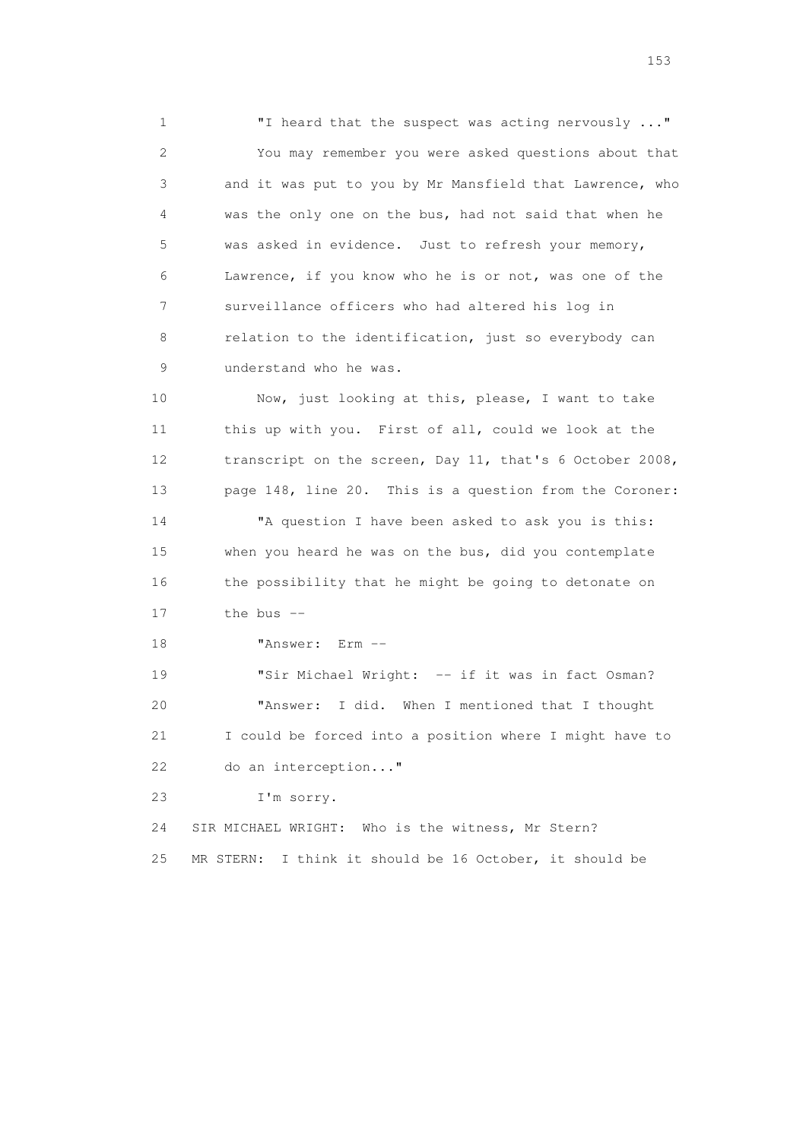1 "I heard that the suspect was acting nervously ..." 2 You may remember you were asked questions about that 3 and it was put to you by Mr Mansfield that Lawrence, who 4 was the only one on the bus, had not said that when he 5 was asked in evidence. Just to refresh your memory, 6 Lawrence, if you know who he is or not, was one of the 7 surveillance officers who had altered his log in 8 relation to the identification, just so everybody can 9 understand who he was.

 10 Now, just looking at this, please, I want to take 11 this up with you. First of all, could we look at the 12 transcript on the screen, Day 11, that's 6 October 2008, 13 page 148, line 20. This is a question from the Coroner:

 14 "A question I have been asked to ask you is this: 15 when you heard he was on the bus, did you contemplate 16 the possibility that he might be going to detonate on 17 the bus --

18 "Answer: Erm --

19 "Sir Michael Wright: -- if it was in fact Osman? 20 "Answer: I did. When I mentioned that I thought 21 I could be forced into a position where I might have to 22 do an interception..."

23 I'm sorry.

 24 SIR MICHAEL WRIGHT: Who is the witness, Mr Stern? 25 MR STERN: I think it should be 16 October, it should be

n 153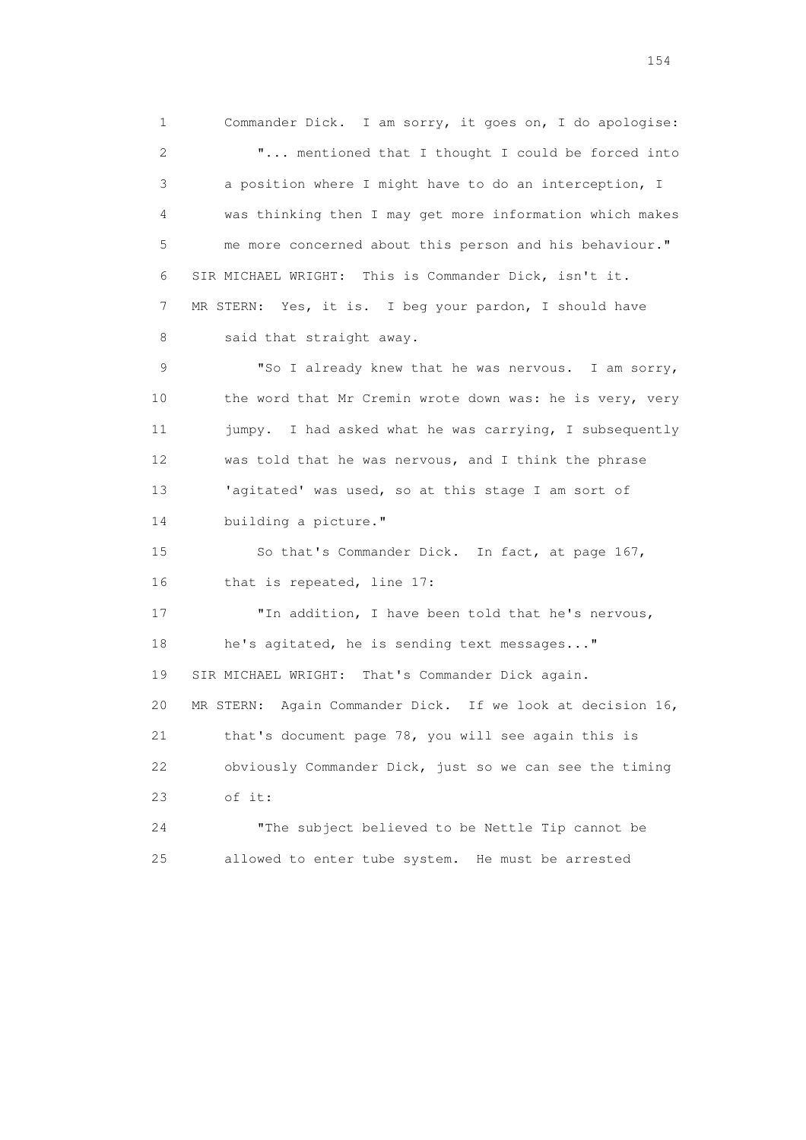1 Commander Dick. I am sorry, it goes on, I do apologise: 2 "... mentioned that I thought I could be forced into 3 a position where I might have to do an interception, I 4 was thinking then I may get more information which makes 5 me more concerned about this person and his behaviour." 6 SIR MICHAEL WRIGHT: This is Commander Dick, isn't it. 7 MR STERN: Yes, it is. I beg your pardon, I should have 8 said that straight away. 9 "So I already knew that he was nervous. I am sorry, 10 the word that Mr Cremin wrote down was: he is very, very 11 jumpy. I had asked what he was carrying, I subsequently 12 was told that he was nervous, and I think the phrase 13 'agitated' was used, so at this stage I am sort of 14 building a picture." 15 So that's Commander Dick. In fact, at page 167, 16 that is repeated, line 17: 17 "In addition, I have been told that he's nervous, 18 he's agitated, he is sending text messages..." 19 SIR MICHAEL WRIGHT: That's Commander Dick again. 20 MR STERN: Again Commander Dick. If we look at decision 16, 21 that's document page 78, you will see again this is 22 obviously Commander Dick, just so we can see the timing 23 of it: 24 "The subject believed to be Nettle Tip cannot be 25 allowed to enter tube system. He must be arrested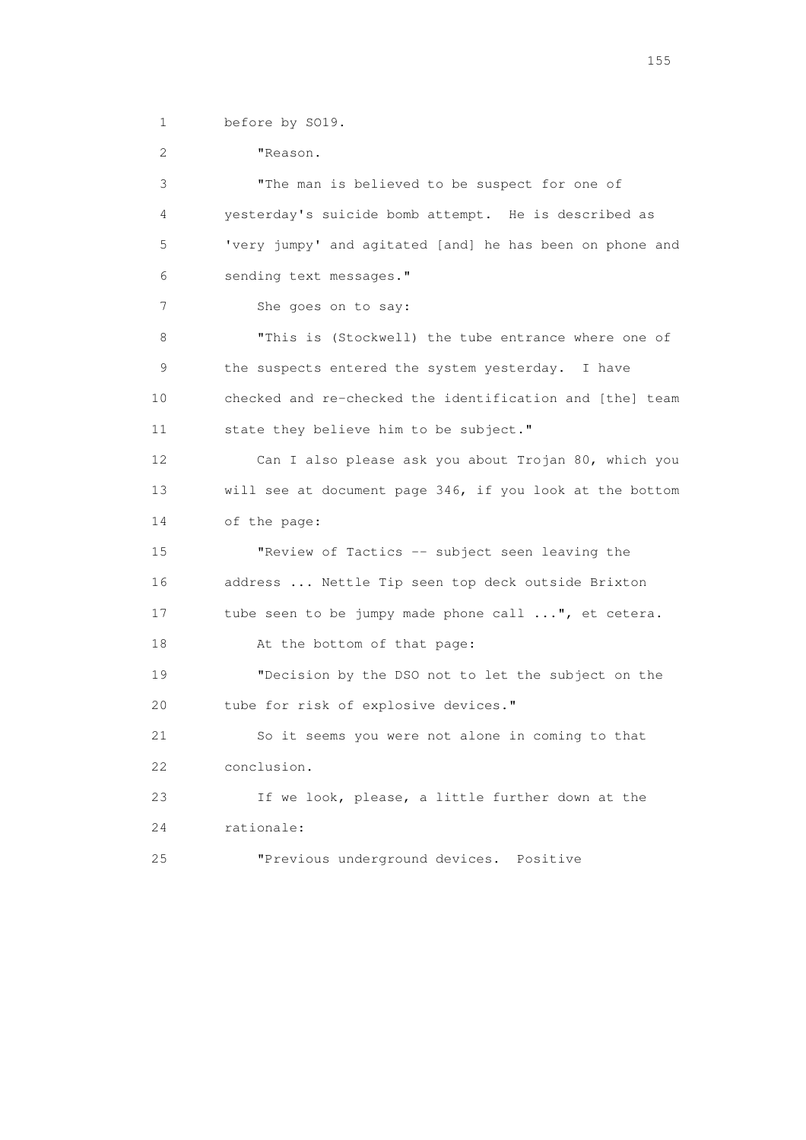1 before by SO19.

 2 "Reason. 3 "The man is believed to be suspect for one of 4 yesterday's suicide bomb attempt. He is described as 5 'very jumpy' and agitated [and] he has been on phone and 6 sending text messages." 7 She goes on to say: 8 "This is (Stockwell) the tube entrance where one of 9 the suspects entered the system yesterday. I have 10 checked and re-checked the identification and [the] team 11 state they believe him to be subject." 12 Can I also please ask you about Trojan 80, which you 13 will see at document page 346, if you look at the bottom 14 of the page: 15 "Review of Tactics -- subject seen leaving the 16 address ... Nettle Tip seen top deck outside Brixton 17 tube seen to be jumpy made phone call ...", et cetera. 18 At the bottom of that page: 19 "Decision by the DSO not to let the subject on the 20 tube for risk of explosive devices." 21 So it seems you were not alone in coming to that 22 conclusion. 23 If we look, please, a little further down at the 24 rationale: 25 "Previous underground devices. Positive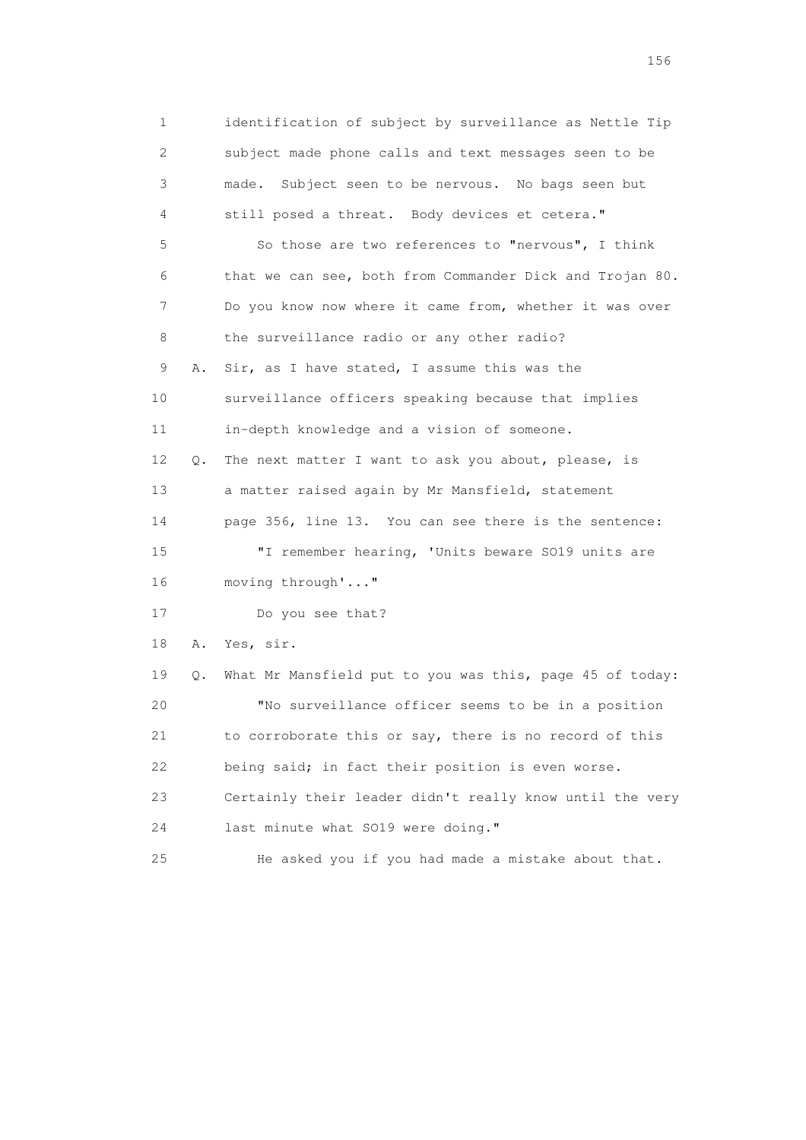1 identification of subject by surveillance as Nettle Tip 2 subject made phone calls and text messages seen to be 3 made. Subject seen to be nervous. No bags seen but 4 still posed a threat. Body devices et cetera." 5 So those are two references to "nervous", I think 6 that we can see, both from Commander Dick and Trojan 80. 7 Do you know now where it came from, whether it was over 8 the surveillance radio or any other radio? 9 A. Sir, as I have stated, I assume this was the 10 surveillance officers speaking because that implies 11 in-depth knowledge and a vision of someone. 12 Q. The next matter I want to ask you about, please, is 13 a matter raised again by Mr Mansfield, statement 14 page 356, line 13. You can see there is the sentence: 15 "I remember hearing, 'Units beware SO19 units are 16 moving through'..." 17 Do you see that? 18 A. Yes, sir. 19 Q. What Mr Mansfield put to you was this, page 45 of today: 20 "No surveillance officer seems to be in a position 21 to corroborate this or say, there is no record of this 22 being said; in fact their position is even worse. 23 Certainly their leader didn't really know until the very 24 last minute what SO19 were doing." 25 He asked you if you had made a mistake about that.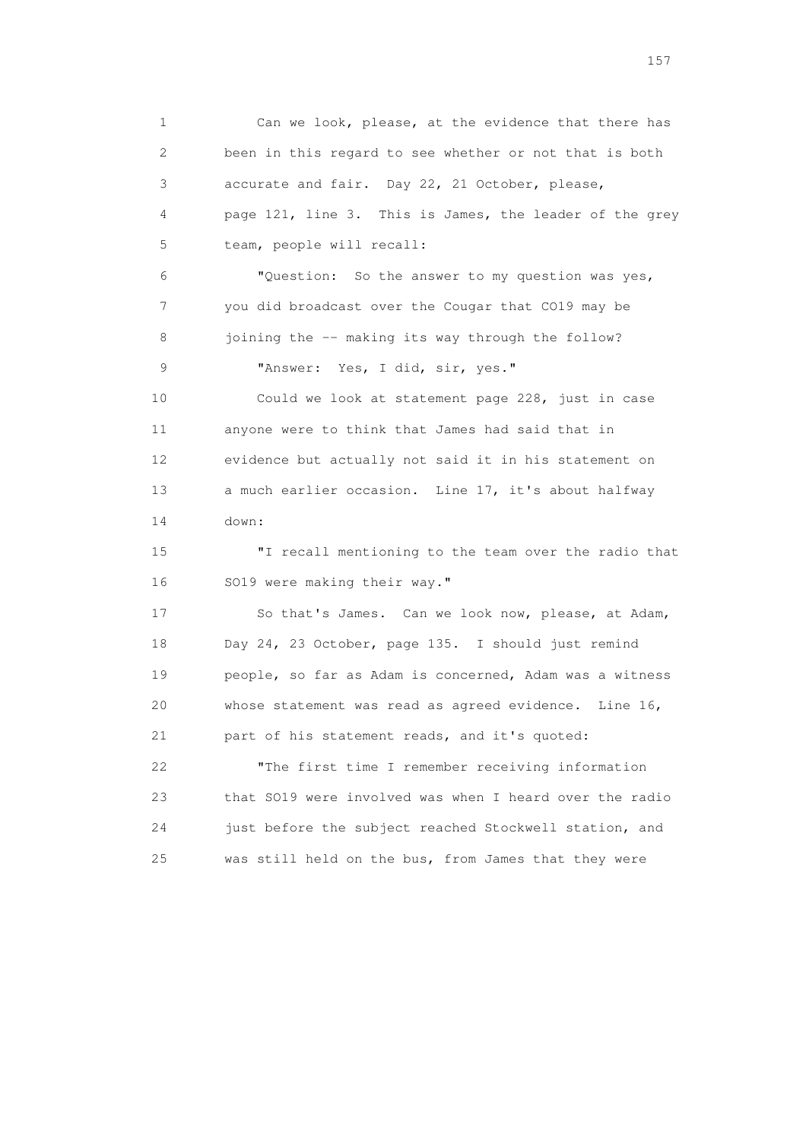1 Can we look, please, at the evidence that there has 2 been in this regard to see whether or not that is both 3 accurate and fair. Day 22, 21 October, please, 4 page 121, line 3. This is James, the leader of the grey 5 team, people will recall: 6 "Question: So the answer to my question was yes, 7 you did broadcast over the Cougar that CO19 may be 8 joining the -- making its way through the follow? 9 "Answer: Yes, I did, sir, yes." 10 Could we look at statement page 228, just in case 11 anyone were to think that James had said that in 12 evidence but actually not said it in his statement on 13 a much earlier occasion. Line 17, it's about halfway 14 down: 15 "I recall mentioning to the team over the radio that 16 SO19 were making their way." 17 So that's James. Can we look now, please, at Adam, 18 Day 24, 23 October, page 135. I should just remind 19 people, so far as Adam is concerned, Adam was a witness 20 whose statement was read as agreed evidence. Line 16, 21 part of his statement reads, and it's quoted: 22 "The first time I remember receiving information 23 that SO19 were involved was when I heard over the radio 24 just before the subject reached Stockwell station, and 25 was still held on the bus, from James that they were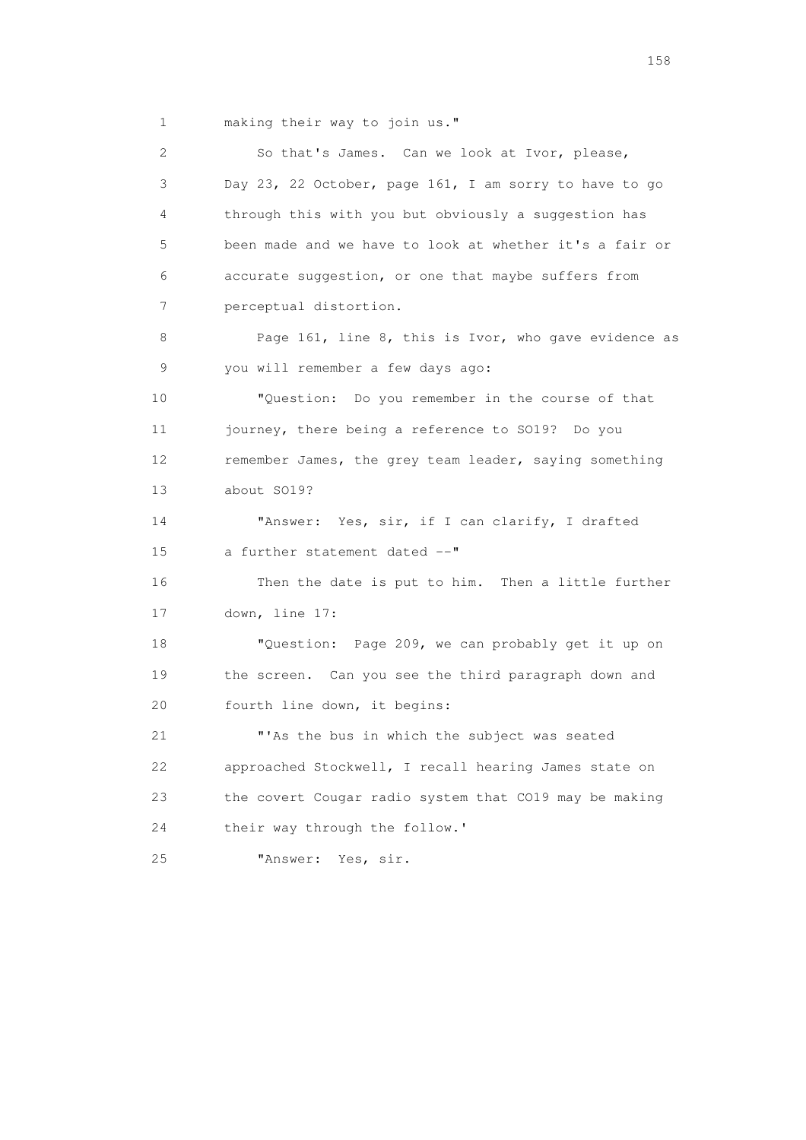1 making their way to join us."

 2 So that's James. Can we look at Ivor, please, 3 Day 23, 22 October, page 161, I am sorry to have to go 4 through this with you but obviously a suggestion has 5 been made and we have to look at whether it's a fair or 6 accurate suggestion, or one that maybe suffers from 7 perceptual distortion. 8 Page 161, line 8, this is Ivor, who gave evidence as 9 you will remember a few days ago: 10 "Question: Do you remember in the course of that 11 journey, there being a reference to SO19? Do you 12 remember James, the grey team leader, saying something 13 about SO19? 14 "Answer: Yes, sir, if I can clarify, I drafted 15 a further statement dated --" 16 Then the date is put to him. Then a little further 17 down, line 17: 18 "Question: Page 209, we can probably get it up on 19 the screen. Can you see the third paragraph down and 20 fourth line down, it begins: 21 "'As the bus in which the subject was seated 22 approached Stockwell, I recall hearing James state on 23 the covert Cougar radio system that CO19 may be making 24 their way through the follow.' 25 "Answer: Yes, sir.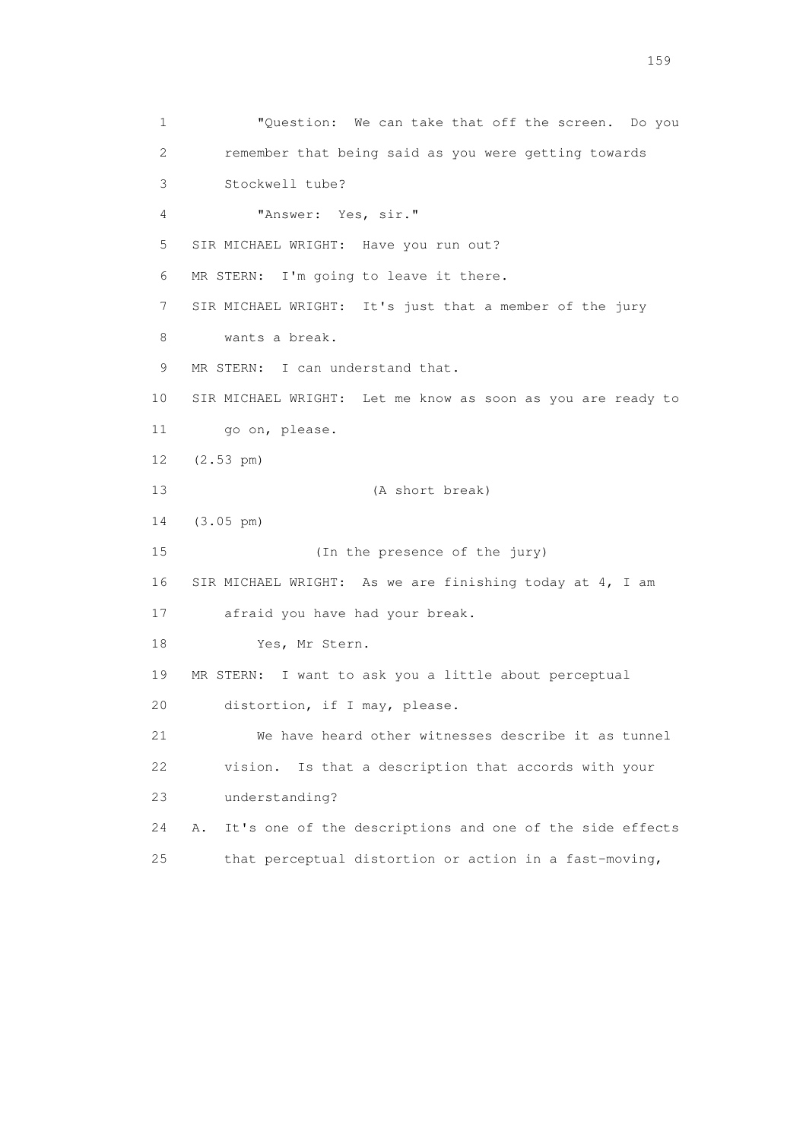1 "Question: We can take that off the screen. Do you 2 remember that being said as you were getting towards 3 Stockwell tube? 4 "Answer: Yes, sir." 5 SIR MICHAEL WRIGHT: Have you run out? 6 MR STERN: I'm going to leave it there. 7 SIR MICHAEL WRIGHT: It's just that a member of the jury 8 wants a break. 9 MR STERN: I can understand that. 10 SIR MICHAEL WRIGHT: Let me know as soon as you are ready to 11 go on, please. 12 (2.53 pm) 13 (A short break) 14 (3.05 pm) 15 (In the presence of the jury) 16 SIR MICHAEL WRIGHT: As we are finishing today at 4, I am 17 afraid you have had your break. 18 Yes, Mr Stern. 19 MR STERN: I want to ask you a little about perceptual 20 distortion, if I may, please. 21 We have heard other witnesses describe it as tunnel 22 vision. Is that a description that accords with your 23 understanding? 24 A. It's one of the descriptions and one of the side effects 25 that perceptual distortion or action in a fast-moving,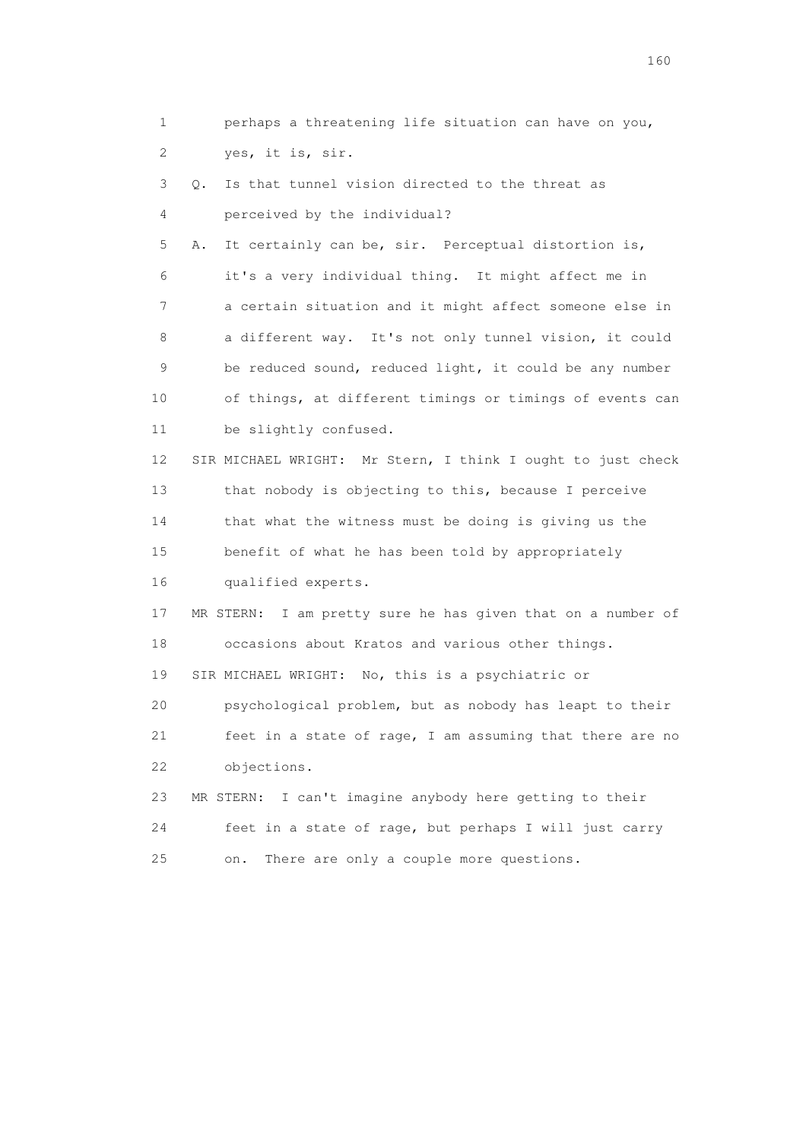1 perhaps a threatening life situation can have on you, 2 yes, it is, sir. 3 Q. Is that tunnel vision directed to the threat as 4 perceived by the individual? 5 A. It certainly can be, sir. Perceptual distortion is, 6 it's a very individual thing. It might affect me in 7 a certain situation and it might affect someone else in 8 a different way. It's not only tunnel vision, it could 9 be reduced sound, reduced light, it could be any number 10 of things, at different timings or timings of events can 11 be slightly confused. 12 SIR MICHAEL WRIGHT: Mr Stern, I think I ought to just check 13 that nobody is objecting to this, because I perceive 14 that what the witness must be doing is giving us the 15 benefit of what he has been told by appropriately 16 qualified experts. 17 MR STERN: I am pretty sure he has given that on a number of 18 occasions about Kratos and various other things. 19 SIR MICHAEL WRIGHT: No, this is a psychiatric or 20 psychological problem, but as nobody has leapt to their 21 feet in a state of rage, I am assuming that there are no 22 objections. 23 MR STERN: I can't imagine anybody here getting to their 24 feet in a state of rage, but perhaps I will just carry 25 on. There are only a couple more questions.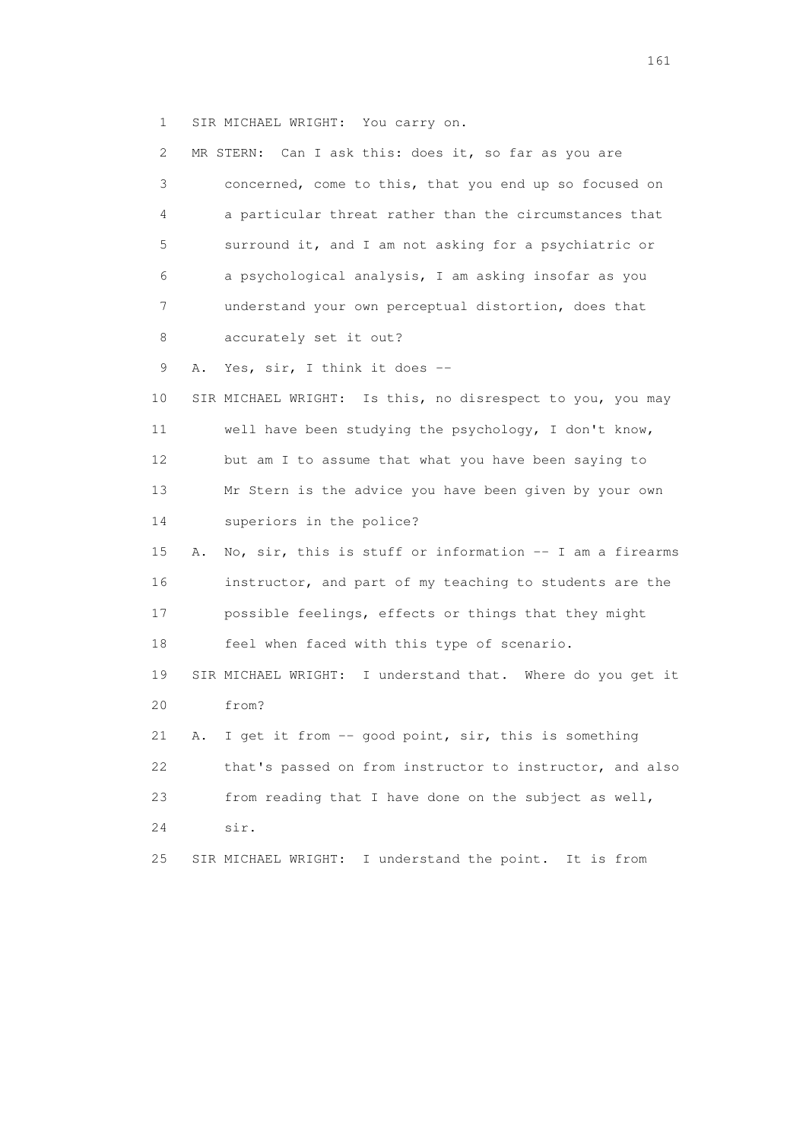1 SIR MICHAEL WRIGHT: You carry on.

| 2. | Can I ask this: does it, so far as you are<br>MR STERN:        |
|----|----------------------------------------------------------------|
| 3  | concerned, come to this, that you end up so focused on         |
| 4  | a particular threat rather than the circumstances that         |
| 5  | surround it, and I am not asking for a psychiatric or          |
| 6  | a psychological analysis, I am asking insofar as you           |
| 7  | understand your own perceptual distortion, does that           |
| 8  | accurately set it out?                                         |
| 9  | Yes, sir, I think it does --<br>Α.                             |
| 10 | SIR MICHAEL WRIGHT: Is this, no disrespect to you, you may     |
| 11 | well have been studying the psychology, I don't know,          |
| 12 | but am I to assume that what you have been saying to           |
| 13 | Mr Stern is the advice you have been given by your own         |
| 14 | superiors in the police?                                       |
| 15 | No, sir, this is stuff or information -- I am a firearms<br>Α. |
| 16 | instructor, and part of my teaching to students are the        |
| 17 | possible feelings, effects or things that they might           |
| 18 | feel when faced with this type of scenario.                    |
| 19 | SIR MICHAEL WRIGHT: I understand that. Where do you get it     |
| 20 | from?                                                          |
| 21 | I get it from -- good point, sir, this is something<br>Α.      |
| 22 | that's passed on from instructor to instructor, and also       |
| 23 | from reading that I have done on the subject as well,          |
| 24 | sir.                                                           |
| 25 | I understand the point. It is from<br>SIR MICHAEL WRIGHT:      |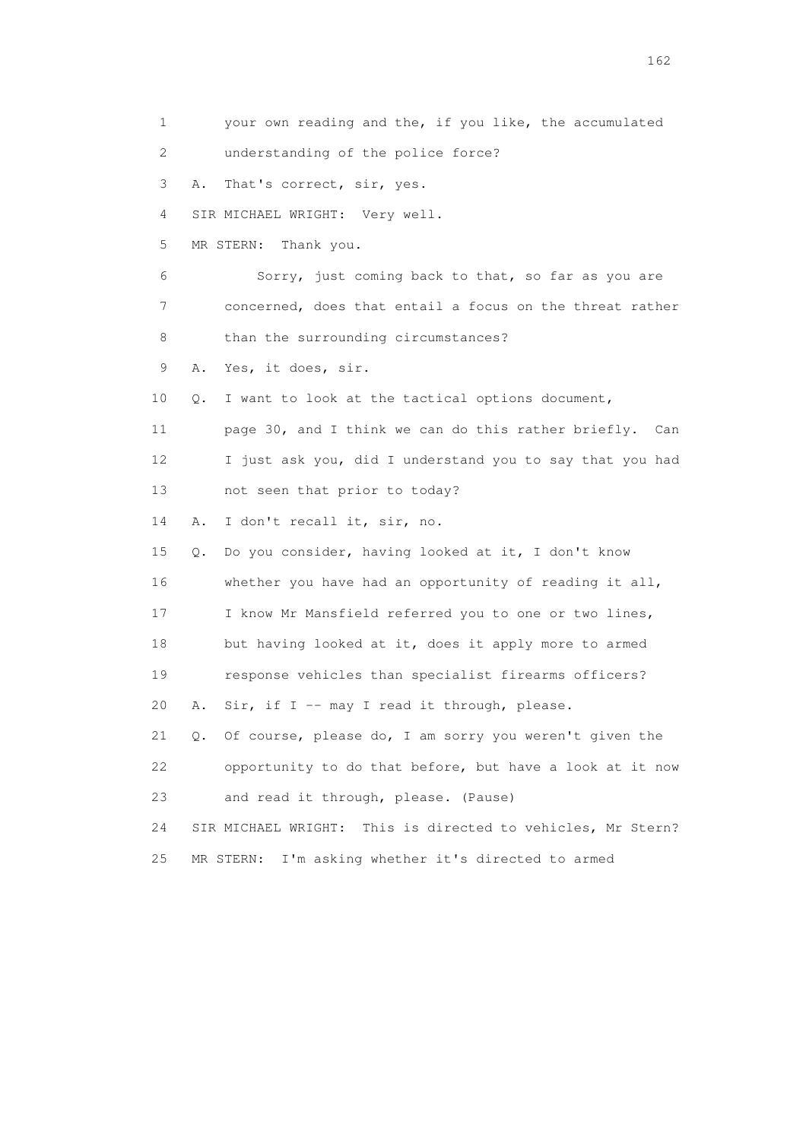1 your own reading and the, if you like, the accumulated 2 understanding of the police force? 3 A. That's correct, sir, yes. 4 SIR MICHAEL WRIGHT: Very well. 5 MR STERN: Thank you. 6 Sorry, just coming back to that, so far as you are 7 concerned, does that entail a focus on the threat rather 8 than the surrounding circumstances? 9 A. Yes, it does, sir. 10 Q. I want to look at the tactical options document, 11 page 30, and I think we can do this rather briefly. Can 12 I just ask you, did I understand you to say that you had 13 not seen that prior to today? 14 A. I don't recall it, sir, no. 15 Q. Do you consider, having looked at it, I don't know 16 whether you have had an opportunity of reading it all, 17 I know Mr Mansfield referred you to one or two lines, 18 but having looked at it, does it apply more to armed 19 response vehicles than specialist firearms officers? 20 A. Sir, if I -- may I read it through, please. 21 Q. Of course, please do, I am sorry you weren't given the 22 opportunity to do that before, but have a look at it now 23 and read it through, please. (Pause) 24 SIR MICHAEL WRIGHT: This is directed to vehicles, Mr Stern? 25 MR STERN: I'm asking whether it's directed to armed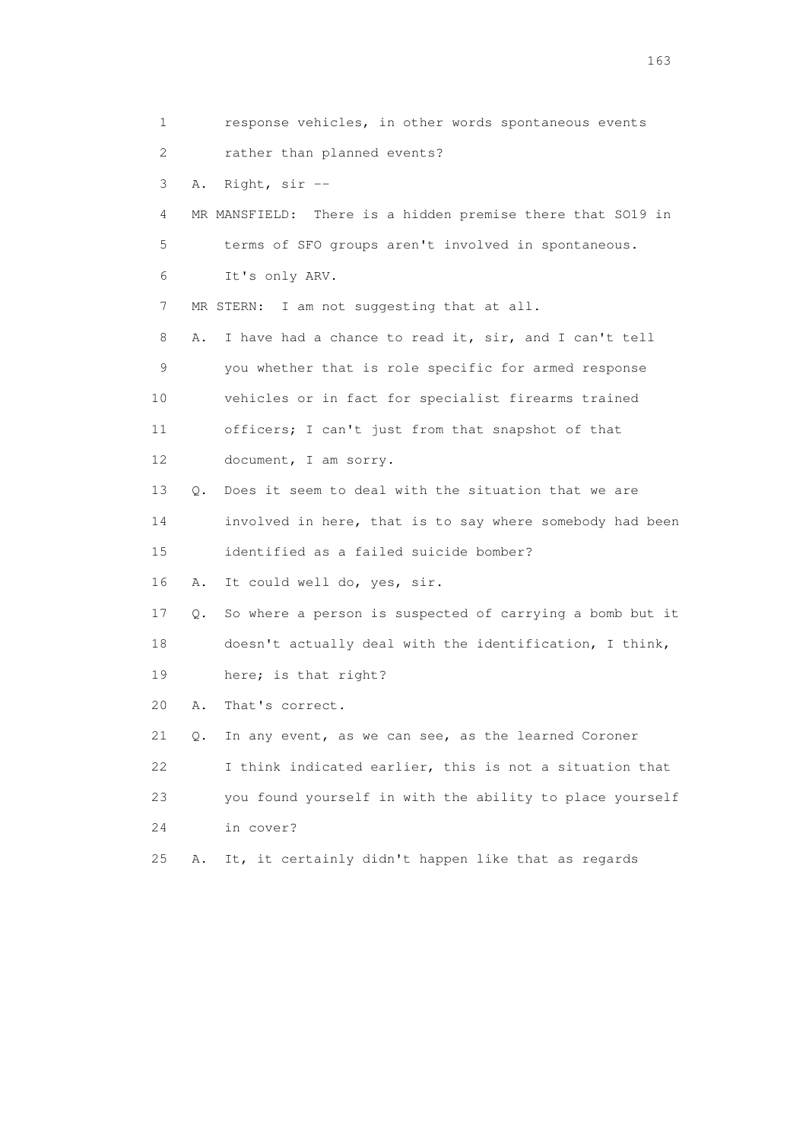1 response vehicles, in other words spontaneous events 2 rather than planned events? 3 A. Right, sir -- 4 MR MANSFIELD: There is a hidden premise there that SO19 in 5 terms of SFO groups aren't involved in spontaneous. 6 It's only ARV. 7 MR STERN: I am not suggesting that at all. 8 A. I have had a chance to read it, sir, and I can't tell 9 you whether that is role specific for armed response 10 vehicles or in fact for specialist firearms trained 11 officers; I can't just from that snapshot of that 12 document, I am sorry. 13 Q. Does it seem to deal with the situation that we are 14 involved in here, that is to say where somebody had been 15 identified as a failed suicide bomber? 16 A. It could well do, yes, sir. 17 Q. So where a person is suspected of carrying a bomb but it 18 doesn't actually deal with the identification, I think, 19 here; is that right? 20 A. That's correct. 21 Q. In any event, as we can see, as the learned Coroner 22 I think indicated earlier, this is not a situation that 23 you found yourself in with the ability to place yourself 24 in cover? 25 A. It, it certainly didn't happen like that as regards

<u>163</u>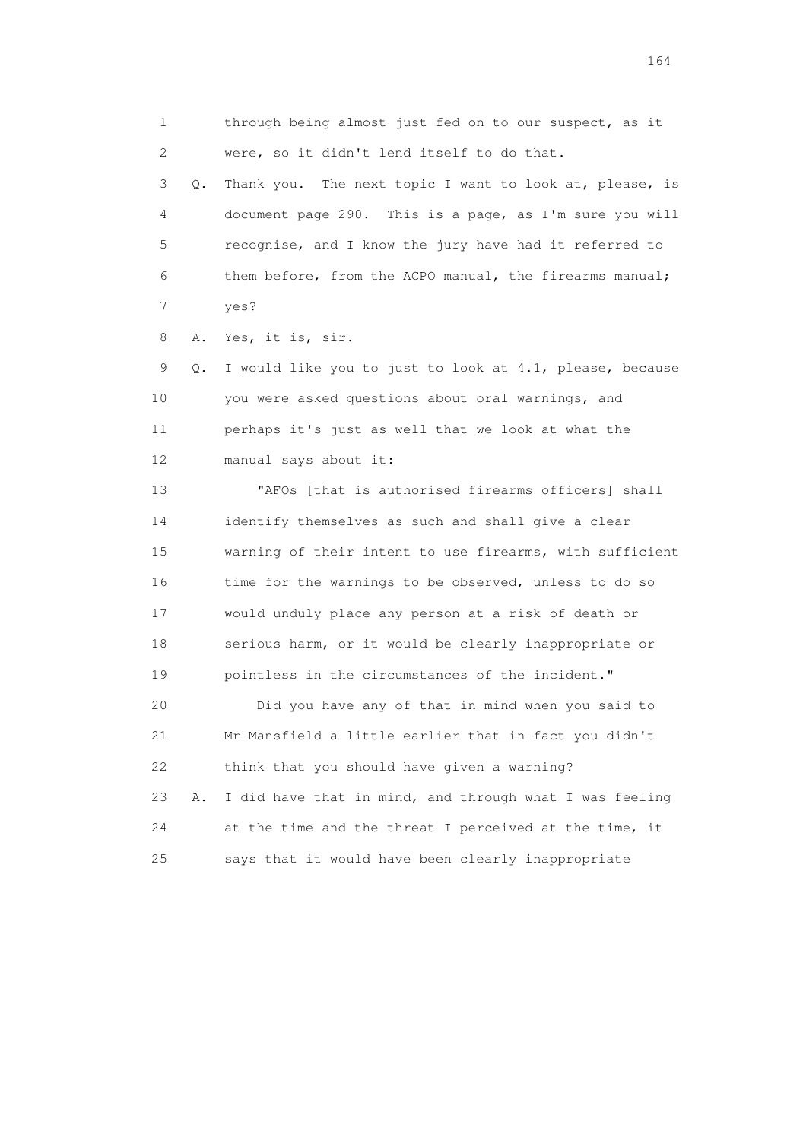1 through being almost just fed on to our suspect, as it 2 were, so it didn't lend itself to do that.

 3 Q. Thank you. The next topic I want to look at, please, is 4 document page 290. This is a page, as I'm sure you will 5 recognise, and I know the jury have had it referred to 6 them before, from the ACPO manual, the firearms manual; 7 yes?

8 A. Yes, it is, sir.

 9 Q. I would like you to just to look at 4.1, please, because 10 you were asked questions about oral warnings, and 11 perhaps it's just as well that we look at what the 12 manual says about it:

 13 "AFOs [that is authorised firearms officers] shall 14 identify themselves as such and shall give a clear 15 warning of their intent to use firearms, with sufficient 16 time for the warnings to be observed, unless to do so 17 would unduly place any person at a risk of death or 18 serious harm, or it would be clearly inappropriate or 19 pointless in the circumstances of the incident."

 20 Did you have any of that in mind when you said to 21 Mr Mansfield a little earlier that in fact you didn't 22 think that you should have given a warning? 23 A. I did have that in mind, and through what I was feeling 24 at the time and the threat I perceived at the time, it 25 says that it would have been clearly inappropriate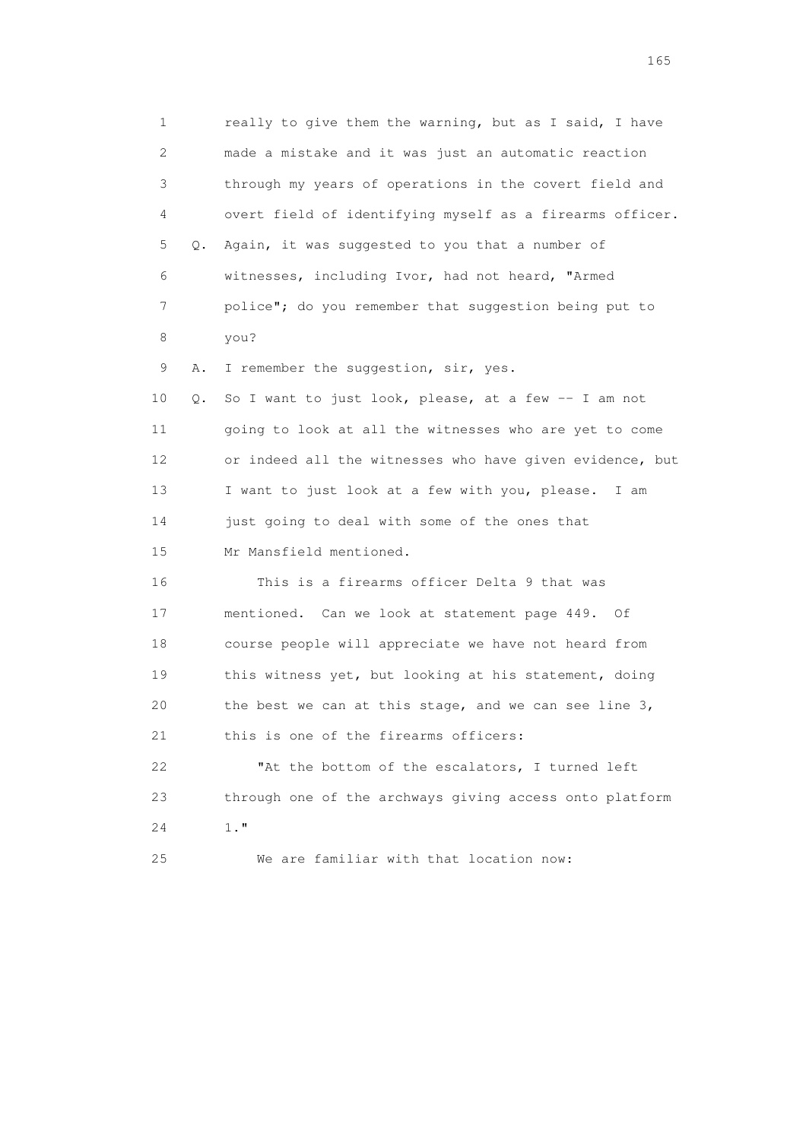1 really to give them the warning, but as I said, I have 2 made a mistake and it was just an automatic reaction 3 through my years of operations in the covert field and 4 overt field of identifying myself as a firearms officer. 5 Q. Again, it was suggested to you that a number of 6 witnesses, including Ivor, had not heard, "Armed 7 police"; do you remember that suggestion being put to 8 you? 9 A. I remember the suggestion, sir, yes. 10 Q. So I want to just look, please, at a few -- I am not 11 going to look at all the witnesses who are yet to come 12 or indeed all the witnesses who have given evidence, but 13 I want to just look at a few with you, please. I am 14 just going to deal with some of the ones that 15 Mr Mansfield mentioned. 16 This is a firearms officer Delta 9 that was 17 mentioned. Can we look at statement page 449. Of 18 course people will appreciate we have not heard from 19 this witness yet, but looking at his statement, doing 20 the best we can at this stage, and we can see line 3, 21 this is one of the firearms officers: 22 "At the bottom of the escalators, I turned left 23 through one of the archways giving access onto platform 24 1." 25 We are familiar with that location now: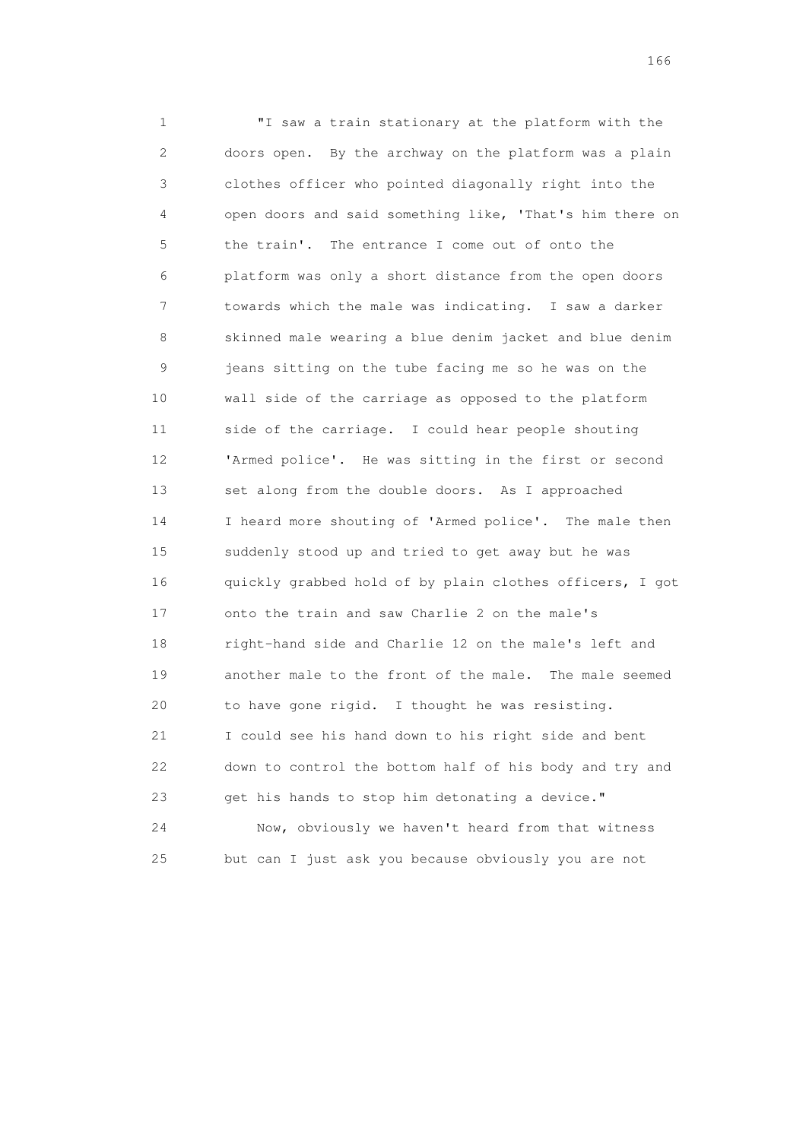1 "I saw a train stationary at the platform with the 2 doors open. By the archway on the platform was a plain 3 clothes officer who pointed diagonally right into the 4 open doors and said something like, 'That's him there on 5 the train'. The entrance I come out of onto the 6 platform was only a short distance from the open doors 7 towards which the male was indicating. I saw a darker 8 skinned male wearing a blue denim jacket and blue denim 9 jeans sitting on the tube facing me so he was on the 10 wall side of the carriage as opposed to the platform 11 side of the carriage. I could hear people shouting 12 'Armed police'. He was sitting in the first or second 13 set along from the double doors. As I approached 14 I heard more shouting of 'Armed police'. The male then 15 suddenly stood up and tried to get away but he was 16 quickly grabbed hold of by plain clothes officers, I got 17 onto the train and saw Charlie 2 on the male's 18 right-hand side and Charlie 12 on the male's left and 19 another male to the front of the male. The male seemed 20 to have gone rigid. I thought he was resisting. 21 I could see his hand down to his right side and bent 22 down to control the bottom half of his body and try and 23 get his hands to stop him detonating a device." 24 Now, obviously we haven't heard from that witness

25 but can I just ask you because obviously you are not

<u>166</u> **166**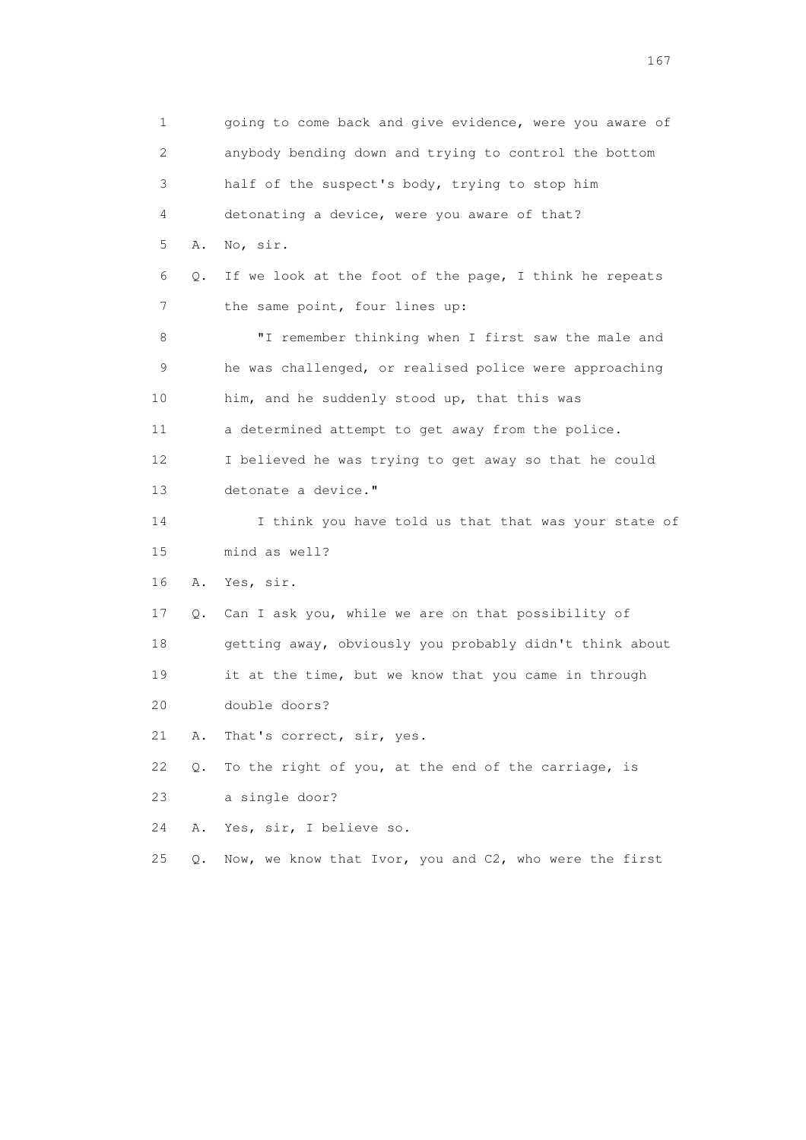1 going to come back and give evidence, were you aware of 2 anybody bending down and trying to control the bottom 3 half of the suspect's body, trying to stop him 4 detonating a device, were you aware of that? 5 A. No, sir. 6 Q. If we look at the foot of the page, I think he repeats 7 the same point, four lines up: 8 "I remember thinking when I first saw the male and 9 he was challenged, or realised police were approaching 10 him, and he suddenly stood up, that this was 11 a determined attempt to get away from the police. 12 I believed he was trying to get away so that he could 13 detonate a device." 14 I think you have told us that that was your state of 15 mind as well? 16 A. Yes, sir. 17 Q. Can I ask you, while we are on that possibility of 18 getting away, obviously you probably didn't think about 19 it at the time, but we know that you came in through 20 double doors? 21 A. That's correct, sir, yes. 22 Q. To the right of you, at the end of the carriage, is 23 a single door? 24 A. Yes, sir, I believe so. 25 Q. Now, we know that Ivor, you and C2, who were the first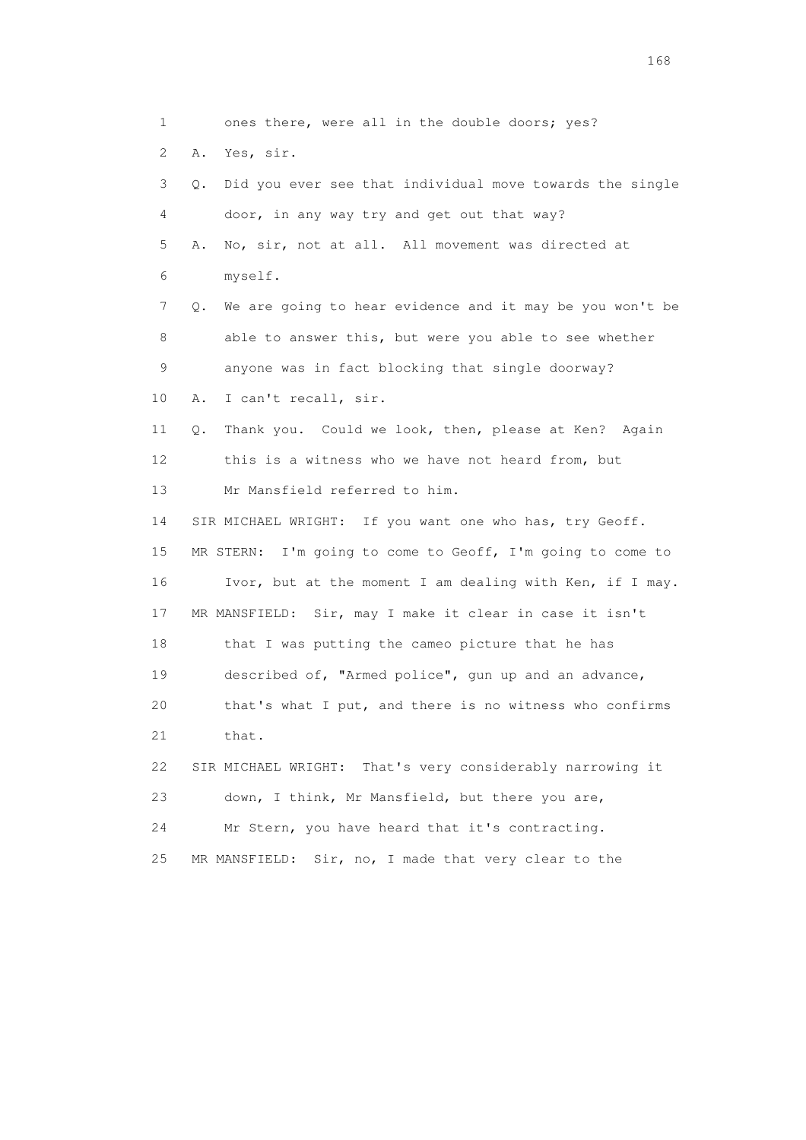1 ones there, were all in the double doors; yes? 2 A. Yes, sir. 3 Q. Did you ever see that individual move towards the single 4 door, in any way try and get out that way? 5 A. No, sir, not at all. All movement was directed at 6 myself. 7 Q. We are going to hear evidence and it may be you won't be 8 able to answer this, but were you able to see whether 9 anyone was in fact blocking that single doorway? 10 A. I can't recall, sir. 11 Q. Thank you. Could we look, then, please at Ken? Again 12 this is a witness who we have not heard from, but 13 Mr Mansfield referred to him. 14 SIR MICHAEL WRIGHT: If you want one who has, try Geoff. 15 MR STERN: I'm going to come to Geoff, I'm going to come to 16 Ivor, but at the moment I am dealing with Ken, if I may. 17 MR MANSFIELD: Sir, may I make it clear in case it isn't 18 that I was putting the cameo picture that he has 19 described of, "Armed police", gun up and an advance, 20 that's what I put, and there is no witness who confirms 21 that. 22 SIR MICHAEL WRIGHT: That's very considerably narrowing it 23 down, I think, Mr Mansfield, but there you are, 24 Mr Stern, you have heard that it's contracting. 25 MR MANSFIELD: Sir, no, I made that very clear to the

<u>168</u> **168**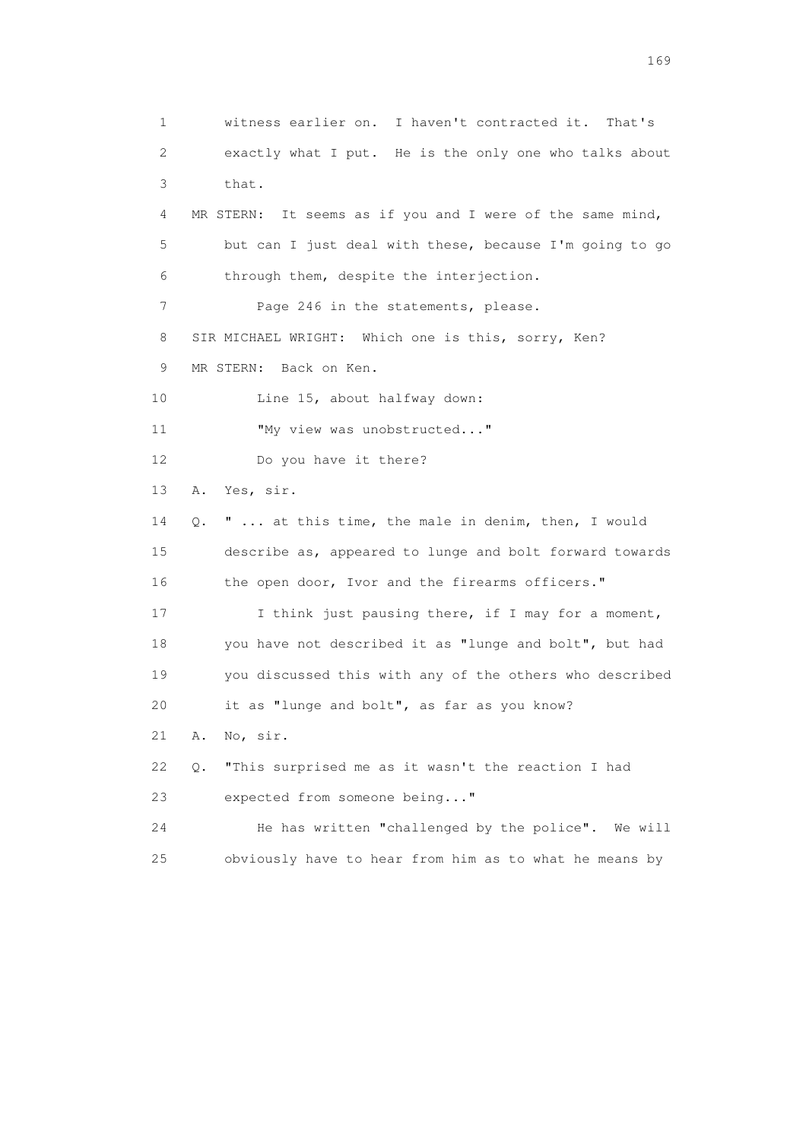1 witness earlier on. I haven't contracted it. That's 2 exactly what I put. He is the only one who talks about 3 that. 4 MR STERN: It seems as if you and I were of the same mind, 5 but can I just deal with these, because I'm going to go 6 through them, despite the interjection. 7 Page 246 in the statements, please. 8 SIR MICHAEL WRIGHT: Which one is this, sorry, Ken? 9 MR STERN: Back on Ken. 10 Line 15, about halfway down: 11 "My view was unobstructed..." 12 Do you have it there? 13 A. Yes, sir. 14 Q. " ... at this time, the male in denim, then, I would 15 describe as, appeared to lunge and bolt forward towards 16 the open door, Ivor and the firearms officers." 17 I think just pausing there, if I may for a moment, 18 you have not described it as "lunge and bolt", but had 19 you discussed this with any of the others who described 20 it as "lunge and bolt", as far as you know? 21 A. No, sir. 22 Q. "This surprised me as it wasn't the reaction I had 23 expected from someone being..." 24 He has written "challenged by the police". We will 25 obviously have to hear from him as to what he means by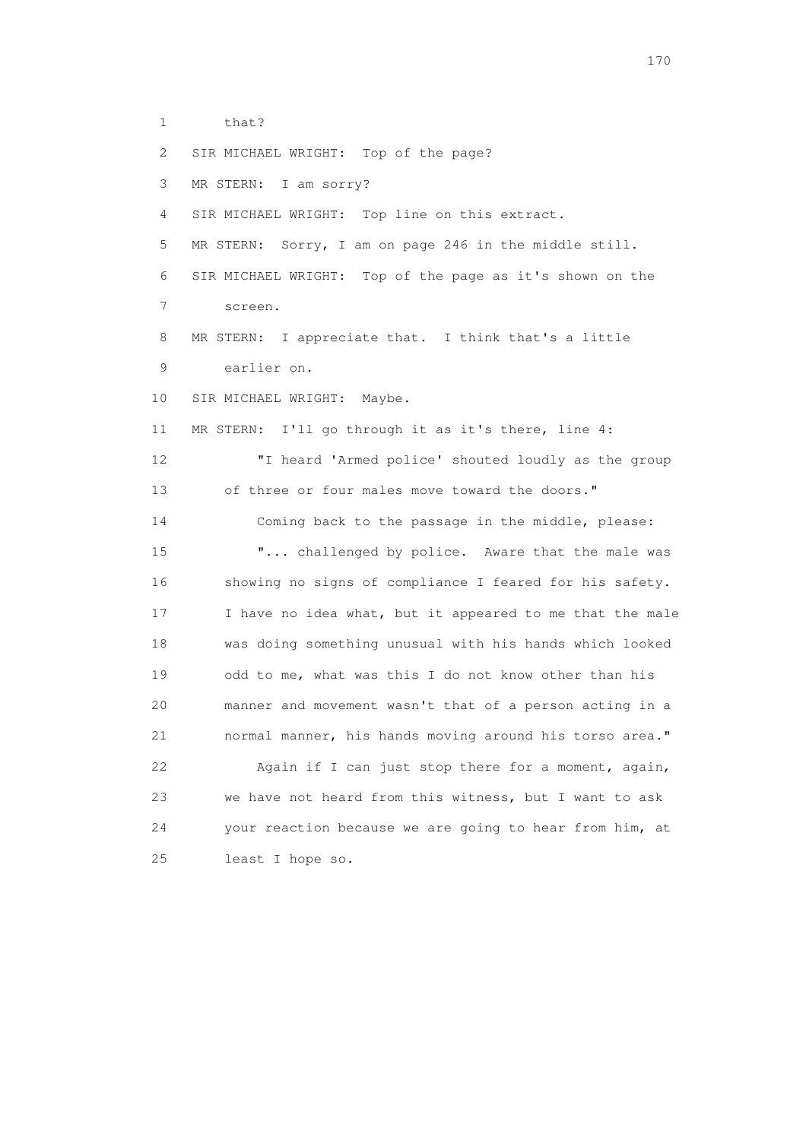1 that?

 2 SIR MICHAEL WRIGHT: Top of the page? 3 MR STERN: I am sorry? 4 SIR MICHAEL WRIGHT: Top line on this extract. 5 MR STERN: Sorry, I am on page 246 in the middle still. 6 SIR MICHAEL WRIGHT: Top of the page as it's shown on the 7 screen. 8 MR STERN: I appreciate that. I think that's a little 9 earlier on. 10 SIR MICHAEL WRIGHT: Maybe. 11 MR STERN: I'll go through it as it's there, line 4: 12 "I heard 'Armed police' shouted loudly as the group 13 of three or four males move toward the doors." 14 Coming back to the passage in the middle, please: 15 "... challenged by police. Aware that the male was 16 showing no signs of compliance I feared for his safety. 17 I have no idea what, but it appeared to me that the male 18 was doing something unusual with his hands which looked 19 odd to me, what was this I do not know other than his 20 manner and movement wasn't that of a person acting in a 21 normal manner, his hands moving around his torso area." 22 Again if I can just stop there for a moment, again, 23 we have not heard from this witness, but I want to ask 24 your reaction because we are going to hear from him, at 25 least I hope so.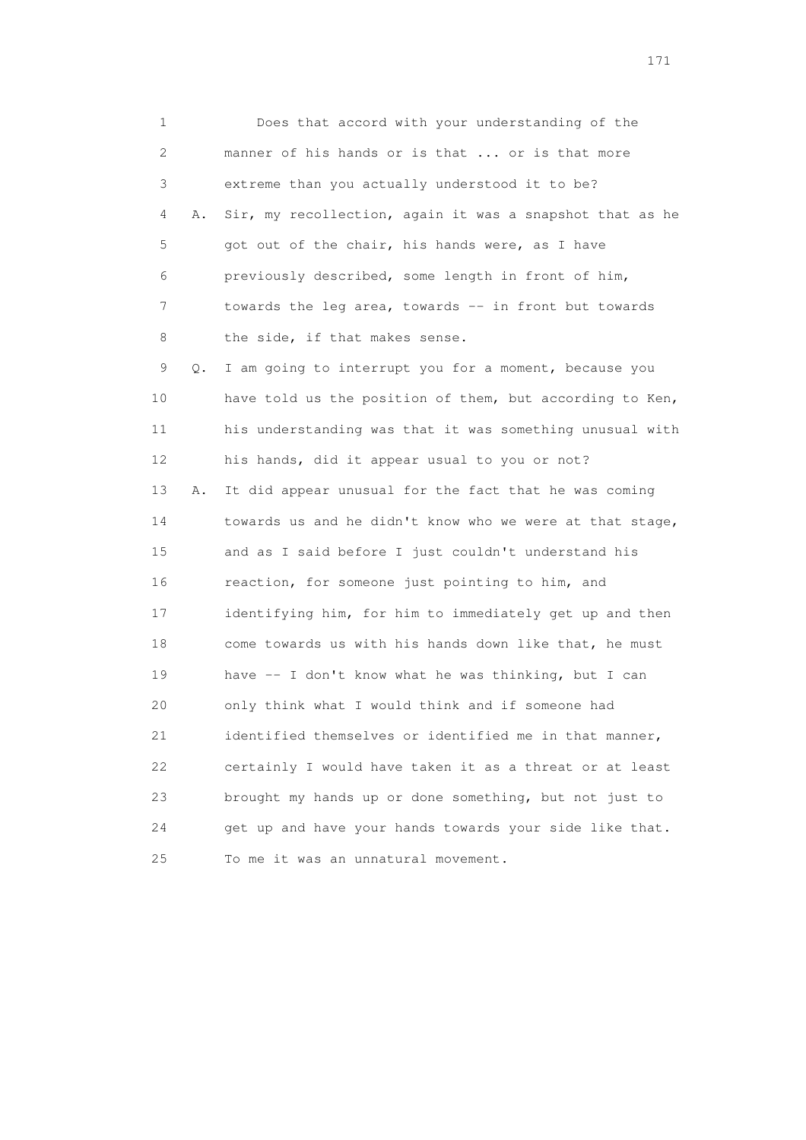1 Does that accord with your understanding of the 2 manner of his hands or is that ... or is that more 3 extreme than you actually understood it to be? 4 A. Sir, my recollection, again it was a snapshot that as he 5 got out of the chair, his hands were, as I have 6 previously described, some length in front of him, 7 towards the leg area, towards -- in front but towards 8 the side, if that makes sense. 9 Q. I am going to interrupt you for a moment, because you 10 have told us the position of them, but according to Ken, 11 his understanding was that it was something unusual with 12 his hands, did it appear usual to you or not? 13 A. It did appear unusual for the fact that he was coming 14 towards us and he didn't know who we were at that stage, 15 and as I said before I just couldn't understand his 16 reaction, for someone just pointing to him, and 17 identifying him, for him to immediately get up and then 18 come towards us with his hands down like that, he must 19 have -- I don't know what he was thinking, but I can 20 only think what I would think and if someone had 21 identified themselves or identified me in that manner, 22 certainly I would have taken it as a threat or at least 23 brought my hands up or done something, but not just to 24 get up and have your hands towards your side like that. 25 To me it was an unnatural movement.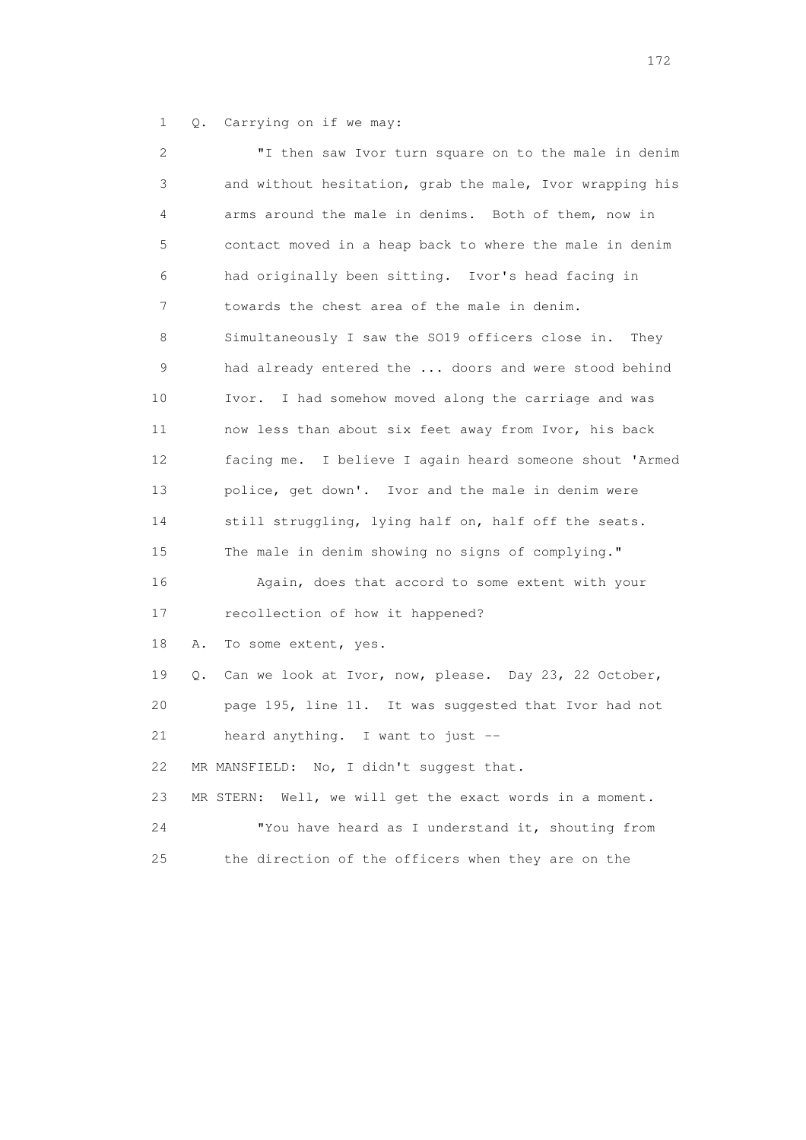1 Q. Carrying on if we may:

| $\mathbf{2}^{\mathsf{I}}$ | "I then saw Ivor turn square on to the male in denim        |
|---------------------------|-------------------------------------------------------------|
| 3                         | and without hesitation, grab the male, Ivor wrapping his    |
| 4                         | arms around the male in denims. Both of them, now in        |
| 5                         | contact moved in a heap back to where the male in denim     |
| 6                         | had originally been sitting. Ivor's head facing in          |
| 7                         | towards the chest area of the male in denim.                |
| 8                         | Simultaneously I saw the SO19 officers close in.<br>They    |
| 9                         | had already entered the  doors and were stood behind        |
| 10                        | I had somehow moved along the carriage and was<br>Ivor.     |
| 11                        | now less than about six feet away from Ivor, his back       |
| 12                        | facing me. I believe I again heard someone shout 'Armed     |
| 13                        | police, get down'. Ivor and the male in denim were          |
| 14                        | still struggling, lying half on, half off the seats.        |
| 15                        | The male in denim showing no signs of complying."           |
| 16                        | Again, does that accord to some extent with your            |
| 17                        | recollection of how it happened?                            |
| 18                        | Α.<br>To some extent, yes.                                  |
| 19                        | Can we look at Ivor, now, please. Day 23, 22 October,<br>Q. |
| 20                        | page 195, line 11. It was suggested that Ivor had not       |
| 21                        | heard anything. I want to just --                           |
| 22                        | MR MANSFIELD: No, I didn't suggest that.                    |
| 23                        | Well, we will get the exact words in a moment.<br>MR STERN: |
| 24                        | "You have heard as I understand it, shouting from           |
| 25                        | the direction of the officers when they are on the          |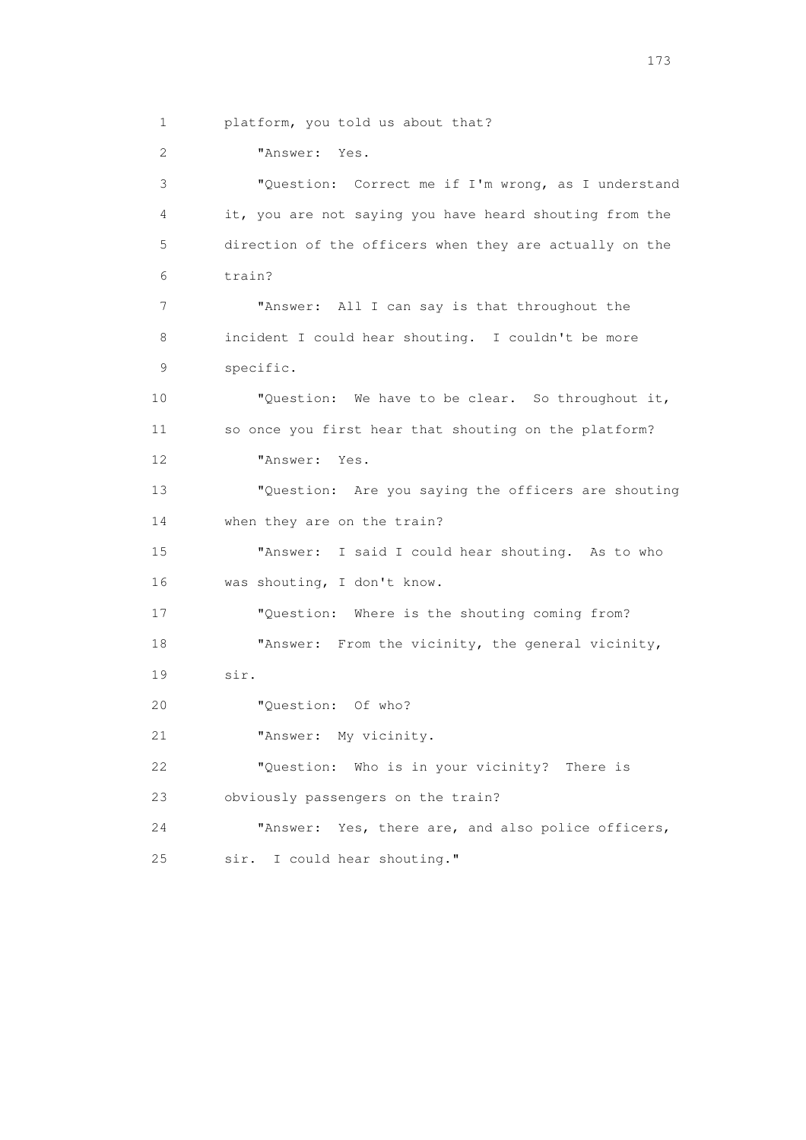1 platform, you told us about that?

2 "Answer: Yes.

 3 "Question: Correct me if I'm wrong, as I understand 4 it, you are not saying you have heard shouting from the 5 direction of the officers when they are actually on the 6 train? 7 "Answer: All I can say is that throughout the 8 incident I could hear shouting. I couldn't be more 9 specific. 10 "Question: We have to be clear. So throughout it, 11 so once you first hear that shouting on the platform? 12 "Answer: Yes. 13 "Question: Are you saying the officers are shouting 14 when they are on the train? 15 "Answer: I said I could hear shouting. As to who 16 was shouting, I don't know. 17 "Question: Where is the shouting coming from? 18 "Answer: From the vicinity, the general vicinity, 19 sir. 20 "Question: Of who? 21 "Answer: My vicinity. 22 "Question: Who is in your vicinity? There is 23 obviously passengers on the train? 24 "Answer: Yes, there are, and also police officers, 25 sir. I could hear shouting."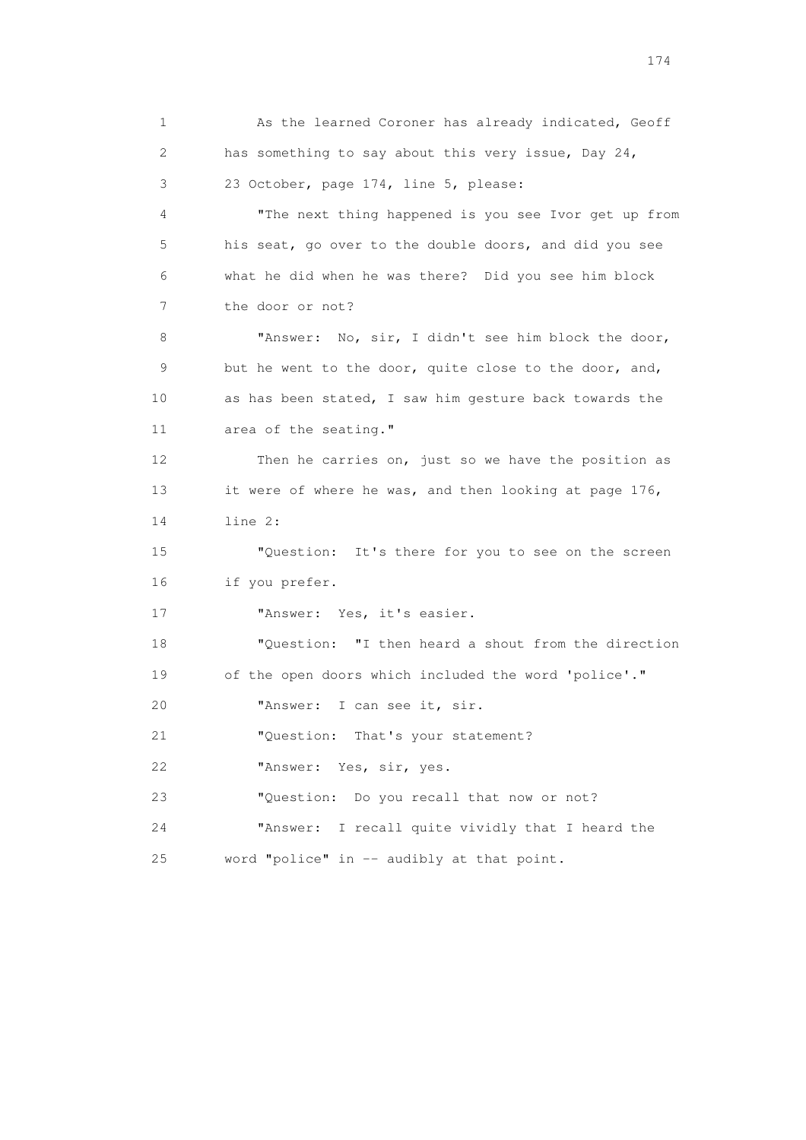1 As the learned Coroner has already indicated, Geoff 2 has something to say about this very issue, Day 24, 3 23 October, page 174, line 5, please: 4 "The next thing happened is you see Ivor get up from 5 his seat, go over to the double doors, and did you see 6 what he did when he was there? Did you see him block 7 the door or not? 8 "Answer: No, sir, I didn't see him block the door, 9 but he went to the door, quite close to the door, and, 10 as has been stated, I saw him gesture back towards the 11 area of the seating." 12 Then he carries on, just so we have the position as 13 it were of where he was, and then looking at page 176, 14 line 2: 15 "Question: It's there for you to see on the screen 16 if you prefer. 17 "Answer: Yes, it's easier. 18 "Question: "I then heard a shout from the direction 19 of the open doors which included the word 'police'." 20 "Answer: I can see it, sir. 21 "Question: That's your statement? 22 "Answer: Yes, sir, yes. 23 "Question: Do you recall that now or not? 24 "Answer: I recall quite vividly that I heard the 25 word "police" in -- audibly at that point.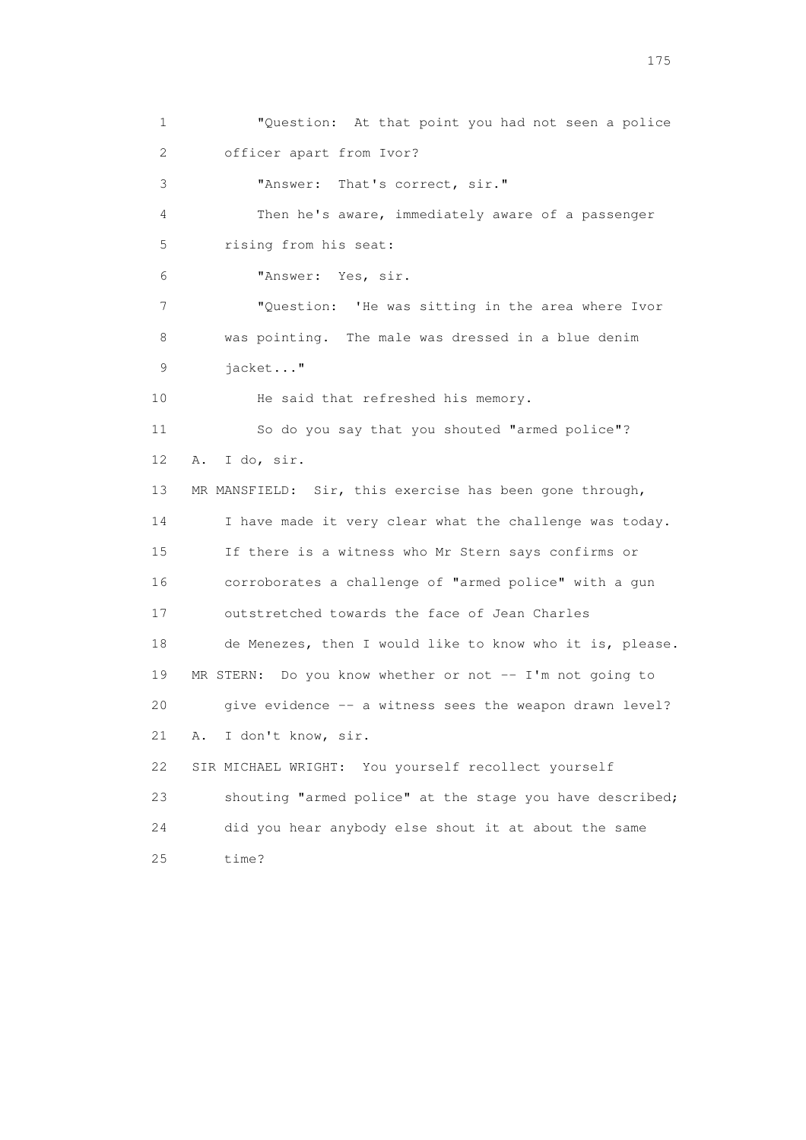1 "Question: At that point you had not seen a police 2 officer apart from Ivor? 3 "Answer: That's correct, sir." 4 Then he's aware, immediately aware of a passenger 5 rising from his seat: 6 "Answer: Yes, sir. 7 "Question: 'He was sitting in the area where Ivor 8 was pointing. The male was dressed in a blue denim 9 jacket..." 10 He said that refreshed his memory. 11 So do you say that you shouted "armed police"? 12 A. I do, sir. 13 MR MANSFIELD: Sir, this exercise has been gone through, 14 I have made it very clear what the challenge was today. 15 If there is a witness who Mr Stern says confirms or 16 corroborates a challenge of "armed police" with a gun 17 outstretched towards the face of Jean Charles 18 de Menezes, then I would like to know who it is, please. 19 MR STERN: Do you know whether or not -- I'm not going to 20 give evidence -- a witness sees the weapon drawn level? 21 A. I don't know, sir. 22 SIR MICHAEL WRIGHT: You yourself recollect yourself 23 shouting "armed police" at the stage you have described; 24 did you hear anybody else shout it at about the same 25 time?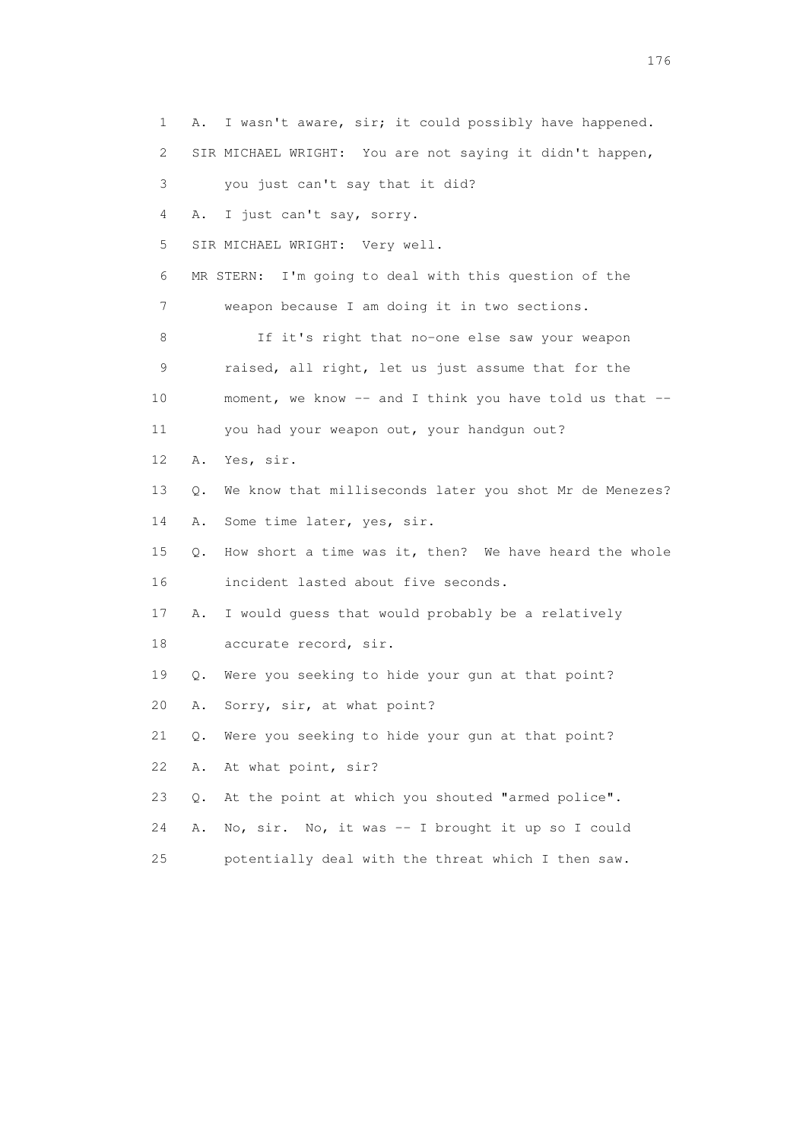1 A. I wasn't aware, sir; it could possibly have happened. 2 SIR MICHAEL WRIGHT: You are not saying it didn't happen, 3 you just can't say that it did? 4 A. I just can't say, sorry. 5 SIR MICHAEL WRIGHT: Very well. 6 MR STERN: I'm going to deal with this question of the 7 weapon because I am doing it in two sections. 8 If it's right that no-one else saw your weapon 9 raised, all right, let us just assume that for the 10 moment, we know -- and I think you have told us that -- 11 you had your weapon out, your handgun out? 12 A. Yes, sir. 13 Q. We know that milliseconds later you shot Mr de Menezes? 14 A. Some time later, yes, sir. 15 Q. How short a time was it, then? We have heard the whole 16 incident lasted about five seconds. 17 A. I would guess that would probably be a relatively 18 accurate record, sir. 19 Q. Were you seeking to hide your gun at that point? 20 A. Sorry, sir, at what point? 21 Q. Were you seeking to hide your gun at that point? 22 A. At what point, sir? 23 Q. At the point at which you shouted "armed police". 24 A. No, sir. No, it was -- I brought it up so I could 25 potentially deal with the threat which I then saw.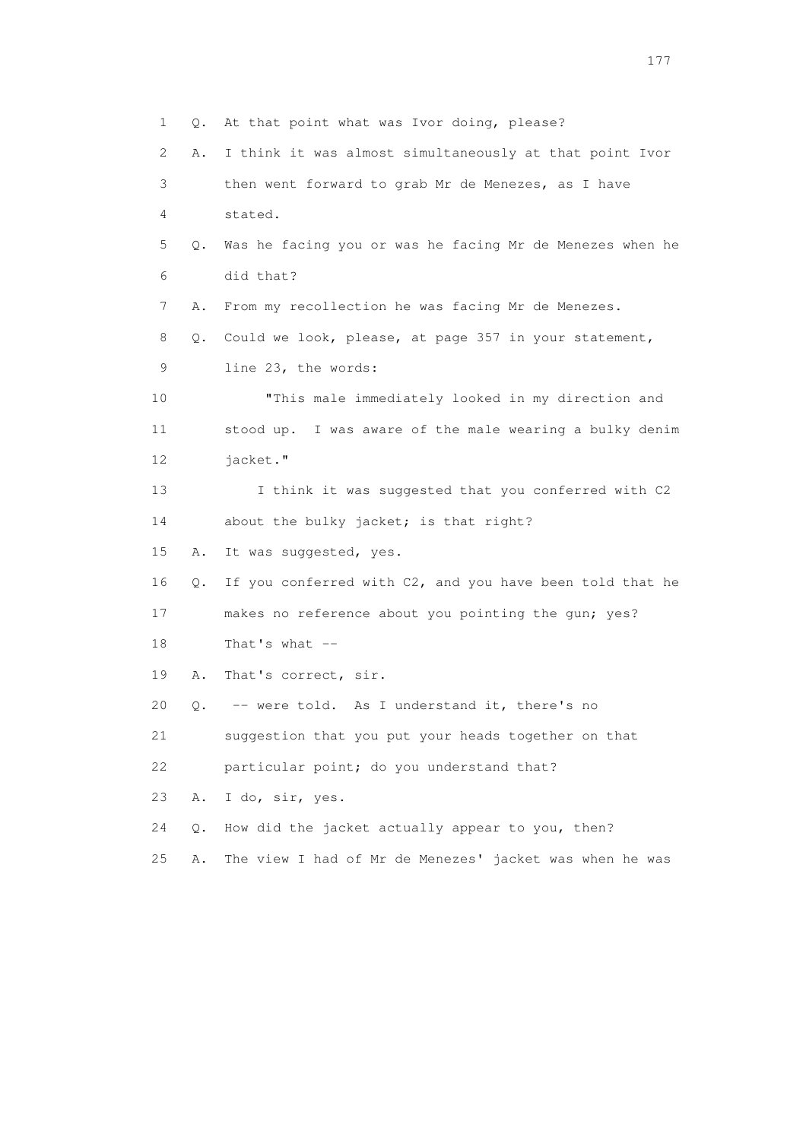1 Q. At that point what was Ivor doing, please? 2 A. I think it was almost simultaneously at that point Ivor 3 then went forward to grab Mr de Menezes, as I have 4 stated. 5 Q. Was he facing you or was he facing Mr de Menezes when he 6 did that? 7 A. From my recollection he was facing Mr de Menezes. 8 Q. Could we look, please, at page 357 in your statement, 9 line 23, the words: 10 "This male immediately looked in my direction and 11 stood up. I was aware of the male wearing a bulky denim 12 jacket." 13 I think it was suggested that you conferred with C2 14 about the bulky jacket; is that right? 15 A. It was suggested, yes. 16 Q. If you conferred with C2, and you have been told that he 17 makes no reference about you pointing the gun; yes? 18 That's what -- 19 A. That's correct, sir. 20 Q. -- were told. As I understand it, there's no 21 suggestion that you put your heads together on that 22 particular point; do you understand that? 23 A. I do, sir, yes. 24 Q. How did the jacket actually appear to you, then? 25 A. The view I had of Mr de Menezes' jacket was when he was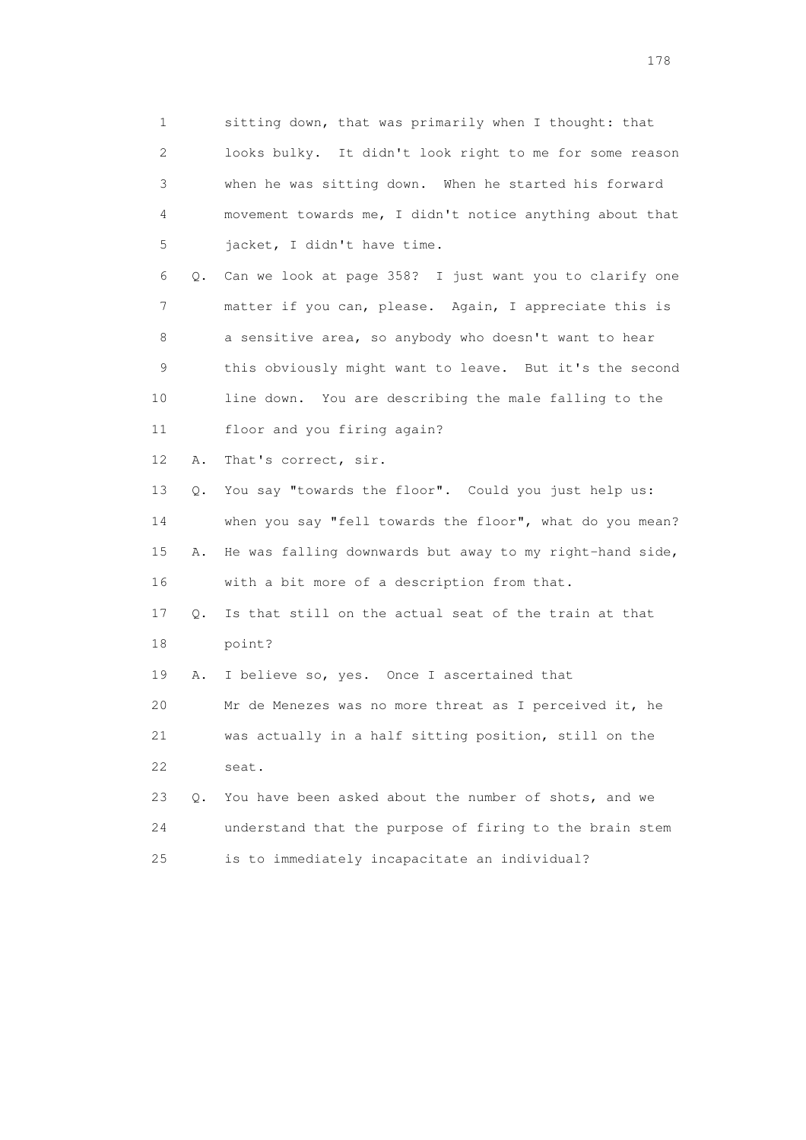1 sitting down, that was primarily when I thought: that 2 looks bulky. It didn't look right to me for some reason 3 when he was sitting down. When he started his forward 4 movement towards me, I didn't notice anything about that 5 jacket, I didn't have time.

 6 Q. Can we look at page 358? I just want you to clarify one 7 matter if you can, please. Again, I appreciate this is 8 a sensitive area, so anybody who doesn't want to hear 9 this obviously might want to leave. But it's the second 10 line down. You are describing the male falling to the 11 floor and you firing again?

12 A. That's correct, sir.

 13 Q. You say "towards the floor". Could you just help us: 14 when you say "fell towards the floor", what do you mean? 15 A. He was falling downwards but away to my right-hand side, 16 with a bit more of a description from that.

 17 Q. Is that still on the actual seat of the train at that 18 point?

19 A. I believe so, yes. Once I ascertained that

 20 Mr de Menezes was no more threat as I perceived it, he 21 was actually in a half sitting position, still on the 22 seat.

 23 Q. You have been asked about the number of shots, and we 24 understand that the purpose of firing to the brain stem 25 is to immediately incapacitate an individual?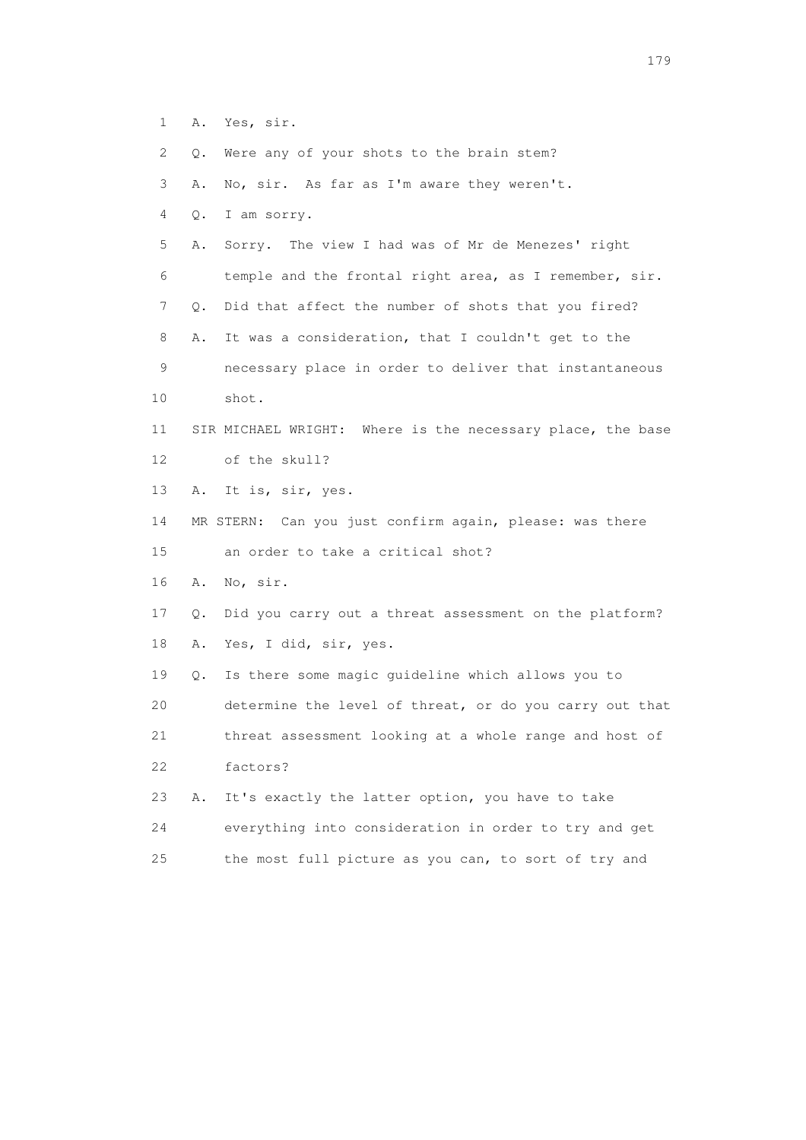- 1 A. Yes, sir.
- 2 Q. Were any of your shots to the brain stem?
- 3 A. No, sir. As far as I'm aware they weren't.
- 4 Q. I am sorry.
- 5 A. Sorry. The view I had was of Mr de Menezes' right 6 temple and the frontal right area, as I remember, sir. 7 Q. Did that affect the number of shots that you fired? 8 A. It was a consideration, that I couldn't get to the 9 necessary place in order to deliver that instantaneous
- 10 shot.

## 11 SIR MICHAEL WRIGHT: Where is the necessary place, the base 12 of the skull?

- 13 A. It is, sir, yes.
- 14 MR STERN: Can you just confirm again, please: was there 15 an order to take a critical shot?
- 16 A. No, sir.
- 17 Q. Did you carry out a threat assessment on the platform? 18 A. Yes, I did, sir, yes.
- 19 Q. Is there some magic guideline which allows you to 20 determine the level of threat, or do you carry out that 21 threat assessment looking at a whole range and host of 22 factors?
- 23 A. It's exactly the latter option, you have to take 24 everything into consideration in order to try and get 25 the most full picture as you can, to sort of try and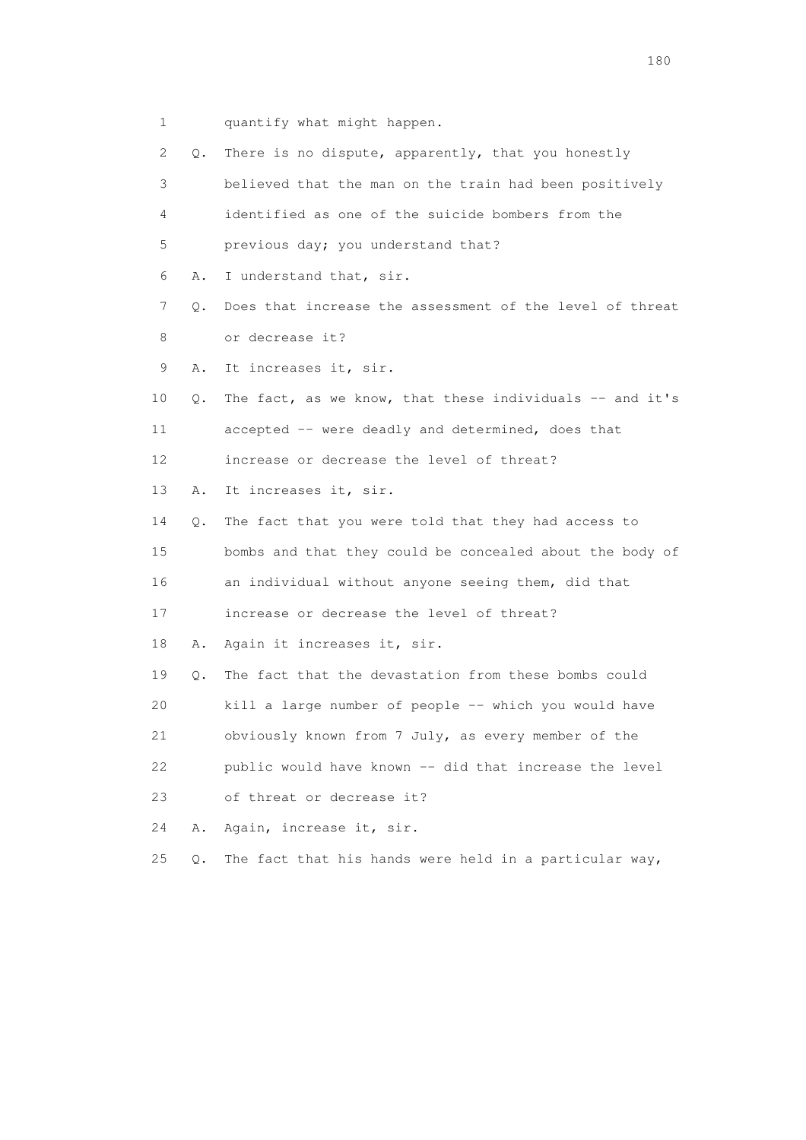- 1 quantify what might happen.
- 2 Q. There is no dispute, apparently, that you honestly 3 believed that the man on the train had been positively 4 identified as one of the suicide bombers from the 5 previous day; you understand that? 6 A. I understand that, sir. 7 Q. Does that increase the assessment of the level of threat 8 or decrease it? 9 A. It increases it, sir. 10 Q. The fact, as we know, that these individuals -- and it's 11 accepted -- were deadly and determined, does that 12 increase or decrease the level of threat? 13 A. It increases it, sir. 14 Q. The fact that you were told that they had access to 15 bombs and that they could be concealed about the body of 16 an individual without anyone seeing them, did that 17 increase or decrease the level of threat? 18 A. Again it increases it, sir. 19 Q. The fact that the devastation from these bombs could 20 kill a large number of people -- which you would have 21 obviously known from 7 July, as every member of the 22 public would have known -- did that increase the level 23 of threat or decrease it? 24 A. Again, increase it, sir. 25  $Q$ . The fact that his hands were held in a particular way,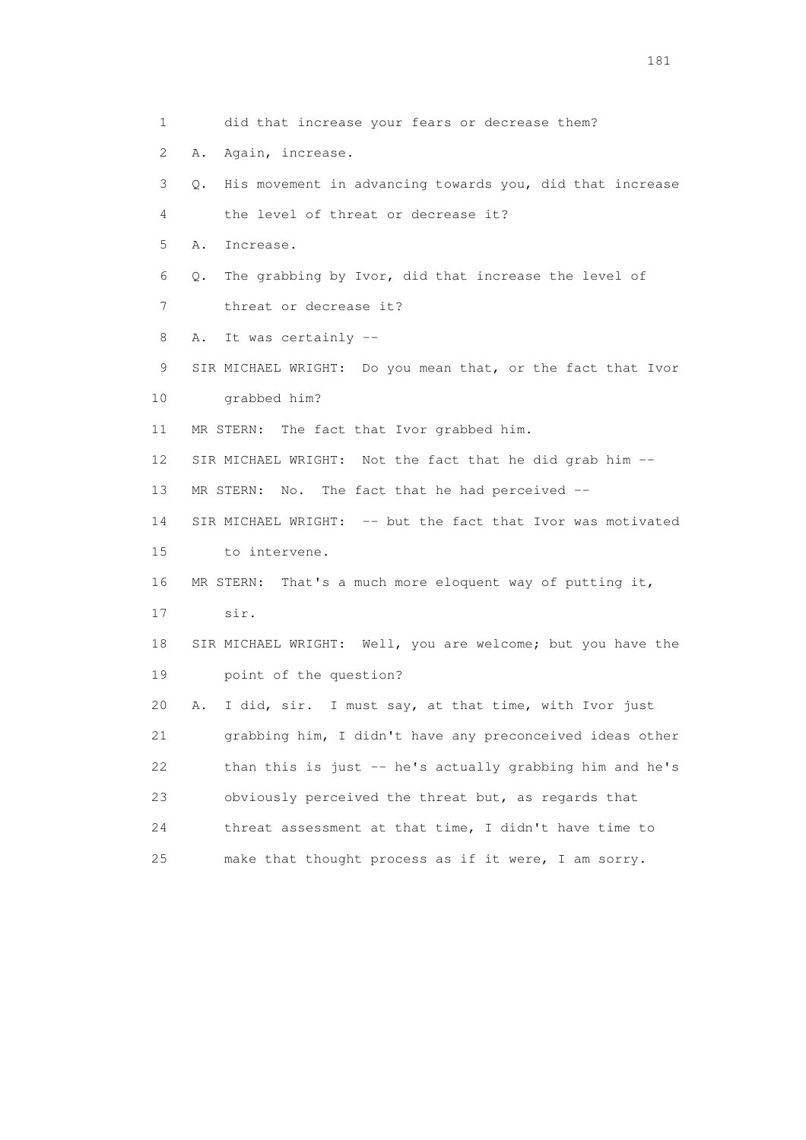1 did that increase your fears or decrease them? 2 A. Again, increase. 3 Q. His movement in advancing towards you, did that increase 4 the level of threat or decrease it? 5 A. Increase. 6 Q. The grabbing by Ivor, did that increase the level of 7 threat or decrease it? 8 A. It was certainly -- 9 SIR MICHAEL WRIGHT: Do you mean that, or the fact that Ivor 10 grabbed him? 11 MR STERN: The fact that Ivor grabbed him. 12 SIR MICHAEL WRIGHT: Not the fact that he did grab him -- 13 MR STERN: No. The fact that he had perceived -- 14 SIR MICHAEL WRIGHT: -- but the fact that Ivor was motivated 15 to intervene. 16 MR STERN: That's a much more eloquent way of putting it, 17 sir. 18 SIR MICHAEL WRIGHT: Well, you are welcome; but you have the 19 point of the question? 20 A. I did, sir. I must say, at that time, with Ivor just 21 grabbing him, I didn't have any preconceived ideas other 22 than this is just -- he's actually grabbing him and he's 23 obviously perceived the threat but, as regards that 24 threat assessment at that time, I didn't have time to 25 make that thought process as if it were, I am sorry.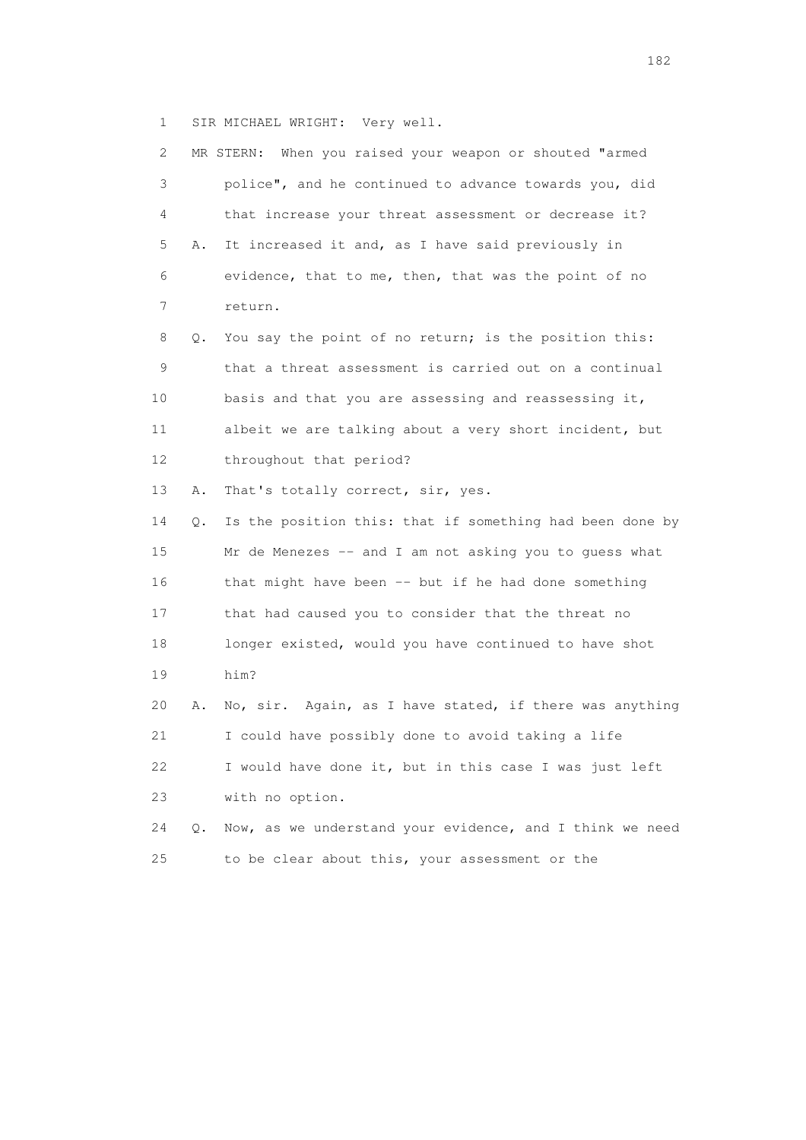1 SIR MICHAEL WRIGHT: Very well.

| 2               |    | MR STERN: When you raised your weapon or shouted "armed  |
|-----------------|----|----------------------------------------------------------|
| 3               |    | police", and he continued to advance towards you, did    |
| 4               |    | that increase your threat assessment or decrease it?     |
| 5               | Α. | It increased it and, as I have said previously in        |
| 6               |    | evidence, that to me, then, that was the point of no     |
| 7               |    | return.                                                  |
| 8               | Q. | You say the point of no return; is the position this:    |
| 9               |    | that a threat assessment is carried out on a continual   |
| 10              |    | basis and that you are assessing and reassessing it,     |
| 11              |    | albeit we are talking about a very short incident, but   |
| 12 <sup>°</sup> |    | throughout that period?                                  |
| 13              | Α. | That's totally correct, sir, yes.                        |
| 14              | О. | Is the position this: that if something had been done by |
| 15              |    | Mr de Menezes -- and I am not asking you to guess what   |
| 16              |    | that might have been -- but if he had done something     |
| 17              |    | that had caused you to consider that the threat no       |
| 18              |    | longer existed, would you have continued to have shot    |
| 19              |    | him?                                                     |
| 20              | Α. | No, sir. Again, as I have stated, if there was anything  |
| 21              |    | I could have possibly done to avoid taking a life        |
| 22              |    | I would have done it, but in this case I was just left   |
| 23              |    | with no option.                                          |
| 24              | Q. | Now, as we understand your evidence, and I think we need |
| 25              |    | to be clear about this, your assessment or the           |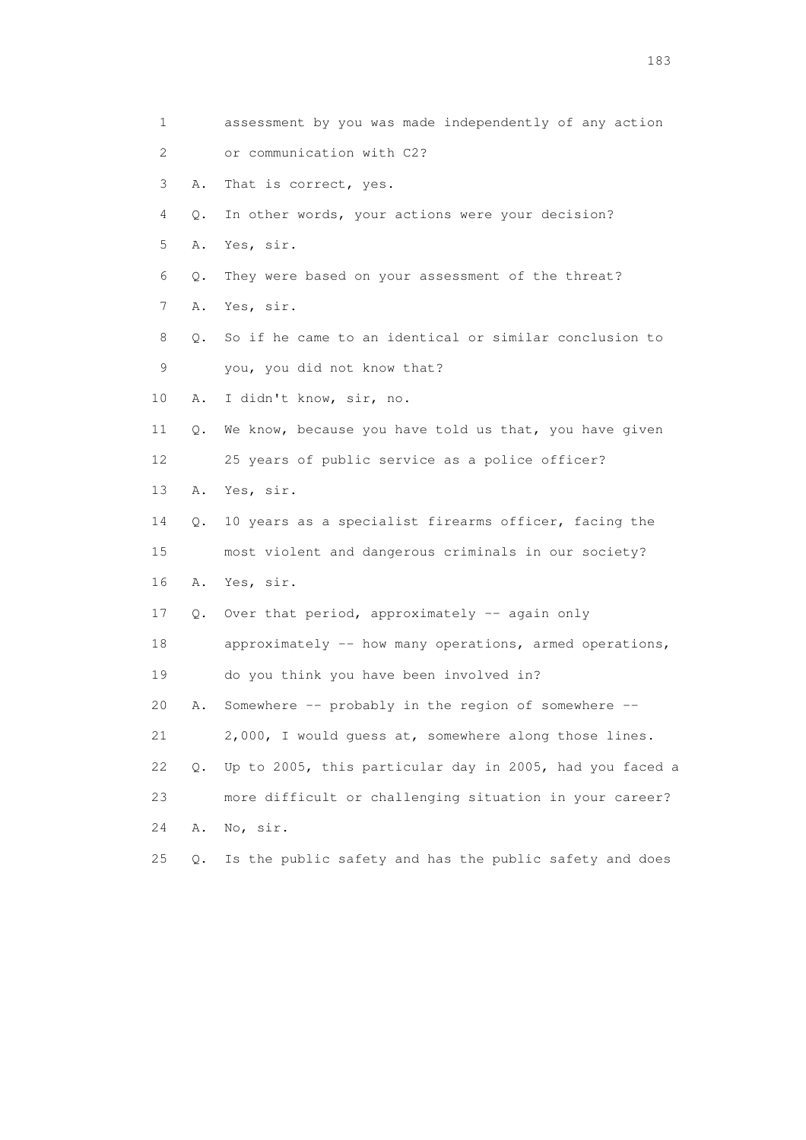1 assessment by you was made independently of any action 2 or communication with C2? 3 A. That is correct, yes. 4 Q. In other words, your actions were your decision? 5 A. Yes, sir. 6 Q. They were based on your assessment of the threat? 7 A. Yes, sir. 8 Q. So if he came to an identical or similar conclusion to 9 you, you did not know that? 10 A. I didn't know, sir, no. 11 Q. We know, because you have told us that, you have given 12 25 years of public service as a police officer? 13 A. Yes, sir. 14 Q. 10 years as a specialist firearms officer, facing the 15 most violent and dangerous criminals in our society? 16 A. Yes, sir. 17 Q. Over that period, approximately -- again only 18 approximately -- how many operations, armed operations, 19 do you think you have been involved in? 20 A. Somewhere -- probably in the region of somewhere -- 21 2,000, I would guess at, somewhere along those lines. 22 Q. Up to 2005, this particular day in 2005, had you faced a 23 more difficult or challenging situation in your career? 24 A. No, sir. 25 Q. Is the public safety and has the public safety and does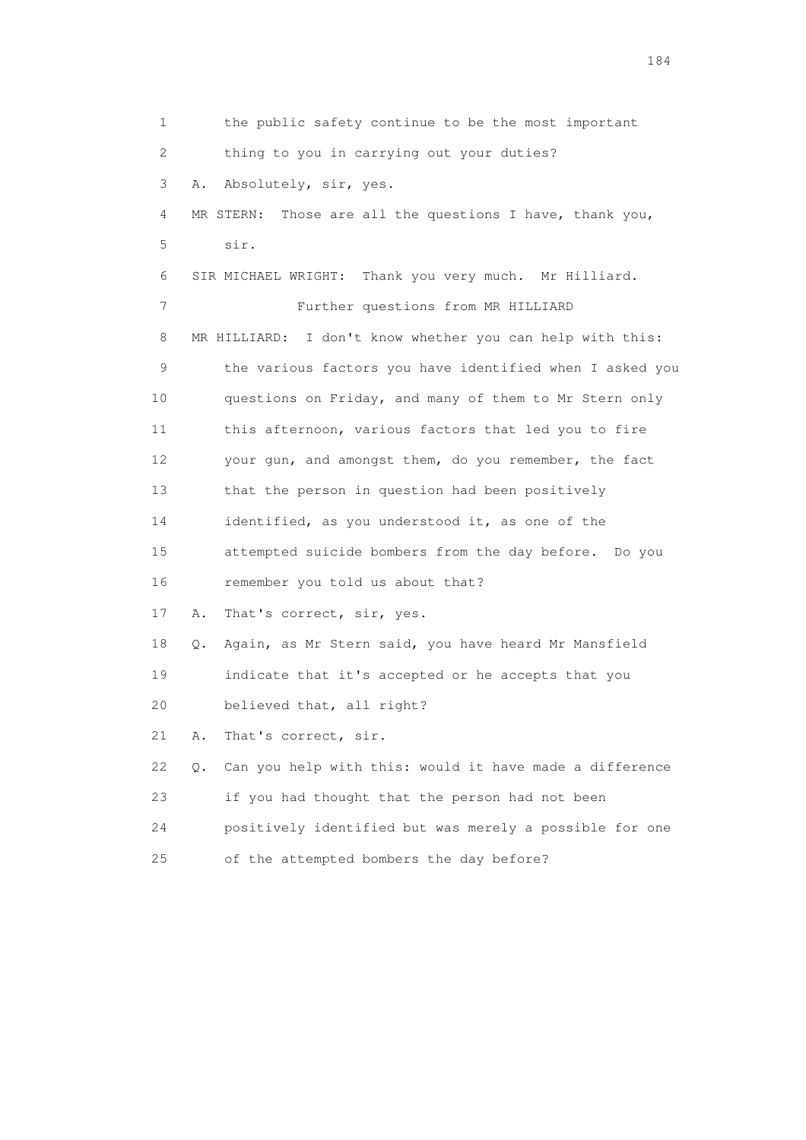1 the public safety continue to be the most important 2 thing to you in carrying out your duties? 3 A. Absolutely, sir, yes. 4 MR STERN: Those are all the questions I have, thank you, 5 sir. 6 SIR MICHAEL WRIGHT: Thank you very much. Mr Hilliard. 7 Further questions from MR HILLIARD 8 MR HILLIARD: I don't know whether you can help with this: 9 the various factors you have identified when I asked you 10 questions on Friday, and many of them to Mr Stern only 11 this afternoon, various factors that led you to fire 12 your gun, and amongst them, do you remember, the fact 13 that the person in question had been positively 14 identified, as you understood it, as one of the 15 attempted suicide bombers from the day before. Do you 16 remember you told us about that? 17 A. That's correct, sir, yes. 18 Q. Again, as Mr Stern said, you have heard Mr Mansfield 19 indicate that it's accepted or he accepts that you 20 believed that, all right? 21 A. That's correct, sir. 22 Q. Can you help with this: would it have made a difference 23 if you had thought that the person had not been 24 positively identified but was merely a possible for one 25 of the attempted bombers the day before?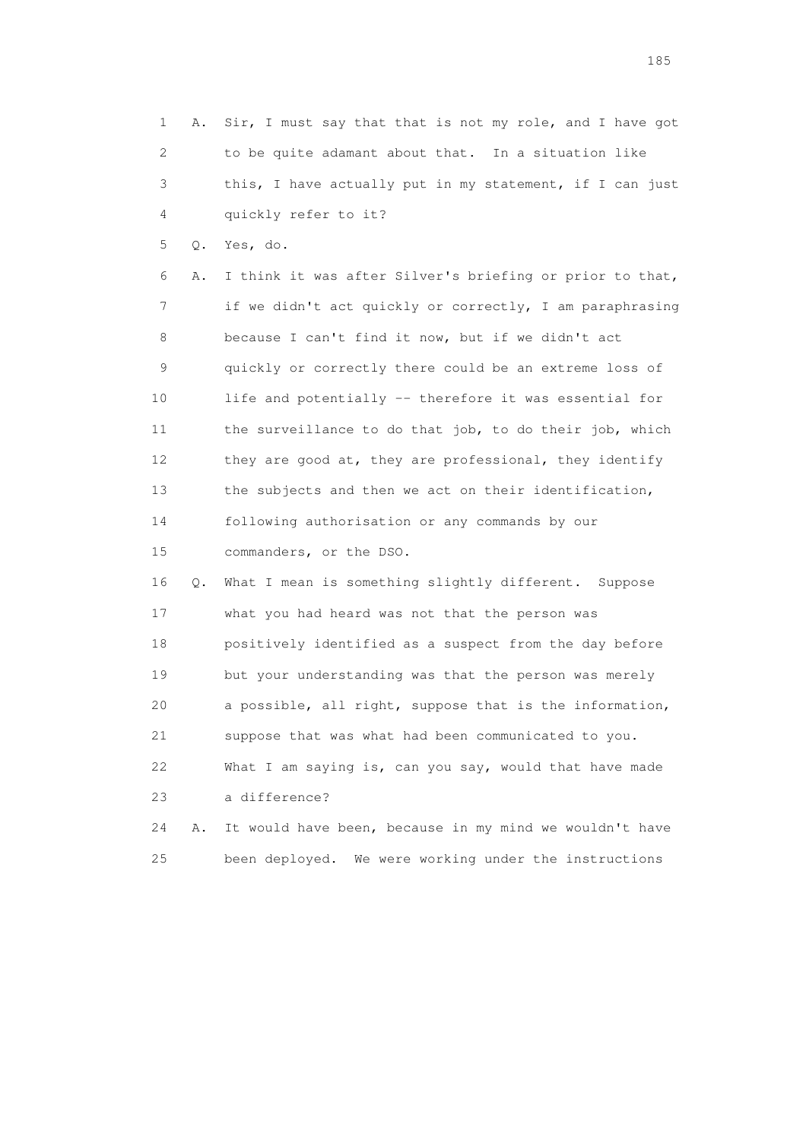1 A. Sir, I must say that that is not my role, and I have got 2 to be quite adamant about that. In a situation like 3 this, I have actually put in my statement, if I can just 4 quickly refer to it? 5 Q. Yes, do. 6 A. I think it was after Silver's briefing or prior to that, 7 if we didn't act quickly or correctly, I am paraphrasing 8 because I can't find it now, but if we didn't act 9 quickly or correctly there could be an extreme loss of 10 life and potentially -- therefore it was essential for 11 the surveillance to do that job, to do their job, which 12 they are good at, they are professional, they identify 13 the subjects and then we act on their identification, 14 following authorisation or any commands by our 15 commanders, or the DSO. 16 Q. What I mean is something slightly different. Suppose 17 what you had heard was not that the person was 18 positively identified as a suspect from the day before 19 but your understanding was that the person was merely 20 a possible, all right, suppose that is the information, 21 suppose that was what had been communicated to you. 22 What I am saying is, can you say, would that have made 23 a difference? 24 A. It would have been, because in my mind we wouldn't have 25 been deployed. We were working under the instructions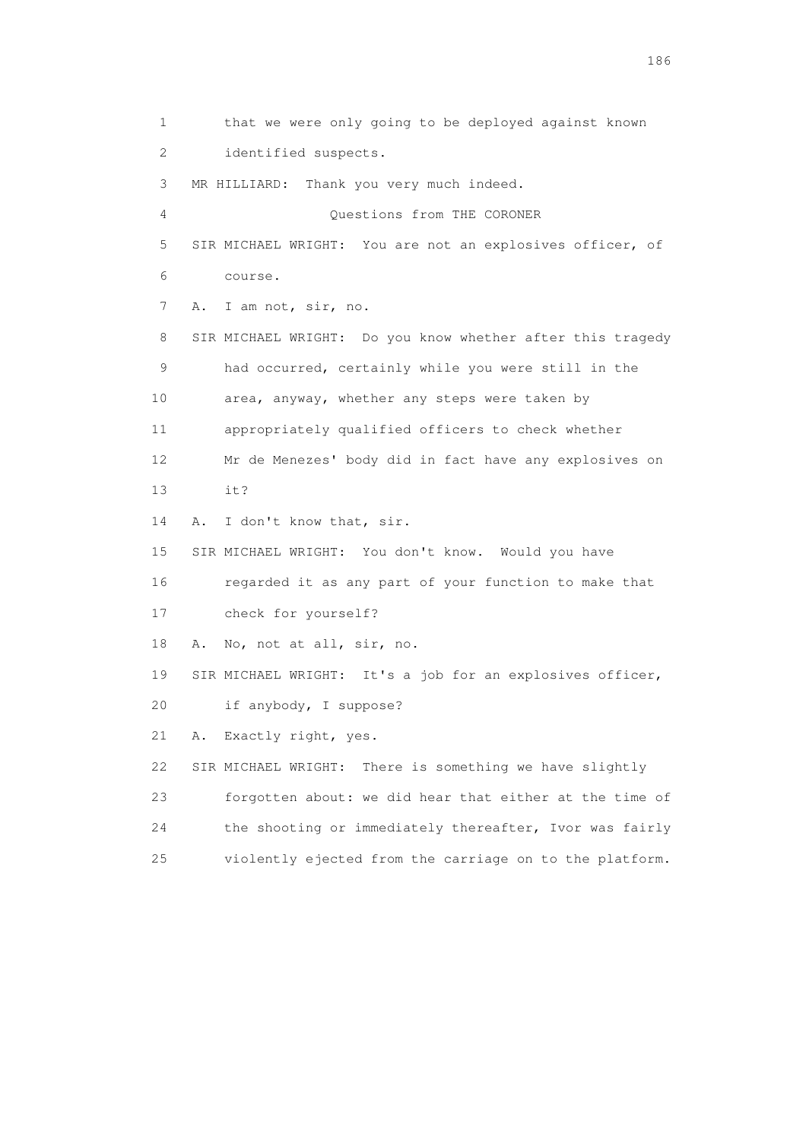1 that we were only going to be deployed against known 2 identified suspects. 3 MR HILLIARD: Thank you very much indeed. 4 Questions from THE CORONER 5 SIR MICHAEL WRIGHT: You are not an explosives officer, of 6 course. 7 A. I am not, sir, no. 8 SIR MICHAEL WRIGHT: Do you know whether after this tragedy 9 had occurred, certainly while you were still in the 10 area, anyway, whether any steps were taken by 11 appropriately qualified officers to check whether 12 Mr de Menezes' body did in fact have any explosives on 13 it? 14 A. I don't know that, sir. 15 SIR MICHAEL WRIGHT: You don't know. Would you have 16 regarded it as any part of your function to make that 17 check for yourself? 18 A. No, not at all, sir, no. 19 SIR MICHAEL WRIGHT: It's a job for an explosives officer, 20 if anybody, I suppose? 21 A. Exactly right, yes. 22 SIR MICHAEL WRIGHT: There is something we have slightly 23 forgotten about: we did hear that either at the time of 24 the shooting or immediately thereafter, Ivor was fairly 25 violently ejected from the carriage on to the platform.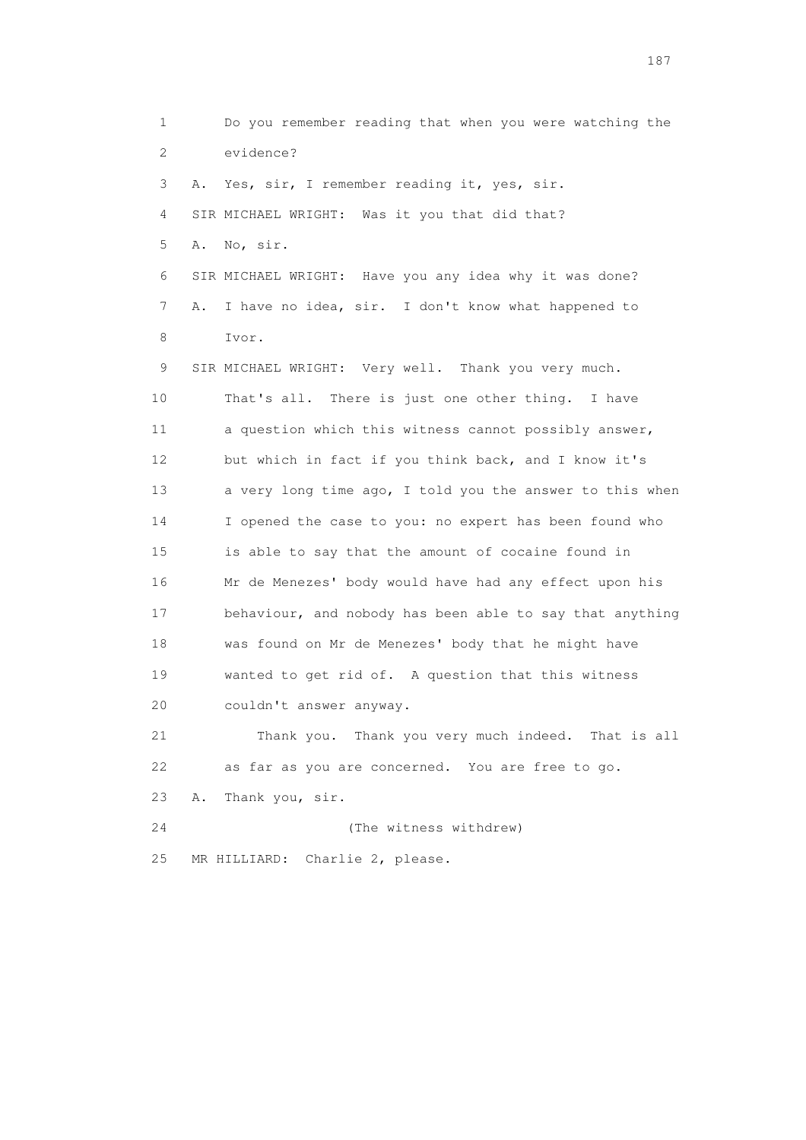1 Do you remember reading that when you were watching the 2 evidence? 3 A. Yes, sir, I remember reading it, yes, sir. 4 SIR MICHAEL WRIGHT: Was it you that did that? 5 A. No, sir. 6 SIR MICHAEL WRIGHT: Have you any idea why it was done? 7 A. I have no idea, sir. I don't know what happened to 8 Ivor. 9 SIR MICHAEL WRIGHT: Very well. Thank you very much. 10 That's all. There is just one other thing. I have 11 a question which this witness cannot possibly answer, 12 but which in fact if you think back, and I know it's 13 a very long time ago, I told you the answer to this when 14 I opened the case to you: no expert has been found who 15 is able to say that the amount of cocaine found in 16 Mr de Menezes' body would have had any effect upon his 17 behaviour, and nobody has been able to say that anything 18 was found on Mr de Menezes' body that he might have 19 wanted to get rid of. A question that this witness 20 couldn't answer anyway. 21 Thank you. Thank you very much indeed. That is all 22 as far as you are concerned. You are free to go. 23 A. Thank you, sir. 24 (The witness withdrew) 25 MR HILLIARD: Charlie 2, please.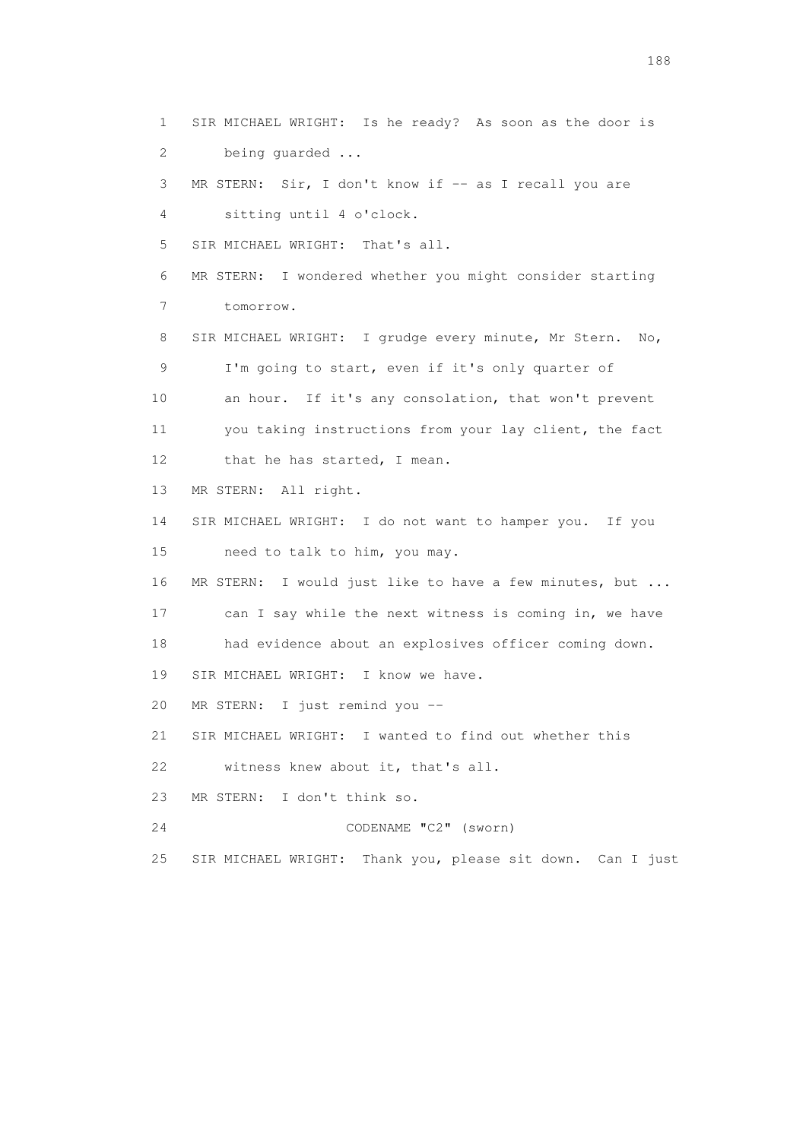1 SIR MICHAEL WRIGHT: Is he ready? As soon as the door is 2 being guarded ... 3 MR STERN: Sir, I don't know if -- as I recall you are 4 sitting until 4 o'clock. 5 SIR MICHAEL WRIGHT: That's all. 6 MR STERN: I wondered whether you might consider starting 7 tomorrow. 8 SIR MICHAEL WRIGHT: I grudge every minute, Mr Stern. No, 9 I'm going to start, even if it's only quarter of 10 an hour. If it's any consolation, that won't prevent 11 you taking instructions from your lay client, the fact 12 that he has started, I mean. 13 MR STERN: All right. 14 SIR MICHAEL WRIGHT: I do not want to hamper you. If you 15 need to talk to him, you may. 16 MR STERN: I would just like to have a few minutes, but ... 17 can I say while the next witness is coming in, we have 18 had evidence about an explosives officer coming down. 19 SIR MICHAEL WRIGHT: I know we have. 20 MR STERN: I just remind you -- 21 SIR MICHAEL WRIGHT: I wanted to find out whether this 22 witness knew about it, that's all. 23 MR STERN: I don't think so. 24 CODENAME "C2" (sworn) 25 SIR MICHAEL WRIGHT: Thank you, please sit down. Can I just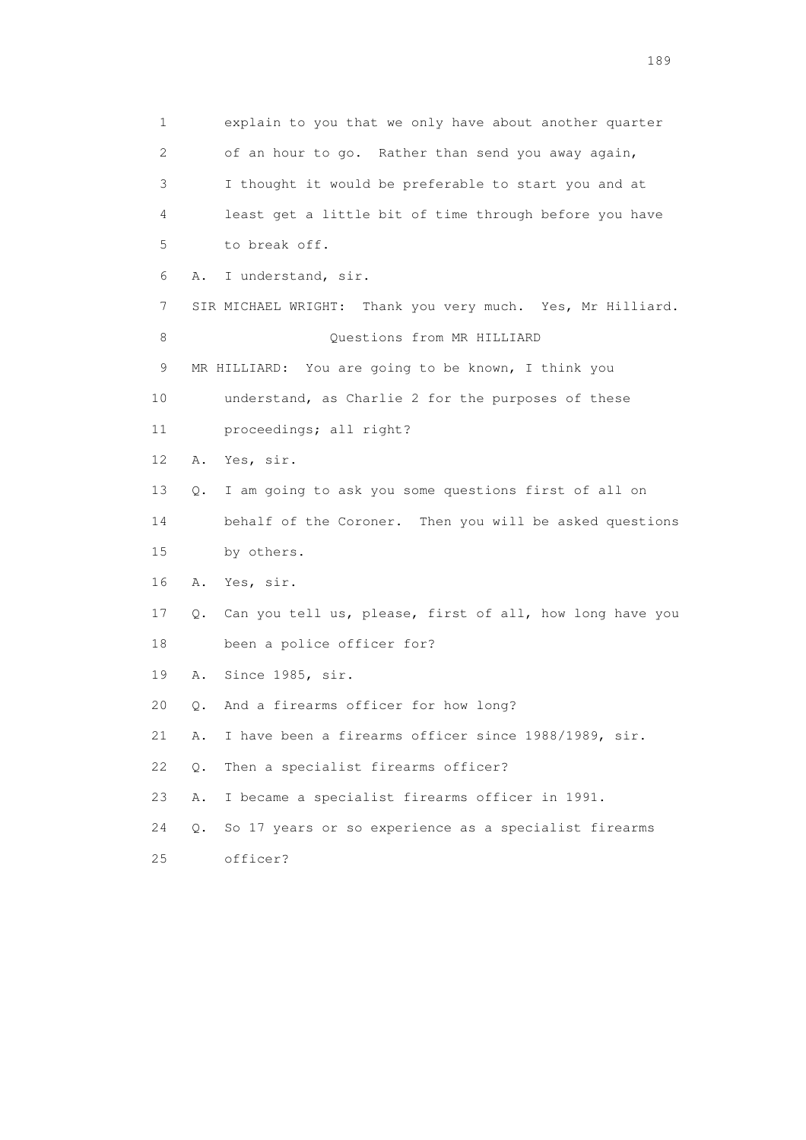1 explain to you that we only have about another quarter 2 of an hour to go. Rather than send you away again, 3 I thought it would be preferable to start you and at 4 least get a little bit of time through before you have 5 to break off. 6 A. I understand, sir. 7 SIR MICHAEL WRIGHT: Thank you very much. Yes, Mr Hilliard. 8 Ouestions from MR HILLIARD 9 MR HILLIARD: You are going to be known, I think you 10 understand, as Charlie 2 for the purposes of these 11 proceedings; all right? 12 A. Yes, sir. 13 Q. I am going to ask you some questions first of all on 14 behalf of the Coroner. Then you will be asked questions 15 by others. 16 A. Yes, sir. 17 Q. Can you tell us, please, first of all, how long have you 18 been a police officer for? 19 A. Since 1985, sir. 20 Q. And a firearms officer for how long? 21 A. I have been a firearms officer since 1988/1989, sir. 22 Q. Then a specialist firearms officer? 23 A. I became a specialist firearms officer in 1991. 24 Q. So 17 years or so experience as a specialist firearms 25 officer?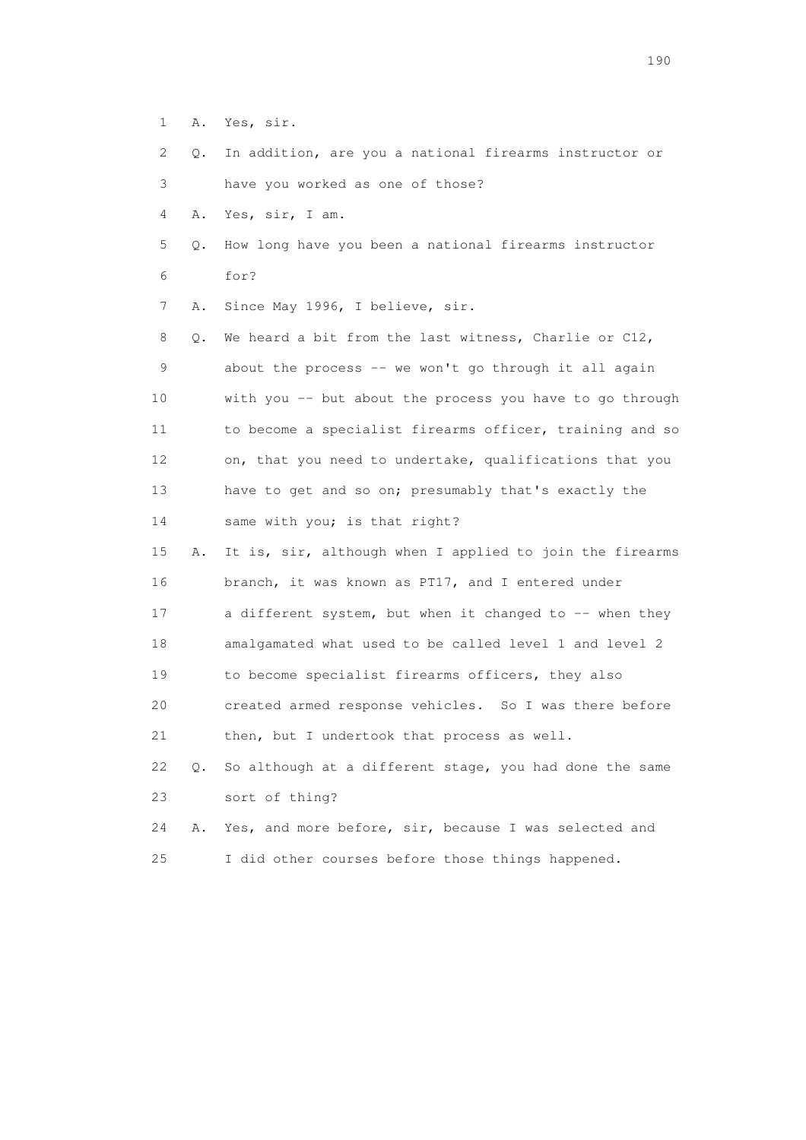- 1 A. Yes, sir.
- 2 Q. In addition, are you a national firearms instructor or
- 3 have you worked as one of those?
- 4 A. Yes, sir, I am.
- 5 Q. How long have you been a national firearms instructor 6 for?
- 7 A. Since May 1996, I believe, sir.

 8 Q. We heard a bit from the last witness, Charlie or C12, 9 about the process -- we won't go through it all again 10 with you -- but about the process you have to go through 11 to become a specialist firearms officer, training and so 12 on, that you need to undertake, qualifications that you 13 have to get and so on; presumably that's exactly the 14 same with you; is that right?

- 15 A. It is, sir, although when I applied to join the firearms 16 branch, it was known as PT17, and I entered under 17 a different system, but when it changed to -- when they 18 amalgamated what used to be called level 1 and level 2 19 to become specialist firearms officers, they also 20 created armed response vehicles. So I was there before 21 then, but I undertook that process as well. 22 Q. So although at a different stage, you had done the same
- 23 sort of thing?

```
 24 A. Yes, and more before, sir, because I was selected and 
25 I did other courses before those things happened.
```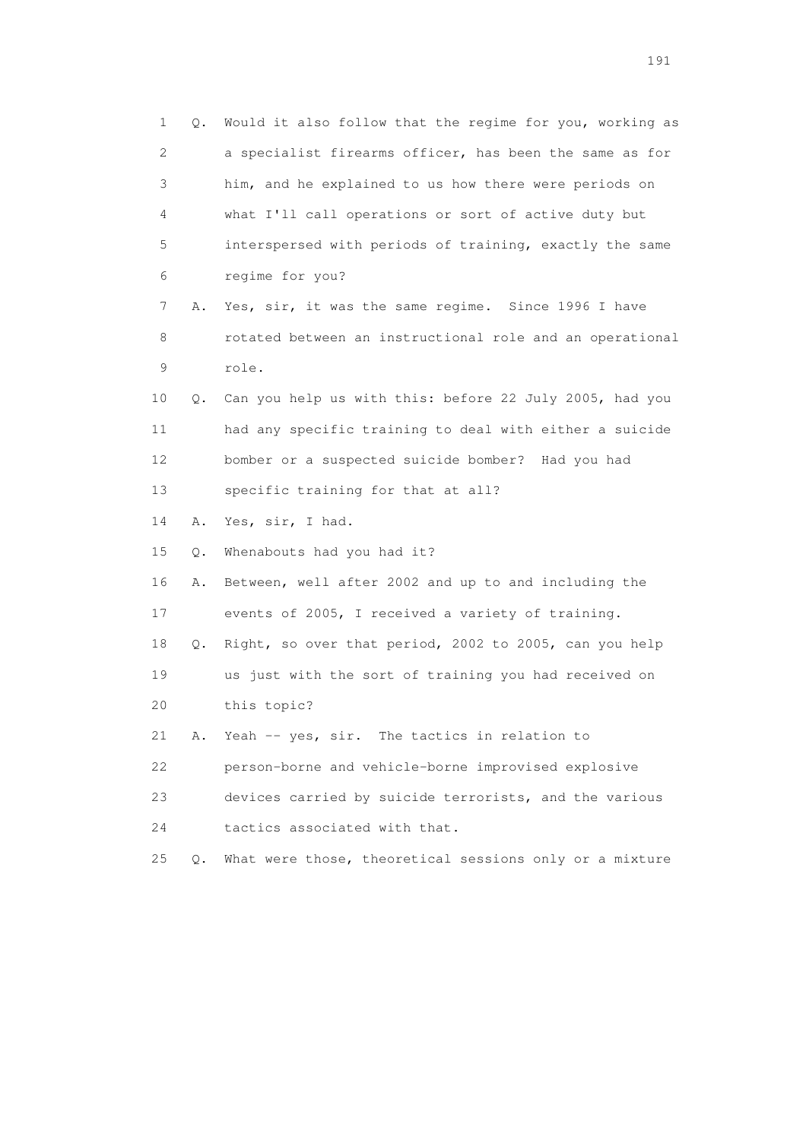| $\mathbf 1$     | Q. | Would it also follow that the regime for you, working as |
|-----------------|----|----------------------------------------------------------|
| 2               |    | a specialist firearms officer, has been the same as for  |
| 3               |    | him, and he explained to us how there were periods on    |
| 4               |    | what I'll call operations or sort of active duty but     |
| 5               |    | interspersed with periods of training, exactly the same  |
| 6               |    | regime for you?                                          |
| 7               | Α. | Yes, sir, it was the same regime. Since 1996 I have      |
| 8               |    | rotated between an instructional role and an operational |
| 9               |    | role.                                                    |
| 10              | Q. | Can you help us with this: before 22 July 2005, had you  |
| 11              |    | had any specific training to deal with either a suicide  |
| 12 <sup>°</sup> |    | bomber or a suspected suicide bomber? Had you had        |
| 13              |    | specific training for that at all?                       |
| 14              | Α. | Yes, sir, I had.                                         |
| 15              | Q. | Whenabouts had you had it?                               |
| 16              | Α. | Between, well after 2002 and up to and including the     |
| 17              |    | events of 2005, I received a variety of training.        |
| 18              | Q. | Right, so over that period, 2002 to 2005, can you help   |
| 19              |    | us just with the sort of training you had received on    |
| 20              |    | this topic?                                              |
| 21              | Α. | Yeah -- yes, sir. The tactics in relation to             |
| 22              |    | person-borne and vehicle-borne improvised explosive      |
| 23              |    | devices carried by suicide terrorists, and the various   |
| 24              |    | tactics associated with that.                            |
| 25              | 0. | What were those, theoretical sessions only or a mixture  |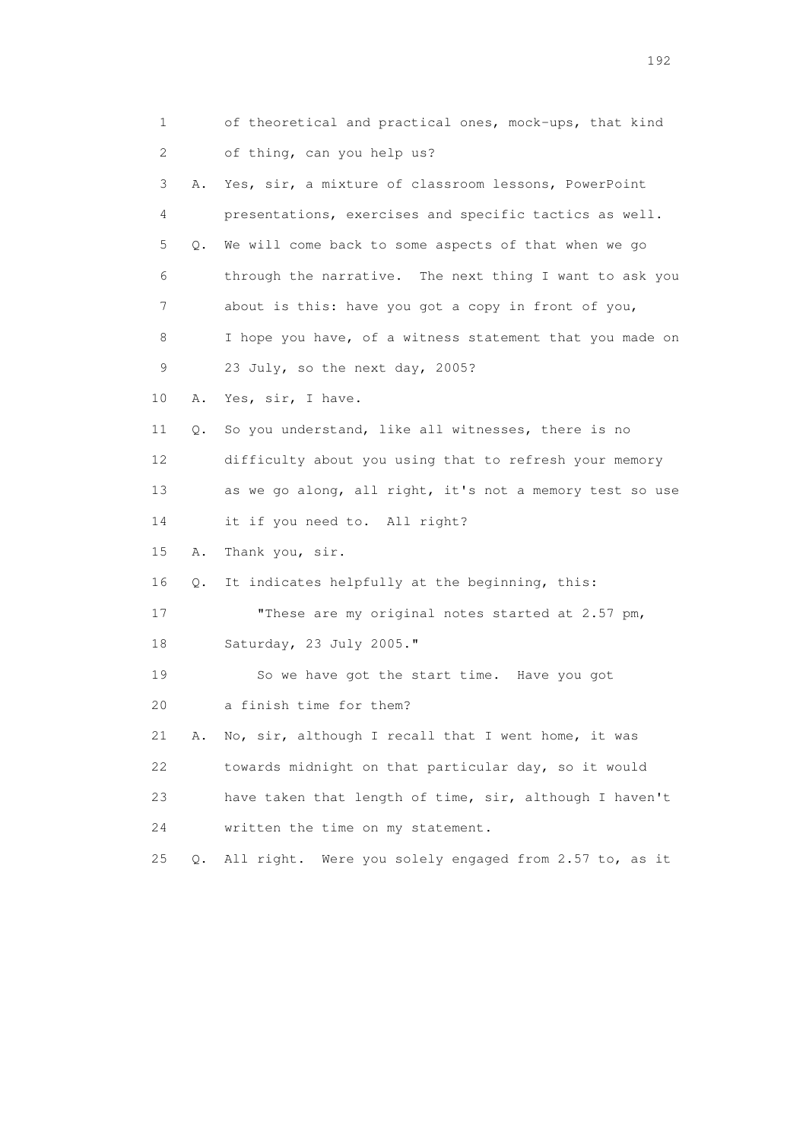| 1  |    | of theoretical and practical ones, mock-ups, that kind    |
|----|----|-----------------------------------------------------------|
| 2  |    | of thing, can you help us?                                |
| 3  | Α. | Yes, sir, a mixture of classroom lessons, PowerPoint      |
| 4  |    | presentations, exercises and specific tactics as well.    |
| 5  | Q. | We will come back to some aspects of that when we go      |
| 6  |    | through the narrative. The next thing I want to ask you   |
| 7  |    | about is this: have you got a copy in front of you,       |
| 8  |    | I hope you have, of a witness statement that you made on  |
| 9  |    | 23 July, so the next day, 2005?                           |
| 10 | Α. | Yes, sir, I have.                                         |
| 11 | Q. | So you understand, like all witnesses, there is no        |
| 12 |    | difficulty about you using that to refresh your memory    |
| 13 |    | as we go along, all right, it's not a memory test so use  |
| 14 |    | it if you need to. All right?                             |
| 15 | Α. | Thank you, sir.                                           |
| 16 | Q. | It indicates helpfully at the beginning, this:            |
| 17 |    | "These are my original notes started at 2.57 pm,          |
| 18 |    | Saturday, 23 July 2005."                                  |
| 19 |    | So we have got the start time. Have you got               |
| 20 |    | a finish time for them?                                   |
| 21 | Α. | No, sir, although I recall that I went home, it was       |
| 22 |    | towards midnight on that particular day, so it would      |
| 23 |    | have taken that length of time, sir, although I haven't   |
| 24 |    | written the time on my statement.                         |
| 25 | Q. | All right.<br>Were you solely engaged from 2.57 to, as it |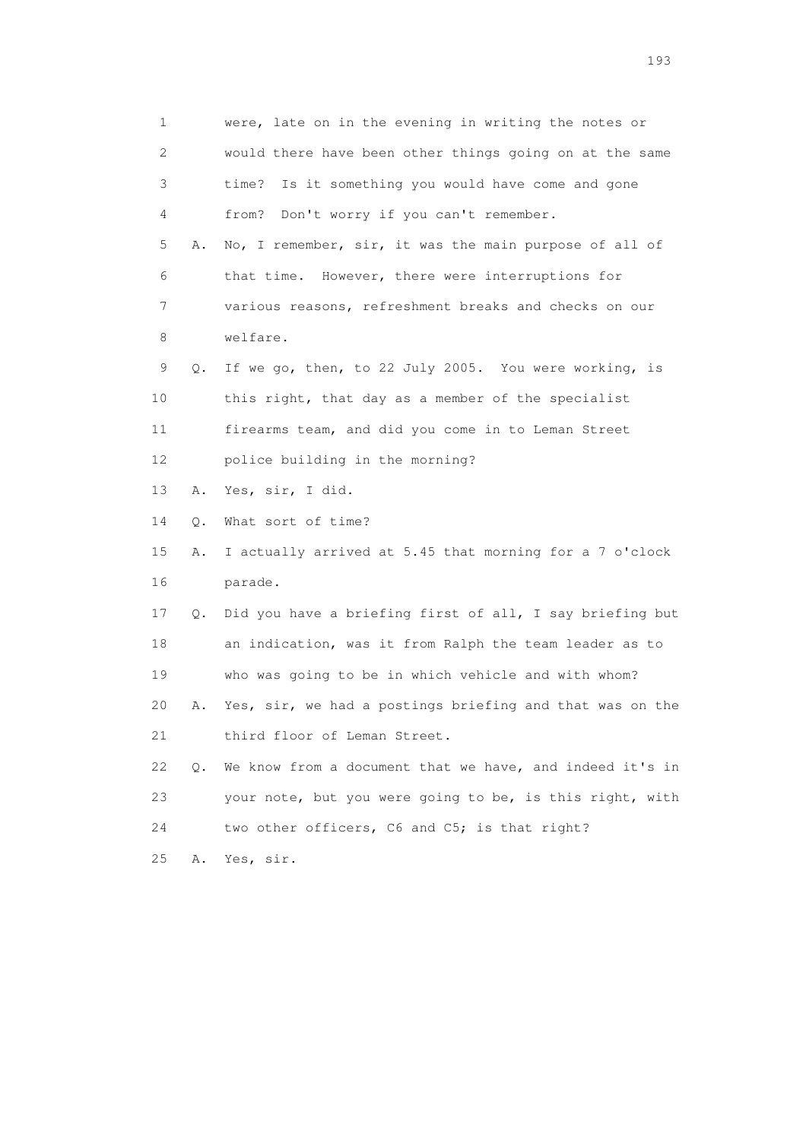1 were, late on in the evening in writing the notes or 2 would there have been other things going on at the same 3 time? Is it something you would have come and gone 4 from? Don't worry if you can't remember. 5 A. No, I remember, sir, it was the main purpose of all of 6 that time. However, there were interruptions for 7 various reasons, refreshment breaks and checks on our 8 welfare. 9 Q. If we go, then, to 22 July 2005. You were working, is 10 this right, that day as a member of the specialist 11 firearms team, and did you come in to Leman Street 12 police building in the morning? 13 A. Yes, sir, I did. 14 Q. What sort of time? 15 A. I actually arrived at 5.45 that morning for a 7 o'clock 16 parade. 17 Q. Did you have a briefing first of all, I say briefing but 18 an indication, was it from Ralph the team leader as to 19 who was going to be in which vehicle and with whom? 20 A. Yes, sir, we had a postings briefing and that was on the 21 third floor of Leman Street. 22 Q. We know from a document that we have, and indeed it's in 23 your note, but you were going to be, is this right, with 24 two other officers, C6 and C5; is that right? 25 A. Yes, sir.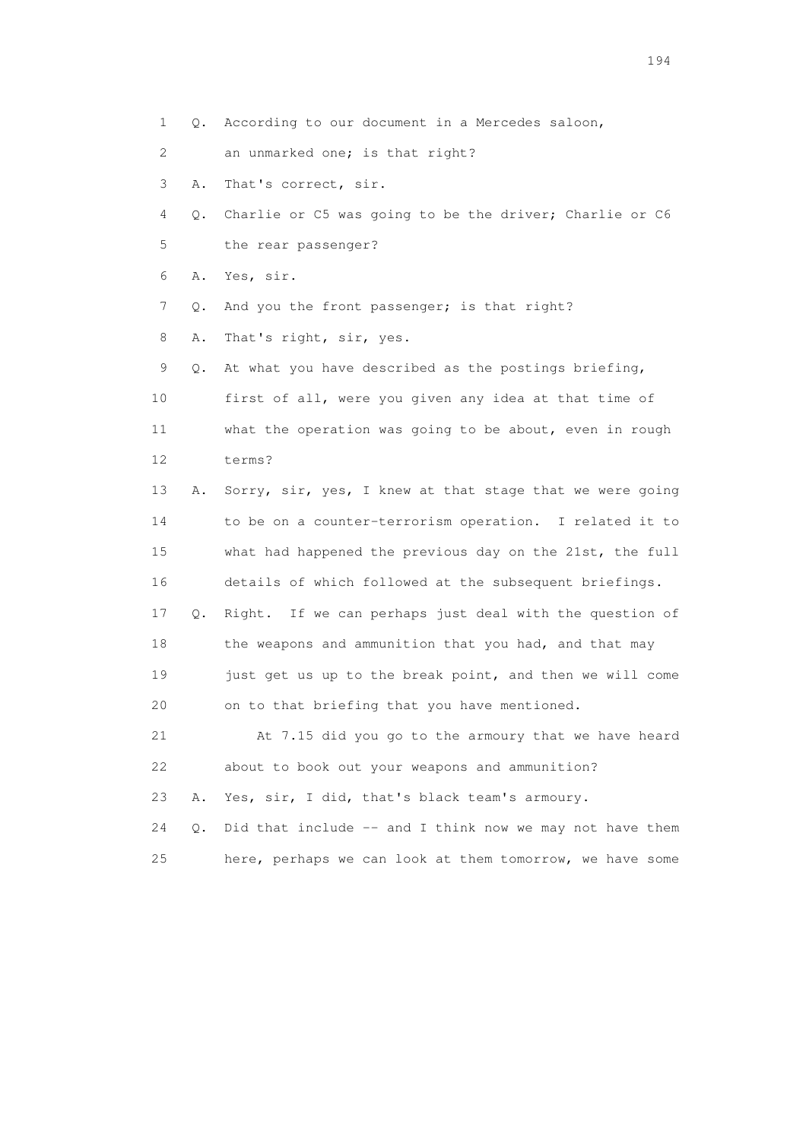1 Q. According to our document in a Mercedes saloon,

2 an unmarked one; is that right?

3 A. That's correct, sir.

 4 Q. Charlie or C5 was going to be the driver; Charlie or C6 5 the rear passenger?

6 A. Yes, sir.

7 Q. And you the front passenger; is that right?

8 A. That's right, sir, yes.

 9 Q. At what you have described as the postings briefing, 10 first of all, were you given any idea at that time of 11 what the operation was going to be about, even in rough 12 terms?

 13 A. Sorry, sir, yes, I knew at that stage that we were going 14 to be on a counter-terrorism operation. I related it to 15 what had happened the previous day on the 21st, the full 16 details of which followed at the subsequent briefings. 17 Q. Right. If we can perhaps just deal with the question of 18 the weapons and ammunition that you had, and that may 19 just get us up to the break point, and then we will come 20 on to that briefing that you have mentioned.

 21 At 7.15 did you go to the armoury that we have heard 22 about to book out your weapons and ammunition?

23 A. Yes, sir, I did, that's black team's armoury.

24 Q. Did that include -- and I think now we may not have them 25 here, perhaps we can look at them tomorrow, we have some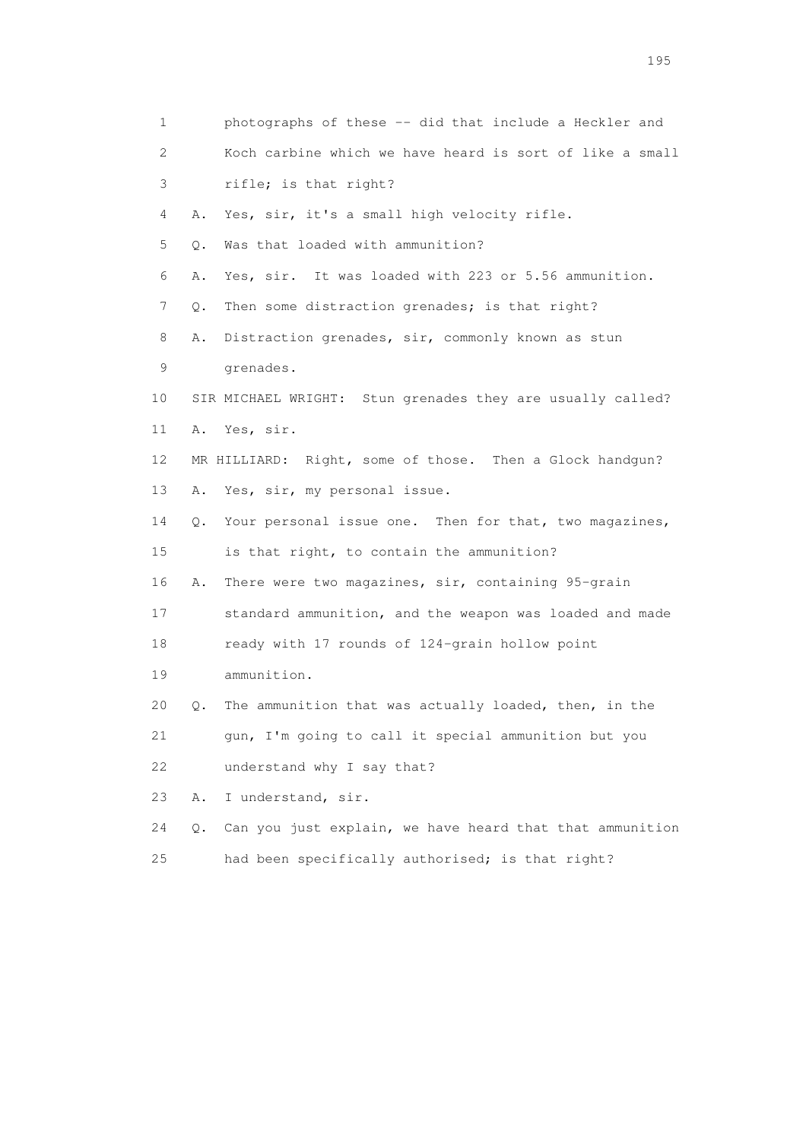| 1                         | photographs of these -- did that include a Heckler and            |
|---------------------------|-------------------------------------------------------------------|
| $\mathbf{2}^{\mathsf{I}}$ | Koch carbine which we have heard is sort of like a small          |
| 3                         | rifle; is that right?                                             |
| 4                         | Yes, sir, it's a small high velocity rifle.<br>Α.                 |
| 5                         | Was that loaded with ammunition?<br>Q.                            |
| 6                         | Yes, sir. It was loaded with 223 or 5.56 ammunition.<br>Α.        |
| 7                         | Then some distraction grenades; is that right?<br>Q.              |
| 8                         | Distraction grenades, sir, commonly known as stun<br>Α.           |
| 9                         | grenades.                                                         |
| 10                        | SIR MICHAEL WRIGHT: Stun grenades they are usually called?        |
| 11                        | Yes, sir.<br>Α.                                                   |
| 12                        | MR HILLIARD: Right, some of those. Then a Glock handgun?          |
| 13                        | Yes, sir, my personal issue.<br>Α.                                |
| 14                        | Your personal issue one. Then for that, two magazines,<br>Q.      |
| 15                        | is that right, to contain the ammunition?                         |
| 16                        | There were two magazines, sir, containing 95-grain<br>Α.          |
| 17                        | standard ammunition, and the weapon was loaded and made           |
| 18                        | ready with 17 rounds of 124-grain hollow point                    |
| 19                        | ammunition.                                                       |
| 20                        | The ammunition that was actually loaded, then, in the<br>Q.       |
| 21                        | gun, I'm going to call it special ammunition but you              |
| 22                        | understand why I say that?                                        |
| 23                        | Α.<br>I understand, sir.                                          |
| 24                        | Can you just explain, we have heard that that ammunition<br>$Q$ . |
| 25                        | had been specifically authorised; is that right?                  |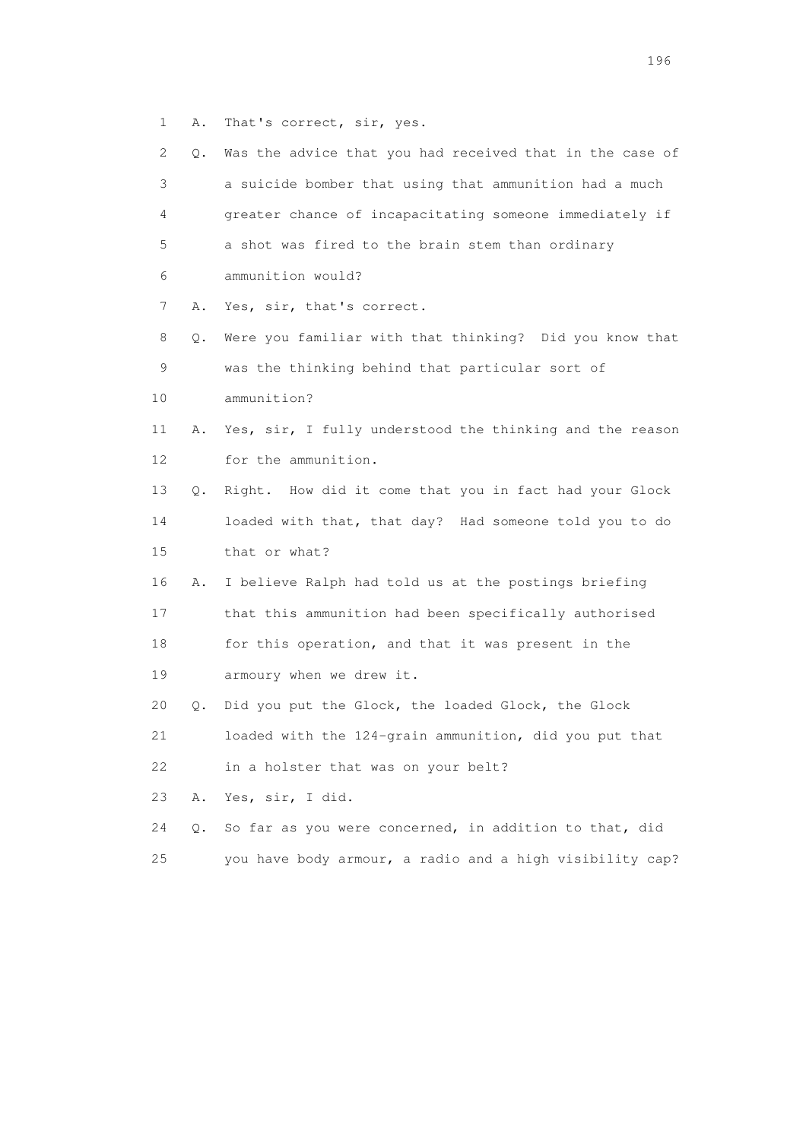1 A. That's correct, sir, yes.

| 2  | Q. | Was the advice that you had received that in the case of |
|----|----|----------------------------------------------------------|
| 3  |    | a suicide bomber that using that ammunition had a much   |
| 4  |    | greater chance of incapacitating someone immediately if  |
| 5  |    | a shot was fired to the brain stem than ordinary         |
| 6  |    | ammunition would?                                        |
| 7  | Α. | Yes, sir, that's correct.                                |
| 8  | Q. | Were you familiar with that thinking? Did you know that  |
| 9  |    | was the thinking behind that particular sort of          |
| 10 |    | ammunition?                                              |
| 11 | Α. | Yes, sir, I fully understood the thinking and the reason |
| 12 |    | for the ammunition.                                      |
| 13 | Q. | Right. How did it come that you in fact had your Glock   |
| 14 |    | loaded with that, that day? Had someone told you to do   |
| 15 |    | that or what?                                            |
| 16 | Α. | I believe Ralph had told us at the postings briefing     |
| 17 |    | that this ammunition had been specifically authorised    |
| 18 |    | for this operation, and that it was present in the       |
| 19 |    | armoury when we drew it.                                 |
| 20 | Q. | Did you put the Glock, the loaded Glock, the Glock       |
| 21 |    | loaded with the 124-grain ammunition, did you put that   |
| 22 |    | in a holster that was on your belt?                      |
| 23 | Α. | Yes, sir, I did.                                         |
| 24 | Q. | So far as you were concerned, in addition to that, did   |
| 25 |    | you have body armour, a radio and a high visibility cap? |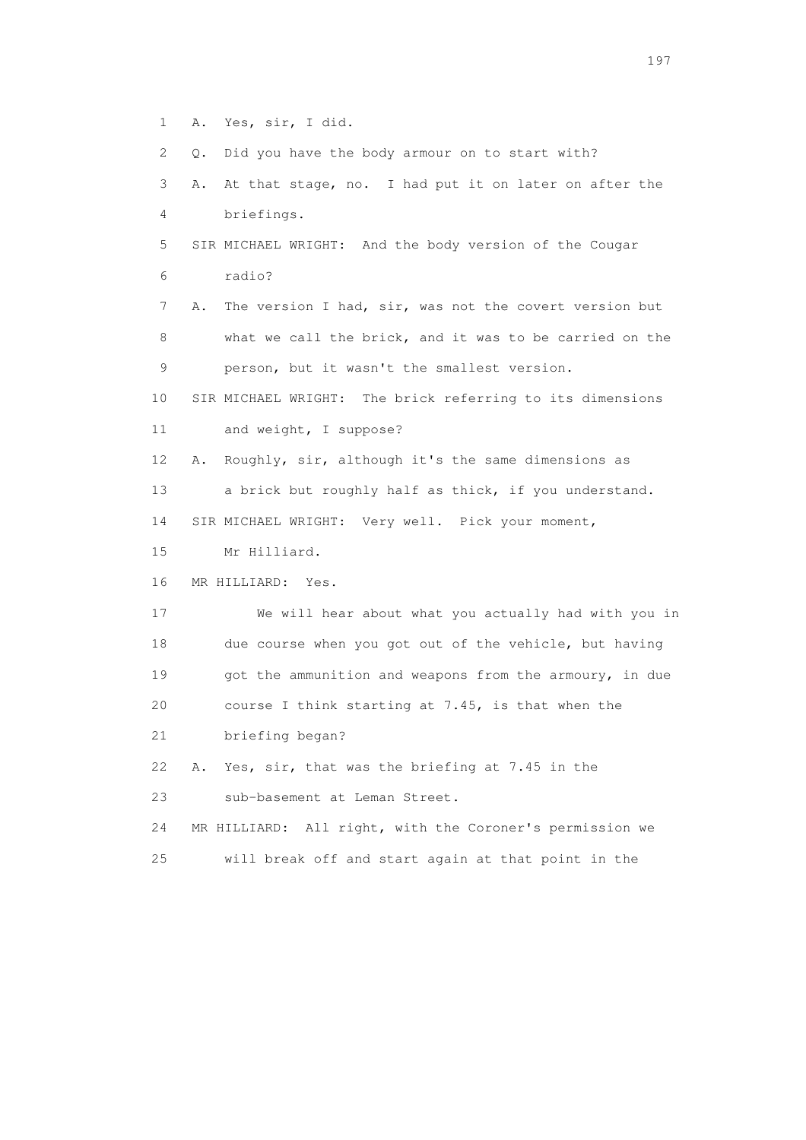1 A. Yes, sir, I did.

2 Q. Did you have the body armour on to start with?

 3 A. At that stage, no. I had put it on later on after the 4 briefings. 5 SIR MICHAEL WRIGHT: And the body version of the Cougar 6 radio? 7 A. The version I had, sir, was not the covert version but 8 what we call the brick, and it was to be carried on the 9 person, but it wasn't the smallest version. 10 SIR MICHAEL WRIGHT: The brick referring to its dimensions 11 and weight, I suppose? 12 A. Roughly, sir, although it's the same dimensions as 13 a brick but roughly half as thick, if you understand. 14 SIR MICHAEL WRIGHT: Very well. Pick your moment, 15 Mr Hilliard. 16 MR HILLIARD: Yes. 17 We will hear about what you actually had with you in 18 due course when you got out of the vehicle, but having 19 got the ammunition and weapons from the armoury, in due 20 course I think starting at 7.45, is that when the 21 briefing began? 22 A. Yes, sir, that was the briefing at 7.45 in the 23 sub-basement at Leman Street. 24 MR HILLIARD: All right, with the Coroner's permission we

25 will break off and start again at that point in the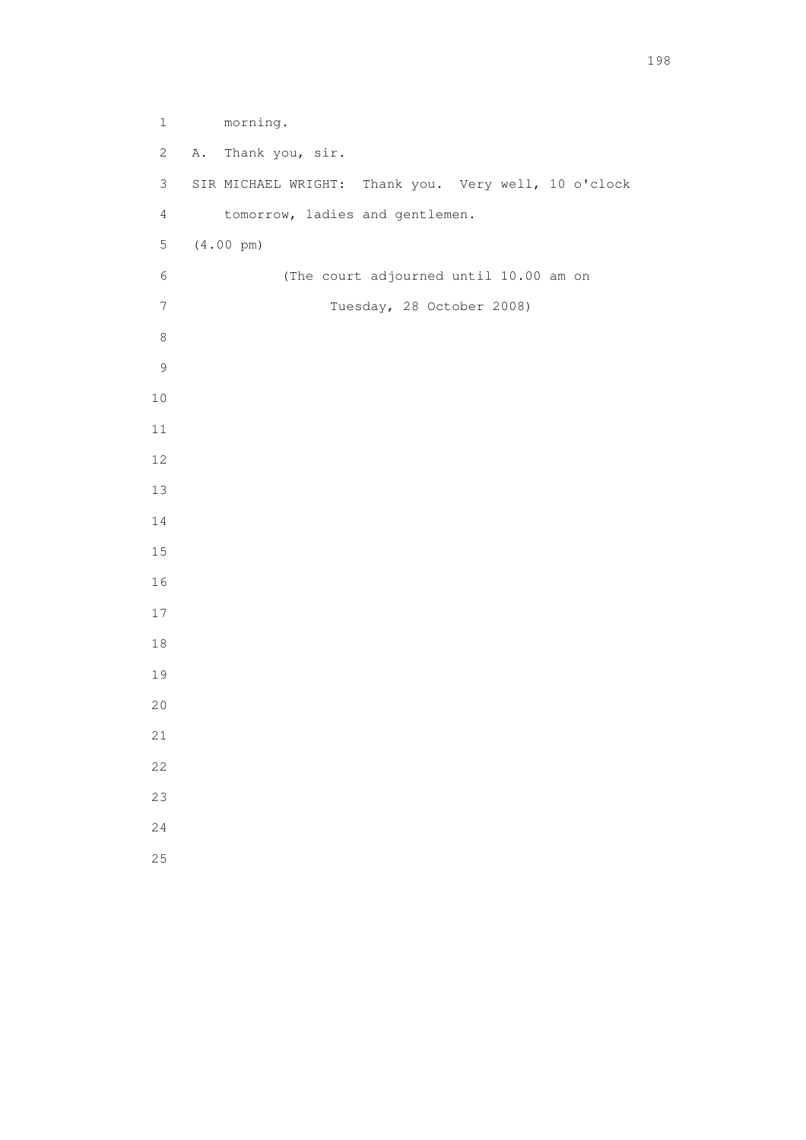1 morning. 2 A. Thank you, sir. 3 SIR MICHAEL WRIGHT: Thank you. Very well, 10 o'clock 4 tomorrow, ladies and gentlemen. 5 (4.00 pm) 6 (The court adjourned until 10.00 am on 7 Tuesday, 28 October 2008)